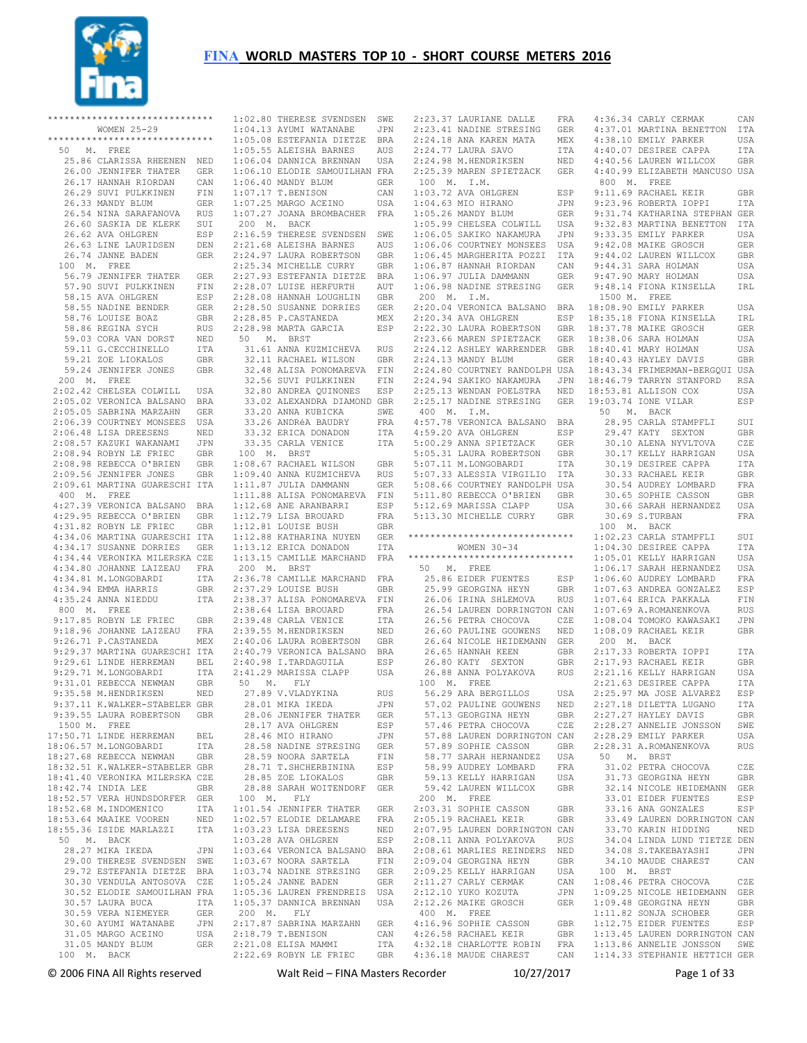

| *******************************                             |                                  | $1:02$ . |
|-------------------------------------------------------------|----------------------------------|----------|
| WOMEN 25-29                                                 |                                  | $1:04$ . |
| ******************************                              |                                  | $1:05$ . |
| 50 M. FREE                                                  |                                  | 1:05.    |
|                                                             |                                  |          |
| 25.86 CLARISSA RHEENEN NED                                  |                                  | $1:06$ . |
| 26.00 JENNIFER THATER                                       | GER                              | $1:06$ . |
| 26.17 HANNAH RIORDAN                                        | CAN                              | $1:06$ . |
| 26.29 SUVI PULKKINEN                                        | FIN                              | $1:07$ . |
| 26.33 MANDY BLUM                                            | GER                              | $1:07$ . |
| 26.54 NINA SARAFANOVA                                       | RUS                              | $1:07$ . |
| 26.60 SASKIA DE KLERK                                       |                                  |          |
|                                                             | $\verb SUI $                     | 200      |
| 26.62 AVA OHLGREN                                           | ESP                              | 2:16.    |
| 26.63 LINE LAURIDSEN                                        | DEN                              | 2:21.    |
| 26.74 JANNE BADEN                                           | GER                              | 2:24.    |
| 100 M. FREE                                                 |                                  | 2:25.    |
| 56.79 JENNIFER THATER                                       | GER                              | 2:27.    |
| 57.90 SUVI PULKKINEN                                        | FIN                              | 2:28.    |
|                                                             |                                  |          |
| 58.15 AVA OHLGREN                                           | ESP                              | 2:28.    |
| 58.55 NADINE BENDER                                         | GER                              | 2:28.    |
| 58.76 LOUISE BOAZ<br>58 86 REGINA SYCH                      | GBR                              | 2:28.    |
| 58.86 REGINA SYCH                                           | RUS                              | $2:28$ . |
|                                                             | NED                              | 50       |
| 59.03 CORA VAN DORST<br>59.11 G.CECCHINELLO                 | ITA                              | 31.      |
| 59.21 ZOE LIOKALOS                                          |                                  | 32.      |
|                                                             | GBR                              |          |
| 59.24 JENNIFER JONES                                        | GBR                              | 32.      |
| 200 M. FREE                                                 |                                  | 32.      |
| 2:02.42 CHELSEA COLWILL USA                                 |                                  | 32.      |
| 2:05.02 VERONICA BALSANO                                    | BRA                              | 33.      |
|                                                             | GER                              | 33.      |
| 2:05.05 SABRINA MARZAHN GER<br>2:06.39 COURTNEY MONSEES USA |                                  | 33.      |
|                                                             |                                  |          |
| 2:06.48 LISA DREESENS                                       | $\operatorname{NED}$             | 33.      |
| 2:08.57 KAZUKI WAKANAMI                                     | JPN                              | 33.      |
| 2:08.94 ROBYN LE FRIEC                                      | GBR                              | 100      |
|                                                             | $\mathbb{G}\mathbb{B}\mathbb{R}$ | $1:08$ . |
| 2:08.98 REBECCA O'BRIEN<br>2:09.56 JENNIFER JONES           | GBR                              | 1:09.    |
| 2:09.61 MARTINA GUARESCHI ITA                               |                                  | $1:11$ . |
| 400 M. FREE                                                 |                                  | $1:11$ . |
| 4:27.39 VERONICA BALSANO BRA                                |                                  | 1:12.    |
|                                                             | GBR                              | $1:12$ . |
| 4:29.95 REBECCA O'BRIEN<br>4:31.82 ROBYN LE FRIEC           |                                  |          |
|                                                             | GBR                              | $1:12$ . |
| 4:34.06 MARTINA GUARESCHI ITA                               |                                  | 1:12.    |
| 4:34.17 SUSANNE DORRIES GER                                 |                                  | $1:13$ . |
| 4:34.44 VERONIKA MILERSKA CZE                               |                                  | 1:13.    |
| 4:34.80 JOHANNE LAIZEAU FRA                                 |                                  | 200      |
| 4:34.81 M.LONGOBARDI<br>4:34 94 EMMA HARRIS                 | ITA                              | $2:36$ . |
| 4:34.94 EMMA HARRIS                                         | GBR                              | 2:37.    |
| 4:35.24 ANNA NIEDDU                                         | ITA                              | 2:38.    |
| 800 M. FREE                                                 |                                  | 2:38.    |
| 9:17.85 ROBYN LE FRIEC                                      | GBR                              | 2:39.    |
|                                                             | FRA                              | 2:39.    |
| $9:18.96$ JOHANNE LAIZEAU<br>9:26.71 P.CASTANEDA            | ${\tt MEX}$                      |          |
|                                                             |                                  | 2:40.    |
| 9:29.37 MARTINA GUARESCHI ITA                               |                                  | 2:40.    |
| 9:29.61 LINDE HERREMAN BEL                                  |                                  | 2:40.    |
| 9:29.71 M.LONGOBARDI                                        | ITA                              | $2:41$ . |
| 9:31.01 REBECCA NEWMAN GBR                                  |                                  | 50       |
| 9:35.58 M.HENDRIKSEN                                        | NED                              | 27.      |
| 9:37.11 K.WALKER-STABELER GBR                               |                                  | 28.      |
| 9:39.55 LAURA ROBERTSON GBR                                 |                                  | 28.      |
| 1500 M. FREE                                                |                                  | 28.      |
| 17:50.71 LINDE HERREMAN                                     | BEL                              | 28.      |
| 18:06.57 M.LONGOBARDI                                       |                                  |          |
|                                                             | ITA                              | 28.      |
| 18:27.68 REBECCA NEWMAN                                     | GBR                              | 28.      |
| 18:32.51 K.WALKER-STABELER GBR                              |                                  | 28.      |
| 18:41.40 VERONIKA MILERSKA CZE                              |                                  | 28.      |
| 18:42.74 INDIA LEE                                          | GBR                              | 28.      |
| 18:52.57 VERA HUNDSDORFER GER                               |                                  | 100      |
| 18:52.68 M. INDOMENICO                                      | ITA                              | $1:01$ . |
| 18:53.64 MAAIKE VOOREN                                      | NED                              | $1:02$ . |
| 18:55.36 ISIDE MARLAZZI                                     | ITA                              | 1:03.    |
| 50 M. BACK                                                  |                                  | $1:03$ . |
| 28.27 MIKA IKEDA                                            |                                  |          |
|                                                             | JPN                              | $1:03$ . |
| 29.00 THERESE SVENDSEN                                      | SWE                              | $1:03$ . |
| 29.72 ESTEFANIA DIETZE BRA<br>30.30 VENDULA ANTOSOVA CZE    |                                  | $1:03$ . |
|                                                             |                                  | 1:05.    |
| 30.52 ELODIE SAMOUILHAN FRA                                 |                                  | $1:05$ . |
| 30.57 LAURA BUCA                                            | ITA                              | $1:05$ . |
| 30.59 VERA NIEMEYER                                         | GER                              | 200      |
| 30.60 AYUMI WATANABE                                        | JPN                              | $2:17$ . |
| 31.05 MARGO ACEINO                                          | USA                              | $2:18$ . |
| 31.05 MANDY BLUM                                            | GER                              | $2:21$ . |
| 100 M. BACK                                                 |                                  | 2:22.    |

| 1:02.80 THERESE SVENDSEN SWE                                                                         |                      |
|------------------------------------------------------------------------------------------------------|----------------------|
|                                                                                                      |                      |
|                                                                                                      |                      |
| $1:04.13$ AYUMI WATANABE                                                                             | JPN                  |
| 1:05.08 ESTEFANIA DIETZE BRA                                                                         |                      |
|                                                                                                      |                      |
| 1:05.55 ALEISHA BARNES AUS<br>1:06.04 DANNICA BRENNAN USA                                            |                      |
|                                                                                                      |                      |
| 1:06.10 ELODIE SAMOUILHAN FRA                                                                        |                      |
|                                                                                                      |                      |
| $1:06.40$ MANDY BLUM                                                                                 | GER                  |
| $1:07.17$ T.BENISON                                                                                  | CAN                  |
|                                                                                                      |                      |
| $1:07.25$ MARGO ACEINO                                                                               | USA                  |
| 1:07.27 JOANA BROMBACHER FRA                                                                         |                      |
|                                                                                                      |                      |
| 200 M. BACK                                                                                          |                      |
| 2:16.59 THERESE SVENDSEN                                                                             | SWE                  |
|                                                                                                      |                      |
| 2:21.68 ALEISHA BARNES AUS<br>2:24.97 LAURA ROBERTSON GBR                                            |                      |
|                                                                                                      |                      |
|                                                                                                      |                      |
| 2:25.34 MICHELLE CURRY                                                                               | GBR                  |
| 2:27.93 ESTEFANIA DIETZE BRA<br>2:28.07 LUISE HERFURTH AUT                                           |                      |
|                                                                                                      |                      |
|                                                                                                      |                      |
| 2:28.08 HANNAH LOUGHLIN<br>2:28.50 SUSANNE DORRIES<br>2·28.85 P.CASTANEDA                            | GBR                  |
|                                                                                                      | GER                  |
|                                                                                                      |                      |
| 2:28.85 P.CASTANEDA<br>2:28.98 MARTA GARCIA                                                          | MEX                  |
|                                                                                                      | ESP                  |
|                                                                                                      |                      |
| 50 M. BRST                                                                                           |                      |
|                                                                                                      |                      |
| 31.61 ANNA KUZMICHEVA RUS<br>32.11 RACHAEL WILSON GBR                                                |                      |
|                                                                                                      |                      |
|                                                                                                      |                      |
|                                                                                                      |                      |
| 32.48 ALISA PONOMAREVA FIN<br>32.56 SUVI PULKKINEN FIN<br>32.80 ANDREA QUINONES ESP                  |                      |
|                                                                                                      |                      |
|                                                                                                      |                      |
| 33.02 ALEXANDRA DIAMOND GBR                                                                          |                      |
|                                                                                                      | SWE                  |
| 33.20 ANNA KUBICKA<br>33.26 ANDRéA BAUDRY                                                            |                      |
| 33.26 ANDRéA BAUDRY                                                                                  | FRA                  |
|                                                                                                      | ITA                  |
| 33.32 ERICA DONADON<br>33.35 CARLA VENICE                                                            |                      |
|                                                                                                      | <b>ITA</b>           |
| 100 M. BRST                                                                                          |                      |
|                                                                                                      |                      |
| 1:08.67 RACHAEL WILSON<br>1:08.67 RACHAEL WILSON<br>1:09.40 ANNA KUZMICHEVA<br>1:11.97 IULIA DAMMANN | GBR                  |
|                                                                                                      | RUS                  |
| $1:11.87$ JULIA DAMMANN                                                                              |                      |
|                                                                                                      | GER                  |
| $1:11.88$ ALISA PONOMAREVA                                                                           | ${\tt FIN}$          |
| 1:12.68 ANE ARANBARRI<br>1:12.79 LISA BROUARD<br>1:12.81 LOUISE BUSH                                 |                      |
|                                                                                                      | ESP                  |
|                                                                                                      | FRA                  |
|                                                                                                      | GBR                  |
|                                                                                                      |                      |
| 1:12.81 LOUISE BUSH<br>1:12.88 KATHARINA NUYEN                                                       | GER                  |
| 1:13.12 ERICA DONADON                                                                                | ITA                  |
|                                                                                                      |                      |
|                                                                                                      | FRA                  |
|                                                                                                      |                      |
| 1:13.15 CAMILLE MARCHAND                                                                             |                      |
| 200 M. BRST                                                                                          |                      |
| 2:36.78 CAMILLE MARCHAND FRA                                                                         |                      |
|                                                                                                      |                      |
|                                                                                                      | GBR                  |
|                                                                                                      | $_{\rm FIN}$         |
|                                                                                                      | FRA                  |
| 2:37.29 LOUISE BUSH<br>2:38.37 ALISA PONOMAREVA<br>2:38.64 LISA BROUARD<br>2:38.64 LISA BROUARD      |                      |
| 2:39.48 CARLA VENICE                                                                                 | ITA                  |
|                                                                                                      | NED                  |
|                                                                                                      |                      |
| 2:39.55 M.HENDRIKSEN<br>2:39.55 M.HENDRIKSEN                                                         | GBR                  |
|                                                                                                      | <b>BRA</b>           |
| 2:39:39 :::::::::::::::::::<br>2:40.06 LAURA ROBERTSON<br>2:40.79 VERONICA BALSANO                   |                      |
|                                                                                                      | ESP                  |
|                                                                                                      | USA                  |
| 2:40.98 I.TARDAGUILA<br>2:41.29 MARISSA CLAPP                                                        |                      |
|                                                                                                      |                      |
| 50 M. FLY<br>27.89 V.VLADYKINA                                                                       | <b>RUS</b>           |
| 28.01 MIKA IKEDA                                                                                     | <b>JPN</b>           |
|                                                                                                      |                      |
| 28.06 JENNIFER THATER                                                                                | <b>GER</b>           |
| 28.17 AVA OHLGREN                                                                                    | ESP                  |
|                                                                                                      |                      |
| 28.46 MIO HIRANO                                                                                     | JPN                  |
| 28.58 NADINE STRESING                                                                                | GER                  |
|                                                                                                      |                      |
| 28.59 NOORA SARTELA                                                                                  | $_{\rm FIN}$         |
| 28.71 T. SHCHERBININA                                                                                | ESP                  |
| 28.85 ZOE LIOKALOS                                                                                   | <b>GBR</b>           |
|                                                                                                      |                      |
| 28.88 SARAH WOITENDORF                                                                               | GER                  |
| 100 M.<br>FLY                                                                                        |                      |
|                                                                                                      |                      |
| $1:01.54$ JENNIFER THATER                                                                            | GER                  |
| 1:02.57 ELODIE DELAMARE                                                                              | FRA                  |
|                                                                                                      |                      |
| 1:03.23 LISA DREESENS                                                                                | $\operatorname{NED}$ |
| 1:03.28 AVA OHLGREN                                                                                  | ESP                  |
|                                                                                                      |                      |
|                                                                                                      | <b>BRA</b>           |
| 1:03.64 VERONICA BALSANO<br>1:03.67 NOORA SARTELA                                                    | FIN                  |
|                                                                                                      |                      |
| 1:03.74 NADINE STRESING                                                                              | GER                  |
| 1:05.24 JANNE BADEN                                                                                  | GER                  |
|                                                                                                      |                      |
| 1:05.36 LAUREN FRENDREIS                                                                             | USA                  |
| $1:05.37$ DANNICA BRENNAN                                                                            | USA                  |
|                                                                                                      |                      |
|                                                                                                      |                      |
| 200 M. FLY<br>2:17.87 SABRINA MARZAHN                                                                | GER                  |
| 2:18.79 T.BENISON                                                                                    | CAN                  |
|                                                                                                      |                      |
| 2:21.08 ELISA MAMMI<br>2:22.69 ROBYN LE FRIEC                                                        | ITA<br>GBR           |

2:23.37 LAURIANE DALLE FRA 4:36.34 CARLY CERMAK CAN<br>2:23.41 NADINE STRESING GER 4:37.01 MARTINA BENETTON ITA 2:24.18 ANA KAREN MATA MEX<br>2:24.77 LAURA SAVO ITA<br>2:24.98 M.HENDRIKSEN NED<br>2:25.39 MAREN SPIETZACK GER 100 M. I.M. 1:03.72 AVA OHLGREN ESP 800 M. FREE 9:11.69 RACHAEL KEIR GBR 1:04.63 MIO HIRANO JPN 1:05.26 MANDY BLUM GER 9:23.96 ROBERTA IOPPI ITA 9:31.74 KATHARINA STEPHAN GER 1:05.99 CHELSEA COLWILL USA 1:06.05 SAKIKO NAKAMURA JPN 9:32.83 MARTINA BENETTON ITA 9:33.35 EMILY PARKER USA 1:06.06 COURTNEY MONSEES USA 1:06.45 MARGHERITA POZZI ITA 9:42.08 MAIKE GROSCH GER 9:44.02 LAUREN WILLCOX GBR 1:06.87 HANNAH RIORDAN CAN 1:06.97 JULIA DAMMANN GER 9:44.31 SARA HOLMAN USA 9:47.90 MARY HOLMAN USA 1:06.98 NADINE STRESING GER 9:48.14 FIONA KINSELLA IRL 200 M. I.M. 2:20.04 VERONICA BALSANO BRA 2:20.34 AVA OHLGREN ESP 2:22.30 LAURA ROBERTSON GBR 2:23.66 MAREN SPIETZACK GER 2:24.12 ASHLEY WARRENDER GBR 2:24.13 MANDY BLUM GER 18:40.41 MARY HOLMAN USA 18:40.43 HAYLEY DAVIS GBR 2:24.80 COURTNEY RANDOLPH USA 2:24.94 SAKIKO NAKAMURA JPN 18:43.34 FRIMERMAN-BERGQUI USA 18:46.79 TARRYN STANFORD RSA 2:25.13 WENDAN POELSTRA NED 18:53.81 ALLISON COX USA<br>2:25.17 NADINE STRESING GER 19:03.74 IONE VILAR ESP 400 M. I.M. 4:57.78 VERONICA BALSANO BRA 4:59.20 AVA OHLGREN ESP 5:00.29 ANNA SPIETZACK GER<br>
5:07.11 M.LONGOBARDI ITA<br>
5:07.33 ALESSIA VIRGILIO ITA<br>
5:07.33 ALESSIA VIRGILIO ITA<br>
5:08.66 COURTNEY RANDOLPH USA<br>
5:11.80 REBECCA O'BRIEN GBR<br>
5:12.69 MARISSA CLAPP USA 5:13.30 MICHELLE CURRY GBR \*\*\*\*\*\*\*\*\*\*\*\*\*\*\*\*\*\*\*\*\*\*\*\*\*\*\*\*\*\* 1:02.23 CARLA STAMPFLI SUI WOMEN 30-34 \*\*\*\*\*\*\*\*\*\*\*\*\*\*\*\*\*\*\*\*\*\*\*\*\*\*\*\*\*\* 1:04.30 DESIREE CAPPA ITA 1:05.01 KELLY HARRIGAN USA 50 M. FREE 25.86 EIDER FUENTES ESP 25.99 GEORGINA HEYN GBR 26.06 IRINA SHLEMOVA RUS 26.54 LAUREN DORRINGTON CAN 26.56 PETRA CHOCOVA CZE 26.60 PAULINE GOUWENS NED 26.64 NICOLE HEIDEMANN GER 26.65 HANNAH KEEN GBR 26.80 KATY SEXTON GBR 26.88 ANNA POLYAKOVA RUS 2:21.16 KELLY HARRIGAN USA 100 M. FREE 56.29 ARA BERGILLOS USA 2:21.63 DESIREE CAPPA ITA 2:25.97 MA JOSE ALVAREZ ESP 57.02 PAULINE GOUWENS NED<br>57.13 GEORGINA HEYN GBR<br>57.46 PETRA CHOCOVA CZE<br>57.88 LAUREN DORRINGTON CAN 57.89 SOPHIE CASSON GBR<br>58.77 SARAH HERNANDEZ USA<br>58.99 AUDREY LOMBARD FRA<br>59.13 KELLY HARRIGAN USA 59.42 LAUREN WILLCOX GBR 200 M. FREE 2:03.31 SOPHIE CASSON GBR 2:05.19 RACHAEL KEIR GBR 2:07.95 LAUREN DORRINGTON CAN 2:08.11 ANNA POLYAKOVA RUS 2:08.61 MARLIES REINDERS NED 2:09.04 GEORGINA HEYN GBR 2:09.25 KELLY HARRIGAN USA 2:11.27 CARLY CERMAK CAN 2:12.10 YUKO KOZUTA JPN 2:12.26 MAIKE GROSCH GER 400 M. FREE 4:16.96 SOPHIE CASSON GBR 1:12.75 EIDER FUENTES ESP 4:26.58 RACHAEL KEIR GBR 4:32.18 CHARLOTTE ROBIN FRA 1:13.45 LAUREN DORRINGTON CAN 1:13.86 ANNELIE JONSSON SWE

 4:36.18 MAUDE CHAREST CAN 1:14.33 STEPHANIE HETTICH GER 4:38.10 EMILY PARKER USA<br>4:40.07 DESIREE CAPPA ITA<br>4:40.56 LAUREN WILLCOX GBR<br>4:40.99 ELIZABETH MANCUSO USA 1500 M. FREE 18:08.90 EMILY PARKER USA 18:35.18 FIONA KINSELLA IRL 18:37.78 MAIKE GROSCH GER 18:38.06 SARA HOLMAN USA 50 M. BACK<br>30 M. BACK 28.95 CARLA STAMPFLI SUI 29.47 KATY SEXTON GBR 30.10 ALENA NYVLTOVA CZE 30.17 KELLY HARRIGAN USA 30.19 DESIREE CAPPA ITA 30.33 RACHAEL KEIR GBR 30.54 AUDREY LOMBARD FRA 30.65 SOPHIE CASSON GBR 30.66 SARAH HERNANDEZ USA 30.69 S.TURBAN FRA 100 M. BACK 1:06.17 SARAH HERNANDEZ USA 1:06.60 AUDREY LOMBARD FRA 1:07.63 ANDREA GONZALEZ ESP 1:07.69 ARCA PAKKALA FIN 1:08.04 TOMOKO KAWASAKI JPN 1:08.09 RACHAEL KEIR GBR 200 M. BACK 2:17.33 ROBERTA IOPPI ITA 2:17.93 RACHAEL KEIR GBR 2:27.18 DILETTA LUGANO ITA 2:27.27 HAYLEY DAVIS GBR 2:28.27 ANNELIE JONSSON SWE 2:28.29 EMILY PARKER USA 2:28.31 A.ROMANENKOVA RUS 50 M. BRST 31.02 PETRA CHOCOVA CZE 31.73 GEORGINA HEYN GBR 32.14 NICOLE HEIDEMANN GER 33.01 EIDER FUENTES ESP 33.16 ANA GONZALES ESP 33.49 LAUREN DORRINGTON CAN 33.70 KARIN HIDDING NED 34.04 LINDA LUND TIETZE DEN 34.08 S.TAKEBAYASHI JPN 34.10 MAUDE CHAREST CAN 100 M. BRST 1:08.46 PETRA CHOCOVA CZE 1:09.25 NICOLE HEIDEMANN GER 1:09.48 GEORGINA HEYN GBR 1:11.82 SONJA SCHOBER GER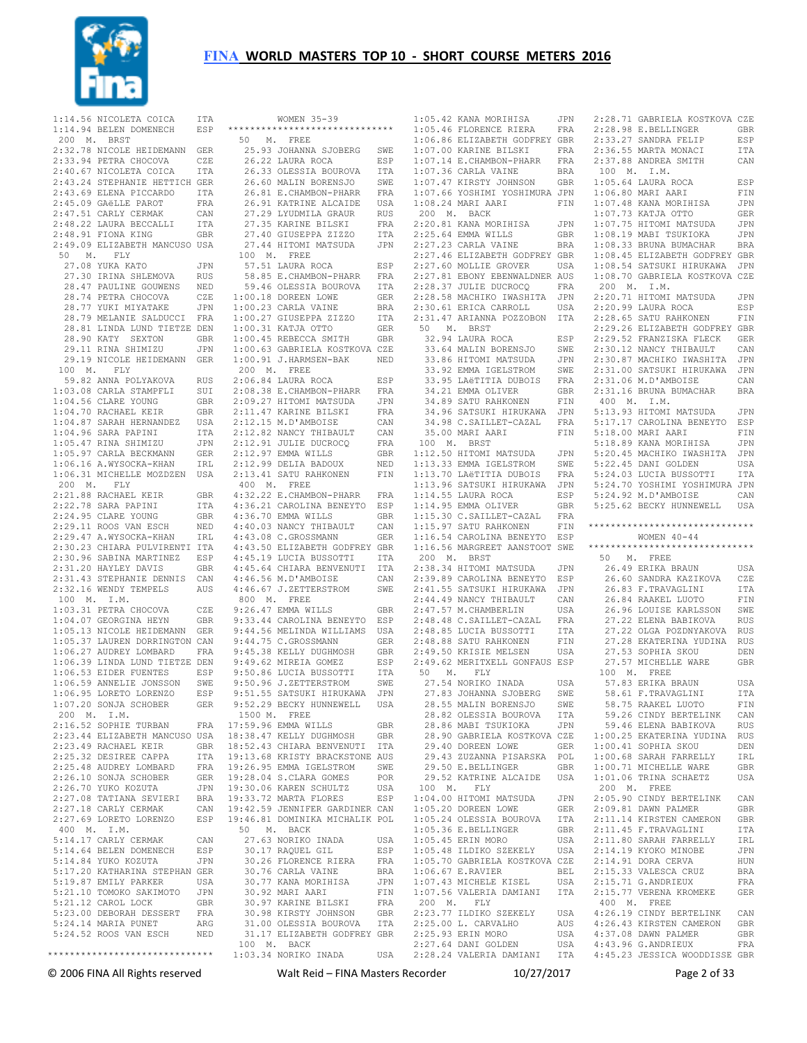

 1:14.56 NICOLETA COICA ITA 1:14.94 BELEN DOMENECH ESP 200 M. BRST 2:32.78 NICOLE HEIDEMANN GER 2:33.94 PETRA CHOCOVA CZE 2:40.67 NICOLETA COICA ITA 2:43.24 STEPHANIE HETTICH GER 2:43.69 ELENA PICCARDO ITA 2:45.09 GAëLLE PAROT FRA 2:47.51 CARLY CERMAK CAN 2:48.22 LAURA BECCALLI ITA 2:48.91 FIONA KING GBR 2:49.09 ELIZABETH MANCUSO USA 50 M. FLY 27.08 YUKA KATO JPN 27.30 IRINA SHLEMOVA RUS 28.47 PAULINE GOUWENS NED 28.74 PETRA CHOCOVA 28.77 YUKI MIYATAKE JPN 28.79 MELANIE SALDUCCI FRA 28.81 LINDA LUND TIETZE DEN 28.90 KATY SEXTON GBR 29.11 RINA SHIMIZU JPN 29.19 NICOLE HEIDEMANN GER 100 M. FLY 59.82 ANNA POLYAKOVA RUS 1:03.08 CARLA STAMPFLI SUI 1:04.56 CLARE YOUNG GBR 1:04.70 RACHAEL KEIR GBR 1:04.87 SARAH HERNANDEZ USA 1:04.96 SARA PAPINI ITA 1:05.47 RINA SHIMIZU JPN 1:05.97 CARLA BECKMANN GER  $1 \cdot 06$  16 A WYSOCKA-KHAN TRL 1:06.31 MICHELLE MOZDZEN USA 200 M. FLY 2:21.88 RACHAEL KEIR GBR  $2:22.78$  SARA PAPINI 2:24.95 CLARE YOUNG GBR 2:29.11 ROOS VAN ESCH NED 2:29.47 A.WYSOCKA-KHAN TRL 2:30.23 CHIARA PULVIRENTI ITA 2:30.96 SABINA MARTINEZ ESP 2:31.20 HAYLEY DAVIS GBR 2:31.43 STEPHANIE DENNIS CAN 2:32.16 WENDY TEMPELS AUS 100 M. I.M. 1:03.31 PETRA CHOCOVA CZE 1:04.07 GEORGINA HEYN GBR 1:05.13 NICOLE HEIDEMANN GER 1:05.37 LAUREN DORRINGTON CAN 1:06.27 AUDREY LOMBARD FRA 1:06.39 LINDA LUND TIETZE DEN 1:06.53 EIDER FUENTES ESP 1:06.59 ANNELIE JONSSON SWE 1:06.95 LORETO LORENZO ESP 1:07.20 SONJA SCHOBER GER 9:52.29 BECKY HUNNEWELL USA 200 M. I.M.  $2:16.52$  SOPHIE TURBAN 2:23.44 ELIZABETH MANCUSO USA 18:38.47 KELLY DUGHMOSH GBR 2:23.49 RACHAEL KEIR GBR 2:25.32 DESIREE CAPPA ITA 2:25.48 AUDREY LOMBARD FRA 2:26.10 SONJA SCHOBER GER 2:26.70 YUKO KOZUTA JPN 2:27.08 TATIANA SEVIERI BRA 2:27.18 CARLY CERMAK CAN 2:27.69 LORETO LORENZO ESP 400 M. I.M. 5:14.17 CARLY CERMAK CAN 5:14.64 BELEN DOMENECH ESP 5:14.84 YUKO KOZUTA JPN 5:17.20 KATHARINA STEPHAN GER 5:19.87 EMILY PARKER USA 5:21.10 TOMOKO SAKIMOTO JPN 5:21.12 CAROL LOCK GBR 5:23.00 DEBORAH DESSERT FRA 5:24.14 MARIA PUNET ARG 5:24.52 ROOS VAN ESCH NED

 WOMEN 35-39 \*\*\*\*\*\*\*\*\*\*\*\*\*\*\*\*\*\*\*\*\*\*\*\*\*\*\*\*\*\* 1:05.42 KANA MORIHISA JPN 1:05.46 FLORENCE RIERA FRA 50 M. FREE 25.93 JOHANNA SJOBERG SWE 26.22 LAURA ROCA ESP 26.33 OLESSIA BOUROVA ITA 26.60 MALIN BORENSJO SWE 26.81 E.CHAMBON-PHARR FRA<br>26.91 KATRINE ALCAIDE USA 26.91 KATRINE ALCAIDE USA 27.29 LYUDMILA GRAUR RUS 27.35 KARINE BILSKI FRA 27.40 GIUSEPPA ZIZZO ITA 27.44 HITOMI MATSUDA JPN 100 M. FREE 57.51 LAURA ROCA ESP 58.85 E.CHAMBON-PHARR FRA 59.46 OLESSIA BOUROVA ITA CZE 1:00.18 DOREEN LOWE GER 1:00.23 CARLA VAINE BRA 1:00.27 GIUSEPPA ZIZZO ITA 1:00.31 KATJA OTTO GER 1:00.45 REBECCA SMITH GBR 1:00.63 GABRIELA KOSTKOVA CZE 1:00.91 J.HARMSEN-BAK NED 200 M. FREE 2:06.84 LAURA ROCA ESP 2:08.38 E.CHAMBON-PHARR FRA 2:09.27 HITOMI MATSUDA JPN 2:11.47 KARINE BILSKI FRA 2:12.15 M.D'AMBOISE CAN 2:12.82 NANCY THIBAULT CAN 2:12.91 JULIE DUCROCQ FRA 2:12.97 EMMA WILLS GBR 2:12.99 DELIA BADOUX NED 2:13.41 SATU RAHKONEN FIN 400 M. FREE 4:32.22 E.CHAMBON-PHARR FRA 4:36.21 CAROLINA BENEYTO ESP 4:36.70 EMMA WILLS GBR 4:40.03 NANCY THIBAULT CAN 4:43.08 C.GROSSMANN GER 4:43.50 ELIZABETH GODFREY GBR 4:45.19 LUCIA BUSSOTTI ITA 4:45.64 CHIARA BENVENUTI ITA 4:46.56 M.D'AMBOISE CAN 4:46.67 J.ZETTERSTROM SWE 800 M. FREE 9:26.47 EMMA WILLS GBR 9:33.44 CAROLINA BENEYTO ESP 9:44.56 MELINDA WILLIAMS USA 9:44.75 C.GROSSMANN GER 9:45.38 KELLY DUGHMOSH GBR 9:49.62 MIREIA GOMEZ ESP 9:50.86 LUCIA BUSSOTTI TTA 9:50.96 J.ZETTERSTROM SWE 9:51.55 SATSUKI HIRUKAWA JPN 1500 M. FREE FRA 17:59.96 EMMA WILLS GBR 18:52.43 CHIARA BENVENUTI ITA 19:13.68 KRISTY BRACKSTONE AUS 19:26.95 EMMA IGELSTROM SWE 19:28.04 S.CLARA GOMES POR 19:30.06 KAREN SCHULTZ USA 19:33.72 MARTA FLORES ESP 19:42.59 JENNIFER GARDINER CAN 19:46.81 DOMINIKA MICHALIK POL 50 M. BACK 27.63 NORIKO INADA USA 30.17 RAQUEL GIL ESP<br>30.26 FLORENCE RIERA FRA 30.26 FLORENCE RIERA 30.26 FLORENCE NAME BRA<br>30.76 CARLA VAINE BRA 30.77 KANA MORIHISA JPN 30.92 MARI AARI FIN 30.97 KARINE BILSKI FRA 30.98 KIRSTY JOHNSON GBR 31.00 OLESSIA BOUROVA ITA 31.17 ELIZABETH GODFREY GBR

 \*\*\*\*\*\*\*\*\*\*\*\*\*\*\*\*\*\*\*\*\*\*\*\*\*\*\*\*\*\* 100 M. BACK 1:03.34 NORIKO INADA USA 4:43.96 G.ANDRIEUX FRA 4:45.23 JESSICA WOODDISSE GBR 1:06.86 ELIZABETH GODFREY GBR 1:07.00 KARINE BILSKI FRA 1:07.14 E.CHAMBON-PHARR FRA 1:07.36 CARLA VAINE BRA<br>1:07.47 KIRSTY JOHNSON GBR 1:07.47 KIRSTY JOHNSON GBR 1:07.66 YOSHIMI YOSHIMURA JPN 1:08.24 MARI AARI FIN 200 M. BACK 2:20.81 KANA MORIHISA JPN<br>2:25.64 EMMA WILLS GBR 2:25.64 EMMA WILLS GBR 2:27.23 CARLA VAINE BRA 2:23.04 BRA<br>2:27.23 CARLA VAINE BRA<br>2:27.46 ELIZABETH GODFREY GBR 2:27.60 MOLLIE GROVER USA 2:27.81 EBONY EBENWALDNER AUS 2:28.37 JULIE DUCROCQ FRA<br>2:28.58 MACHIKO IWASHITA JPN 2:28.58 MACHIKO IWASHITA 2:30.61 ERICA CARROLL USA 2:31.47 ARIANNA POZZOBON ITA 50 M. BRST 32.94 LAURA ROCA ESP 33.64 MALIN BORENSJO SWE<br>33.86 HITOMI MATSUDA JPN 33.86 HITOMI MATSUDA JPN<br>33.92 EMMA IGELSTROM SWE 33.92 EMMA IGELSTROM 33.95 LAëTITIA DUBOIS FRA 34.21 EMMA OLIVER GBR 34.89 SATU RAHKONEN FIN 34.96 SATSUKI HIRUKAWA JPN 34.98 SAISONI HINGE.<br>34.98 C.SAILLET-CAZAL FRA 35.00 MARI AARI FIN 100 M. BRST 1:12.50 HITOMI MATSUDA JPN 1:13.33 EMMA IGELSTROM SWE 1:13.70 LAëTITIA DUBOIS FRA 1:13.96 SATSUKI HIRUKAWA JPN 1:14.55 LAURA ROCA ESP 1:14.95 EMMA OLIVER GBR 1:15.30 C.SAILLET-CAZAL FRA<br>1:15.97 SATU RAHKONEN FIN  $1 \cdot 15$  97 SATU RAHKONEN 1:16.54 CAROLINA BENEYTO ESP 1:16.56 MARGREET AANSTOOT SWE \*\*\*\*\*\*\*\*\*\*\*\*\*\*\*\*\*\*\*\*\*\*\*\*\*\*\*\*\*\* 200 M. BRST 2:38.34 HITOMI MATSUDA JPN 2:39.89 CAROLINA BENEYTO ESP 2:41.55 SATSUKI HIRUKAWA JPN 2:44.49 NANCY THIBAULT CAN 2:47.57 M.CHAMBERLIN USA<br>2:48.48 C.SAILLET-CAZAL FRA  $2 \cdot 48$   $48$   $C$  satillet-cazal. 2:48.85 LUCIA BUSSOTTI ITA 2:48.88 SATU RAHKONEN FIN 2:49.50 KRISIE MELSEN USA 2:49.62 MERITXELL GONFAUS ESP 50 M. FLY 27.54 NORIKO INADA USA 27.83 JOHANNA SJOBERG SWE<br>28.55 MALIN BORENSJO SWE 28.55 MALIN BORENSJO 28.82 OLESSIA BOUROVA ITA 28.86 MABI TSUKIOKA JPN 28.90 GABRIELA KOSTKOVA CZE 1:00.25 EKATERINA YUDINA RUS 29.40 DOREEN LOWE GER 29.43 ZUZANNA PISARSKA POL 1:00.41 SOPHIA SKOU DEN 1:00.68 SARAH FARRELLY IRL 29.50 E.BELLINGER GBR 29.52 KATRINE ALCAIDE USA 100 M. FLY 1:04.00 HITOMI MATSUDA JPN<br>1:05.20 DOREEN LOWE GER 1:05.20 DOREEN LOWE GER 1:05.24 OLESSIA BOUROVA ITA 1:05.36 E.BELLINGER GBR ......<br>1:05.45 ERIN MORO USA<br>1:05.48 ILDIKO SZEKELY USA 1:05.48 ILDIKO SZEKELY 1:05.70 GABRIELA KOSTKOVA CZE 1:06.67 E.RAVIER BEL 1:07.43 MICHELE KISEL USA 1:07.56 VALERIA DAMIANI ITA 200 M. FLY<br>2.23.77 TLDIKO SZEKELY 2:23.77 ILDIKO SZEKELY USA 2:25.00 L. CARVALHO AUS 2:25.93 ERIN MORO USA 2:27.64 DANI GOLDEN USA 2:28.24 VALERIA DAMIANI ITA

 2:28.71 GABRIELA KOSTKOVA CZE 2:28.98 E.BELLINGER GBR 2:33.27 SANDRA FELIP ESP 2:36.55 MARTA MONACI ITA 2:37.88 ANDREA SMITH CAN 100 M. I.M. 1:05.64 LAURA ROCA ESP 1:06.80 MARI AARI FIN 1:07.48 KANA MORIHISA JPN 1:07.73 KATJA OTTO GER 1:07.75 HITOMI MATSUDA JPN 1:08.19 MABI TSUKIOKA JPN 1:08.33 BRUNA BUMACHAR BRA 1:08.45 ELIZABETH GODFREY GBR 1:08.54 SATSUKI HIRUKAWA JPN 1:08.70 GABRIELA KOSTKOVA CZE 200 M. I.M. 2:20.71 HITOMI MATSUDA JPN 2:20.99 LAURA ROCA ESP 2:28.65 SATU RAHKONEN FIN 2:29.26 ELIZABETH GODFREY GBR 2:29.52 FRANZISKA FLECK GER 2:30.12 NANCY THIBAULT CAN 2:30.87 MACHIKO IWASHITA JPN 2:31.00 SATSUKI HIRUKAWA JPN 2:31.06 M.D'AMBOISE CAN 2:31.16 BRUNA BUMACHAR BRA 400 M. I.M. 5:13.93 HITOMI MATSUDA JPN 5:17.17 CAROLINA BENEYTO ESP 5:18.00 MARI AARI FIN 5:18.89 KANA MORIHISA JPN 5:20.45 MACHIKO IWASHITA JPN 5:22.45 DANI GOLDEN USA 5:24.03 LUCIA BUSSOTTI ITA 5:24.70 YOSHIMI YOSHIMURA JPN 5:24.92 M.D'AMBOISE CAN 5:25.62 BECKY HUNNEWELL USA \*\*\*\*\*\*\*\*\*\*\*\*\*\*\*\*\*\*\*\*\*\*\*\*\*\*\*\*\*\* WOMEN 40-44 50 M. FREE 26.49 ERIKA BRAUN USA 26.60 SANDRA KAZIKOVA CZE 26.83 F.TRAVAGLINI ITA 26.84 RAAKEL LUOTO FIN 26.96 LOUISE KARLSSON SWE 27.22 ELENA BABIKOVA RUS 27.22 OLGA POZDNYAKOVA RUS 27.28 EKATERINA YUDINA RUS 27.53 SOPHIA SKOU DEN 27.57 MICHELLE WARE GBR 100 M. FREE 57.83 ERIKA BRAUN USA 58.61 F.TRAVAGLINI ITA 58.75 RAAKEL LUOTO FIN 59.26 CINDY BERTELINK CAN 59.46 ELENA BABIKOVA RUS 1:00.71 MICHELLE WARE GBR 1:01.06 TRINA SCHAETZ USA 200 M. FREE 2:05.90 CINDY BERTELINK CAN 2:09.81 DAWN PALMER GBR 2:11.14 KIRSTEN CAMERON GBR 2:11.45 F.TRAVAGLINI ITA 2:11.80 SARAH FARRELLY IRL 2:14.19 KYOKO MINOBE JPN 2:14.91 DORA CERVA HUN 2:15.33 VALESCA CRUZ BRA 2:15.71 G.ANDRIEUX FRA 2:15.77 VERENA KROMEKE GER 400 M. FREE<br>4.26.19 CINDY BERTELINK 4:26.19 CINDY BERTELINK CAN 4:26.43 KIRSTEN CAMERON GBR 4:37.08 DAWN PALMER GBR

© 2006 FINA All Rights reserved Walt Reid – FINA Masters Recorder 10/27/2017 Page 2 of 33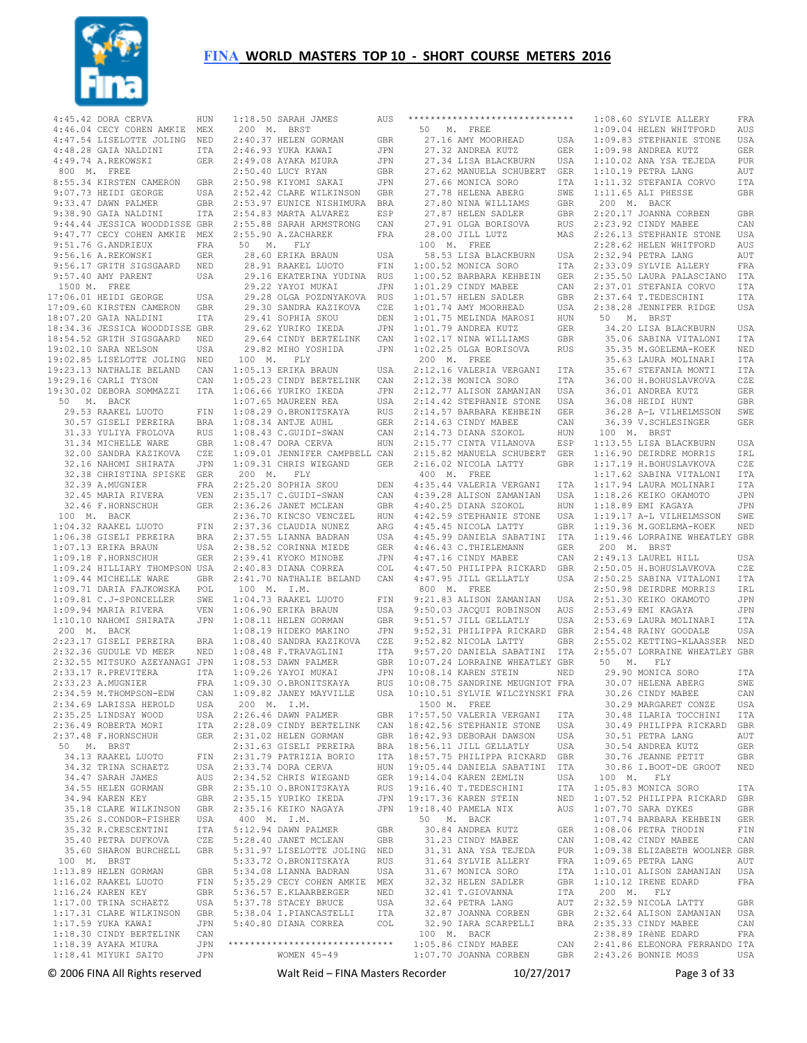

4:45.42 DORA CERVA HUN<br>4:46.04 CECY COHEN AMKTE MEX  $4:46.04$  CECY COHEN AMKIE 4:47.54 LISELOTTE JOLING NED 4:48.28 GAIA NALDINI ITA 4:49.74 A.REKOWSKI GER 800 M. FREE 8:55.34 KIRSTEN CAMERON GBR 9:07.73 HEIDI GEORGE USA<br>9:33.47 DAWN PALMER GRR  $9:33.47$  DAWN PALMER 9:38.90 GAIA NALDINI ITA 9:44.44 JESSICA WOODDISSE GBR 9:47.77 CECY COHEN AMKIE MEX 9:51.76 G.ANDRIEUX FRA 9:56.16 A.REKOWSKI GER 9:56.17 GRITH SIGSGAARD NED 9:57.40 AMY PARENT USA 1500 M. FREE 17:06.01 HEIDI GEORGE USA 17:09.60 KIRSTEN CAMERON GBR  $18 \cdot 07$  20 GAIA NALDINI ITA 18:34.36 JESSICA WOODDISSE GBR 18:54.52 GRITH SIGSGAARD NED 19:02.10 SARA NELSON USA 19:02.85 LISELOTTE JOLING NED 19:23.13 NATHALIE BELAND CAN 19:29.16 CARLI TYSON CAN 19:30.02 DEBORA SOMMAZZI ITA 50 M. BACK 29.53 RAAKEL LUOTO FIN 30.57 GISELI PEREIRA BRA 31.33 YULIYA FROLOVA RUS 31.34 MICHELLE WARE GBR 32.00 SANDRA KAZIKOVA CZE 32.16 NAHOMI SHIRATA JPN 32.38 CHRISTINA SPISKE GER 32.39 A.MUGNIER FRA 32.45 MARIA RIVERA VEN 32.46 F.HORNSCHUH GER 100 M. BACK 1:04.32 RAAKEL LUOTO FIN 1:06.38 GISELI PEREIRA BRA 1:07.13 ERIKA BRAUN USA  $1 \cdot 09$  18 F HORNSCHUH GER 1:09.24 HILLIARY THOMPSON USA 1:09.44 MICHELLE WARE GBR 1:09.71 DARIA FAJKOWSKA POL 1:09.81 C.J-SPONCELLER SWE 1:09.94 MARIA RIVERA VEN 1:10.10 NAHOMI SHIRATA JPN 200 M. BACK 2:23.17 GISELI PEREIRA BRA 2:32.36 GUDULE VD MEER NED 2:32.55 MITSUKO AZEYANAGI JPN 2:33.17 R.PREVITERA ITA 2:33.23 A.MUGNIER FRA 2:34.59 M.THOMPSON-EDW CAN 2:34.69 LARISSA HEROLD USA 2:35.25 LINDSAY WOOD USA 2:36.49 ROBERTA MORI ITA 2:37.48 F.HORNSCHUH GER 50 M. BRST 34.13 RAAKEL LUOTO FIN 34.32 TRINA SCHAETZ USA 34.47 SARAH JAMES AUS 34.55 HELEN GORMAN GBR 34.94 KAREN KEY GBR 35.18 CLARE WILKINSON GBR 35.26 S.CONDOR-FISHER USA 35.32 R.CRESCENTINI ITA 35.40 PETRA DUFKOVA CZE 35.60 SHARON BURCHELL GBR 100 M. BRST 1:13.89 HELEN GORMAN GBR 1:16.02 RAAKEL LUOTO FIN 1:16.24 KAREN KEY GBR 1:17.00 TRINA SCHAETZ USA 1:17.31 CLARE WILKINSON GBR 1:17.59 YUKA KAWAI JPN 1:18.30 CINDY BERTELINK CAN 1:18.39 AYAKA MIURA JPN 1:18.41 MIYUKI SAITO JPN

| $1:18.50$ SARAH JAMES                                                                                                                                                                                                                                                                                                                                                                                                                                   | AUS               |
|---------------------------------------------------------------------------------------------------------------------------------------------------------------------------------------------------------------------------------------------------------------------------------------------------------------------------------------------------------------------------------------------------------------------------------------------------------|-------------------|
| 1:18.00 -<br>200 M. BRST<br>2:40.37 HELEN GORMAN<br>2003 VUKA KAWAI                                                                                                                                                                                                                                                                                                                                                                                     |                   |
|                                                                                                                                                                                                                                                                                                                                                                                                                                                         | GBR               |
|                                                                                                                                                                                                                                                                                                                                                                                                                                                         | JPN               |
|                                                                                                                                                                                                                                                                                                                                                                                                                                                         | JPN               |
|                                                                                                                                                                                                                                                                                                                                                                                                                                                         | GBR               |
| 2:40.37 HELEN GURPHAN<br>2:49.08 AYAKA MIURA<br>2:50.40 LUCY RYAN<br>2:50.40 LUCY RYAN<br>2:50.98 KIYOMI SAKAI<br>2:52.42 CLARE WILKINSON<br>2:52.42 CLARE WILKINSON                                                                                                                                                                                                                                                                                    | $\mathtt{JPN}$    |
|                                                                                                                                                                                                                                                                                                                                                                                                                                                         | GBR               |
| 2:53.97 EUNICE NISHIMURA<br>2:54.83 MARTA ALVAREZ<br>2:55.88 SARAH ARMSTRONG                                                                                                                                                                                                                                                                                                                                                                            | BRA               |
|                                                                                                                                                                                                                                                                                                                                                                                                                                                         | ESP<br>CAN        |
| 2:55.90 A.ZACHAREK                                                                                                                                                                                                                                                                                                                                                                                                                                      | FRA               |
| 50 M. FLY                                                                                                                                                                                                                                                                                                                                                                                                                                               |                   |
| 28.60 ERIKA BRAUN                                                                                                                                                                                                                                                                                                                                                                                                                                       | USA               |
| 28.91 RAAKEL LUOTO                                                                                                                                                                                                                                                                                                                                                                                                                                      | ${\rm F\,IN}$     |
| 29.16 EKATERINA YUDINA RUS<br>29.22 YAYOI MUKAI JPN                                                                                                                                                                                                                                                                                                                                                                                                     |                   |
|                                                                                                                                                                                                                                                                                                                                                                                                                                                         |                   |
|                                                                                                                                                                                                                                                                                                                                                                                                                                                         | <b>RUS</b>        |
| 29.28 OLGA POZDNYAKOVA<br>29.30 SANDRA KAZIKOVA<br>29.41 SOPHIA SKOU                                                                                                                                                                                                                                                                                                                                                                                    | CZE               |
| 29.30 CHILE<br>29.41 SOPHIA SKOU<br>29.62 YURIKO IKEDA<br>29.64 CINDY BERTELINK                                                                                                                                                                                                                                                                                                                                                                         | DEN               |
|                                                                                                                                                                                                                                                                                                                                                                                                                                                         | JPN               |
|                                                                                                                                                                                                                                                                                                                                                                                                                                                         | CAN               |
| 29.82 MIHO YOSHIDA                                                                                                                                                                                                                                                                                                                                                                                                                                      | JPN               |
| $100 \quad \textrm{M} \centerdot \qquad \textrm{FLY}$                                                                                                                                                                                                                                                                                                                                                                                                   |                   |
| $1:05.13$ ERIKA BRAUN<br>1:05.23 CINDY BERTELINK CAN                                                                                                                                                                                                                                                                                                                                                                                                    | USA               |
|                                                                                                                                                                                                                                                                                                                                                                                                                                                         | JPN               |
| 1:06.66 YURIKO IKEDA<br>1:07.65 MAUREEN REA<br>1:08.29 O.BRONITSKAYA                                                                                                                                                                                                                                                                                                                                                                                    | USA               |
|                                                                                                                                                                                                                                                                                                                                                                                                                                                         | <b>RUS</b>        |
| $1:08.34$ ANTJE AUHL                                                                                                                                                                                                                                                                                                                                                                                                                                    | GER               |
|                                                                                                                                                                                                                                                                                                                                                                                                                                                         |                   |
|                                                                                                                                                                                                                                                                                                                                                                                                                                                         |                   |
| 1:08.34 ANTJE AUHL GER<br>1:08.43 C.GUIDI-SWAN CAN<br>1:08.47 DORA CERVA HUN<br>1:09.01 JENNIFER CAMPBELL CAN                                                                                                                                                                                                                                                                                                                                           |                   |
| 1:09.31 CHRIS WIEGAND                                                                                                                                                                                                                                                                                                                                                                                                                                   | GER               |
| 200 M. FLY                                                                                                                                                                                                                                                                                                                                                                                                                                              |                   |
|                                                                                                                                                                                                                                                                                                                                                                                                                                                         | DEN               |
|                                                                                                                                                                                                                                                                                                                                                                                                                                                         | CAN               |
|                                                                                                                                                                                                                                                                                                                                                                                                                                                         | GBR               |
| 2:25.20 SOPHIA SKOU<br>2:35.17 C.GUIDI-SWAN<br>2:36.26 JANET MCLEAN<br>2:36.70 KINCSO VENCZEL                                                                                                                                                                                                                                                                                                                                                           | HUN               |
| 2:37.36 CLAUDIA NUNEZ                                                                                                                                                                                                                                                                                                                                                                                                                                   | ARG               |
| 2:37.55 LIANNA BADRAN<br>2:38.52 CORINNA MIEDE                                                                                                                                                                                                                                                                                                                                                                                                          | USA               |
|                                                                                                                                                                                                                                                                                                                                                                                                                                                         | GER               |
| $\begin{tabular}{llllll} \multicolumn{4}{c}{2:39.41}{\hspace{3mm}} &\multicolumn{4}{c}{\hspace{3mm}} &\multicolumn{4}{c}{\hspace{3mm}} &\multicolumn{4}{c}{\hspace{3mm}} &\multicolumn{4}{c}{\hspace{3mm}} &\multicolumn{4}{c}{\hspace{3mm}} &\multicolumn{4}{c}{\hspace{3mm}} &\multicolumn{4}{c}{\hspace{3mm}} &\multicolumn{4}{c}{\hspace{3mm}} &\multicolumn{4}{c}{\hspace{3mm}} &\multicolumn{4}{c}{\hspace{3mm}} &\multicolumn{4}{c}{\hspace{3mm$ |                   |
|                                                                                                                                                                                                                                                                                                                                                                                                                                                         |                   |
| 100 M. I.M.                                                                                                                                                                                                                                                                                                                                                                                                                                             |                   |
|                                                                                                                                                                                                                                                                                                                                                                                                                                                         | FIN               |
| 1:04.73 RAAKEL LUOTO<br>1:06.90 ERIKA BRAUN<br>1:08.11 HELEN GORMAN                                                                                                                                                                                                                                                                                                                                                                                     | USA               |
|                                                                                                                                                                                                                                                                                                                                                                                                                                                         | GBR               |
| 1:08.11 HELEN GUNDEN<br>1:08.19 HIDEKO MAKINO JPN<br>1:08.40 SANDRA KAZIKOVA CZE<br>-----                                                                                                                                                                                                                                                                                                                                                               |                   |
|                                                                                                                                                                                                                                                                                                                                                                                                                                                         |                   |
| 1:08.48 F.TRAVAGLINI<br>1:08.53 DAWN PALMER<br>1:09.26 YAYOI MUKAI<br>1:09.30 O.BRONITSKAYA                                                                                                                                                                                                                                                                                                                                                             | <b>ITA</b>        |
|                                                                                                                                                                                                                                                                                                                                                                                                                                                         | GBR               |
|                                                                                                                                                                                                                                                                                                                                                                                                                                                         | JPN               |
|                                                                                                                                                                                                                                                                                                                                                                                                                                                         | RUS               |
| 1:09.82 JANEY MAYVILLE                                                                                                                                                                                                                                                                                                                                                                                                                                  | USA               |
| 200 M. I.M.                                                                                                                                                                                                                                                                                                                                                                                                                                             | GBR               |
| 2:26.46 DAWN PALMER<br>2:28.09 CINDY BERTELINK                                                                                                                                                                                                                                                                                                                                                                                                          | CAN               |
| 2:31.02 HELEN GORMAN                                                                                                                                                                                                                                                                                                                                                                                                                                    | GBR               |
| $2:31.63$ GISELI PEREIRA                                                                                                                                                                                                                                                                                                                                                                                                                                | BRA               |
| 2:31.79 PATRIZIA BORIO                                                                                                                                                                                                                                                                                                                                                                                                                                  | ITA               |
| 2:33.74 DORA CERVA                                                                                                                                                                                                                                                                                                                                                                                                                                      | HUN               |
| $2:34.52$ CHRIS WIEGAND                                                                                                                                                                                                                                                                                                                                                                                                                                 | GER               |
|                                                                                                                                                                                                                                                                                                                                                                                                                                                         | <b>RUS</b>        |
| 2:35.10 O.BRONITSKAYA<br>2:35.15 YURIKO IKEDA<br>2:35.16 KEIKO NAGAYA                                                                                                                                                                                                                                                                                                                                                                                   | JPN               |
|                                                                                                                                                                                                                                                                                                                                                                                                                                                         | JPN               |
| $400$ M. I.M.                                                                                                                                                                                                                                                                                                                                                                                                                                           |                   |
| 5:12.94 DAWN PALMER<br>5:28.40 JANET MCLEAN                                                                                                                                                                                                                                                                                                                                                                                                             | GBR               |
|                                                                                                                                                                                                                                                                                                                                                                                                                                                         | GBR               |
| 5:31.97 LISELOTTE JOLING<br>5:33.72 O.BRONITSKAYA<br>5:34.08 LIANNA BADRAN                                                                                                                                                                                                                                                                                                                                                                              | NED<br><b>RUS</b> |
|                                                                                                                                                                                                                                                                                                                                                                                                                                                         | USA               |
|                                                                                                                                                                                                                                                                                                                                                                                                                                                         | MEX               |
|                                                                                                                                                                                                                                                                                                                                                                                                                                                         | NED               |
|                                                                                                                                                                                                                                                                                                                                                                                                                                                         | USA               |
|                                                                                                                                                                                                                                                                                                                                                                                                                                                         | ITA               |
| 5:35.29 CECY COHEN AMKIE<br>5:35.29 CECY COHEN AMKIE<br>5:36.57 E.KLAARBERGER<br>5:37.78 STACEY BRUCE<br>5:38.04 I.PIANCASTELLI<br>5:40.80 DIANA CORREA                                                                                                                                                                                                                                                                                                 | COL               |
|                                                                                                                                                                                                                                                                                                                                                                                                                                                         |                   |
| ******************************                                                                                                                                                                                                                                                                                                                                                                                                                          |                   |
| WOMEN $45-49$                                                                                                                                                                                                                                                                                                                                                                                                                                           |                   |

| ******************************                   |            |           | 1:08.60 SYLVIE ALLERY                                            | FRA         |
|--------------------------------------------------|------------|-----------|------------------------------------------------------------------|-------------|
| 50<br>М.<br>FREE                                 |            |           | 1:09.04 HELEN WHITFORD                                           | AUS         |
| 27.16 AMY MOORHEAD                               | USA        |           | 1:09.83 STEPHANIE STONE                                          | USA         |
| 27.32 ANDREA KUTZ                                | GER        |           | 1:09.98 ANDREA KUTZ                                              | GER         |
| 27.34 LISA BLACKBURN                             | USA        |           | 1:10.02 ANA YSA TEJEDA                                           | PUR         |
| 27.62 MANUELA SCHUBERT                           | GER        |           | 1:10.19 PETRA LANG                                               | AUT         |
| 27.66 MONICA SORO                                | ITA        |           | 1:11.32 STEFANIA CORVO                                           | ITA         |
| 27.78 HELENA ABERG                               | SWE        |           | 1:11.65 ALI PHESSE                                               | GBR         |
| 27.80 NINA WILLIAMS                              | GBR        | 200<br>М. | BACK                                                             |             |
| 27.87 HELEN SADLER                               | GBR        |           | 2:20.17 JOANNA CORBEN                                            | GBR         |
| 27.91 OLGA BORISOVA<br>28.00 JILL LUTZ           | RUS<br>MAS |           | 2:23.92 CINDY MABEE<br>2:26.13 STEPHANIE STONE                   | CAN<br>USA  |
| 100 M.<br>FREE                                   |            |           | 2:28.62 HELEN WHITFORD                                           | AUS         |
| 58.53 LISA BLACKBURN                             | USA        |           | 2:32.94 PETRA LANG                                               | AUT         |
| 1:00.52 MONICA SORO                              | ITA        |           | 2:33.09 SYLVIE ALLERY                                            | FRA         |
| 1:00.52 BARBARA KEHBEIN                          | GER        |           | 2:35.50 LAURA PALASCIANO                                         | ITA         |
| 1:01.29 CINDY MABEE                              | CAN        |           | 2:37.01 STEFANIA CORVO                                           | ITA         |
| 1:01.57 HELEN SADLER                             | GBR        |           | 2:37.64 T.TEDESCHINI                                             | ITA         |
| 1:01.74 AMY MOORHEAD                             | USA        |           | 2:38.28 JENNIFER RIDGE                                           | USA         |
| 1:01.75 MELINDA MAROSI                           | HUN        | 50<br>М.  | BRST                                                             |             |
| 1:01.79 ANDREA KUTZ                              | GER        |           | 34.20 LISA BLACKBURN                                             | USA         |
| 1:02.17 NINA WILLIAMS                            | GBR        |           | 35.06 SABINA VITALONI                                            | ITA         |
| 1:02.25 OLGA BORISOVA                            | RUS        |           | 35.35 M.GOELEMA-KOEK                                             | NED         |
| 200 M.<br>FREE                                   |            |           | 35.63 LAURA MOLINARI                                             | ITA         |
| 2:12.16 VALERIA VERGANI                          | ITA        |           | 35.67 STEFANIA MONTI                                             | ITA         |
| 2:12.38 MONICA SORO                              | ITA        |           | 36.00 H.BOHUSLAVKOVA                                             | CZE         |
| 2:12.77 ALISON ZAMANIAN                          | USA        |           | 36.01 ANDREA KUTZ                                                | GER         |
| 2:14.42 STEPHANIE STONE                          | USA        |           | 36.08 HEIDI HUNT                                                 | GBR         |
| 2:14.57 BARBARA KEHBEIN                          | GER        |           | 36.28 A-L VILHELMSSON                                            | SWE         |
| 2:14.63 CINDY MABEE                              | CAN        |           | 36.39 V.SCHLESINGER                                              | GER         |
| 2:14.73 DIANA SZOKOL                             | HUN        | Μ.<br>100 | BRST                                                             |             |
| 2:15.77 CINTA VILANOVA                           | ESP        |           | 1:13.55 LISA BLACKBURN                                           | USA         |
| 2:15.82 MANUELA SCHUBERT                         | GER        |           | 1:16.90 DEIRDRE MORRIS                                           | IRL         |
| 2:16.02 NICOLA LATTY                             | GBR        |           | 1:17.19 H. BOHUSLAVKOVA                                          | CZE         |
| 400 M.<br>FREE                                   |            |           | 1:17.62 SABINA VITALONI                                          | ITA         |
| 4:35.44 VALERIA VERGANI                          | ITA        |           | 1:17.94 LAURA MOLINARI                                           | ITA         |
| 4:39.28 ALISON ZAMANIAN                          | USA        |           | 1:18.26 KEIKO OKAMOTO                                            | JPN         |
| 4:40.25 DIANA SZOKOL                             | HUN        |           | 1:18.89 EMI KAGAYA                                               | JPN         |
| 4:42.59 STEPHANIE STONE                          | USA        |           | 1:19.17 A-L VILHELMSSON                                          | SWE         |
| 4:45.45 NICOLA LATTY                             | GBR        |           | 1:19.36 M.GOELEMA-KOEK                                           | NED         |
| 4:45.99 DANIELA SABATINI                         | ITA        |           | 1:19.46 LORRAINE WHEATLEY GBR                                    |             |
| 4:46.43 C. THIELEMANN                            | GER        | 200 M.    | BRST                                                             |             |
|                                                  |            |           |                                                                  |             |
| 4:47.16 CINDY MABEE                              | CAN        |           | 2:49.13 LAUREL HILL                                              | USA         |
| 4:47.50 PHILIPPA RICKARD                         | GBR        |           | 2:50.05 H.BOHUSLAVKOVA                                           | CZE         |
| 4:47.95 JILL GELLATLY                            | USA        |           | 2:50.25 SABINA VITALONI                                          | ITA         |
| 800 M.<br>FREE                                   |            |           | 2:50.98 DEIRDRE MORRIS                                           | IRL         |
| 9:21.83 ALISON ZAMANIAN                          | USA        |           | 2:51.30 KEIKO OKAMOTO                                            | JPN         |
| 9:50.03 JACQUI ROBINSON                          | AUS        |           | 2:53.49 EMI KAGAYA                                               | JPN         |
| 9:51.57 JILL GELLATLY                            | USA        |           | 2:53.69 LAURA MOLINARI                                           | ITA         |
| 9:52.31 PHILIPPA RICKARD                         | GBR        |           | 2:54.48 RAINY GOODALE                                            | USA         |
| 9:52.82 NICOLA LATTY                             | GBR        |           | 2:55.02 KETTING-KLAASSER                                         | NED         |
| 9:57.20 DANIELA SABATINI                         | ITA        |           | 2:55.07 LORRAINE WHEATLEY GBR                                    |             |
| 10:07.24 LORRAINE WHEATLEY GBR                   |            | 50<br>М.  | FLY                                                              |             |
| 10:08.14 KAREN STEIN                             | NED        |           | 29.90 MONICA SORO                                                | ITA         |
| 10:08.75 SANDRINE MEUGNIOT FRA                   |            |           | 30.07 HELENA ABERG                                               | SWE         |
| 10:10.51 SYLVIE WILCZYNSKI FRA                   |            |           | 30.26 CINDY MABEE                                                | CAN         |
| 1500 M. FREE                                     |            |           | 30.29 MARGARET CONZE                                             | USA         |
| 17:57.50 VALERIA VERGANI                         | ITA        |           | 30.48 ILARIA TOCCHINI                                            | ITA         |
| 18:42.56 STEPHANIE STONE                         | USA        |           | 30.49 PHILIPPA RICKARD GBR                                       |             |
| 18:42.93 DEBORAH DAWSON                          | USA        |           | 30.51 PETRA LANG                                                 | AUT         |
| 18:56.11 JILL GELLATLY                           | USA        |           | 30.54 ANDREA KUTZ                                                | GER         |
| 18:57.75 PHILIPPA RICKARD GBR                    |            |           | 30.76 JEANNE PETIT                                               | GBR         |
| 19:05.44 DANIELA SABATINI  ITA                   |            |           | 30.86 I.BOOT-DE GROOT                                            | NED         |
| 19:14.04 KAREN ZEMLIN                            | USA        | 100 M.    | FLY                                                              |             |
| 19:16.40 T.TEDESCHINI                            | ITA        |           | 1:05.83 MONICA SORO                                              | ITA         |
| 19:17.36 KAREN STEIN                             | NED        |           | 1:07.52 PHILIPPA RICKARD GBR                                     |             |
| 19:18.40 PAMELA NIX                              | AUS        |           | $1:07.70$ SARA DYKES                                             | GBR         |
| 50<br>M. BACK                                    |            |           | 1:07.74 BARBARA KEHBEIN                                          | GER         |
| 30.84 ANDREA KUTZ                                | GER        |           | 1:08.06 PETRA THODIN                                             | FIN         |
| 31.23 CINDY MABEE                                | CAN        |           | 1:08.42 CINDY MABEE                                              | CAN         |
| 31.31 ANA YSA TEJEDA                             | PUR        |           | 1:09.38 ELIZABETH WOOLNER GBR                                    |             |
| 31.64 SYLVIE ALLERY                              | FRA        |           | $1:09.65$ PETRA LANG                                             | AUT         |
| 31.67 MONICA SORO                                | ITA        |           | 1:10.01 ALISON ZAMANIAN                                          | USA         |
| 32.32 HELEN SADLER                               | GBR        |           | 1:10.12 IRENE EDARD                                              | ${\tt FRA}$ |
| 32.41 T.GIOVANNA                                 | ITA        | 200 M.    | FLY                                                              |             |
| 32.64 PETRA LANG                                 | AUT        |           | 2:32.59 NICOLA LATTY                                             | GBR         |
| 32.87 JOANNA CORBEN                              | GBR        |           | 2:32.64 ALISON ZAMANIAN                                          | USA         |
| 32.90 IARA SCARPELLI                             | BRA        |           | 2:35.33 CINDY MABEE                                              | CAN         |
| 100 M. BACK                                      |            |           | 2:38.89 IRÈNE EDARD                                              | ${\tt FRA}$ |
| $1:05.86$ CINDY MABEE<br>$1:07.70$ JOANNA CORBEN |            |           | CAN 2:41.86 ELEONORA FERRANDO ITA<br>GBR 2:43.26 BONNIE MOSS USA |             |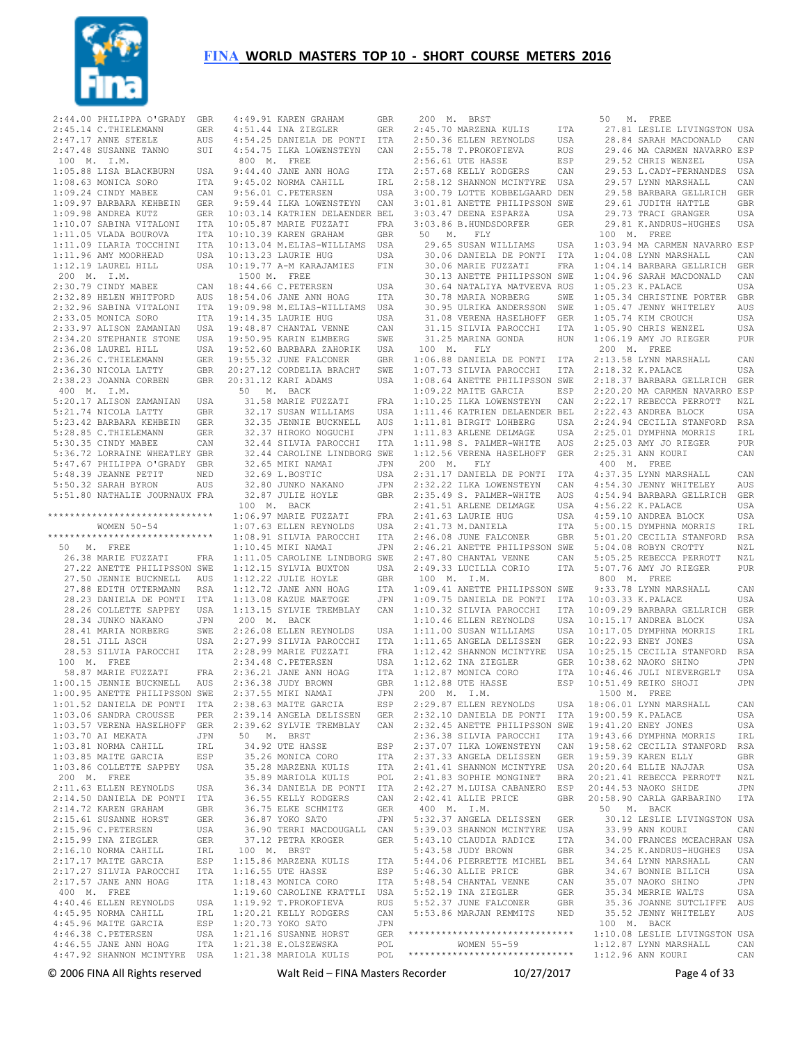

 2:44.00 PHILIPPA O'GRADY GBR  $2:45.14$  C.THIELEMANN 2:47.17 ANNE STEELE AUS 2:47.48 SUSANNE TANNO SUI 100 M. I.M. 1:05.88 LISA BLACKBURN USA 1:08.63 MONICA SORO ITA 1:09.24 CINDY MABEE CAN<br>1:09.97 BARBARA KEHBEIN GER 1:09.97 BARBARA KEHBEIN GER 1:09.98 ANDREA KUTZ GER 1:10.07 SABINA VITALONI ITA 1:11.05 VLADA BOUROVA ITA 1:11.09 ILARIA TOCCHINI ITA 1:11.96 AMY MOORHEAD USA 1:12.19 LAUREL HILL USA 200 M. I.M. 2:30.79 CINDY MABEE CAN 2:32.89 HELEN WHITFORD AUS 2:32.96 SABINA VITALONI ITA  $2.33.05$  MONICA SORO ITA 2:33.97 ALISON ZAMANIAN USA 2:34.20 STEPHANIE STONE USA 2:36.08 LAUREL HILL USA 2:36.26 C.THIELEMANN GER 2:36.30 NICOLA LATTY GBR 2:38.23 JOANNA CORBEN GBR 400 M. I.M. 5:20.17 ALISON ZAMANIAN USA 5:21.74 NICOLA LATTY GBR 5:23.42 BARBARA KEHBEIN GER 5:28.85 C.THIELEMANN GER 5:30.35 CINDY MABEE CAN 5:36.72 LORRAINE WHEATLEY GBR 5:47.67 PHILIPPA O'GRADY GBR 5:48.39 JEANNE PETIT NED 5:50.32 SARAH BYRON AUS 5:51.80 NATHALIE JOURNAUX FRA \*\*\*\*\*\*\*\*\*\*\*\*\*\*\*\*\*\*\*\*\*\*\*\*\*\*\*\*\*\* WOMEN 50-54 \*\*\*\*\*\*\*\*\*\*\*\*\*\*\*\*\*\*\*\*\*\*\*\*\*\*\*\*\*\* 50 M. FREE 26.38 MARIE FUZZATI FRA 27.22 ANETTE PHILIPSSON SWE 27.50 JENNIE BUCKNELL AUS 27.88 EDITH OTTERMANN RSA 28.23 DANIELA DE PONTI ITA 28.26 COLLETTE SAPPEY USA 28.34 JUNKO NAKANO JPN 28.41 MARIA NORBERG SWE 28.51 JILL ASCH USA 28.53 SILVIA PAROCCHI ITA 100 M. FREE 58.87 MARIE FUZZATI FRA 1:00.15 JENNIE BUCKNELL AUS 1:00.95 ANETTE PHILIPSSON SWE 1:01.52 DANIELA DE PONTI ITA 1:03.06 SANDRA CROUSSE PER 1:03.57 VERENA HASELHOFF GER 1:03.70 AI MEKATA JPN  $1 \cdot 03$  81 NORMA CAHILL  $R$  1:03.85 MAITE GARCIA ESP 1:03.86 COLLETTE SAPPEY USA 200 M. FREE 2:11.63 ELLEN REYNOLDS USA 2:14.50 DANIELA DE PONTI ITA 2:14.72 KAREN GRAHAM GBR 2:15.61 SUSANNE HORST GER 2:15.96 C.PETERSEN USA 2:15.99 INA ZIEGLER GER 2:16.10 NORMA CAHILL IRL 2:17.17 MAITE GARCIA ESP 2:17.27 SILVIA PAROCCHI ITA 2:17.57 JANE ANN HOAG ITA 400 M. FREE 4:40.46 ELLEN REYNOLDS USA 4:45.95 NORMA CAHILL IRL 4:45.96 MAITE GARCIA ESP  $4 \cdot 46$  38 C. PETERSEN USA 4:46.55 JANE ANN HOAG ITA 4:47.92 SHANNON MCINTYRE USA

| 4:49.91 KAREN GRAHAM<br>4:51.44 INA ZIEGLER                                     | GBR          |
|---------------------------------------------------------------------------------|--------------|
|                                                                                 | GER          |
| 4:54.25 DANIELA DE PONTI                                                        | ITA          |
| 4:54.75 ILKA LOWENSTEYN                                                         | CAN          |
| 800 M. FREE                                                                     |              |
| $9:44.40$ JANE ANN HOAG                                                         | ITA          |
|                                                                                 | IRL          |
| 9:45.02 NORMA CAHILL<br>9:56.01 C.PETERSEN                                      | USA          |
| 9:59.44 ILKA LOWENSTEYN CAN                                                     |              |
| 10:03.14 KATRIEN DELAENDER BEL                                                  |              |
| 10:05.87 MARIE FUZZATI                                                          | FRA          |
| 10:10.39 KAREN GRAHAM                                                           | GBR          |
| 10:13.04 M.ELIAS-WILLIAMS                                                       | USA          |
| 10:13.23 LAURIE HUG                                                             | USA          |
| 10:19.77 A-M KARAJAMIES                                                         | FIN          |
| 1500 M. FREE                                                                    |              |
| 18:44.66 C. PETERSEN                                                            |              |
| 18:54.06 JANE ANN HOAG                                                          | USA          |
|                                                                                 | ITA          |
| 19:09.98 M.ELIAS-WILLIAMS                                                       | USA          |
| 19:14.35 LAURIE HUG                                                             | USA          |
| 19:48.87 CHANTAL VENNE<br>19:50.95 KARIN ELMBERG                                | CAN          |
|                                                                                 | SWE          |
| 19:52.60 BARBARA ZAHORIK                                                        | USA          |
| 19:55.32 JUNE FALCONER                                                          | GBR          |
| 20:27.12 CORDELIA BRACHT                                                        | SWE          |
| 20:31.12 KARI ADAMS                                                             | USA          |
| 50 M. BACK                                                                      |              |
| 31.58 MARIE FUZZATI                                                             | FRA          |
| 32.17 SUSAN WILLIAMS                                                            | USA          |
| 32.35 JENNIE BUCKNELL                                                           | AUS          |
| 32.37 HIROKO NOGUCHI                                                            | JPN          |
| 182.44 SILVIA PAROCCHI<br>32.44 SILVIA PAROCCHI                                 | ITA          |
| 32.44 CAROLINE LINDBORG SWE                                                     |              |
| 32.65 MIKI NAMAI                                                                | JPN          |
| 32.69 L.BOSTIC                                                                  | USA          |
|                                                                                 | JPN          |
| 32.80 JUNKO NAKANO<br>32.87 JULIE HOYLE                                         | GBR          |
| 100 M. BACK                                                                     |              |
| 1:06.97 MARIE FUZZATI                                                           | $_{\rm FRA}$ |
| $1:07.63$ ELLEN REYNOLDS                                                        | USA          |
|                                                                                 | ITA          |
| 1:08.91 SILVIA PAROCCHI<br>1:08.91 SILVIA PAROCCHI<br>1:10.45 MIKI NAMAI        | JPN          |
| 1:11.05 CAROLINE LINDBORG SWE                                                   |              |
| $1:12.15$ SYLVIA BUXTON                                                         | USA          |
| 1:12.22 JULIE HOYLE                                                             | GBR          |
|                                                                                 | ITA          |
| 1:12.72 JANE ANN HOAG<br>1:13.08 KAZUE MAETOGE                                  | JPN          |
| 1:13.15 SYLVIE TREMBLAY                                                         | CAN          |
|                                                                                 |              |
| 200 M. BACK                                                                     |              |
| 2:26.08 ELLEN REYNOLDS                                                          | USA          |
| 2:27.99 SILVIA PAROCCHI<br>2:28.99 MARIE FUZZATI<br>2:28.99 MARIE FUZZATI       | ITA          |
|                                                                                 | FRA          |
|                                                                                 | USA          |
|                                                                                 | ITA          |
| 2:20.5<br>2:34.48 C.PETERSEN<br>2:36.21 JANE ANN HOAG<br>22.36.21 JANE ANN HOAG | <b>GBR</b>   |
| 2:37.55 MIKI NAMAI                                                              | JPN          |
| 2:38.63 MAITE GARCIA                                                            | ESP          |
| 2:39.14 ANGELA DELISSEN                                                         | GER          |
| 2:39.62 SYLVIE TREMBLAY                                                         | CAN          |
| 50 M. BRST                                                                      |              |
| 34.92 UTE HASSE                                                                 | ESP          |
| 35.26 MONICA CORO                                                               | ITA          |
| 35.28 MARZENA KULIS                                                             | <b>ITA</b>   |
| 35.89 MARIOLA KULIS                                                             | POL          |
| 36.34 DANIELA DE PONTI                                                          | ITA          |
| 36.55 KELLY RODGERS                                                             | CAN          |
| 36.75 ELKE SCHMITZ                                                              | ${\tt GER}$  |
| 36.87 YOKO SATO                                                                 | JPN          |
| 36.90 TERRI MACDOUGALL                                                          | CAN          |
| 37.12 PETRA KROGER                                                              | GER          |
| 100 M. BRST                                                                     |              |
| 1:15.86 MARZENA KULIS                                                           | <b>ITA</b>   |
| $1:16.55$ UTE HASSE                                                             | ESP          |
| 1:18.43 MONICA CORO                                                             | ITA          |
| 1:19.60 CAROLINE KRATTLI                                                        | USA          |
|                                                                                 | <b>RUS</b>   |
| 1:19.92 T.PROKOFIEVA<br>1:20.21 KELLY RODGERS<br>1:20.73 YOKO SATO              | CAN          |
|                                                                                 | JPN          |
| $1:21.16$ SUSANNE HORST                                                         | GER          |
| 1:21.38 E.OLSZEWSKA                                                             | POL          |
| 1:21.38 MARIOLA KULIS                                                           | POL          |
|                                                                                 |              |

 200 M. BRST 2:45.70 MARZENA KULIS ITA 50 M. FREE 27.81 LESLIE LIVINGSTON USA 2:50.36 ELLEN REYNOLDS USA 2:55.78 T.PROKOFIEVA RUS 2:56.61 UTE HASSE ESP 2:57.68 KELLY RODGERS 2:58.12 SHANNON MCINTYRE USA 3:00.79 LOTTE KOBBELGAARD DEN 3:01.81 ANETTE PHILIPSSON SWE 3:03.47 DEENA ESPARZA USA 3:03.86 B.HUNDSDORFER GER 50 M. FLY 100 M. FREE 29.65 SUSAN WILLIAMS USA 30.06 DANIELA DE PONTI ITA 1:03.94 MA CARMEN NAVARRO ESP 1:04.08 LYNN MARSHALL CAN 30.06 MARIE FUZZATI FRA 30.13 ANETTE PHILIPSSON SWE 1:04.14 BARBARA GELLRICH GER 1:04.96 SARAH MACDONALD CAN 30.64 NATALIYA MATVEEVA RUS 30.78 MARIA NORBERG SWE 30.95 ULRIKA ANDERSSON SWE 31.08 VERENA HASELHOFF GER 31.15 SILVIA PAROCCHI ITA 31.25 MARINA GONDA HUN 100 M. FLY 1:06.88 DANIELA DE PONTI ITA 2:13.58 LYNN MARSHALL CAN 1:07.73 SILVIA PAROCCHI ITA 1:08.64 ANETTE PHILIPSSON SWE 2:18.32 K.PALACE USA 2:18.37 BARBARA GELLRICH GER 1:09.22 MAITE GARCIA ESP 1:10.25 ILKA LOWENSTEYN CAN 2:20.20 MA CARMEN NAVARRO ESP 2:22.17 REBECCA PERROTT NZL 1:11.46 KATRIEN DELAENDER BEL 1:11.81 BIRGIT LOHBERG USA 1:11.81 BIRGII DOMBERS CORA<br>1:11.83 ARLENE DELMAGE USA 1:11.98 S. PALMER-WHITE AUS 1:12.56 VERENA HASELHOFF GER 2:25.31 ANN KOURI CAN 200 M. FLY 2:31.17 DANIELA DE PONTI ITA 2:32.22 ILKA LOWENSTEYN CAN 2:35.49 S. PALMER-WHITE AUS 2:41.51 ARLENE DELMAGE USA 2:41.63 LAURIE HUG USA<br>2:41.73 M.DANIELA ITA<br>2:46.08 JUNE FALCONER GBR<br>2:46.21 ANETTE PHILIPSSON SWE 2:47.80 CHANTAL VENNE CAN 2:49.33 LUCILLA CORIO ITA 100 M. I.M. 1:09.41 ANETTE PHILIPSSON SWE 1:09.75 DANIELA DE PONTI ITA 1:10.32 SILVIA PAROCCHI ITA 10:03.33 K.PALACE USA 10:09.29 BARBARA GELLRICH GER 1:10.46 ELLEN REYNOLDS USA 1:11.00 SUSAN WILLIAMS USA 10:15.17 ANDREA BLOCK USA 10:17.05 DYMPHNA MORRIS IRL 1:11.65 ANGELA DELISSEN GER 1:12.42 SHANNON MCINTYRE USA 10:22.93 ENEY JONES USA 10:25.15 CECILIA STANFORD RSA 1:12.62 INA ZIEGLER GER 1:12.87 MONICA CORO ITA 10:38.62 NAOKO SHINO JPN 10:46.46 JULI NIEVERGELT USA  $1:12.88$  UTE HASSE 200 M. I.M. 2:29.87 ELLEN REYNOLDS USA 2:32.10 DANIELA DE PONTI ITA 2:32.45 ANETTE PHILIPSSON SWE 2:36.38 SILVIA PAROCCHI ITA 2:37.07 ILKA LOWENSTEYN CAN 2:37.33 ANGELA DELISSEN GER 2:41.41 SHANNON MCINTYRE USA 20:20.64 ELLIE NAJJAR USA 2:41.83 SOPHIE MONGINET BRA 20:21.41 REBECCA PERROTT NZL 2:42.27 M.LUISA CABANERO ESP 2:42.41 ALLIE PRICE GBR 20:44.53 NAOKO SHIDE JPN 20:58.90 CARLA GARBARINO ITA 400 M. I.M.<br>5·32 37 ANGELA DELISSEN GER 5:32.37 ANGELA DELISSEN GER 5:39.03 SHANNON MCINTYRE USA 5:43.10 CLAUDIA RADICE ITA 5:43.58 JUDY BROWN GBR 5:44.06 PIERRETTE MICHEL BEL 5:46.30 ALLIE PRICE GBR 5:48.54 CHANTAL VENNE CAN 5:52.19 INA ZIEGLER GER 5:52.37 JUNE FALCONER GBR 5:53.86 MARJAN REMMITS NED \*\*\*\*\*\*\*\*\*\*\*\*\*\*\*\*\*\*\*\*\*\*\*\*\*\*\*\*\*\* 1:10.08 LESLIE LIVINGSTON USA WOMEN 55-59 \*\*\*\*\*\*\*\*\*\*\*\*\*\*\*\*\*\*\*\*\*\*\*\*\*\*\*\*\*\* 1:12.96 ANN KOURI CAN

 28.84 SARAH MACDONALD CAN 29.46 MA CARMEN NAVARRO ESP 29.52 CHRIS WENZEL USA 29.53 L.CADY-FERNANDES USA 29.57 LYNN MARSHALL CAN 29.58 BARBARA GELLRICH GER 29.61 JUDITH HATTLE GBR 29.73 TRACI GRANGER USA 29.81 K.ANDRUS-HUGHES USA 1:05.23 K.PALACE USA 1:05.34 CHRISTINE PORTER GBR 1:05.47 JENNY WHITELEY AUS 1:05.74 KIM CROUCH USA 1:05.90 CHRIS WENZEL USA 1:06.19 AMY JO RIEGER PUR 200 M. FREE 2:22.43 ANDREA BLOCK USA 2:24.94 CECILIA STANFORD RSA 2:25.01 DYMPHNA MORRIS IRL 2:25.03 AMY JO RIEGER PUR<br>2:25.31 ANN KOURI CAN 400 M. FREE 4:37.35 LYNN MARSHALL CAN 4:54.30 JENNY WHITELEY AUS 4:54.94 BARBARA GELLRICH GER 4:56.22 K.PALACE USA 4:59.10 ANDREA BLOCK USA 5:00.15 DYMPHNA MORRIS IRL 5:01.20 CECILIA STANFORD RSA 5:04.08 ROBYN CROTTY NZL 5:05.25 REBECCA PERROTT NZL 5:07.76 AMY JO RIEGER PUR 800 M. FREE 9:33.78 LYNN MARSHALL CAN 10:46.46 JULI NIEVERGELT USA<br>10:51.49 REIKO SHOJI JPN 1500 M. FREE 18:06.01 LYNN MARSHALL CAN<br>
19:00.59 K.PALACE USA<br>
19:41.20 ENEY JONES USA<br>
19:43.66 DYMPHNA MORRIS IRL<br>
19:58.62 CECILIA STANFORD RSA<br>
19:59.39 KAREN ELLY GBR 50 M. BACK<br>30.12 LESLIE LIVINGSTON USA 30.12 LESLIE LIVINGSTON USA 33.99 ANN KOURI CAN 34.00 FRANCES MCEACHRAN USA 34.25 K.ANDRUS-HUGHES USA 34.64 LYNN MARSHALL CAN 34.67 BONNIE BILICH USA 35.07 NAOKO SHINO JPN 35.34 MERRIE WALTS USA 35.36 JOANNE SUTCLIFFE AUS 35.52 JENNY WHITELEY AUS 100 M. BACK 1:12.87 LYNN MARSHALL CAN

© 2006 FINA All Rights reserved Walt Reid – FINA Masters Recorder 10/27/2017 Page 4 of 33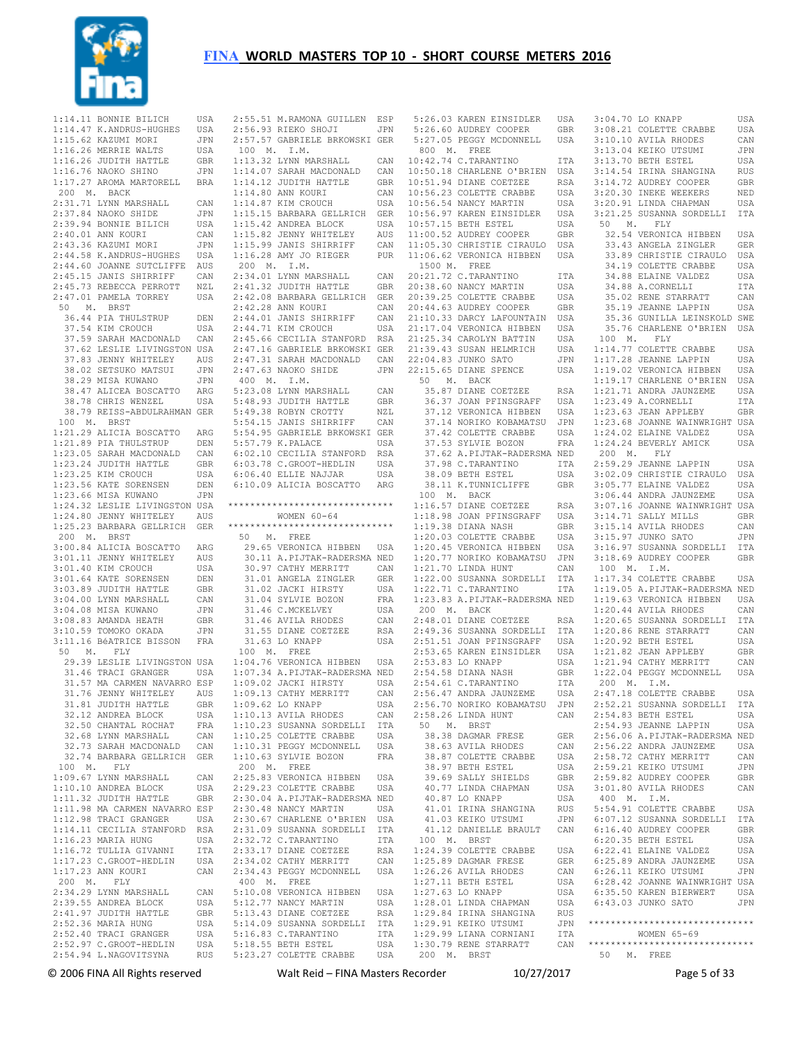

1:14.11 BONNIE BILICH USA<br>1:14.47 KANDRUS-HUGHES USA  $1:14.47$  K.ANDRUS-HUGHES 1:15.62 KAZUMI MORI JPN 1:16.26 MERRIE WALTS USA 1:16.26 JUDITH HATTLE GBR 1:16.76 NAOKO SHINO JPN 1:17.27 AROMA MARTORELL BRA 200 M. BACK 2:31.71 LYNN MARSHALL CAN 2:37.84 NAOKO SHIDE JPN 2:39.94 BONNIE BILICH USA 2:40.01 ANN KOURI CAN 2:43.36 KAZUMI MORI JPN 2:44.58 K.ANDRUS-HUGHES USA 2:44.60 JOANNE SUTCLIFFE AUS 2:45.15 JANIS SHIRRIFF CAN 2:45.73 REBECCA PERROTT NZL 2:47.01 PAMELA TORREY USA 50 M. BRST 36.44 PIA THULSTRUP DEN 37.54 KIM CROUCH USA 37.59 SARAH MACDONALD CAN 37.62 LESLIE LIVINGSTON USA 37.83 JENNY WHITELEY AUS 38.02 SETSUKO MATSUI JPN 38.29 MISA KUWANO JPN 38.47 ALICEA BOSCATTO ARG 38.78 CHRIS WENZEL USA 38.79 REISS-ABDULRAHMAN GER 100 M. BRST 1:21.29 ALICIA BOSCATTO ARG 1:21.89 PIA THULSTRUP DEN 1:23.05 SARAH MACDONALD CAN 1:23.24 JUDITH HATTLE GBR 1:23.25 KIM CROUCH USA 1:23.56 KATE SORENSEN DEN 1:23.66 MISA KUWANO JPN 1:24.32 LESLIE LIVINGSTON USA \*\*\*\*\*\*\*\*\*\*\*\*\*\*\*\*\*\*\*\*\*\*\*\*\*\*\*\*\*\* 1:16.57 DIANE COETZEE RSA 1:24.80 JENNY WHITELEY AUS 1:25.23 BARBARA GELLRICH GER 200 M. BRST 3:00.84 ALICIA BOSCATTO ARG 3:01.11 JENNY WHITELEY AUS 3:01.40 KIM CROUCH USA 3:01.64 KATE SORENSEN DEN 3:03.89 JUDITH HATTLE GBR 3:04.00 LYNN MARSHALL CAN 3:04.08 MISA KUWANO JPN 3:08.83 AMANDA HEATH GBR 3:10.59 TOMOKO OKADA JPN 3:11.16 BéATRICE BISSON FRA 50 M. FLY 29.39 LESLIE LIVINGSTON USA 31.46 TRACI GRANGER USA 31.57 MA CARMEN NAVARRO ESP 31.76 JENNY WHITELEY AUS 31.81 JUDITH HATTLE GBR 32.12 ANDREA BLOCK USA 32.50 CHANTAL ROCHAT FRA 32.68 LYNN MARSHALL CAN 32.73 SARAH MACDONALD CAN 32.74 BARBARA GELLRICH GER 100 M. FLY 1:09.67 LYNN MARSHALL CAN 1:10.10 ANDREA BLOCK USA 1:11.32 JUDITH HATTLE GBR 1:11.98 MA CARMEN NAVARRO ESP 1:12.98 TRACI GRANGER USA 1:14.11 CECILIA STANFORD RSA 1:16.23 MARIA HUNG USA 1:16.72 TULLIA GIVANNI ITA 1:17.23 C.GROOT-HEDLIN USA  $1:17.23$  ANN KOURI 200 M. FLY 2:34.29 LYNN MARSHALL CAN 2:39.55 ANDREA BLOCK USA  $2 \cdot 41$ .97 JUDITH HATTLE GBR 2:52.36 MARIA HUNG USA 2:52.40 TRACI GRANGER USA 2:52.97 C.GROOT-HEDLIN USA

 2:55.51 M.RAMONA GUILLEN ESP 2:56.93 RIEKO SHOJI JPN 2:57.57 GABRIELE BRKOWSKI GER 100 M. I.M. 1:13.32 LYNN MARSHALL CAN 1:14.07 SARAH MACDONALD CAN  $1:14.12$  JUDITH HATTLE 1:14.80 ANN KOURI CAN<br>1:14.87 KIM CROUCH USA  $1:14.87$  KIM CROUCH 1:15.15 BARBARA GELLRICH GER 1:15.42 ANDREA BLOCK USA 1:15.82 JENNY WHITELEY AUS 1:15.99 JANIS SHIRRIFF CAN 1:16.28 AMY JO RIEGER PUR 200 M. I.M. 2:34.01 LYNN MARSHALL CAN 2:41.32 JUDITH HATTLE GBR 2:42.08 BARBARA GELLRICH GER 2:42.28 ANN KOURI CAN 2:44.01 JANIS SHIRRIFF CAN 2:44.71 KIM CROUCH USA 2:45.66 CECILIA STANFORD RSA 2:47.16 GABRIELE BRKOWSKI GER 2:47.31 SARAH MACDONALD CAN 2:47.63 NAOKO SHIDE JPN 400 M. I.M. 5:23.08 LYNN MARSHALL CAN 5:48.93 JUDITH HATTLE GBR 5:49.38 ROBYN CROTTY NZL 5:54.15 JANIS SHIRRIFF CAN 5:54.95 GABRIELE BRKOWSKI GER 5:57.79 K.PALACE USA 6:02.10 CECILIA STANFORD RSA 6:03.78 C.GROOT-HEDLIN USA 6:06.40 ELLIE NAJJAR USA 6:10.09 ALICIA BOSCATTO ARG WOMEN 60-64 \*\*\*\*\*\*\*\*\*\*\*\*\*\*\*\*\*\*\*\*\*\*\*\*\*\*\*\*\*\* 50 M. FREE 29.65 VERONICA HIBBEN USA 30.11 A.PIJTAK-RADERSMA NED 30.97 CATHY MERRITT CAN<br>31.01 ANGELA ZINGLER GER 31.01 ANGELA ZINGLER GER 31.02 JACKI HIRSTY USA 31.04 SYLVIE BOZON FRA 31.46 C.MCKELVEY USA 31.46 AVILA RHODES CAN 31.55 DIANE COETZEE RSA 31.63 LO KNAPP USA 100 M. FREE 1:04.76 VERONICA HIBBEN USA 1:07.34 A.PIJTAK-RADERSMA NED 1:09.02 JACKI HIRSTY USA 1:09.13 CATHY MERRITT CAN  $1 \cdot 09$  62 LO KNAPP USA 1:10.13 AVILA RHODES CAN 1:10.23 SUSANNA SORDELLI ITA 1:10.25 COLETTE CRABBE USA 1:10.31 PEGGY MCDONNELL USA 1:10.63 SYLVIE BOZON FRA 200 M. FREE 2:25.83 VERONICA HIBBEN USA 2:29.23 COLETTE CRABBE USA 2:30.04 A.PIJTAK-RADERSMA NED 2:30.48 NANCY MARTIN USA 2:30.67 CHARLENE O'BRIEN USA 2:31.09 SUSANNA SORDELLI ITA 2:32.72 C.TARANTINO ITA 2:33.17 DIANE COETZEE RSA 2:34.02 CATHY MERRITT CAN 2:34.43 PEGGY MCDONNELL USA 400 M. FREE 5:10.08 VERONICA HIBBEN USA 5:12.77 NANCY MARTIN USA 5:13.43 DIANE COETZEE RSA 5:14.09 SUSANNA SORDELLI ITA 5:16.83 C.TARANTINO ITA 5:18.55 BETH ESTEL USA

 2:54.94 L.NAGOVITSYNA RUS 5:23.27 COLETTE CRABBE USA 200 M. BRST 5:26.03 KAREN EINSIDLER USA 5:26.60 AUDREY COOPER GBR 5:27.05 PEGGY MCDONNELL USA 800 M. FREE 10:42.74 C.TARANTINO ITA 10:50.18 CHARLENE O'BRIEN USA 10:51.94 DIANE COETZEE RSA 10:56.23 COLETTE CRABBE USA<br>10:56.54 NANCY MARTIN USA  $10:56.54$  NANCY MARTIN 10:56.97 KAREN EINSIDLER USA 10:57.15 BETH ESTEL USA 11:00.52 AUDREY COOPER GBR 11:05.30 CHRISTIE CIRAULO USA 11:06.62 VERONICA HIBBEN USA 1500 M. FREE 20:21.72 C.TARANTINO ITA<br>20:38.60 NANCY MARTIN USA  $20:38.60$  NANCY MARTIN 20:39.25 COLETTE CRABBE USA 20:44.63 AUDREY COOPER GBR 21:10.33 DARCY LAFOUNTAIN USA 21:17.04 VERONICA HIBBEN USA 21:25.34 CAROLYN BATTIN USA<br>21:39.43 SUSAN HELMRICH USA 21:39.43 SUSAN HELMRICH USA<br>
22:04.83 JUNKO SATO JPN<br>
22:15.65 DIANE SPENCE USA<br>
50 M. BACK<br>
35.87 DIANE COETZEE RSA 36.37 JOAN PFINSGRAFF USA<br>37.12 VERONICA HIBBEN USA 37.12 VERONICA HIBBEN 37.14 NORIKO KOBAMATSU JPN 37.42 COLETTE CRABBE 37.53 SYLVIE BOZON FRA 37.62 A.PIJTAK-RADERSMA NED 37.98 C.TARANTINO ITA 38.09 BETH ESTEL USA 38.11 K.TUNNICLIFFE GBR 100 M. BACK 1:18.98 JOAN PFINSGRAFF USA 1:19.38 DIANA NASH GBR 1:20.03 COLETTE CRABBE USA 1:20.45 VERONICA HIBBEN USA 1:20.77 NORIKO KOBAMATSU JPN 1:21.70 LINDA HUNT CAN 1:22.00 SUSANNA SORDELLI ITA 1:22.71 C.TARANTINO ITA 1:23.83 A.PIJTAK-RADERSMA NED 200 M. BACK 2:48.01 DIANE COETZEE RSA 2:49.36 SUSANNA SORDELLI ITA 2:51.51 JOAN PFINSGRAFF USA 2:53.65 KAREN EINSIDLER USA 2:53.83 LO KNAPP USA 2:54.58 DIANA NASH GBR 2:54.61 C.TARANTINO ITA<br>2:56.47 ANDRA JAUNZEME USA  $2:56.47$  ANDRA JAUNZEME 2:56.70 NORIKO KOBAMATSU JPN 2:58.26 LINDA HUNT CAN 50 M. BRST 38.38 DAGMAR FRESE GER 38.63 AVILA RHODES CAN 38.87 COLETTE CRABBE USA<br>38.97 BETH ESTEL USA 38.97 BETH ESTEL 39.69 SALLY SHIELDS GBR 40.77 LINDA CHAPMAN USA 40.87 LO KNAPP USA 41.01 IRINA SHANGINA RUS 41.03 KEIKO UTSUMI JPN 41.12 DANIELLE BRAULT 100 M. BRST 1:24.39 COLETTE CRABBE USA 1:25.89 DAGMAR FRESE GER 1:26.26 AVILA RHODES CAN<br>1·27.11 BETH ESTEL USA 1:27.11 BETH ESTEL USA<br>1:27.63 LO KNAPP USA  $1:27.63$  LO KNAPP 1:28.01 LINDA CHAPMAN USA 1:29.84 IRINA SHANGINA RUS 1:29.91 KEIKO UTSUMI 1:29.99 LIANA CORNIANI 1:30.79 RENE STARRATT CAN

 $3:04.70$  LO KNAPP USA<br> $3:08.21$  COLETTE CRABBE USA 3:08.21 COLETTE CRABBE 3:10.10 AVILA RHODES CAN 3:13.04 KEIKO UTSUMI JPN 3:13.70 BETH ESTEL USA 3:14.54 IRINA SHANGINA RUS<br>3:14.72 AUDREY COOPER GBR 3:14.72 AUDREY COOPER GBR 3:20.30 INEKE WEEKERS NED<br>3:20.91 LINDA CHAPMAN 11SA 3:20.91 LINDA CHAPMAN 3:21.25 SUSANNA SORDELLI ITA 50 M. FLY 32.54 VERONICA HIBBEN USA 33.43 ANGELA ZINGLER GER 33.89 CHRISTIE CIRAULO USA 34.19 COLETTE CRABBE USA 34.88 ELAINE VALDEZ USA 34.88 A.CORNELLI ITA 35.02 RENE STARRATT CAN 35.19 JEANNE LAPPIN USA 35.36 GUNILLA LEINSKOLD SWE 35.76 CHARLENE O'BRIEN USA 100 M. FLY<br>1:14.77 COLETTE CRABBE USA 1:14.77 COLETTE CRABBE USA<br>JPN 1:17.28 JEANNE LAPPIN USA 1:17.28 JEANNE LAPPIN USA 1:19.02 VERONICA HIBBEN USA 1:19.17 CHARLENE O'BRIEN USA 1:21.71 ANDRA JAUNZEME USA 1:23.49 A.CORNELLI ITA 1:23.63 JEAN APPLEBY GBR 1:23.68 JOANNE WAINWRIGHT USA 1:24.02 ELAINE VALDEZ USA 1:24.24 BEVERLY AMICK USA 200 M. FLY 2:59.29 JEANNE LAPPIN USA 3:02.09 CHRISTIE CIRAULO USA 3:05.77 ELAINE VALDEZ USA 3:06.44 ANDRA JAUNZEME USA 3:07.16 JOANNE WAINWRIGHT USA 3:14.71 SALLY MILLS GBR 3:15.14 AVILA RHODES CAN 3:15.97 JUNKO SATO JPN 3:16.97 SUSANNA SORDELLI ITA 3:18.69 AUDREY COOPER GBR 100 M. I.M. 1:17.34 COLETTE CRABBE USA 1:19.05 A.PIJTAK-RADERSMA NED 1:19.63 VERONICA HIBBEN USA 1:20.44 AVILA RHODES CAN 1:20.65 SUSANNA SORDELLI ITA 1:20.86 RENE STARRATT CAN 1:20.92 BETH ESTEL USA 1:21.82 JEAN APPLEBY GBR 1:21.94 CATHY MERRITT CAN 1:22.04 PEGGY MCDONNELL USA 200 M. I.M. 2:47.18 COLETTE CRABBE USA 2:52.21 SUSANNA SORDELLI ITA 2:54.83 BETH ESTEL USA 2:54.93 JEANNE LAPPIN USA 2:56.06 A.PIJTAK-RADERSMA NED 2:56.22 ANDRA JAUNZEME USA 2:58.72 CATHY MERRITT CAN 2:59.21 KEIKO UTSUMI JPN 2:59.82 AUDREY COOPER GBR 3:01.80 AVILA RHODES CAN 400 M. I.M. 5:54.91 COLETTE CRABBE USA 6:07.12 SUSANNA SORDELLI ITA CAN 6:16.40 AUDREY COOPER GBR 6:20.35 BETH ESTEL USA 6:22.41 ELAINE VALDEZ USA 6:25.89 ANDRA JAUNZEME USA 6:26.11 KEIKO UTSUMI JPN 6:28.42 JOANNE WAINWRIGHT USA 6:35.50 KAREN BIERWERT USA  $6.43$   $03$  JUNKO SATO  $JPM$ \*\*\*\*\*\*\*\*\*\*\*\*\*\*\*\*\*\*\*\*\*\*\*\*\*\*\*\*\*\* WOMEN 65-69 \*\*\*\*\*\*\*\*\*\*\*\*\*\*\*\*\*\*\*\*\*\*\*\*\*\*\*\*\*\* 50 M. FREE

© 2006 FINA All Rights reserved Walt Reid – FINA Masters Recorder 10/27/2017 Page 5 of 33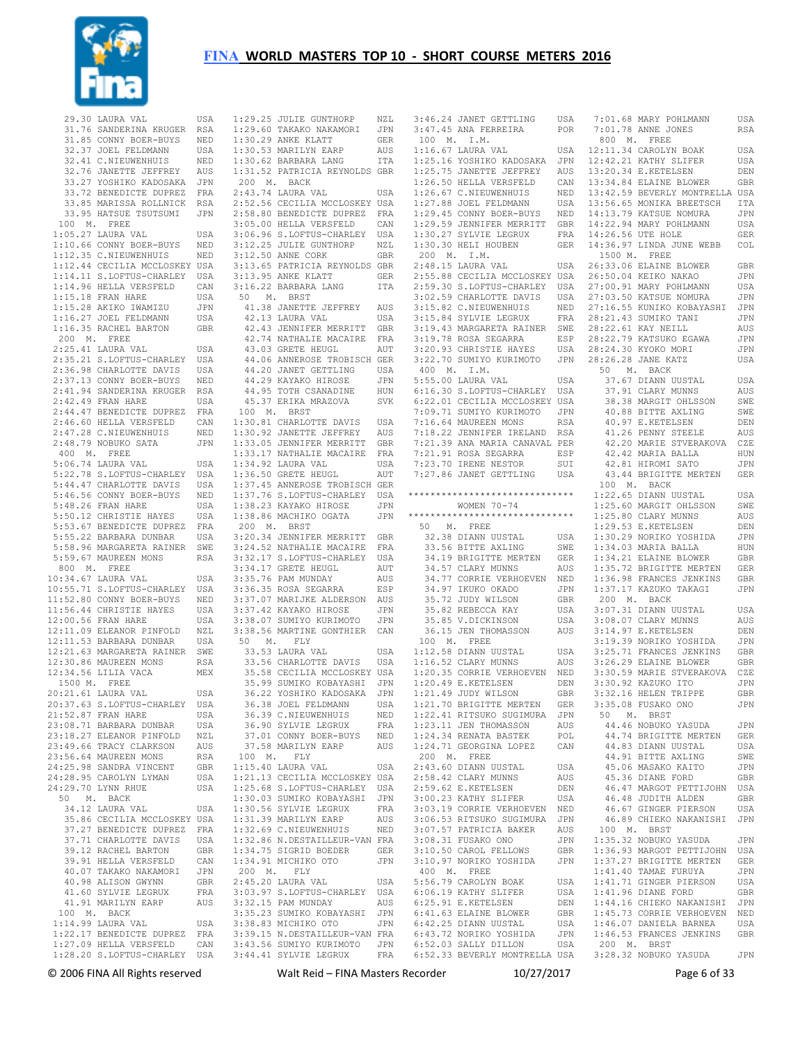

| 29.30 LAURA VAL                                                   | USA            |
|-------------------------------------------------------------------|----------------|
| 31.76 SANDERINA KRUGER                                            |                |
|                                                                   | RSA            |
| 31.85 CONNY BOER-BUYS                                             | NED            |
| 32.37 JOEL FELDMANN                                               | USA            |
| 32.41 C.NIEUWENHUIS                                               | NED            |
| 32.76 JANETTE JEFFREY                                             |                |
|                                                                   | AUS            |
| 33.27 YOSHIKO KADOSAKA                                            | JPN            |
| 33.72 BENEDICTE DUPREZ                                            | FRA            |
| 33.85 MARISSA ROLLNICK                                            | RSA            |
| 33.95 HATSUE TSUTSUMI                                             |                |
|                                                                   | JPN            |
| 100 M. FREE                                                       |                |
| 1:05.27 LAURA VAL                                                 | USA            |
|                                                                   | NED            |
| 1:00.27 LIVES<br>1:10.66 CONNY BOER-BUYS<br>1:12.35 C.NIEUWENHUIS | NED            |
|                                                                   |                |
| 1:12.44 CECILIA MCCLOSKEY USA                                     |                |
| 1:14.11 S.LOFTUS-CHARLEY USA<br>1:14.96 HELLA VERSFELD CAN        |                |
|                                                                   |                |
| 1:15.18 FRAN HARE                                                 | USA            |
| 1:15.28 AKIKO IWAMIZU                                             | JPN            |
|                                                                   |                |
| $1:16.27$ JOEL FELDMANN                                           | USA            |
| 1:16.35 RACHEL BARTON                                             | GBR            |
| 200 M. FREE                                                       |                |
| $2:25.41$ LAURA VAL                                               | USA            |
|                                                                   |                |
| 2:35.21 S.LOFTUS-CHARLEY                                          | USA            |
| 2:36.98 CHARLOTTE DAVIS                                           | USA            |
| 2:37.13 CONNY BOER-BUYS                                           | NED            |
| 2:41.94 SANDERINA KRUGER                                          | RSA            |
|                                                                   | USA            |
| 2:42.49 FRAN HARE                                                 |                |
| 2:44.47 BENEDICTE DUPREZ                                          | FRA            |
| 2:46.60 HELLA VERSFELD                                            | CAN            |
| 2:47.28 C.NIEUWENHUIS                                             | NED            |
| 2:48.79 NOBUKO SATA                                               |                |
|                                                                   | JPN            |
| 400 M. FREE                                                       |                |
| $5:06.74$ LAURA VAL                                               | USA            |
| 5:22.78 S.LOFTUS-CHARLEY                                          | USA            |
| 5:44.47 CHARLOTTE DAVIS                                           |                |
|                                                                   | USA            |
| 5:46.56 CONNY BOER-BUYS                                           | NED            |
| 5:48.26 FRAN HARE                                                 | USA            |
| 5:50.12 CHRISTIE HAYES                                            | USA            |
| 5:53.67 BENEDICTE DUPREZ                                          | FRA            |
|                                                                   |                |
| 5:55.22 BARBARA DUNBAR                                            | USA            |
| 5:58.96 MARGARETA RAINER                                          | SWE            |
| 5:59.67 MAUREEN MONS                                              | <b>RSA</b>     |
| 800 M. FREE                                                       |                |
| 10:34.67 LAURA VAL                                                |                |
|                                                                   | USA            |
| 10:55.71 S.LOFTUS-CHARLEY                                         | USA            |
| 11:52.80 CONNY BOER-BUYS<br>11:56.44 CURIOTIE WANDS               | NED            |
| 11:56.44 CHRISTIE HAYES                                           | USA            |
| 12:00.56 FRAN HARE                                                | USA            |
| 12:11.09 ELEANOR PINFOLD                                          |                |
|                                                                   | NZL            |
| 12:11.53 BARBARA DUNBAR                                           | USA            |
| 12:21.63 MARGARETA RAINER                                         | SWE            |
| 12:30.86 MAUREEN MONS                                             | RSA            |
| 12:34.56 LILIA VACA                                               | MEX            |
|                                                                   |                |
| 1500 M. FREE                                                      |                |
| 20:21.61 LAURA VAL                                                | USA            |
| 20:37.63 S.LOFTUS-CHARLEY                                         | USA            |
| 21:52.87 FRAN HARE                                                | USA            |
| 23:08.71 BARBARA DUNBAR                                           | USA            |
| 23:18.27 ELEANOR PINFOLD                                          |                |
|                                                                   | NZL            |
| 23:49.66 TRACY CLARKSON                                           | AUS            |
| 23:56.64 MAUREEN MONS                                             | RSA            |
| 24:25.98 SANDRA VINCENT                                           | GBR            |
| 24:28.95 CAROLYN LYMAN                                            | USA            |
|                                                                   |                |
| 24:29.70 LYNN RHUE                                                | USA            |
| 50 M.<br>BACK                                                     |                |
| 34.12 LAURA VAL                                                   | USA            |
| 35.86 CECILIA MCCLOSKEY                                           | USA            |
| 37.27 BENEDICTE DUPREZ                                            | FRA            |
|                                                                   |                |
| 37.71 CHARLOTTE DAVIS                                             | USA            |
| 39.12 RACHEL BARTON                                               | GBR            |
| 39.91 HELLA VERSFELD                                              | $\mathtt{CAN}$ |
| 40.07 TAKAKO NAKAMORI                                             | JPN            |
|                                                                   |                |
| 40.98 ALISON GWYNN                                                | GBR            |
| 41.60 SYLVIE LEGRUX                                               | FRA            |
| 41.91 MARILYN EARP                                                | AUS            |
| 100 M. BACK                                                       |                |
| 1:14.99 LAURA VAL                                                 | USA            |
|                                                                   |                |
| 1:22.17 BENEDICTE DUPREZ                                          | FRA            |
| 1:27.09 HELLA VERSFELD                                            | CAN            |
| 1:28.20 S.LOFTUS-CHARLEY USA                                      |                |
|                                                                   |                |

1:29.25 JULIE GUNTHORP NZL<br>1:29.60 TAKAKO NAKAMORI JPN 1:29.60 TAKAKO NAKAMORI JPN<br>1:30.29 ANKE KLATT GER 1:30.29 ANKE KLATT GER 1:30.53 MARILYN EARP AUS 1:30.62 BARBARA LANG ITA 1:31.52 PATRICIA REYNOLDS GBR 200 M. BACK 2:43.74 LAURA VAL USA 2:52.56 CECILIA MCCLOSKEY USA 2:58.80 BENEDICTE DUPREZ FRA 3:05.00 HELLA VERSFELD CAN 3:06.96 S.LOFTUS-CHARLEY USA<br>3:12.25 JULIE GUNTHORP NZL  $3:12.25$  JULIE GUNTHORP 3:12.50 ANNE CORK GBR 3:13.65 PATRICIA REYNOLDS GBR 3:13.95 ANKE KLATT GER 3:16.22 BARBARA LANG ITA 50 M. BRST 41.38 JANETTE JEFFREY AUS 42.13 LAURA VAL USA 42.43 JENNIFER MERRITT GBR 42.74 NATHALIE MACAIRE FRA<br>43.03 GRETE HEUGL AUT 43.03 GRETE HEUGL 44.06 ANNEROSE TROBISCH GER 44.20 JANET GETTLING USA 44.29 KAYAKO HIROSE JPN 44.95 TOTH CSANADINE HUN 45.37 ERIKA MRAZOVA SVK 100 M. BRST 1:30.81 CHARLOTTE DAVIS USA<br>1:30.92 JANETTE JEFFREY AUS 1:30.92 JANETTE JEFFREY 1:33.05 JENNIFER MERRITT GBR 1:33.17 NATHALIE MACAIRE FRA  $1.34$  92 LAURA VAL USA 1:36.50 GRETE HEUGL AUT 1:37.45 ANNEROSE TROBISCH GER 1:37.76 S.LOFTUS-CHARLEY USA 1:38.23 KAYAKO HIROSE JPN 1:38.86 MACHIKO OGATA JPN 200 M. BRST 3:20.34 JENNIFER MERRITT GBR 3:24.52 NATHALIE MACAIRE FRA 3:32.17 S.LOFTUS-CHARLEY USA 3:34.17 GRETE HEUGL AUT 3:35.76 PAM MUNDAY AUS 3:36.35 ROSA SEGARRA ESP 3:37.07 MARIJKE ALDERSON AUS 3:37.42 KAYAKO HIROSE JPN 3:38.07 SUMIYO KURIMOTO JPN 3:38.56 MARTINE GONTHIER CAN 50 M. FLY 33.53 LAURA VAL USA 33.56 CHARLOTTE DAVIS USA 35.58 CECILIA MCCLOSKEY USA 35.99 SUMIKO KOBAYASHI JPN 36.22 YOSHIKO KADOSAKA JPN 36.38 JOEL FELDMANN USA 36.39 C.NIEUWENHUIS NED 36.90 SYLVIE LEGRUX FRA 37.01 CONNY BOER-BUYS NED 37.58 MARILYN EARP AUS 100 M. FLY  $1 \cdot 15$   $40$  LAURA VAL USA 1:21.13 CECILIA MCCLOSKEY USA 1:25.68 S.LOFTUS-CHARLEY USA 1:30.03 SUMIKO KOBAYASHI JPN 1:30.56 SYLVIE LEGRUX FRA 1:31.39 MARILYN EARP AUS 1:32.69 C.NIEUWENHUIS NED 1:32.86 N.DESTAILLEUR-VAN FRA 1:34.75 SIGRID BOEDER GER 1:34.91 MICHIKO OTO JPN 200 M. FLY 2:45.20 LAURA VAL USA 3:03.97 S.LOFTUS-CHARLEY USA 3:32.15 PAM MUNDAY AUS 3:35.23 SUMIKO KOBAYASHI JPN 3:38.83 MICHIKO OTO JPN 3:39.15 N.DESTAILLEUR-VAN FRA 3:43.56 SUMIYO KURIMOTO JPN 3:44.41 SYLVIE LEGRUX FRA

|           |                                | USA        |                                | USA        |
|-----------|--------------------------------|------------|--------------------------------|------------|
|           | 3:46.24 JANET GETTLING         |            | 7:01.68 MARY POHLMANN          |            |
|           | 3:47.45 ANA FERREIRA           | POR        | 7:01.78 ANNE JONES             | <b>RSA</b> |
| 100 M.    | I.M.                           |            | 800 M.<br>FREE                 |            |
|           | 1:16.67 LAURA VAL              | USA        | 12:11.34 CAROLYN BOAK          | USA        |
|           | 1:25.16 YOSHIKO KADOSAKA       | JPN        | 12:42.21 KATHY SLIFER          | USA        |
|           | 1:25.75 JANETTE JEFFREY        |            | 13:20.34 E.KETELSEN            |            |
|           |                                | AUS        |                                | DEN        |
|           | 1:26.50 HELLA VERSFELD         | CAN        | 13:34.84 ELAINE BLOWER         | GBR        |
|           | 1:26.67 C.NIEUWENHUIS          | NED        | 13:42.59 BEVERLY MONTRELLA USA |            |
|           | 1:27.88 JOEL FELDMANN          | USA        | 13:56.65 MONIKA BREETSCH       | ITA        |
|           | 1:29.45 CONNY BOER-BUYS        | NED        | 14:13.79 KATSUE NOMURA         | JPN        |
|           |                                |            |                                |            |
|           | 1:29.59 JENNIFER MERRITT       | GBR        | 14:22.94 MARY POHLMANN         | USA        |
|           | 1:30.27 SYLVIE LEGRUX          | FRA        | 14:26.56 UTE HOLE              | GER        |
|           | 1:30.30 HELI HOUBEN            | <b>GER</b> | 14:36.97 LINDA JUNE WEBB       | COL        |
| 200<br>М. | I.M.                           |            | 1500 M.<br>FREE                |            |
|           |                                |            | 26:33.06 ELAINE BLOWER         |            |
|           | 2:48.15 LAURA VAL              | USA        |                                | GBR        |
|           | 2:55.88 CECILIA MCCLOSKEY USA  |            | 26:50.04 KEIKO NAKAO           | JPN        |
|           | 2:59.30 S.LOFTUS-CHARLEY       | USA        | 27:00.91 MARY POHLMANN         | USA        |
|           | 3:02.59 CHARLOTTE DAVIS        | USA        | 27:03.50 KATSUE NOMURA         | JPN        |
|           | 3:15.82 C.NIEUWENHUIS          | NED        | 27:16.55 KUNIKO KOBAYASHI      | JPN        |
|           |                                |            |                                |            |
|           | 3:15.84 SYLVIE LEGRUX          | FRA        | 28:21.43 SUMIKO TANI           | JPN        |
|           | 3:19.43 MARGARETA RAINER       | SWE        | 28:22.61 KAY NEILL             | AUS        |
|           | 3:19.78 ROSA SEGARRA           | ESP        | 28:22.79 KATSUKO EGAWA         | JPN        |
|           | 3:20.93 CHRISTIE HAYES         | USA        | 28:24.30 KYOKO MORI            | JPN        |
|           |                                |            |                                |            |
|           | 3:22.70 SUMIYO KURIMOTO        | JPN        | 28:26.28 JANE KATZ             | USA        |
| 400<br>М. | I.M.                           |            | 50<br>Μ.<br>BACK               |            |
|           | 5:55.00 LAURA VAL              | USA        | 37.67 DIANN UUSTAL             | USA        |
|           | 6:16.30 S.LOFTUS-CHARLEY       | USA        | 37.91 CLARY MUNNS              | AUS        |
|           | 6:22.01 CECILIA MCCLOSKEY USA  |            | 38.38 MARGIT OHLSSON           |            |
|           |                                |            |                                | SWE        |
|           | 7:09.71 SUMIYO KURIMOTO        | JPN        | 40.88 BITTE AXLING             | SWE        |
|           | 7:16.64 MAUREEN MONS           | RSA        | 40.97 E.KETELSEN               | DEN        |
|           | 7:18.22 JENNIFER IRELAND       | RSA        | 41.26 PENNY STEELE             | AUS        |
|           | 7:21.39 ANA MARIA CANAVAL PER  |            | 42.20 MARIE STVERAKOVA         | CZE        |
|           |                                |            |                                |            |
|           | 7:21.91 ROSA SEGARRA           | ESP        | 42.42 MARIA BALLA              | HUN        |
|           | 7:23.70 IRENE NESTOR           | SUI        | 42.81 HIROMI SATO              | JPN        |
|           | 7:27.86 JANET GETTLING         | USA        | 43.44 BRIGITTE MERTEN          | GER        |
|           |                                |            | М.<br>100<br>BACK              |            |
|           | ****************************** |            |                                |            |
|           |                                |            | 1:22.65 DIANN UUSTAL           | USA        |
|           | WOMEN 70-74                    |            | 1:25.60 MARGIT OHLSSON         | SWE        |
|           | ****************************** |            | 1:25.80 CLARY MUNNS            | AUS        |
| 50        | M. FREE                        |            | 1:29.53 E.KETELSEN             | DEN        |
|           |                                |            |                                |            |
|           | 32.38 DIANN UUSTAL             | USA        | 1:30.29 NORIKO YOSHIDA         | JPN        |
|           | 33.56 BITTE AXLING             | SWE        | 1:34.03 MARIA BALLA            | HUN        |
|           |                                |            |                                |            |
|           | 34.19 BRIGITTE MERTEN          | GER        |                                | GBR        |
|           |                                |            | 1:34.21 ELAINE BLOWER          |            |
|           | 34.57 CLARY MUNNS              | AUS        | 1:35.72 BRIGITTE MERTEN        | GER        |
|           | 34.77 CORRIE VERHOEVEN         | NED        | 1:36.98 FRANCES JENKINS        | GBR        |
|           | 34.97 IKUKO OKADO              | JPN        | 1:37.17 KAZUKO TAKAGI          | JPN        |
|           | 35.72 JUDY WILSON              | GBR        | 200<br>М.<br>BACK              |            |
|           |                                |            |                                |            |
|           | 35.82 REBECCA KAY              | USA        | 3:07.31 DIANN UUSTAL           | USA        |
|           | 35.85 V.DICKINSON              | USA        | 3:08.07 CLARY MUNNS            | AUS        |
|           | 36.15 JEN THOMASSON            | AUS        | 3:14.97 E.KETELSEN             | DEN        |
| 100 M.    | FREE                           |            | 3:19.39 NORIKO YOSHIDA         | JPN        |
|           |                                |            |                                | <b>GBR</b> |
|           | 1:12.58 DIANN UUSTAL           | USA        | 3:25.71 FRANCES JENKINS        |            |
|           | 1:16.52 CLARY MUNNS            | AUS        | 3:26.29 ELAINE BLOWER          | GBR        |
|           | 1:20.35 CORRIE VERHOEVEN       | NED        | 3:30.59 MARIE STVERAKOVA       | CZE        |
|           | 1:20.49 E.KETELSEN             | DEN        | 3:30.92 KAZUKO ITO             | JPN        |
|           |                                | GBR        |                                |            |
|           | 1:21.49 JUDY WILSON            |            | 3:32.16 HELEN TRIPPE           | <b>GBR</b> |
|           | 1:21.70 BRIGITTE MERTEN        | GER        | 3:35.08 FUSAKO ONO             | JPN        |
|           | 1:22.41 RITSUKO SUGIMURA       | JPN        | 50 M. BRST                     |            |
|           | 1:23.11 JEN THOMASSON          | AUS        | 44.46 NOBUKO YASUDA            | <b>JPN</b> |
|           | 1:24.34 RENATA BASTEK          | POL        | 44.74 BRIGITTE MERTEN          | GER        |
|           |                                | CAN        | 44.83 DIANN UUSTAL             |            |
|           | 1:24.71 GEORGINA LOPEZ         |            |                                | USA        |
| 200 M.    | FREE                           |            | 44.91 BITTE AXLING             | SWE        |
|           | 2:43.60 DIANN UUSTAL           | USA        | 45.06 MASAKO KAITO             | JPN        |
|           | 2:58.42 CLARY MUNNS            | AUS        | 45.36 DIANE FORD               | GBR        |
|           | 2:59.62 E.KETELSEN             |            |                                |            |
|           |                                | DEN        | 46.47 MARGOT PETTIJOHN         | USA        |
|           | 3:00.23 KATHY SLIFER           | USA        | 46.48 JUDITH ALDEN             | GBR        |
|           | 3:03.19 CORRIE VERHOEVEN NED   |            | 46.67 GINGER PIERSON           | USA        |
|           | 3:06.53 RITSUKO SUGIMURA       | JPN        | 46.89 CHIEKO NAKANISHI         | JPN        |
|           | 3:07.57 PATRICIA BAKER         | AUS        | <b>BRST</b><br>100 M.          |            |
|           |                                |            |                                |            |
|           | 3:08.31 FUSAKO ONO             | JPN        | 1:35.32 NOBUKO YASUDA          | <b>JPN</b> |
|           | 3:10.50 CAROL FELLOWS          | GBR        | 1:36.93 MARGOT PETTIJOHN       | USA        |
|           | 3:10.97 NORIKO YOSHIDA         | JPN        | 1:37.27 BRIGITTE MERTEN        | GER        |
|           | 400 M. FREE                    |            | 1:41.40 TAMAE FURUYA           | JPN        |
|           |                                |            |                                |            |
|           | 5:56.79 CAROLYN BOAK           | USA        | 1:41.71 GINGER PIERSON         | USA        |
|           | 6:06.19 KATHY SLIFER           | USA        | 1:41.96 DIANE FORD             | GBR        |
|           | 6:25.91 E.KETELSEN             | DEN        | 1:44.16 CHIEKO NAKANISHI       | JPN        |
|           | 6:41.63 ELAINE BLOWER          | GBR        | 1:45.73 CORRIE VERHOEVEN       | NED        |
|           |                                |            |                                |            |
|           | 6:42.25 DIANN UUSTAL           | USA        | 1:46.07 DANIELA BARNEA         | USA        |
|           | 6:43.72 NORIKO YOSHIDA         | JPN        | 1:46.53 FRANCES JENKINS        | GBR        |
|           | 6:52.03 SALLY DILLON           | USA        | 200 M. BRST                    |            |
|           | 6:52.33 BEVERLY MONTRELLA USA  |            | 3:28.32 NOBUKO YASUDA          | JPN        |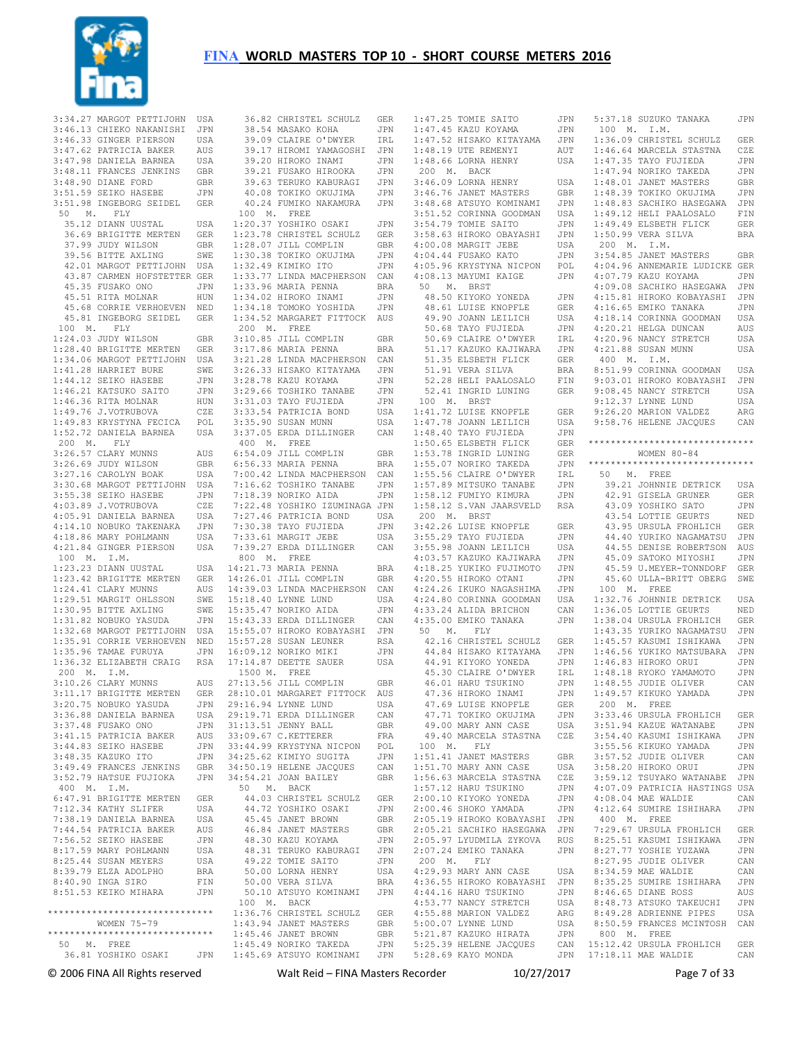

| 3:34.27 MARGOT PETTIJOHN       | USA        |           | 36.82 CHRISTEL SCHULZ         | GER        |           | 1:47.25 TOMIE SAITO      | JPN            |
|--------------------------------|------------|-----------|-------------------------------|------------|-----------|--------------------------|----------------|
| 3:46.13 CHIEKO NAKANISHI       | JPN        |           | 38.54 MASAKO KOHA             | JPN        |           | 1:47.45 KAZU KOYAMA      | JPN            |
| 3:46.33 GINGER PIERSON         | USA        |           | 39.09 CLAIRE O'DWYER          | IRL        |           | 1:47.52 HISAKO KITAYAMA  | JPN            |
| 3:47.62 PATRICIA BAKER         | AUS        |           | 39.17 HIROMI YAMAGOSHI        | JPN        |           | 1:48.19 UTE REMENYI      | AUT            |
| 3:47.98 DANIELA BARNEA         | USA        |           | 39.20 HIROKO INAMI            | JPN        |           | 1:48.66 LORNA HENRY      | USA            |
| 3:48.11 FRANCES JENKINS        | GBR        |           | 39.21 FUSAKO HIROOKA          | JPN        | 200 M.    | BACK                     |                |
| 3:48.90 DIANE FORD             | GBR        |           | 39.63 TERUKO KABURAGI         | JPN        |           | 3:46.09 LORNA HENRY      | USA            |
| 3:51.59 SEIKO HASEBE           | JPN        |           | 40.08 TOKIKO OKUJIMA          | JPN        |           | 3:46.76 JANET MASTERS    | <b>GBR</b>     |
| 3:51.98 INGEBORG SEIDEL        | GER        |           | 40.24 FUMIKO NAKAMURA         | JPN        |           | 3:48.68 ATSUYO KOMINAMI  | JPN            |
| 50<br>Μ.<br>FLY                |            | 100<br>М. | FREE                          |            |           | 3:51.52 CORINNA GOODMAN  | USA            |
| 35.12 DIANN UUSTAL             | USA        |           | 1:20.37 YOSHIKO OSAKI         | JPN        |           | 3:54.79 TOMIE SAITO      | JPN            |
| 36.69 BRIGITTE MERTEN          | GER        |           | 1:23.78 CHRISTEL SCHULZ       | GER        |           | 3:58.63 HIROKO OBAYASHI  | JPN            |
| 37.99 JUDY WILSON              | GBR        |           | 1:28.07 JILL COMPLIN          | GBR        |           | 4:00.08 MARGIT JEBE      | USA            |
| 39.56 BITTE AXLING             |            |           | 1:30.38 TOKIKO OKUJIMA        |            |           |                          |                |
|                                | SWE        |           |                               | JPN        |           | 4:04.44 FUSAKO KATO      | JPN            |
| 42.01 MARGOT PETTIJOHN         | USA        |           | 1:32.49 KIMIKO ITO            | JPN        |           | 4:05.96 KRYSTYNA NICPON  | POL            |
| 43.87 CARMEN HOFSTETTER GER    |            |           | 1:33.77 LINDA MACPHERSON      | CAN        |           | 4:08.13 MAYUMI KAIGE     | JPN            |
| 45.35 FUSAKO ONO               | JPN        |           | 1:33.96 MARIA PENNA           | BRA        | 50<br>Μ.  | <b>BRST</b>              |                |
| 45.51 RITA MOLNAR              | HUN        |           | 1:34.02 HIROKO INAMI          | JPN        |           | 48.50 KIYOKO YONEDA      | $\mathtt{JPN}$ |
| 45.68 CORRIE VERHOEVEN         | NED        |           | 1:34.18 TOMOKO YOSHIDA        | JPN        |           | 48.61 LUISE KNOPFLE      | <b>GER</b>     |
| 45.81 INGEBORG SEIDEL          | GER        |           | 1:34.52 MARGARET FITTOCK      | AUS        |           | 49.90 JOANN LEILICH      | USA            |
| 100 M.<br>FLY                  |            | 200 M.    | FREE                          |            |           | 50.68 TAYO FUJIEDA       | JPN            |
| 1:24.03 JUDY WILSON            | GBR        |           | 3:10.85 JILL COMPLIN          | GBR        |           | 50.69 CLAIRE O'DWYER     | IRL            |
| 1:28.40 BRIGITTE MERTEN        | GER        |           | 3:17.86 MARIA PENNA           | <b>BRA</b> |           | 51.17 KAZUKO KAJIWARA    | JPN            |
| 1:34.06 MARGOT PETTIJOHN       | USA        |           | 3:21.28 LINDA MACPHERSON      | CAN        |           | 51.35 ELSBETH FLICK      | <b>GER</b>     |
| 1:41.28 HARRIET BURE           | SWE        |           | 3:26.33 HISAKO KITAYAMA       | JPN        |           | 51.91 VERA SILVA         | BRA            |
| 1:44.12 SEIKO HASEBE           | JPN        |           | 3:28.78 KAZU KOYAMA           | JPN        |           | 52.28 HELI PAALOSALO     | FIN            |
| 1:46.21 KATSUKO SAITO          | JPN        |           | 3:29.66 TOSHIKO TANABE        | JPN        |           | 52.41 INGRID LUNING      | GER            |
| 1:46.36 RITA MOLNAR            | HUN        |           | 3:31.03 TAYO FUJIEDA          | JPN        | 100<br>М. | <b>BRST</b>              |                |
| 1:49.76 J.VOTRUBOVA            | CZE        |           | 3:33.54 PATRICIA BOND         | USA        |           | 1:41.72 LUISE KNOPFLE    | GER            |
| 1:49.83 KRYSTYNA FECICA        | POL        |           | 3:35.90 SUSAN MUNN            | USA        |           | 1:47.78 JOANN LEILICH    | USA            |
| 1:52.72 DANIELA BARNEA         | USA        |           | 3:37.05 ERDA DILLINGER        | CAN        |           | 1:48.40 TAYO FUJIEDA     | JPN            |
| 200 M.<br>FLY                  |            | 400<br>М. | FREE                          |            |           | 1:50.65 ELSBETH FLICK    | <b>GER</b>     |
| 3:26.57 CLARY MUNNS            |            |           | 6:54.09 JILL COMPLIN          |            |           |                          | ${\tt GER}$    |
|                                | AUS        |           |                               | GBR        |           | 1:53.78 INGRID LUNING    |                |
| 3:26.69 JUDY WILSON            | GBR        |           | 6:56.33 MARIA PENNA           | BRA        |           | 1:55.07 NORIKO TAKEDA    | JPN            |
| 3:27.16 CAROLYN BOAK           | USA        |           | 7:00.42 LINDA MACPHERSON      | CAN        |           | 1:55.56 CLAIRE O'DWYER   | IRL            |
| 3:30.68 MARGOT PETTIJOHN       | USA        |           | 7:16.62 TOSHIKO TANABE        | JPN        |           | 1:57.89 MITSUKO TANABE   | JPN            |
| 3:55.38 SEIKO HASEBE           | JPN        |           | 7:18.39 NORIKO AIDA           | JPN        |           | 1:58.12 FUMIYO KIMURA    | JPN            |
| 4:03.89 J.VOTRUBOVA            | CZE        |           | 7:22.48 YOSHIKO IZUMINAGA JPN |            |           | 1:58.12 S.VAN JAARSVELD  | RSA            |
| 4:05.91 DANIELA BARNEA         | USA        |           | 7:27.46 PATRICIA BOND         | USA        | 200<br>М. | <b>BRST</b>              |                |
| 4:14.10 NOBUKO TAKENAKA        | JPN        |           | 7:30.38 TAYO FUJIEDA          | JPN        |           | 3:42.26 LUISE KNOPFLE    | GER            |
| 4:18.86 MARY POHLMANN          | USA        |           | 7:33.61 MARGIT JEBE           | USA        |           | 3:55.29 TAYO FUJIEDA     | JPN            |
| 4:21.84 GINGER PIERSON         | USA        |           | 7:39.27 ERDA DILLINGER        | CAN        |           | 3:55.98 JOANN LEILICH    | USA            |
| 100 M.<br>I.M.                 |            | 800 M.    | FREE                          |            |           | 4:03.57 KAZUKO KAJIWARA  | JPN            |
| 1:23.23 DIANN UUSTAL           | USA        |           | 14:21.73 MARIA PENNA          | BRA        |           | 4:18.25 YUKIKO FUJIMOTO  | JPN            |
| 1:23.42 BRIGITTE MERTEN        | GER        |           | 14:26.01 JILL COMPLIN         | GBR        |           | 4:20.55 HIROKO OTANI     | JPN            |
| 1:24.41 CLARY MUNNS            | AUS        |           | 14:39.03 LINDA MACPHERSON     | CAN        |           | 4:24.26 IKUKO NAGASHIMA  | JPN            |
| 1:29.51 MARGIT OHLSSON         | SWE        |           | 15:18.40 LYNNE LUND           | USA        |           | 4:24.80 CORINNA GOODMAN  | USA            |
| 1:30.95 BITTE AXLING           | SWE        |           | 15:35.47 NORIKO AIDA          | JPN        |           | 4:33.24 ALIDA BRICHON    | CAN            |
| 1:31.82 NOBUKO YASUDA          | JPN        |           | 15:43.33 ERDA DILLINGER       | CAN        |           | 4:35.00 EMIKO TANAKA     | JPN            |
| 1:32.68 MARGOT PETTIJOHN       | USA        |           | 15:55.07 HIROKO KOBAYASHI     | JPN        | 50<br>Μ.  | FLY                      |                |
| 1:35.91 CORRIE VERHOEVEN       | NED        |           | 15:57.28 SUSAN LEUNER         | RSA        |           | 42.16 CHRISTEL SCHULZ    | GER            |
| 1:35.96 TAMAE FURUYA           | JPN        |           | 16:09.12 NORIKO MIKI          | JPN        |           | 44.84 HISAKO KITAYAMA    | JPN            |
| 1:36.32 ELIZABETH CRAIG        | <b>RSA</b> |           | 17:14.87 DEETTE SAUER         | USA        |           | 44.91 KIYOKO YONEDA      | JPN            |
| 200 M.<br>I.M.                 |            | 1500 M.   |                               |            |           | 45.30 CLAIRE O'DWYER     |                |
|                                |            |           | FREE                          |            |           |                          | IRL            |
| 3:10.26 CLARY MUNNS            | AUS        |           | 27:13.56 JILL COMPLIN         | GBR        |           | 46.01 HARU TSUKINO       | JPN            |
| 3:11.17 BRIGITTE MERTEN        | <b>GER</b> |           | 28:10.01 MARGARET FITTOCK     | AUS        |           | 47.36 HIROKO INAMI       | JPN            |
| 3:20.75 NOBUKO YASUDA          | JPN        |           | 29:16.94 LYNNE LUND           | USA        |           | 47.69 LUISE KNOPFLE      | GER            |
| 3:36.88 DANIELA BARNEA         | USA        |           | 29:19.71 ERDA DILLINGER       | CAN        |           | 47.71 TOKIKO OKUJIMA     | JPN            |
| 3:37.48 FUSAKO ONO             | JPN        |           | 31:13.51 JENNY BALL           | GBR        |           | 49.00 MARY ANN CASE      | USA            |
| 3:41.15 PATRICIA BAKER         | AUS        |           | 33:09.67 C.KETTERER           | FRA        |           | 49.40 MARCELA STASTNA    | CZE            |
| 3:44.83 SEIKO HASEBE           | JPN        |           | 33:44.99 KRYSTYNA NICPON      | POL        | 100 M.    | FLY                      |                |
| 3:48.35 KAZUKO ITO             | JPN        |           | 34:25.62 KIMIYO SUGITA        | JPN        |           | 1:51.41 JANET MASTERS    | GBR            |
| 3:49.49 FRANCES JENKINS        | GBR        |           | 34:50.19 HELENE JACQUES       | CAN        |           | 1:51.70 MARY ANN CASE    | USA            |
| 3:52.79 HATSUE FUJIOKA         | JPN        |           | 34:54.21 JOAN BAILEY          | GBR        |           | 1:56.63 MARCELA STASTNA  | CZE            |
| 400 M. I.M.                    |            |           | 50 M. BACK                    |            |           | 1:57.12 HARU TSUKINO     | JPN            |
| 6:47.91 BRIGITTE MERTEN        | GER        |           | 44.03 CHRISTEL SCHULZ         | GER        |           | 2:00.10 KIYOKO YONEDA    | JPN            |
| 7:12.34 KATHY SLIFER           | USA        |           | 44.72 YOSHIKO OSAKI           | JPN        |           | 2:00.46 SHOKO YAMADA     | JPN            |
| 7:38.19 DANIELA BARNEA         | USA        |           | 45.45 JANET BROWN             | GBR        |           | 2:05.19 HIROKO KOBAYASHI | JPN            |
| 7:44.54 PATRICIA BAKER         | AUS        |           | 46.84 JANET MASTERS           | GBR        |           | 2:05.21 SACHIKO HASEGAWA | JPN            |
| 7:56.52 SEIKO HASEBE           | JPN        |           | 48.30 KAZU KOYAMA             | JPN        |           | 2:05.97 LYUDMILA ZYKOVA  | <b>RUS</b>     |
| 8:17.59 MARY POHLMANN          | USA        |           | 48.31 TERUKO KABURAGI         | JPN        |           | 2:07.24 EMIKO TANAKA     | JPN            |
| 8:25.44 SUSAN MEYERS           | USA        |           | 49.22 TOMIE SAITO             | JPN        | 200 M.    | ${\rm FLY}$              |                |
| 8:39.79 ELZA ADOLPHO           | BRA        |           | 50.00 LORNA HENRY             | USA        |           | 4:29.93 MARY ANN CASE    | USA            |
| 8:40.90 INGA SIRO              | FIN        |           | 50.00 VERA SILVA              | BRA        |           | 4:36.55 HIROKO KOBAYASHI | JPN            |
| 8:51.53 KEIKO MIHARA           | JPN        |           | 50.10 ATSUYO KOMINAMI         | JPN        |           | 4:44.16 HARU TSUKINO     | JPN            |
|                                |            |           | 100 M. BACK                   |            |           | 4:53.77 NANCY STRETCH    | USA            |
| *****************************  |            |           | 1:36.76 CHRISTEL SCHULZ       | GER        |           | 4:55.88 MARION VALDEZ    | ARG            |
| WOMEN 75-79                    |            |           | 1:43.94 JANET MASTERS         | GBR        |           | 5:00.07 LYNNE LUND       | USA            |
| ****************************** |            |           | 1:45.46 JANET BROWN           | GBR        |           | 5:21.87 KAZUKO HIRATA    | JPN            |
| 50<br>M. FREE                  |            |           | 1:45.49 NORIKO TAKEDA         | JPN        |           | 5:25.39 HELENE JACQUES   | CAN            |
| 36.81 YOSHIKO OSAKI            | JPN        |           | 1:45.69 ATSUYO KOMINAMI       | JPN        |           | 5:28.69 KAYO MONDA       | JPN            |
|                                |            |           |                               |            |           |                          |                |
|                                |            |           |                               |            |           |                          |                |

 1:47.25 TOMIE SAITO JPN  $1:47.45$  KAZU KOYAMA 1:47.52 HISAKO KITAYAMA JPN 1:48.19 UTE REMENYI AUT 1:48.66 LORNA HENRY USA 200 M. BACK 3:46.09 LORNA HENRY USA<br>3:46.76 JANET MASTERS GBR 3:46.76 JANET MASTERS 3:48.68 ATSUYO KOMINAMI 3:51.52 CORINNA GOODMAN 3:54.79 TOMIE SAITO JPN 3:58.63 HIROKO OBAYASHI 4:00.08 MARGIT JEBE USA<br>4:00.08 MARGIT JEBE USA<br>4:04.44 FUSAKO KATO JPN  $4:04.44$  FUSAKO KATO 4:05.96 KRYSTYNA NICPON POL 4:08.13 MAYUMI KAIGE JPN 50 M. BRST 48.50 KIYOKO YONEDA JPN<br>48.61 LUISE KNOPFLE GER<br>49.90 JOANN LEILICH USA 48.61 LUISE KNOPFLE GER 49.90 JOANN LEILICH 50.68 TAYO FUJIEDA JPN 50.69 CLAIRE O'DWYER 51.17 KAZUKO KAJIWARA JPN 51.35 ELSBETH FLICK GER<br>51.91 VERA SILVA BRA 51.91 VERA SILVA 52.28 HELI PAALOSALO FIN 52.41 INGRID LUNING GER 100 M. BRST 1:41.72 LUISE KNOPFLE GER 1:47.78 JOANN LEILICH USA 1:48.40 TAYO FUJIEDA JPN 1:50.65 ELSBETH FLICK GER 1:53.78 INGRID LUNING GER 1:55.07 NORIKO TAKEDA JPN 1:55.56 CLAIRE O'DWYER IRL 1:57.89 MITSUKO TANABE JPN 1:58.12 FUMIYO KIMURA JPN 1:58.12 S.VAN JAARSVELD RSA 200 M. BRST 3:42.26 LUISE KNOPFLE GER 3:55.29 TAYO FUJIEDA JPN<br>3:55.98 JOANN LEILICH USA 3:55.98 JOANN LEILICH USA 4:03.57 KAZUKO KAJIWARA 4:18.25 YUKIKO FUJIMOTO JPN<br>4:20.55 HIROKO OTANI JPN  $4 \cdot 20$  55 hiroko otani 4:24.26 IKUKO NAGASHIMA JPN 4:24.80 CORINNA GOODMAN USA 4:33.24 ALIDA BRICHON CAN 4:35.00 EMIKO TANAKA JPN 50 M. FLY 42.16 CHRISTEL SCHULZ GER 44.91 KIYOKO YONEDA JPN<br>45.20 CLAIDE OLDWYER IRL 45.30 CLAIRE O'DWYER 46.01 HARU TSUKINO JPN 47.36 HIROKO INAMI JPN 47.69 LUISE KNOPFLE GER 47.71 TOKIKO OKUJIMA JPN 49.00 MARY ANN CASE USA 49.40 MARCELA STASTNA CZE 100 M. FLY 1:51.41 JANET MASTERS GBR 1:51.70 MARY ANN CASE USA 1:56.63 MARCELA STASTNA CZE 1:57.12 HARU TSUKINO JPN 2:00.10 KIYOKO YONEDA JPN 2:00.46 SHOKO YAMADA JPN 2:05.19 HIROKO KOBAYASHI JPN 2:05.21 SACHIKO HASEGAWA JPN 2:05.97 LYUDMILA ZYKOVA RUS<br>2:05.97 LYUDMILA ZYKOVA RUS<br>2:07.24 EMIXO TAMILI  $\begin{tabular}{ c c c c c c c c} \multicolumn{1}{c}{2:07.24}&EMIKO TANAKA & JPN \\ \multicolumn{1}{c}{200} & M. & FLY \\ \multicolumn{1}{c}{4:29.93}&MANRAN ANN CASE & USA \\ \multicolumn{1}{c}{4:36.55}&HIROKO KOBAYASHI & JPN \\ \multicolumn{1}{c}{4:44.16}&HARU TSUKINO & JPN \\ \multicolumn{1}{c}{4:53.77}&NANCY STRETCH & USA \\ \multicolumn{1}{c}{4:55.88}&MARION VALDEZ & ARG \\ \multicolumn{1}{c}{5:25.39}&HELENE$ 

© 2006 FINA All Rights reserved Walt Reid – FINA Masters Recorder 10/27/2017 Page 7 of 33 44.84 HISAKO KITAYAMA JPN 1:46.56 YUKIKO MATSUBARA JPN 100 M. I.M. 1:36.09 CHRISTEL SCHULZ GER 1:46.64 MARCELA STASTNA CZE 1:47.35 TAYO FUJIEDA JPN 1:47.94 NORIKO TAKEDA JPN 1:48.01 JANET MASTERS GBR 1:48.39 TOKIKO OKUJIMA JPN<br>1:48.83 SACHIKO HASEGAWA JPN 1:48.83 SACHIKO HASEGAWA JPN 1:49.12 HELI PAALOSALO FIN 1:49.49 ELSBETH FLICK GER 1:50.99 VERA SILVA BRA 200 M. I.M. 3:54.85 JANET MASTERS GBR 4:04.96 ANNEMARIE LUDICKE GER 4:07.79 KAZU KOYAMA JPN 4:09.08 SACHIKO HASEGAWA JPN 4:15.81 HIROKO KOBAYASHI JPN 4:16.65 EMIKO TANAKA JPN 4:18.14 CORINNA GOODMAN USA 4:20.21 HELGA DUNCAN AUS 4:20.96 NANCY STRETCH USA<br>4:21.88 SUSAN MUNN USA  $4:21.88$  SUSAN MUNN 400 M. I.M. 8:51.99 CORINNA GOODMAN USA 9:03.01 HIROKO KOBAYASHI JPN 9:08.45 NANCY STRETCH USA 9:12.37 LYNNE LUND USA 9:26.20 MARION VALDEZ ARG<br>9·58.76 HELENE JACOUES CAN 9:58.76 HELENE JACQUES \*\*\*\*\*\*\*\*\*\*\*\*\*\*\*\*\*\*\*\*\*\*\*\*\*\*\*\*\*\* WOMEN 80-84 \*\*\*\*\*\*\*\*\*\*\*\*\*\*\*\*\*\*\*\*\*\*\*\*\*\*\*\*\*\* 50 M. FREE 39.21 JOHNNIE DETRICK USA 42.91 GISELA GRUNER GER 43.09 YOSHIKO SATO JPN 43.54 LOTTIE GEURTS NED 43.95 URSULA FROHLICH GER 44.40 YURIKO NAGAMATSU JPN 44.55 DENISE ROBERTSON AUS 45.09 SATOKO MIYOSHI JPN 45.59 U.MEYER-TONNDORF GER 45.60 ULLA-BRITT OBERG SWE 100 M. FREE<br>1·32 76 JOHNNIE DETRICK – USA 1:32.76 JOHNNIE DETRICK USA 1:36.05 LOTTIE GEURTS NED 1:38.04 URSULA FROHLICH GER 1:43.35 YURIKO NAGAMATSU JPN 1:45.57 KASUMI ISHIKAWA JPN 1:46.83 HIROKO ORUI JPN 1:48.18 RYOKO YAMAMOTO JPN 1:48.55 JUDIE OLIVER CAN 1:49.57 KIKUKO YAMADA JPN 200 M. FREE 3:33.46 URSULA FROHLICH GER 3:51.94 KAZUE WATANABE JPN 3:54.40 KASUMI ISHIKAWA JPN 3:55.56 KIKUKO YAMADA JPN 3:57.52 JUDIE OLIVER CAN 3:58.20 HIROKO ORUI JPN 3:59.12 TSUYAKO WATANABE JPN 4:07.09 PATRICIA HASTINGS USA 4:08.04 MAE WALDIE CAN 4:12.64 SUMIRE ISHIHARA JPN 400 M. FREE 7:29.67 URSULA FROHLICH GER 8:25.51 KASUMI ISHIKAWA JPN 2:07.24 EMIKO TANAKA JPN 8:27.77 YOSHIE YUZAWA JPN 8:27.95 JUDIE OLIVER CAN 8:34.59 MAE WALDIE CAN 8:35.25 SUMIRE ISHIHARA JPN 8:46.65 DIANE ROSS AUS 8:48.73 ATSUKO TAKEUCHI JPN 8:49.28 ADRIENNE PIPES USA 8:50.59 FRANCES MCINTOSH CAN 800 M. FREE 15:12.42 URSULA FROHLICH GER 17:18.11 MAE WALDIE CAN

5:37.18 SUZUKO TANAKA JPN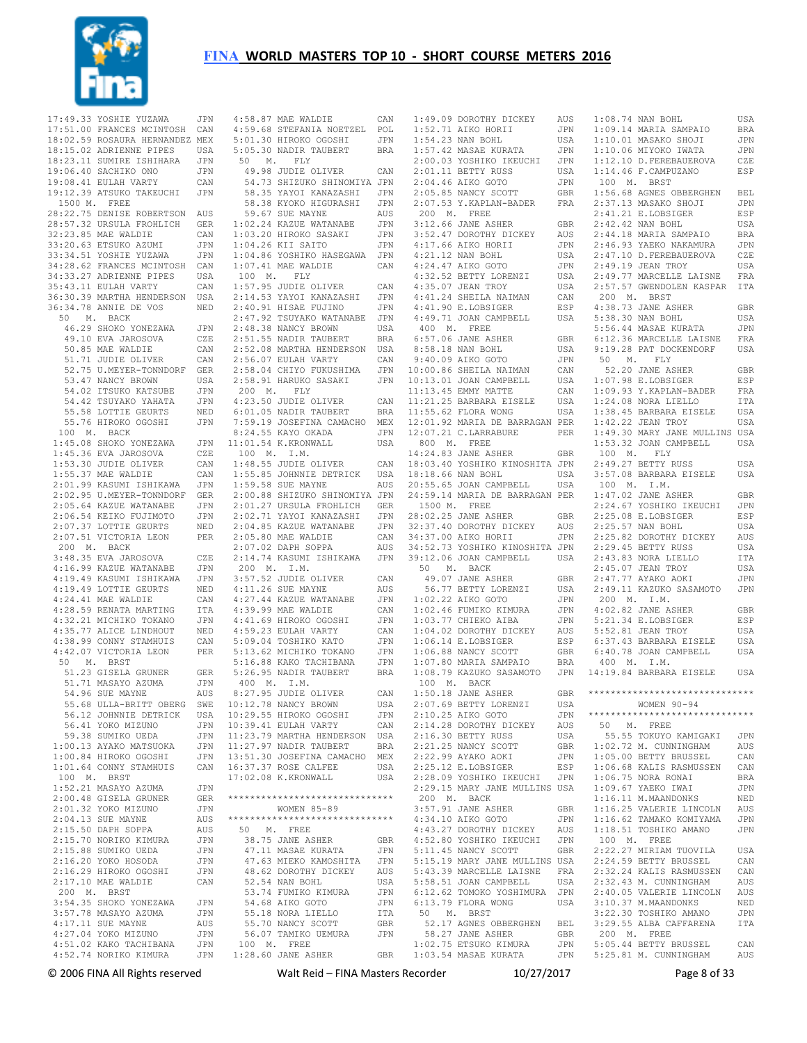

17:49.33 YOSHIE YUZAWA JPN 17:51.00 FRANCES MCINTOSH CAN 4:58.87 MAE WALDIE CAN 4:59.68 STEFANIA NOETZEL POL 18:02.59 ROSAURA HERNANDEZ MEX 18:15.02 ADRIENNE PIPES USA 18:23.11 SUMIRE ISHIHARA JPN 19:06.40 SACHIKO ONO JPN 19:08.41 EULAH VARTY CAN 19:12.39 ATSUKO TAKEUCHI JPN 1500 M. FREE 28:22.75 DENISE ROBERTSON AUS 28:57.32 URSULA FROHLICH GER 32:23.85 MAE WALDIE CAN 33:20.63 ETSUKO AZUMI JPN 33:34.51 YOSHIE YUZAWA JPN 34:28.62 FRANCES MCINTOSH CAN 34:33.27 ADRIENNE PIPES USA 35:43.11 EULAH VARTY CAN 36:30.39 MARTHA HENDERSON USA 36:34.78 ANNIE DE VOS NED 50 M. BACK 46.29 SHOKO YONEZAWA JPN 49.10 EVA JAROSOVA CZE 50.85 MAE WALDIE CAN 51.71 JUDIE OLIVER CAN 52.75 U.MEYER-TONNDORF GER 53.47 NANCY BROWN USA 54.02 ITSUKO KATSUBE JPN 54.42 TSUYAKO YAHATA JPN 55.58 LOTTIE GEURTS NED 55.76 HIROKO OGOSHI JPN 100 M. BACK 1:45.08 SHOKO YONEZAWA 1:45.36 EVA JAROSOVA CZE 1:53.30 JUDIE OLIVER CAN 1:55.37 MAE WALDIE CAN 2:01.99 KASUMI ISHIKAWA JPN 2:02.95 U.MEYER-TONNDORF GER 2:05.64 KAZUE WATANABE JPN 2:06.54 KEIKO FUJIMOTO JPN<br>2:07.37 LOTTIE GEURTS NED 200 M. BACK 3:48.35 EVA JAROSOVA CZE 4:16.99 KAZUE WATANABE JPN 4:19.49 KASUMI ISHIKAWA JPN 4:19.49 LOTTIE GEURTS NED 4:24.41 MAE WALDIE CAN 4:28.59 RENATA MARTING ITA 4:32.21 MICHIKO TOKANO JPN 4:35.77 ALICE LINDHOUT NED 4:38.99 CONNY STAMHUIS CAN 4:42.07 VICTORIA LEON PER 50 M. BRST 51.23 GISELA GRUNER GER 51.71 MASAYO AZUMA JPN 54.96 SUE MAYNE 56.12 JOHNNIE DETRICK USA<br>56.41 YOKO MIZUNO JPN 56.41 YOKO MIZUNO 59.38 SUMIKO UEDA JPN<br>00.13 AYAKO MATSUOKA JPN  $1:00$  13 AYAKO MATSUOKA 1:00.84 HIROKO OGOSHI JPN 1:01.64 CONNY STAMHUIS CAN 100 M. BRST 1:52.21 MASAYO AZUMA JPN 2:00.48 GISELA GRUNER GER<br>2:01.32 YOKO MIZUNO JPN 2:01.32 YOKO MIZUNO 2:04.13 SUE MAYNE AUS 2:15.50 DAPH SOPPA AUS 2:15.70 NORIKO KIMURA JPN 2:15.88 SUMIKO UEDA JPN 2:16.20 YOKO HOSODA JPN 2:16.29 HIROKO OGOSHI JPN 2:17.10 MAE WALDIE CAN 200 M. BRST 3:54.35 SHOKO YONEZAWA JPN 3:57.78 MASAYO AZUMA JPN 4:17.11 SUE MAYNE AUS<br>4:27.04 YOKO MIZUNO JPN 4:27.04 YOKO MIZUNO JPN 4:51.02 KAKO TACHIBANA JPN 4:52.74 NORIKO KIMURA JPN

 2:07.37 LOTTIE GEURTS NED 2:07.51 VICTORIA LEON PER 2:05.80 MAE WALDIE CAN 2:07.02 DAPH SOPPA AUS 55.68 ULLA-BRITT OBERG SWE 10:12.78 NANCY BROWN USA 5:01.30 HIROKO OGOSHI JPN 5:05.30 NADIR TAUBERT BRA 50 M. FLY 49.98 JUDIE OLIVER CAN 54.73 SHIZUKO SHINOMIYA JPN 58.35 YAYOI KANAZASHI JPN 58.38 KYOKO HIGURASHI 59.67 SUE MAYNE AUS 1:02.24 KAZUE WATANABE JPN 1:03.20 HIROKO SASAKI JPN 1:04.26 KII SAITO JPN 1:04.86 YOSHIKO HASEGAWA JPN 1:07.41 MAE WALDIE CAN 100 M. FLY 1:57.95 JUDIE OLIVER CAN 2:14.53 YAYOI KANAZASHI JPN 2:40.91 HISAE FUJINO JPN 2:47.92 TSUYAKO WATANABE JPN 2:48.38 NANCY BROWN USA 2:51.55 NADIR TAUBERT BRA 2:52.08 MARTHA HENDERSON USA 2:56.07 EULAH VARTY CAN 2:58.04 CHIYO FUKUSHIMA 2:58.91 HARUKO SASAKI 200 M. FLY 4:23.50 JUDIE OLIVER CAN<br>6:01.05 NADIR TAURERT RRA 6:01.05 NADIR TAUBERT BRA 7:59.19 JOSEFINA CAMACHO MEX 8:24.55 KAYO OKADA JPN JPN 11:01.54 K.KRONWALL USA 100 M. I.M.  $1:48.55$  JUDIE OLIVER 1:55.85 JOHNNIE DETRICK USA 1:59.58 SUE MAYNE AUS 2:00.88 SHIZUKO SHINOMIYA JPN 2:01.27 URSULA FROHLICH GER 2:02.71 YAYOI KANAZASHI JPN 2:04.85 KAZUE WATANABE JPN 2:14.74 KASUMI ISHIKAWA JPN 200 M. I.M. 3:57.52 JUDIE OLIVER CAN 4:11.26 SUE MAYNE AUS 4:27.44 KAZUE WATANABE JPN 4:39.99 MAE WALDIE CAN 4:41.69 HIROKO OGOSHI JPN 4:59.23 EULAH VARTY CAN 5:09.04 TOSHIKO KATO JPN 5:13.62 MICHIKO TOKANO JPN 5:16.88 KAKO TACHIBANA JPN 5:26.95 NADIR TAUBERT BRA 400 M. I.M. 8:27.95 JUDIE OLIVER CAN 10:29.55 HIROKO OGOSHI JPN 10:39.41 EULAH VARTY CAN 11:23.79 MARTHA HENDERSON USA 11:27.97 NADIR TAUBERT BRA 13:51.30 JOSEFINA CAMACHO MEX 16:37.37 ROSE CALFEE USA 17:02.08 K.KRONWALL USA \*\*\*\*\*\*\*\*\*\*\*\*\*\*\*\*\*\*\*\*\*\*\*\*\*\*\*\*\*\* WOMEN 85-89<br>\*\*\*\*\*\*\*\*\*\*\*\*\*\*\*\*\*\*\*\*\*\*\*\*\*\*\*\*\*\* \*\*\*\*\*\*\*\*\*\*\*\*\*\*\*\*\*\*\*\*\*\*\*\*\*\*\*\*\*\* 50 M. FREE<br>
38.75 JANE ASHER GBR<br>
47.11 MASAE KURATA JPN<br>
47.63 MIEKO KAMOSHITA JPN<br>
48.62 DOROTHY DICKEY AUS<br>
52.54 NAN BOHL USA<br>
53.74 FUMIKO KIMURA JPN 54.68 AIKO GOTO JPN 55.18 NORA LIELLO ITA 55.70 NANCY SCOTT GBR 56.07 TAMIKO UEMURA JPN 100 M. FREE 1:28.60 JANE ASHER GBR

 1:49.09 DOROTHY DICKEY AUS 1:52.71 AIKO HORII JPN 1:54.23 NAN BOHL USA 1:52.71 A110 1001<br>1:54.23 NAN BOHL USA<br>1:57.42 MASAE KURATA JPN 2:00.03 YOSHIKO IKEUCHI JPN  $2:01.11$  BETTY RUSS 2:04.46 AIKO GOTO JPN  $2:05.85$  NANCY SCOTT 200 M. FREE 3:12.66 JANE ASHER GBR 3:52.47 DOROTHY DICKEY AUS 4:17.66 AIKO HORII JPN<br>4:21.12 NAN BOHL USA  $4:21.12$  NAN BOHL 4:24.47 AIKO GOTO JPN<br>4:32.52 BETTY LORENZI USA 4:32.52 BETTY LORENZI USA<br>4:35.07 JEAN TROY USA 4:35.07 JEAN TROY 4:41.24 SHEILA NAIMAN CAN  $4:41.90$  E.LOBSIGER 4:49.71 JOAN CAMPBELL 400 M. FREE 6:57.06 JANE ASHER GBR 8:58.18 NAN BOHL USA 9:40.09 AIKO GOTO JPN 10:00.86 SHEILA NAIMAN CAN 10:13.01 JOAN CAMPBELL USA 11:55.62 FLORA WONG USA 12:01.92 MARIA DE BARRAGAN PER 12:07.21 C.LARRABURE PER 800 M. FREE 14:24.83 JANE ASHER GBR 18:03.40 YOSHIKO KINOSHITA JPN 18:18.66 NAN BOHL USA 20:55.65 JOAN CAMPBELL USA 24:59.14 MARIA DE BARRAGAN PER 1500 M. FREE 28:02.25 JANE ASHER GBR 32:37.40 DOROTHY DICKEY AUS 34:37.00 AIKO HORII JPN 34:52.73 YOSHIKO KINOSHITA JPN 50 M. BACK ى سى HACK<br>49.07 JANE ASHER GBR<br>56.77 BETTY LORENZI USA 56.77 BETTY LORENZI 1:02.22 AIKO GOTO JPN  $1:02.46$  FUMIKO KIMURA 1:03.77 CHIEKO AIBA JPN 1:04.02 DOROTHY DICKEY 1:06.14 E.LOBSIGER ESP 1:06.88 NANCY SCOTT GBR 100 M. BACK 1:50.18 JANE ASHER GBR 2:07.69 BETTY LORENZI USA WOMEN 90-94 2:10.25 AIKO GOTO JPN 2:14.28 DOROTHY DICKEY AUS 50 M. FREE 2:16.30 BETTY RUSS USA 2:21.25 NANCY SCOTT GBR 2:22.99 AYAKO AOKI<br>2:25.12 E.LOBSIGER 2:25.12 E.LOBSIGER ESP 2:28.09 YOSHIKO IKEUCHI JPN 2:29.15 MARY JANE MULLINS USA 200 M. BACK 3:57.91 JANE ASHER GBR 4:34.10 AIKO GOTO JPN 4:43.27 DOROTHY DICKEY AUS<br>4·52.80 YOSHIKO IKEUCHI JPN ......<br>4:52.80 YOSHIKO IKEUCHI JPN<br>5:11.45 NANCY SCOTT GBR 5:11.45 NANCY SCOTT GBR 5:15.19 MARY JANE MULLINS USA 5:43.39 MARCELLE LAISNE FRA 5:58.51 JOAN CAMPBELL USA 6:12.62 TOMOKO YOSHIMURA JPN 6:13.79 FLORA WONG USA 50 M. BRST 52.17 AGNES OBBERGHEN BEL 58.27 JANE ASHER GBR 1:02.75 ETSUKO KIMURA JPN 1:03.54 MASAE KURATA JPN

 2:07.53 Y.KAPLAN-BADER FRA 2:37.13 MASAKO SHOJI JPN 11:13.45 EMMY MATTE CAN 11:21.25 BARBARA EISELE USA 1:09.93 Y.KAPLAN-BADER FRA 1:24.08 NORA LIELLO ITA 39:12.06 JOAN CAMPBELL USA 2:43.83 NORA LIELLO ITA 1:07.80 MARIA SAMPAIO BRA 1:08.79 KAZUKO SASAMOTO JPN 400 M. I.M. 14:19.84 BARBARA EISELE USA 1:08.74 NAN BOHL USA 1:09.14 MARIA SAMPAIO BRA 1:10.01 MASAKO SHOJI JPN 1:10.06 MIYOKO IWATA JPN 1:12.10 D.FEREBAUEROVA CZE 1:14.46 F.CAMPUZANO ESP 100 M. BRST SBR 1:56.68 AGNES OBBERGHEN BEL<br>FRA 2:37.13 MASAKO SHOJI JIPN 2:41.21 E.LOBSIGER ESP 2:42.42 NAN BOHL USA 2:44.18 MARIA SAMPAIO BRA 2:46.93 YAEKO NAKAMURA JPN 2:47.10 D.FEREBAUEROVA CZE 2:49.19 JEAN TROY USA 2:49.77 MARCELLE LAISNE FRA 2:57.57 GWENDOLEN KASPAR ITA 200 M. BRST 4:38.73 JANE ASHER GBR 5:38.30 NAN BOHL USA 5:56.44 MASAE KURATA JPN 6:12.36 MARCELLE LAISNE FRA 9:19.28 PAT DOCKENDORF USA 50 M. FLY 52.20 JANE ASHER GBR 1:07.98 E.LOBSIGER ESP 1:38.45 BARBARA EISELE USA 1:42.22 JEAN TROY USA 1:49.30 MARY JANE MULLINS USA 1:53.32 JOAN CAMPBELL USA 100 M. FLY 2:49.27 BETTY RUSS USA 3:57.08 BARBARA EISELE USA 100 M. I.M. 1:47.02 JANE ASHER GBR 2:24.67 YOSHIKO IKEUCHI JPN 2:25.08 E.LOBSIGER ESP  $2 \cdot 25$  57 NAN BOHL USA 2:25.82 DOROTHY DICKEY AUS 2:29.45 BETTY RUSS USA 2:45.07 JEAN TROY USA 2:47.77 AYAKO AOKI JPN 2:49.11 KAZUKO SASAMOTO JPN 200 M. I.M. 4:02.82 JANE ASHER GBR 5:21.34 E.LOBSIGER ESP 5:52.81 JEAN TROY USA 6:37.43 BARBARA EISELE USA 6:40.78 JOAN CAMPBELL USA \*\*\*\*\*\*\*\*\*\*\*\*\*\*\*\*\*\*\*\*\*\*\*\*\*\*\*\*\*\* \*\*\*\*\*\*\*\*\*\*\*\*\*\*\*\*\*\*\*\*\*\*\*\*\*\*\*\*\*\* 55.55 TOKUYO KAMIGAKI JPN 1:02.72 M. CUNNINGHAM AUS 1:05.00 BETTY BRUSSEL CAN 1:06.68 KALIS RASMUSSEN CAN 1:06.75 NORA RONAI BRA 1:09.67 YAEKO IWAI JPN 1:16.11 M.MAANDONKS NED 1:16.25 VALERIE LINCOLN AUS 1:16.62 TAMAKO KOMIYAMA JPN 1:18.51 TOSHIKO AMANO JPN 100 M. FREE 2:22.27 MIRIAM TUOVILA USA 2:24.59 BETTY BRUSSEL CAN 2:32.24 KALIS RASMUSSEN CAN 2:32.43 M. CUNNINGHAM AUS 2:40.05 VALERIE LINCOLN AUS 3:10.37 M.MAANDONKS NED 3:22.30 TOSHIKO AMANO JPN 3:29.55 ALBA CAFFARENA ITA 200 M. FREE 5:05.44 BETTY BRUSSEL CAN 5:25.81 M. CUNNINGHAM AUS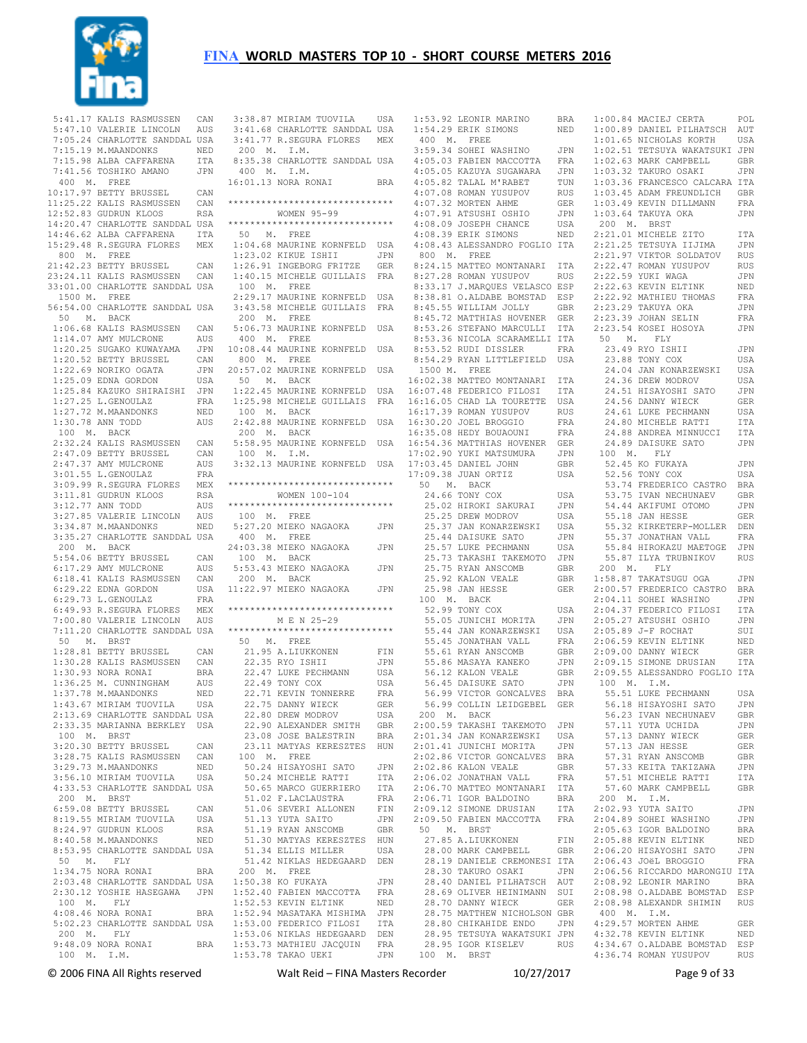

 5:41.17 KALIS RASMUSSEN CAN 5:47.10 VALERIE LINCOLN AUS 7:05.24 CHARLOTTE SANDDAL USA 7:15.19 M.MAANDONKS NED 7:15.98 ALBA CAFFARENA ITA 7:41.56 TOSHIKO AMANO JPN 400 M. FREE 10:17.97 BETTY BRUSSEL CAN 11:25.22 KALIS RASMUSSEN CAN 12:52.83 GUDRUN KLOOS RSA 14:20.47 CHARLOTTE SANDDAL USA 14:46.62 ALBA CAFFARENA ITA 15:29.48 R.SEGURA FLORES MEX 800 M. FREE 21:42.23 BETTY BRUSSEL CAN 23:24.11 KALIS RASMUSSEN CAN 33:01.00 CHARLOTTE SANDDAL USA 1500 M. FREE 56:54.00 CHARLOTTE SANDDAL USA 50 M. BACK 1:06.68 KALIS RASMUSSEN CAN 1:14.07 AMY MULCRONE AUS 1:20.25 SUGAKO KUWAYAMA JPN 1:20.52 BETTY BRUSSEL CAN 1:22.69 NORIKO OGATA JPN 1:25.09 EDNA GORDON USA 1:25.84 KAZUKO SHIRAISHI JPN 1:27.25 L.GENOULAZ FRA 1:27.72 M.MAANDONKS NED 1:30.78 ANN TODD AUS 100 M. BACK 2:32.24 KALIS RASMUSSEN CAN 2:47.09 BETTY BRUSSEL CAN 2:47.37 AMY MULCRONE AUS 3:01.55 L.GENOULAZ FRA 3:09.99 R.SEGURA FLORES MEX 3:11.81 GUDRUN KLOOS RSA  $3 \cdot 12$   $77$  ANN TODD AUS 3:27.85 VALERIE LINCOLN AUS 3:34.87 M.MAANDONKS NED 3:35.27 CHARLOTTE SANDDAL USA 200 M. BACK 5:54.06 BETTY BRUSSEL CAN 6:17.29 AMY MULCRONE AUS 6:18.41 KALIS RASMUSSEN CAN 6:29.22 EDNA GORDON USA 6:29.73 L.GENOULAZ FRA 6:49.93 R.SEGURA FLORES MEX 7:00.80 VALERIE LINCOLN AUS 7:11.20 CHARLOTTE SANDDAL USA 50 M. BRST 1:28.81 BETTY BRUSSEL CAN 1:30.28 KALIS RASMUSSEN CAN 1:30.93 NORA RONAI BRA 1:36.25 M. CUNNINGHAM AUS 1:37.78 M.MAANDONKS NED 1:43.67 MIRIAM TUOVILA USA 2:13.69 CHARLOTTE SANDDAL USA 2:33.35 MARIANNA BERKLEY USA 100 M. BRST 3:20.30 BETTY BRUSSEL CAN 3:28.75 KALIS RASMUSSEN CAN 3:29.73 M.MAANDONKS NED 3:56.10 MIRIAM TUOVILA USA 4:33.53 CHARLOTTE SANDDAL USA 200 M. BRST 6:59.08 BETTY BRUSSEL CAN 8:19.55 MIRIAM TUOVILA USA 8:24.97 GUDRUN KLOOS RSA 8:40.58 M.MAANDONKS NED 8:53.95 CHARLOTTE SANDDAL USA 50 M. FLY 1:34.75 NORA RONAI BRA 2:03.48 CHARLOTTE SANDDAL USA 2:30.12 YOSHIE HASEGAWA JPN 100 M. FLY 4:08.46 NORA RONAI BRA 5:02.23 CHARLOTTE SANDDAL USA 200 M. FLY 9:48.09 NORA RONAI BRA 100 M. I.M.

3:38.87 MIRIAM TUOVILA USA<br>3:41 69 CUARESCHIL 3:41.68 CHARLOTTE SANDDAL USA 3:41.77 R.SEGURA FLORES MEX 200 M. I.M. 8:35.38 CHARLOTTE SANDDAL USA 400 M. I.M. 16:01.13 NORA RONAI BRA \*\*\*\*\*\*\*\*\*\*\*\*\*\*\*\*\*\*\*\*\*\*\*\*\*\*\*\*\*\* WOMEN 95-99 \*\*\*\*\*\*\*\*\*\*\*\*\*\*\*\*\*\*\*\*\*\*\*\*\*\*\*\*\*\* 50 M. FREE 1:04.68 MAURINE KORNFELD USA 1:23.02 KIKUE ISHII JPN 1:26.91 INGEBORG FRITZE GER 1:40.15 MICHELE GUILLAIS FRA 100 M. FREE 2:29.17 MAURINE KORNFELD USA 3:43.58 MICHELE GUILLAIS FRA 200 M. FREE 5:06.73 MAURINE KORNFELD USA 400 M. FREE 10:08.44 MAURINE KORNFELD USA 800 M. FREE 20:57.02 MAURINE KORNFELD USA 50 M. BACK 1:22.45 MAURINE KORNFELD USA 1:25.98 MICHELE GUILLAIS FRA 100 M. BACK 2:42.88 MAURINE KORNFELD USA 16:30.20 JOEL BROGGIO FRA 200 M. BACK 5:58.95 MAURINE KORNFELD USA 100 M. I.M. 3:32.13 MAURINE KORNFELD USA 17:03.45 DANIEL JOHN GBR \*\*\*\*\*\*\*\*\*\*\*\*\*\*\*\*\*\*\*\*\*\*\*\*\*\*\*\*\*\* WOMEN 100-104 \*\*\*\*\*\*\*\*\*\*\*\*\*\*\*\*\*\*\*\*\*\*\*\*\*\*\*\*\*\* 100 M. FREE 5:27.20 MIEKO NAGAOKA JPN 400 M. FREE 24:03.38 MIEKO NAGAOKA JPN 100 M. BACK 5:53.43 MIEKO NAGAOKA JPN 200 M. BACK 11:22.97 MIEKO NAGAOKA JPN \*\*\*\*\*\*\*\*\*\*\*\*\*\*\*\*\*\*\*\*\*\*\*\*\*\*\*\*\*\* M E N 25-29 \*\*\*\*\*\*\*\*\*\*\*\*\*\*\*\*\*\*\*\*\*\*\*\*\*\*\*\*\*\* 50 M. FREE 21.95 A.LIUKKONEN FIN 22.35 RYO ISHII JPN 22.47 LUKE PECHMANN USA 22.49 TONY COX USA 22.71 KEVIN TONNERRE FRA 22.75 DANNY WIECK GER<br>22.80 DREW MODROV USA 22.80 DREW MODROV 22.90 ALEXANDER SMITH GBR 23.08 JOSE BALESTRIN BRA 23.11 MATYAS KERESZTES HUN 100 M. FREE 50.24 HISAYOSHI SATO JPN 50.24 MICHELE RATTI ITA 50.65 MARCO GUERRIERO ITA 51.02 F.LACLAUSTRA FRA 51.06 SEVERI ALLONEN FIN 51.13 YUTA SAITO JPN 51.19 RYAN ANSCOMB GBR 51.30 MATYAS KERESZTES HUN 51.34 ELLIS MILLER USA 51.42 NIKLAS HEDEGAARD DEN 200 M. FREE 1:50.38 KO FUKAYA JPN 1:52.40 FABIEN MACCOTTA FRA 1:52.53 KEVIN ELTINK NED 1:52.94 MASATAKA MISHIMA JPN 1:53.00 FEDERICO FILOSI ITA 1:53.06 NIKLAS HEDEGAARD DEN 1:53.73 MATHIEU JACQUIN FRA  $1:53.78$  TAKAO UEKI

1:53.92 LEONIR MARINO  $1:54.29$  ERIK SIMONS 400 M. FREE 3:59.34 SOHEI WASHINO JPN 4:05.03 FABIEN MACCOTTA FRA 4:05.05 KAZUYA SUGAWARA JPN 4:05.82 TALAL M'RABET TUN 4:07.08 ROMAN YUSUPOV RUS 4:07.32 MORTEN AHME GER 4:07.91 ATSUSHI OSHJO 4:08.09 JOSEPH CHANCE USA<br>4:08.39 ERIK SIMONS NED 4:08.39 ERIK SIMONS NED 4:08.43 ALESSANDRO FOGLIO ITA 2:21.25 TETSUYA IIJIMA JPN 800 M. FREE 8:24.15 MATTEO MONTANARI ITA 8:27.28 ROMAN YUSUPOV RUS 8:33.17 J.MARQUES VELASCO ESP 8:38.81 O.ALDABE BOMSTAD ESP 8:45.55 WILLIAM JOLLY GBR 8:45.72 MATTHIAS HOVENER GER 8:53.26 STEFANO MARCULLI ITA 8:53.36 NICOLA SCARAMELLI ITA 8:53.52 RUDI DISSLER FRA 8:54.29 RYAN LITTLEFIELD USA 1500 M. FREE 16:02.38 MATTEO MONTANARI ITA 16:07.48 FEDERICO FILOSI ITA 16:16.05 CHAD LA TOURETTE USA 16:17.39 ROMAN YUSUPOV RUS 16:35.08 HEDY BOUAOUNI FRA 16:54.36 MATTHIAS HOVENER GER 17:02.90 YUKI MATSUMURA JPN 17:09.38 JUAN ORTIZ USA 50 M. BACK 24.66 TONY COX USA 25.02 HIROKI SAKURAI JPN<br>25.02 HIROKI SAKURAI JPN<br>25.25 DREW MODROV USA 25.25 DREW MODROV 25.37 JAN KONARZEWSKI USA<br>25.44 DAISUKE SATO JPN 25.44 DAISUKE SATO JPN 25.57 LUKE PECHMANN USA 25.73 TAKASHI TAKEMOTO JPN 25.75 RYAN ANSCOMB GBR 25.92 KALON VEALE 25.98 JAN HESSE GER 100 M. BACK 52.99 TONY COX USA 55.05 JUNICHI MORITA JPN 55.44 JAN KONARZEWSKI USA se....<br>55.45 JONATHAN VALL FRA<br>55.61 RYAN ANSCOMB GBB 55.61 RYAN ANSCOMB GBR 55.86 MASAYA KANEKO JPN 56.12 KALON VEALE GBR 56.45 DAISUKE SATO JPN 56.99 VICTOR GONCALVES BRA 56.99 COLLIN LEIDGEBEL GER 200 M. BACK 2:00.59 TAKASHI TAKEMOTO JPN 2:01.34 JAN KONARZEWSKI USA<br>2:01.41 HUNICUL MORITA 2:01.41 JUNICHI MORITA JPN 2:02.86 VICTOR GONCALVES BRA 2:02.86 KALON VEALE GBR 2:06.02 JONATHAN VALL FRA 2:06.70 MATTEO MONTANARI ITA 2:06.71 IGOR BALDOINO BRA 2:09.12 SIMONE DRUSIAN ITA 2:09.50 FABIEN MACCOTTA FRA 50 M. BRST 50 M. BKST<br>27.85 A.LIUKKONEN FIN<br>28.00 MARK CAMPBELL GBR 28.00 MARK CAMPBELL GBR 28.19 DANIELE CREMONESI ITA 28.30 TAKURO OSAKI 28.40 DANIEL PILHATSCH AUT 28.69 OLIVER HEINIMANN SUI 28.70 DANNY WIECK GER 28.75 MATTHEW NICHOLSON GBR 28.80 CHIKAHIDE ENDO JPN 28.95 TETSUYA WAKATSUKI JPN 28.95 IGOR KISELEV RUS 100 M. BRST

 1:00.84 MACIEJ CERTA POL 1:00.89 DANIEL PILHATSCH AUT 1:01.65 NICHOLAS KORTH USA 1:02.51 TETSUYA WAKATSUKI JPN 1:02.63 MARK CAMPBELL GBR 1:03.32 TAKURO OSAKI JPN 1:03.36 FRANCESCO CALCARA ITA 1:03.45 ADAM FREUNDLICH GBR<br>1:03.49 KEVIN DILLMANN FRA  $1:03.49$  KEVIN DILLMANN JPN 1:03.49 KEVIN DILEMANN FRA<br>JPN 1:03.64 TAKUYA OKA JPN 200 M. BRST 2:21.01 MICHELE ZITO ITA 2:21.97 VIKTOR SOLDATOV RUS 2:22.47 ROMAN YUSUPOV RUS 2:22.59 YUKI WAGA JPN 2:22.63 KEVIN ELTINK NED 2:22.92 MATHIEU THOMAS FRA 2:23.29 TAKUYA OKA JPN 2:23.39 JOHAN SELIN FRA<br>2:23.54 KOSET HOSOYA JPN  $2:23.54$  KOSET HOSOYA 50 M. FLY 23.49 RYO ISHII JPN 23.88 TONY COX USA 24.04 JAN KONARZEWSKI USA 24.36 DREW MODROV USA 24.51 HISAYOSHI SATO JPN 24.56 DANNY WIECK GER 24.61 LUKE PECHMANN USA 24.80 MICHELE RATTI ITA 24.88 ANDREA MINNUCCI ITA 24.89 DAISUKE SATO JPN 100 M. FLY 52.45 KO FUKAYA JPN 52.56 TONY COX USA 53.74 FREDERICO CASTRO BRA 53.75 IVAN NECHUNAEV GBR<br>53.75 IVAN NECHUNAEV GBR 54.44 AKIFUMI OTOMO JIPN 55.18 JAN HESSE GER 55.32 KIRKETERP-MOLLER DEN 55.37 JONATHAN VALL FRA 55.84 HIROKAZU MAETOGE JPN 55.87 ILYA TRUBNIKOV RUS 200 M. FLY 1:58.87 TAKATSUGU OGA JPN 2:00.57 FREDERICO CASTRO BRA 2:04.11 SOHEI WASHINO JPN 2:04.37 FEDERICO FILOSI ITA 2:05.27 ATSUSHI OSHIO JPN  $2 \cdot 05$ .89 J-F ROCHAT SUIT 2:06.59 KEVIN ELTINK NED 2:09.00 DANNY WIECK GER 2:09.15 SIMONE DRUSIAN ITA 2:09.55 ALESSANDRO FOGLIO ITA 100 M. I.M. 55.51 LUKE PECHMANN USA 56.18 HISAYOSHI SATO JPN 56.23 IVAN NECHUNAEV GBR 57.11 YUTA UCHIDA JPN 57.13 DANNY WIECK GER 57.13 JAN HESSE GER 57.31 RYAN ANSCOMB GBR 57.33 KEITA TAKIZAWA JPN 57.51 MICHELE RATTI ITA 57.60 MARK CAMPBELL GBR 200 M. I.M. 2:02.93 YUTA SAITO JPN 2:04.89 SOHEI WASHINO JPN 2:05.63 IGOR BALDOINO BRA 2:05.88 KEVIN ELTINK NED 2:06.20 HISAYOSHI SATO JPN 2:06.43 JOëL BROGGIO FRA 2:06.56 RICCARDO MARONGIU ITA 2:08.92 LEONIR MARINO BRA 2:08.98 O.ALDABE BOMSTAD ESP 2:08.98 ALEXANDR SHIMIN RUS 400 M. I.M. 4:29.57 MORTEN AHME GER 4:32.78 KEVIN ELTINK NED 4:34.67 O.ALDABE BOMSTAD ESP 4:36.74 ROMAN YUSUPOV RUS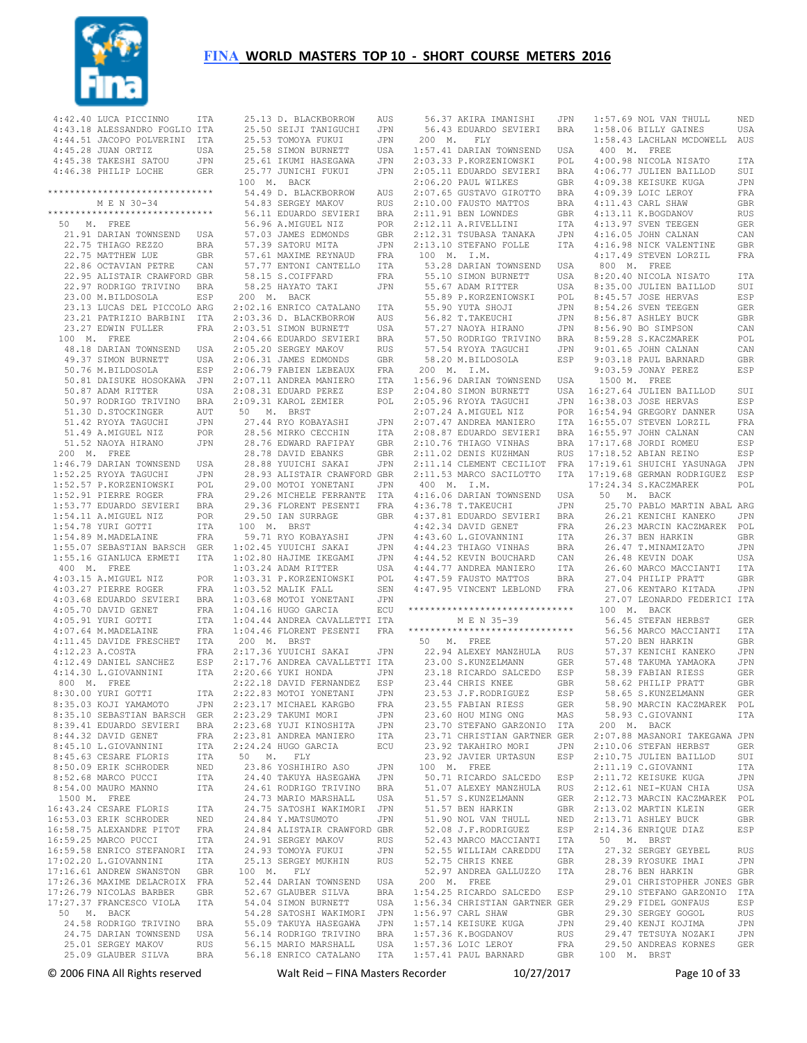

| 4:42.40 LUCA PICCINNO                                                                                                                                                            | ITA                         |
|----------------------------------------------------------------------------------------------------------------------------------------------------------------------------------|-----------------------------|
|                                                                                                                                                                                  |                             |
| 4:43.18 ALESSANDRO FOGLIO ITA                                                                                                                                                    |                             |
|                                                                                                                                                                                  |                             |
|                                                                                                                                                                                  |                             |
| 4:44.51 JACOPO POLVERINI ITA<br>4:45.28 JUAN ORTIZ USA<br>4:45.38 TAKESHI SATOU JPN<br>4:46.38 PHILIP LOCHE GER                                                                  |                             |
| 4:46.38 PHILIP LOCHE                                                                                                                                                             |                             |
|                                                                                                                                                                                  | GER                         |
|                                                                                                                                                                                  |                             |
| *****************************                                                                                                                                                    |                             |
| M E N 30-34                                                                                                                                                                      |                             |
| ******************************                                                                                                                                                   |                             |
|                                                                                                                                                                                  |                             |
| 50 M. FREE                                                                                                                                                                       |                             |
| 21.91 DARIAN TOWNSEND                                                                                                                                                            | USA                         |
|                                                                                                                                                                                  | BRA                         |
| 22.75 THIAGO REZZO<br>22.75 MATTHEW LUE                                                                                                                                          | GBR                         |
| 22.73 MATTHEW LUE 6BR<br>22.86 OCTAVIAN PETRE CAN                                                                                                                                |                             |
|                                                                                                                                                                                  |                             |
| 22.95 ALISTAIR CRAWFORD GBR                                                                                                                                                      |                             |
| 22.97 RODRIGO TRIVINO BRA<br>23.00 M.BILDOSOLA ESP                                                                                                                               |                             |
| 23.00 M.BILDOSOLA                                                                                                                                                                | ESP                         |
|                                                                                                                                                                                  |                             |
|                                                                                                                                                                                  | $\ddot{\phantom{0}}$        |
| 23.13 LUCAS DEL PICCOLO ARG<br>23.21 PATRIZIO BARBINI ITA                                                                                                                        | $\ddot{\phantom{a}}$        |
| 23.27 EDWIN FULLER                                                                                                                                                               | FRA                         |
| 100 M. FREE                                                                                                                                                                      |                             |
|                                                                                                                                                                                  |                             |
| 48.18 DARIAN TOWNSEND USA                                                                                                                                                        | ha ha ha ha ha ha ha ha     |
|                                                                                                                                                                                  |                             |
|                                                                                                                                                                                  |                             |
|                                                                                                                                                                                  |                             |
|                                                                                                                                                                                  |                             |
| 49.37 SIMON BURNETT USA<br>50.76 M.BILDOSOLA ESP<br>50.81 DAISUKE HOSOKAWA JPN<br>50.87 ADAM RITTER USA                                                                          |                             |
|                                                                                                                                                                                  | $\ddot{\phantom{0}}$        |
|                                                                                                                                                                                  |                             |
|                                                                                                                                                                                  |                             |
|                                                                                                                                                                                  |                             |
|                                                                                                                                                                                  |                             |
| 90.97 RODRIGO TRIVINO BRA<br>50.97 RODRIGO TRIVINO BRA<br>51.30 D.STOCKINGER AUT<br>51.42 RYOYA TAGUCHI JPN<br>51.49 A.MIGUEL NIZ POR<br>51.52 NAOYA HIRANO JPN                  |                             |
| 200 M. FREE                                                                                                                                                                      |                             |
| 1:46.79 DARIAN TOWNSEND USA<br>1:52.25 RYOYA TAGUCHI JPN<br>1:52.57 P.KORZENIOWSKI POL<br>1:52.91 PIERRE ROGER FRA<br>1:53.77 EDUARDO SEVIERI BRA<br>1:53.77 EDUARDO SEVIERI BRA |                             |
|                                                                                                                                                                                  |                             |
|                                                                                                                                                                                  |                             |
|                                                                                                                                                                                  |                             |
|                                                                                                                                                                                  |                             |
|                                                                                                                                                                                  |                             |
|                                                                                                                                                                                  |                             |
| 1:54.11 A.MIGUEL NIZ                                                                                                                                                             | POR                         |
| $1:54.78$ YURI GOTTI                                                                                                                                                             | ITA                         |
| 1:54.89 M. MADELAINE                                                                                                                                                             | FRA                         |
| 1:55.07 SEBASTIAN BARSCH GER                                                                                                                                                     |                             |
|                                                                                                                                                                                  | ĵ                           |
| 1:55.16 GIANLUCA ERMETI                                                                                                                                                          | ITA                         |
| 400 M. FREE                                                                                                                                                                      |                             |
| 4:03.15 A.MIGUEL NIZ<br>4:03.27 PIERRE ROGER FRA                                                                                                                                 |                             |
|                                                                                                                                                                                  |                             |
|                                                                                                                                                                                  |                             |
| 4:03.68 EDUARDO SEVIERI BRA                                                                                                                                                      |                             |
| $4:05.70$ DAVID GENET                                                                                                                                                            | FRA                         |
| $4:05.91$ YURI GOTTI                                                                                                                                                             | ITA                         |
| $4:07.64$ M.MADELAINE<br>$4:11.45$ primary                                                                                                                                       | FRA                         |
|                                                                                                                                                                                  |                             |
| 4:11.45 DAVIDE FRESCHET                                                                                                                                                          | ITA                         |
| 4:12.23 A.COSTA                                                                                                                                                                  | FRA                         |
| 4:12.49 DANIEL SANCHEZ ESP<br>4:14 30 L.GTOVANNINI ITA                                                                                                                           |                             |
| 4:14.30 L.GIOVANNINI                                                                                                                                                             | ITA                         |
|                                                                                                                                                                                  |                             |
| 800 M. FREE                                                                                                                                                                      | 63.63.63.63.63              |
| 8:30.00 YURI GOTTI                                                                                                                                                               | ITA                         |
| 8:35.03 KOJI YAMAMOTO                                                                                                                                                            | JPN<br>ï                    |
| 8:35.10 SEBASTIAN BARSCH                                                                                                                                                         | $\ddot{\phantom{0}}$<br>GER |
| 8:39.41 EDUARDO SEVIERI                                                                                                                                                          | BRA                         |
|                                                                                                                                                                                  |                             |
| 8:44.32 DAVID GENET                                                                                                                                                              | $\sim$<br>FRA               |
| 8:45.10 L.GIOVANNINI                                                                                                                                                             | ITA                         |
| 8:45.63 CESARE FLORIS                                                                                                                                                            | <b>ITA</b>                  |
| 8:50.09 ERIK SCHRODER                                                                                                                                                            | NED                         |
|                                                                                                                                                                                  |                             |
| 8:52.68 MARCO PUCCI                                                                                                                                                              | <b>ITA</b>                  |
| 8:54.00 MAURO MANNO                                                                                                                                                              | ITA                         |
| 1500 M.<br>FREE                                                                                                                                                                  |                             |
| 16:43.24 CESARE FLORIS                                                                                                                                                           | ITA                         |
| 16:53.03 ERIK SCHRODER                                                                                                                                                           | NED                         |
|                                                                                                                                                                                  |                             |
| 16:58.75 ALEXANDRE PITOT                                                                                                                                                         | FRA                         |
| 16:59.25 MARCO PUCCI                                                                                                                                                             | <b>ITA</b>                  |
| 16:59.58 ENRICO STEFANORI                                                                                                                                                        | ITA                         |
| 17:02.20 L.GIOVANNINI                                                                                                                                                            | <b>ITA</b>                  |
|                                                                                                                                                                                  |                             |
| 17:16.61 ANDREW SWANSTON                                                                                                                                                         | GBR                         |
| 17:26.36 MAXIME DELACROIX                                                                                                                                                        | FRA                         |
| 17:26.79 NICOLAS BARBER                                                                                                                                                          | GBR                         |
| 17:27.37 FRANCESCO VIOLA                                                                                                                                                         |                             |
|                                                                                                                                                                                  | ITA                         |
| 50 M. BACK                                                                                                                                                                       |                             |
| 24.58 RODRIGO TRIVINO                                                                                                                                                            | BRA                         |
| 24.75 DARIAN TOWNSEND                                                                                                                                                            | USA                         |
| 25.01 SERGEY MAKOV                                                                                                                                                               | <b>RUS</b>                  |
| 25.09 GLAUBER SILVA                                                                                                                                                              |                             |
|                                                                                                                                                                                  | <b>BRA</b>                  |

25.53 TOMOYA FUKUI JPN 25.58 SIMON BURNETT USA 25.50 SINGLE PROBLEMA JPN 25.77 JUNICHI FUKUI JPN 100 M. BACK 54.49 D. BLACKBORROW AUS<br>54.83 SERGEY MAKOV RUS 54.83 SERGEY MAKOV 56.11 EDUARDO SEVIERI BRA 56.96 A.MIGUEL NIZ POR 57.03 JAMES EDMONDS GBR<br>57.39 SATORU MITA JPN 57.39 SATORU MITA 57.61 MAXIME REYNAUD FRA<br>57.77 ENTONI CANTELLO ITA 57.77 ENTONI CANTELLO ITA 58.15 S.COIFFARD FRA 58.25 HAYATO TAKI JPN 200 M. BACK 2:02.16 ENRICO CATALANO ITA 2:03.36 D. BLACKBORROW AUS 2:03.51 SIMON BURNETT USA 2:04.66 EDUARDO SEVIERI BRA<br>2:05.20 SERGEY MAKOV RUS 2:05.20 SERGEY MAKOV RUS 2:06.31 JAMES EDMONDS GBR 2:06.79 FABIEN LEBEAUX FRA 2:07.11 ANDREA MANIERO ITA 2:08.31 EDUARD PEREZ ESP 2:09.31 KAROL ZEMIER POL 50 M. BRST 27.44 RYO KOBAYASHI JPN 28.56 MIRKO CECCHIN ITA 28.76 EDWARD RAFIPAY GBR 28.78 DAVID EBANKS GBR 28.88 YUUICHI SAKAI JPN 28.93 ALISTAIR CRAWFORD GBR 29.00 MOTOI YONETANI JPN 29.26 MICHELE FERRANTE ITA<br>29.36 FLORENT PESENTI FRA 29.36 FLORENT PESENTI FRA 29.50 IAN SURRAGE GBR 100 M. BRST 59.71 RYO KOBAYASHI JPN 1:02.45 YUUICHI SAKAI JPN 1:02.80 HAJIME IKEGAMI JPN 1:03.24 ADAM RITTER USA<br>1:03.31 P.KORZENIOWSKI POL 1:03.31 P.KORZENIOWSKI 1:03.52 MALIK FALL SEN 1:03.68 MOTOI YONETANI JPN  $1:04.16$  HUGO GARCIA 1:04.44 ANDREA CAVALLETTI ITA 1:04.46 FLORENT PESENTI FRA 200 M. BRST 2:17.36 YUUICHI SAKAI JPN 2:17.36 YUULCHI SAKAI JUN<br>2:17.76 ANDREA CAVALLETTI ITA<br>2:20.66 YUKI UONDA 2:20.66 YUKI HONDA JPN 2:22.18 DAVID FERNANDEZ ESP 2:22.83 MOTOI YONETANI JPN 2:23.17 MICHAEL KARGBO  $2:23.29$  TAKUMI MORI 2:23.68 YUJI KINOSHITA JPN 2:23.81 ANDREA MANIERO ITA 2:24.24 HUGO GARCIA ECU 50 M. FLY 23.86 YOSHIHIRO ASO JPN 24.40 TAKUYA HASEGAWA JPN 24.61 RODRIGO TRIVINO BRA 24.73 MARIO MARSHALL USA 24.75 SATOSHI WAKIMORI JPN 24.84 Y.MATSUMOTO JPN 24.84 ALISTAIR CRAWFORD GBR 24.91 SERGEY MAKOV RUS 24.93 TOMOYA FUKUI JPN 25.13 SERGEY MUKHIN RUS 100 M. FLY 52.44 DARIAN TOWNSEND 52.67 GLAUBER SILVA 54.04 STMON BURNETT USA 54.28 SATOSHI WAKIMORI JPN 55.09 TAKUYA HASEGAWA JPN 56.14 RODRIGO TRIVINO BRA 56.15 MARIO MARSHALL USA 56.18 ENRICO CATALANO ITA

 25.13 D. BLACKBORROW AUS 25.50 SEIJI TANIGUCHI JPN 56.37 AKIRA IMANISHI JPN 56.43 EDUARDO SEVIERI BRA 1:57.69 NOL VAN THULL NED 1:58.06 BILLY GAINES USA 200 M. FLY 1:57.41 DARIAN TOWNSEND USA 2:03.33 P.KORZENIOWSKI POL 2:05.11 EDUARDO SEVIERI BRA  $2:06.20$  PAUL WILKES 2:07.65 GUSTAVO GIROTTO BRA 100 M. I.M. 53.28 DARIAN TOWNSEND USA 55.67 ADAM RITTER USA 55.89 P.KORZENIOWSKI 55.90 YUTA SHOJI JPN 56.82 T.TAKEUCHI JPN 57.27 NAOYA HIRANO JPN 57.50 RODRIGO TRIVINO BRA 200 M. I.M. 1:56.96 DARIAN TOWNSEND USA  $2 \cdot 07.24$  A MIGUEL NTZ  $2:07.47$  ANDREA MANIERO 2:08.87 EDUARDO SEVIERI BRA 2:10.76 THIAGO VINHAS BRA 2:11.02 DENIS KUZHMAN RUS 400 M. I.M. 4:16.06 DARIAN TOWNSEND USA<br>4:36.78 T.TAKEUCHI JPN 4:36.78 T.TAKEUCHI JPN 4:37.81 EDUARDO SEVIERI BRA 4:42.34 DAVID GENET FRA 4:43.60 L.GIOVANNINI ITA 4:44.23 THIAGO VINHAS BRA 4:44.52 KEVIN BOUCHARD CAN 4:44.77 ANDREA MANIERO ITA 4:47.59 FAUSTO MATTOS BRA 4:47.95 VINCENT LEBLOND FRA \*\*\*\*\*\*\*\*\*\*\*\*\*\*\*\*\*\*\*\*\*\*\*\*\*\*\*\*\*\* 100 M. BACK M F N 35-39 \*\*\*\*\*\*\*\*\*\*\*\*\*\*\*\*\*\*\*\*\*\*\*\*\*\*\*\*\*\* 50 M. FREE 22.94 ALEXEY MANZHULA RUS 23.00 S.KUNZELMANN GER 23.18 RICARDO SALCEDO ESP 23.44 CHRIS KNEE GBR 23.53 J.F.RODRIGUEZ ESP 23.55 FABIAN RIESS GER<br>
23.60 HOU MING ONG MAS<br>
23.70 STEFANO GARZONIO ITA<br>
23.71 CHRISTIAN GARTNER GER<br>
23.92 TAKAHIRO MORI JPN<br>
23.92 JAVIER URTASUN ESP 100 M. FREE 50.71 RICARDO SALCEDO ESP<br>51.07 ALEXEY MANZHULA RUS<br>51.57 S.KUNZELMANN GER<br>51.57 BEN HARKIN GBR<br>51.90 NOL VAN THULL NED 51.90 NOL VAN THULL NED<br>52.08 J.F.RODRIGUEZ ESP<br>52.43 MARCO MACCIANTI ITA 52.43 MARCO MACCIANTI ITA 52.55 WILLIAM CAREDDU ITA 52.75 CHRIS KNEE GBR 52.97 ANDREA GALLUZZO ITA 200 M. FREE 1:54.25 RICARDO SALCEDO ESP 1:56.34 CHRISTIAN GARTNER GER 1:56.97 CARL SHAW GBR 1:57.14 KEISUKE KUGA JPN 1:57.36 K.BOGDANOV RUS 1:57.36 LOIC LEROY FRA 1:57.41 PAUL BARNARD GBR

 2:10.00 FAUSTO MATTOS BRA 2:11.91 BEN LOWNDES GBR 4:13.11 K.BOGDANOV RUS 2:12.11 A.RIVELLINI ITA 2:12.31 TSUBASA TANAKA JPN 4:13.97 SVEN TEEGEN GER 4:16.05 JOHN CALNAN CAN 2:13.10 STEFANO FOLLE ITA 4:16.98 NICK VALENTINE GBR 55.10 SIMON BURNETT USA 8:20.40 NICOLA NISATO ITA 57.54 RYOYA TAGUCHI JPN 58.20 M.BILDOSOLA ESP 9:01.65 JOHN CALNAN CAN 9:03.18 PAUL BARNARD GBR 2:04.80 SIMON BURNETT USA 2:05.96 RYOYA TAGUCHI JPN 16:27.64 JULIEN BAILLOD SUI 16:38.03 JOSE HERVAS ESP 2:11.14 CLEMENT CECILIOT FRA 17:19.61 SHUICHI YASUNAGA JPN 2:11.53 MARCO SACILOTTO ITA 17:19.68 GERMAN RODRIGUEZ ESP 1:58.43 LACHLAN MCDOWELL AUS 400 M. FREE 4:00.98 NICOLA NISATO ITA BRA 4:06.77 JULIEN BAILLOD SUI 4:09.38 KEISUKE KUGA JPN 4:09.39 LOIC LEROY FRA 4:11.43 CARL SHAW GBR 4:17.49 STEVEN LORZIL FRA 800 M. FREE 8:35.00 JULIEN BAILLOD SUI 8:45.57 JOSE HERVAS ESP 8:54.26 SVEN TEEGEN GER SIN SISTER STAR TABSAN CAN SAN 8:56.90 BO SIMPSON CAN 8:59.28 S.KACZMAREK POL 9:03.59 JONAY PEREZ ESP 1500 M. FREE 16:54.94 GREGORY DANNER USA 16:55.07 STEVEN LORZIL FRA 16:55.97 JOHN CALNAN CAN 17:17.68 JORDI ROMEU ESP 17:18.52 ABIAN REINO ESP 17:24.34 S.KACZMAREK POL<br>50 M. BACK<br>25.30 Nines in 50 M. BACK<br>25.70 PABLO MARTIN ABAL ARG 25.70 PABLO MARTIN ABAL ARG 26.21 KENICHI KANEKO JPN 26.23 MARCIN KACZMAREK POL 26.37 BEN HARKIN GBR 26.47 T.MINAMIZATO JPN 26.48 KEVIN DOAK USA 26.60 MARCO MACCIANTI ITA 27.04 PHILIP PRATT GBR 27.06 KENTARO KITADA JPN 27.07 LEONARDO FEDERICI ITA 56.45 STEFAN HERBST GER 56.56 MARCO MACCIANTI ITA 57.20 BEN HARKIN GBR 57.37 KENICHI KANEKO JPN 57.48 TAKUMA YAMAOKA JPN 58.39 FABIAN RIESS GER 58.62 PHILIP PRATT GBR 58.65 S.KUNZELMANN GER 58.90 MARCIN KACZMAREK POL 58.93 C.GIOVANNI ITA 200 M. BACK 2:07.88 MASANORI TAKEGAWA JPN 62:07.88 MASANORI TAKEGAWA JPN 62:10.06 STEFAN HERBST GER 2:10.75 JULIEN BAILLOD SUI 2:11.19 C.GIOVANNI ITA 50.71 RICARDO SALCEDO ESP 2:11.72 KEISUKE KUGA JPN 2:12.61 NEI-KUAN CHIA USA 2:12.73 MARCIN KACZMAREK POL 2:13.02 MARTIN KLEIN GER 2:13.71 ASHLEY BUCK GBR 2:14.36 ENRIQUE DIAZ ESP 50 M. BRST 27.32 SERGEY GEYBEL RUS 28.39 RYOSUKE IMAI JPN 28.76 BEN HARKIN GBR 29.01 CHRISTOPHER JONES GBR 29.10 STEFANO GARZONIO ITA 29.29 FIDEL GONFAUS ESP 29.30 SERGEY GOGOL RUS 29.40 KENJI KOJIMA JPN<br>29.47 TETSUYA NOZAKI JPN 29.47 TETSUYA NOZAKI JPN 29.50 ANDREAS KORNES GER 100 M. BRST

© 2006 FINA All Rights reserved Walt Reid – FINA Masters Recorder 10/27/2017 Page 10 of 33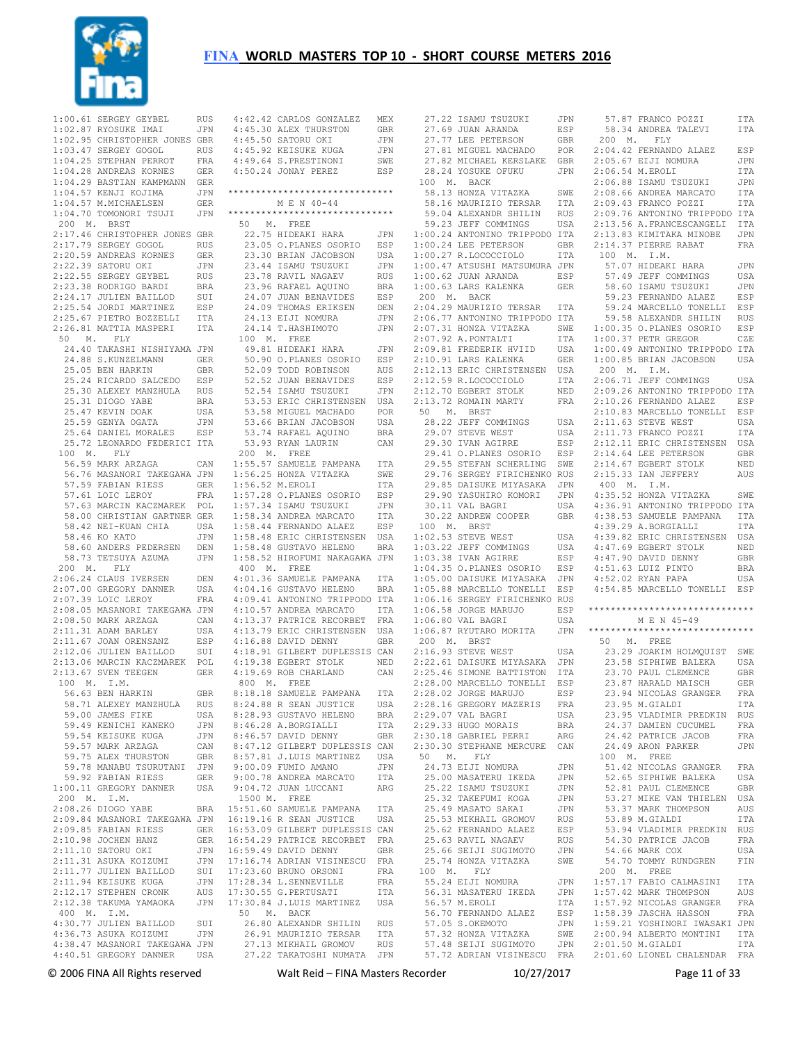

|                    | 1:00.61 SERGEY GEYBEL         | RUS        |                 | 4:42.42 CARLOS GONZA  |
|--------------------|-------------------------------|------------|-----------------|-----------------------|
|                    | 1:02.87 RYOSUKE IMAI          | JPN        |                 | 4:45.30 ALEX THURSTO  |
|                    |                               |            |                 |                       |
|                    | 1:02.95 CHRISTOPHER JONES GBR |            |                 | 4:45.50 SATORU OKI    |
|                    | 1:03.47 SERGEY GOGOL          | <b>RUS</b> |                 | 4:45.92 KEISUKE KUGA  |
|                    | 1:04.25 STEPHAN PERROT        | FRA        |                 | 4:49.64 S.PRESTINONI  |
|                    | 1:04.28 ANDREAS KORNES        | GER        |                 | 4:50.24 JONAY PEREZ   |
|                    |                               |            |                 |                       |
|                    | 1:04.29 BASTIAN KAMPMANN      | <b>GER</b> |                 |                       |
|                    | 1:04.57 KENJI KOJIMA          | JPN        |                 | ********************* |
|                    | 1:04.57 M.MICHAELSEN          | GER        |                 | M E N 40-44           |
|                    | 1:04.70 TOMONORI TSUJI        | JPN        |                 | ********************* |
|                    |                               |            |                 |                       |
| 200 M.             | <b>BRST</b>                   |            | 50 M. FREE      |                       |
|                    | 2:17.46 CHRISTOPHER JONES GBR |            |                 | 22.75 HIDEAKI HARA    |
|                    | 2:17.79 SERGEY GOGOL          | RUS        |                 | 23.05 O.PLANES OSO    |
|                    | 2:20.59 ANDREAS KORNES        | GER        |                 | 23.30 BRIAN JACOBS    |
|                    |                               |            |                 |                       |
|                    | 2:22.39 SATORU OKI            | JPN        |                 | 23.44 ISAMU TSUZUK    |
|                    | 2:22.55 SERGEY GEYBEL         | RUS        |                 | 23.78 RAVIL NAGAEV    |
|                    | 2:23.38 RODRIGO BARDI         | BRA        |                 | 23.96 RAFAEL AQUIN    |
|                    | 2:24.17 JULIEN BAILLOD        |            |                 | 24.07 JUAN BENAVID    |
|                    |                               | SUI        |                 |                       |
|                    | 2:25.54 JORDI MARTINEZ        | ESP        |                 | 24.09 THOMAS ERIKS    |
|                    | 2:25.67 PIETRO BOZZELLI       | ITA        |                 | 24.13 EIJI NOMURA     |
|                    | 2:26.81 MATTIA MASPERI        | ITA        |                 | 24.14 T.HASHIMOTO     |
|                    |                               |            |                 |                       |
| 50                 | М.<br>FLY                     |            | 100 M.          | FREE                  |
|                    | 24.40 TAKASHI NISHIYAMA JPN   |            |                 | 49.81 HIDEAKI HARA    |
|                    | 24.88 S.KUNZELMANN            | GER        |                 | 50.90 O.PLANES OSO    |
|                    | 25.05 BEN HARKIN              | GBR        |                 | 52.09 TODD ROBINSO    |
|                    |                               |            |                 |                       |
|                    | 25.24 RICARDO SALCEDO         | ESP        |                 | 52.52 JUAN BENAVID    |
|                    | 25.30 ALEXEY MANZHULA         | RUS        |                 | 52.54 ISAMU TSUZUK    |
|                    | 25.31 DIOGO YABE              | BRA        |                 | 53.53 ERIC CHRISTE    |
|                    | 25.47 KEVIN DOAK              | USA        |                 | 53.58 MIGUEL MACHA    |
|                    |                               |            |                 |                       |
|                    | 25.59 GENYA OGATA             | JPN        |                 | 53.66 BRIAN JACOBS    |
|                    | 25.64 DANIEL MORALES          | ESP        |                 | 53.74 RAFAEL AQUIN    |
|                    | 25.72 LEONARDO FEDERICI ITA   |            |                 | 53.93 RYAN LAURIN     |
| 100 M.             | FLY                           |            | 200 M.          | FREE                  |
|                    |                               |            |                 |                       |
|                    | 56.59 MARK ARZAGA             | CAN        |                 | 1:55.57 SAMUELE PAMP  |
|                    | 56.76 MASANORI TAKEGAWA JPN   |            |                 | 1:56.25 HONZA VITAZK  |
|                    | 57.59 FABIAN RIESS            | <b>GER</b> | 1:56.52 M.EROLI |                       |
|                    |                               |            |                 | 1:57.28 O.PLANES OSO  |
|                    | 57.61 LOIC LEROY              | FRA        |                 |                       |
|                    | 57.63 MARCIN KACZMAREK        | POL        |                 | 1:57.34 ISAMU TSUZUK  |
|                    | 58.00 CHRISTIAN GARTNER GER   |            |                 | 1:58.34 ANDREA MARCA  |
|                    | 58.42 NEI-KUAN CHIA           | USA        |                 | 1:58.44 FERNANDO ALA  |
|                    |                               |            |                 |                       |
|                    | 58.46 KO KATO                 | JPN        |                 | 1:58.48 ERIC CHRISTE  |
|                    | 58.60 ANDERS PEDERSEN         | DEN        |                 | 1:58.48 GUSTAVO HELE  |
|                    | 58.73 TETSUYA AZUMA           | JPN        |                 | 1:58.52 HIROFUMI NAK  |
| 200 M.             | FLY                           |            | 400 M.          | FREE                  |
|                    |                               |            |                 |                       |
|                    | 2:06.24 CLAUS IVERSEN         | DEN        |                 | 4:01.36 SAMUELE PAMP  |
|                    | 2:07.00 GREGORY DANNER        | USA        |                 | 4:04.16 GUSTAVO HELE  |
|                    | 2:07.39 LOIC LEROY            | FRA        |                 | 4:09.41 ANTONINO TRI  |
|                    | 2:08.05 MASANORI TAKEGAWA JPN |            |                 | 4:10.57 ANDREA MARCA  |
|                    |                               |            |                 |                       |
|                    | 2:08.50 MARK ARZAGA           | CAN        |                 | 4:13.37 PATRICE RECO  |
|                    | 2:11.31 ADAM BARLEY           | USA        |                 | 4:13.79 ERIC CHRISTE  |
|                    | 2:11.67 JOAN ORENSANZ         | ESP        |                 | 4:16.88 DAVID DENNY   |
|                    | 2:12.06 JULIEN BAILLOD        | SUI        |                 | 4:18.91 GILBERT DUPL  |
|                    |                               |            |                 |                       |
|                    | 2:13.06 MARCIN KACZMAREK      | POL        |                 | 4:19.38 EGBERT STOLK  |
|                    | 2:13.67 SVEN TEEGEN           | GER        |                 | 4:19.69 ROB CHARLAND  |
| 100 M.             | I.M.                          |            | 800 M.          | FREE                  |
|                    | 56.63 BEN HARKIN              | <b>GBR</b> |                 | 8:18.18 SAMUELE PAMP  |
|                    |                               |            |                 |                       |
|                    | 58.71 ALEXEY MANZHULA         | <b>RUS</b> |                 | 8:24.88 R SEAN JUSTI  |
|                    | 59.00 JAMES FIKE              | USA        |                 | 8:28.93 GUSTAVO HELE  |
|                    | 59.49 KENICHI KANEKO          | JPN        |                 | 8:46.28 A.BORGIALLI   |
|                    | 59.54 KEISUKE KUGA            | JPN        |                 | 8:46.57 DAVID DENNY   |
|                    | 59.57 MARK ARZAGA             |            |                 | 8:47.12 GILBERT DUPL  |
|                    |                               | CAN        |                 |                       |
|                    | 59.75 ALEX THURSTON           | GBR        |                 | 8:57.81 J.LUIS MARTI  |
|                    | 59.78 MANABU TSURUTANI        | JPN        |                 | 9:00.09 FUMIO AMANO   |
|                    | 59.92 FABIAN RIESS            | <b>GER</b> |                 | 9:00.78 ANDREA MARCA  |
|                    | 1:00.11 GREGORY DANNER        | USA        |                 | 9:04.72 JUAN LUCCANI  |
|                    |                               |            |                 |                       |
| 200 M.             | I.M.                          |            | 1500 M.         | FREE                  |
| 2:08.26 DIOGO YABE |                               | BRA        |                 | 15:51.60 SAMUELE PAMP |
|                    |                               |            |                 |                       |
|                    |                               |            |                 |                       |
|                    | 2:09.84 MASANORI TAKEGAWA JPN |            |                 | 16:19.16 R SEAN JUSTI |
|                    | 2:09.85 FABIAN RIESS          | GER        |                 | 16:53.09 GILBERT DUPL |
|                    | 2:10.98 JOCHEN HANZ           | GER        |                 | 16:54.29 PATRICE RECO |
|                    | 2:11.10 SATORU OKI            | JPN        |                 | 16:59.49 DAVID DENNY  |
|                    |                               |            |                 |                       |
|                    | 2:11.31 ASUKA KOIZUMI         | JPN        |                 | 17:16.74 ADRIAN VISIN |
|                    | 2:11.77 JULIEN BAILLOD        | SUI        |                 | 17:23.60 BRUNO ORSONI |
|                    | 2:11.94 KEISUKE KUGA          | JPN        |                 | 17:28.34 L.SENNEVILLE |
|                    | 2:12.17 STEPHEN CRONK         | AUS        |                 | 17:30.55 G.PERTUSATI  |
|                    |                               |            |                 |                       |
|                    | 2:12.38 TAKUMA YAMAOKA        | JPN        |                 | 17:30.84 J.LUIS MARTI |
| 400 M. I.M.        |                               |            | 50<br>М.        | BACK                  |
|                    | 4:30.77 JULIEN BAILLOD        | SUI        |                 | 26.80 ALEXANDR SHI    |
|                    | 4:36.73 ASUKA KOIZUMI         | JPN        |                 | 26.91 MAURIZIO TER    |
|                    |                               |            |                 |                       |
|                    | 4:38.47 MASANORI TAKEGAWA JPN |            |                 | 27.13 MIKHAIL GROM    |
|                    | 4:40.51 GREGORY DANNER        | USA        |                 | 27.22 TAKATOSHI NU    |

|              | 4:42.42 CARLOS GONZALEZ                                      | MEX        | 27     |
|--------------|--------------------------------------------------------------|------------|--------|
|              | 4:45.30 ALEX THURSTON                                        | GBR        | 27     |
|              | 4:45.50 SATORU OKI                                           | JPN        |        |
|              |                                                              |            | 27     |
|              | 4:45.92 KEISUKE KUGA                                         | JPN        | $2\,7$ |
|              | 4:49.64 S.PRESTINONI                                         | SWE        | 27     |
|              | 4:50.24 JONAY PEREZ                                          | ESP        | $2\,8$ |
|              |                                                              |            | 100    |
|              | *****************************                                |            | 58     |
|              | M E N 40-44                                                  |            | 58     |
|              | ******************************                               |            | 59     |
|              | 50 M. FREE                                                   |            | 59     |
|              | 22.75 HIDEAKI HARA                                           | JPN        | 1:00   |
|              | 23.05 O.PLANES OSORIO                                        | ESP        | 1:00   |
|              |                                                              |            |        |
|              | 23.30 BRIAN JACOBSON                                         | USA        | 1:00   |
|              | 23.44 ISAMU TSUZUKI                                          | JPN        | 1:00   |
|              | 23.78 RAVIL NAGAEV                                           | RUS        | 1:00   |
|              | 23.96 RAFAEL AQUINO                                          | BRA        | 1:00   |
|              | 24.07 JUAN BENAVIDES                                         | ESP        | 200    |
|              | 24.09 THOMAS ERIKSEN                                         | DEN        | 2:04   |
|              | 24.13 EIJI NOMURA                                            | JPN        | 2:06   |
|              | 24.14 T.HASHIMOTO                                            | JPN        | 2:07   |
|              | 100 M. FREE                                                  |            | 2:07   |
|              | 49.81 HIDEAKI HARA                                           | JPN        | 2:09   |
|              | 50.90 O.PLANES OSORIO                                        | ESP        | 2:10   |
|              | 52.09 TODD ROBINSON                                          | AUS        | 2:12   |
|              | 52.52 JUAN BENAVIDES                                         |            | 2:12   |
|              |                                                              | ESP        |        |
|              | 52.54 ISAMU TSUZUKI                                          | JPN        | 2:12   |
|              | 53.53 ERIC CHRISTENSEN USA                                   |            | 2:13   |
|              | 53.58 MIGUEL MACHADO                                         | POR        | 50     |
|              | 53.66 BRIAN JACOBSON                                         | USA        | $2\,8$ |
|              | 53.74 RAFAEL AQUINO                                          | BRA        | 29     |
|              | 53.93 RYAN LAURIN                                            | CAN        | 29     |
|              | 200 M. FREE                                                  |            | 29     |
|              | 1:55.57 SAMUELE PAMPANA                                      | ITA        | 29     |
|              | 1:56.25 HONZA VITAZKA                                        | SWE        | 29     |
|              | 1:56.52 M.EROLI                                              | ITA        | 29     |
|              |                                                              |            |        |
|              | 1:57.28 O.PLANES OSORIO                                      | ESP        | 29     |
|              | 1:57.34 ISAMU TSUZUKI                                        | JPN        | $30\,$ |
|              | 1:58.34 ANDREA MARCATO                                       | ITA        | 30     |
|              | 1:58.44 FERNANDO ALAEZ                                       | ESP        | 100    |
|              | 1:58.48 ERIC CHRISTENSEN                                     | USA        | 1:02   |
|              | 1:58.48 GUSTAVO HELENO                                       | BRA        | 1:03   |
|              | 1:58.52 HIROFUMI NAKAGAWA JPN                                |            | 1:03   |
| 400 M. FREE  |                                                              |            | 1:04   |
|              | 4:01.36 SAMUELE PAMPANA                                      | ITA        | 1:05   |
|              | 4:04.16 GUSTAVO HELENO                                       | BRA        | 1:05   |
|              | 4:09.41 ANTONINO TRIPPODO ITA                                |            | 1:06   |
|              | 4:10.57 ANDREA MARCATO                                       | ITA        | 1:06   |
|              |                                                              |            | 1:06   |
|              | 4:13.37 PATRICE RECORBET FRA<br>4:13.79 ERIC CHRISTENSEN USA |            |        |
|              |                                                              |            | 1:06   |
|              | 4:16.88 DAVID DENNY                                          | GBR        | 200    |
|              | 4:18.91 GILBERT DUPLESSIS CAN                                |            | 2:16   |
|              | 4:19.38 EGBERT STOLK                                         | NED        | 2:22   |
|              | 4:19.69 ROB CHARLAND                                         | CAN        | 2:25   |
| 800 M. FREE  |                                                              |            | 2:28   |
| 8:18.18      | SAMUELE PAMPANA                                              | <b>ITA</b> | 2:28   |
|              | 8:24.88 R SEAN JUSTICE                                       | USA        | 2:28   |
|              | 8:28.93 GUSTAVO HELENO                                       | BRA        | 2:29   |
|              | 8:46.28 A.BORGIALLI                                          | ITA        | 2:29   |
|              | 8:46.57 DAVID DENNY                                          | GBR        | 2:30   |
|              | 8:47.12 GILBERT DUPLESSIS CAN                                |            | 2:30   |
|              | 8:57.81 J.LUIS MARTINEZ USA                                  |            | 50     |
|              |                                                              |            |        |
|              | 9:00.09 FUMIO AMANO                                          | JPN        | 24     |
|              | 9:00.78 ANDREA MARCATO                                       | ITA        | 25     |
|              | 9:04.72 JUAN LUCCANI                                         | ARG        | 25     |
| 1500 M. FREE |                                                              |            | 25     |
|              | 15:51.60 SAMUELE PAMPANA                                     | ITA        | 25     |
|              | 16:19.16 R SEAN JUSTICE USA                                  |            | 25     |
|              | 16:53.09 GILBERT DUPLESSIS CAN                               |            | 25     |
|              | 16:54.29 PATRICE RECORBET FRA                                |            | 25     |
|              | 16:59.49 DAVID DENNY                                         | GBR        | 25     |
|              | 17:16.74 ADRIAN VISINESCU FRA                                |            | 25     |
|              | 17:23.60 BRUNO ORSONI                                        | FRA        | 100    |
|              | 17:28.34 L.SENNEVILLE                                        | FRA        | 55     |
|              | 17:30.55 G.PERTUSATI                                         | ITA        | 56     |
|              | 17:30.84 J.LUIS MARTINEZ                                     | USA        | 56     |
|              | 50 M. BACK                                                   |            | 56     |
|              | 26.80 ALEXANDR SHILIN                                        |            | 57     |
|              |                                                              | RUS        |        |
|              | 26.91 MAURIZIO TERSAR                                        | ITA        | 57     |
|              | 27.13 MIKHAIL GROMOV                                         | RUS        | 57     |

|                 | 4:42.42 CARLOS GONZALEZ        | MEX        |                     | 27.22 ISAMU TSUZUKI                                 | JPN | 57.87             |
|-----------------|--------------------------------|------------|---------------------|-----------------------------------------------------|-----|-------------------|
|                 | 4:45.30 ALEX THURSTON          | GBR        |                     | 27.69 JUAN ARANDA                                   | ESP | 58.34             |
|                 | 4:45.50 SATORU OKI             | JPN        |                     | 27.77 LEE PETERSON                                  | GBR | 200 M             |
|                 | 4:45.92 KEISUKE KUGA           | JPN        |                     | 27.81 MIGUEL MACHADO                                | POR | 2:04.42           |
|                 |                                |            |                     |                                                     |     |                   |
|                 | 4:49.64 S.PRESTINONI           | SWE        |                     | 27.82 MICHAEL KERSLAKE                              | GBR | 2:05.67           |
|                 | 4:50.24 JONAY PEREZ            | ESP        |                     | 28.24 YOSUKE OFUKU                                  | JPN | 2:06.54           |
|                 |                                |            | 100 M.              | BACK                                                |     | 2:06.88           |
|                 | ****************************** |            |                     | 58.13 HONZA VITAZKA                                 | SWE | 2:08.66           |
|                 |                                |            |                     |                                                     |     |                   |
|                 | M E N 40-44                    |            |                     | 58.16 MAURIZIO TERSAR                               | ITA | 2:09.43           |
|                 | ****************************** |            |                     | 59.04 ALEXANDR SHILIN                               | RUS | 2:09.76           |
| 50              | M. FREE                        |            |                     | 59.23 JEFF COMMINGS                                 | USA | 2:13.56           |
|                 | 22.75 HIDEAKI HARA             |            |                     | 1:00.24 ANTONINO TRIPPODO ITA                       |     | 2:13.83           |
|                 |                                | JPN        |                     |                                                     |     |                   |
|                 | 23.05 O.PLANES OSORIO          | ESP        |                     | 1:00.24 LEE PETERSON                                | GBR | 2:14.37           |
|                 | 23.30 BRIAN JACOBSON           | USA        |                     | 1:00.27 R.LOCOCCIOLO                                | ITA | 100<br>$_{\rm N}$ |
|                 | 23.44 ISAMU TSUZUKI            | JPN        |                     | 1:00.47 ATSUSHI MATSUMURA JPN                       |     | 57.07             |
|                 | 23.78 RAVIL NAGAEV             |            |                     | 1:00.62 JUAN ARANDA                                 |     | 57.49             |
|                 |                                | RUS        |                     |                                                     | ESP |                   |
|                 | 23.96 RAFAEL AQUINO            | BRA        |                     | 1:00.63 LARS KALENKA                                | GER | 58.60             |
|                 | 24.07 JUAN BENAVIDES           | ESP        | 200                 | M. BACK                                             |     | 59.23             |
|                 | 24.09 THOMAS ERIKSEN           | DEN        |                     | 2:04.29 MAURIZIO TERSAR                             | ITA | 59.24             |
|                 |                                |            |                     |                                                     |     | 59.58             |
|                 | 24.13 EIJI NOMURA              | JPN        |                     | 2:06.77 ANTONINO TRIPPODO ITA                       |     |                   |
|                 | 24.14 T.HASHIMOTO              | JPN        |                     | 2:07.31 HONZA VITAZKA                               | SWE | 1:00.35           |
| 100<br>М.       | FREE                           |            |                     | 2:07.92 A.PONTALTI                                  | ITA | 1:00.37           |
|                 | 49.81 HIDEAKI HARA             | JPN        |                     | 2:09.81 FREDERIK HVIID                              | USA | 1:00.49           |
|                 |                                |            |                     |                                                     |     |                   |
|                 | 50.90 O.PLANES OSORIO          | ESP        |                     | 2:10.91 LARS KALENKA                                | GER | 1:00.85           |
|                 | 52.09 TODD ROBINSON            | AUS        |                     | 2:12.13 ERIC CHRISTENSEN                            | USA | 200 M             |
|                 | 52.52 JUAN BENAVIDES           | ESP        |                     | 2:12.59 R.LOCOCCIOLO                                | ITA | 2:06.71           |
|                 | 52.54 ISAMU TSUZUKI            | JPN        |                     | 2:12.70 EGBERT STOLK                                | NED | 2:09.26           |
|                 |                                |            |                     |                                                     |     |                   |
|                 | 53.53 ERIC CHRISTENSEN         | USA        |                     | 2:13.72 ROMAIN MARTY                                | FRA | 2:10.26           |
|                 | 53.58 MIGUEL MACHADO           | POR        | 50<br>М.            | <b>BRST</b>                                         |     | 2:10.83           |
|                 | 53.66 BRIAN JACOBSON           | USA        |                     | 28.22 JEFF COMMINGS                                 | USA | 2:11.63           |
|                 | 53.74 RAFAEL AQUINO            | BRA        |                     | 29.07 STEVE WEST                                    | USA | 2:11.73           |
|                 |                                |            |                     |                                                     |     |                   |
|                 | 53.93 RYAN LAURIN              | CAN        |                     | 29.30 IVAN AGIRRE                                   | ESP | 2:12.11           |
| 200             | M. FREE                        |            |                     | 29.41 O.PLANES OSORIO                               | ESP | 2:14.64           |
|                 | 1:55.57 SAMUELE PAMPANA        | ITA        |                     | 29.55 STEFAN SCHERLING                              | SWE | 2:14.67           |
|                 | 1:56.25 HONZA VITAZKA          | SWE        |                     | 29.76 SERGEY FIRICHENKO RUS                         |     | 2:15.33           |
|                 |                                |            |                     |                                                     |     |                   |
| 1:56.52 M.EROLI |                                | ITA        |                     | 29.85 DAISUKE MIYASAKA                              | JPN | 400 M             |
|                 | 1:57.28 O.PLANES OSORIO        | ESP        |                     | 29.90 YASUHIRO KOMORI                               | JPN | 4:35.52           |
|                 | 1:57.34 ISAMU TSUZUKI          | JPN        |                     | 30.11 VAL BAGRI                                     | USA | 4:36.91           |
|                 | 1:58.34 ANDREA MARCATO         | ITA        |                     | 30.22 ANDREW COOPER                                 | GBR | 4:38.53           |
|                 |                                |            |                     |                                                     |     |                   |
|                 | 1:58.44 FERNANDO ALAEZ         | ESP        | 100<br>М.           | <b>BRST</b>                                         |     | 4:39.29           |
|                 | 1:58.48 ERIC CHRISTENSEN       | USA        |                     | 1:02.53 STEVE WEST                                  | USA | 4:39.82           |
|                 | 1:58.48 GUSTAVO HELENO         | BRA        |                     | 1:03.22 JEFF COMMINGS                               | USA | 4:47.69           |
|                 | 1:58.52 HIROFUMI NAKAGAWA JPN  |            |                     | 1:03.38 IVAN AGIRRE                                 | ESP | 4:47.90           |
|                 |                                |            |                     |                                                     |     |                   |
| 400 M.          | FREE                           |            |                     | 1:04.35 O.PLANES OSORIO                             | ESP | 4:51.63           |
|                 | 4:01.36 SAMUELE PAMPANA        | ITA        |                     | 1:05.00 DAISUKE MIYASAKA                            | JPN | 4:52.02           |
|                 | 4:04.16 GUSTAVO HELENO         | BRA        |                     | 1:05.88 MARCELLO TONELLI                            | ESP | 4:54.85           |
|                 | 4:09.41 ANTONINO TRIPPODO ITA  |            |                     | 1:06.16 SERGEY FIRICHENKO RUS                       |     |                   |
|                 |                                |            |                     |                                                     |     |                   |
|                 | 4:10.57 ANDREA MARCATO         | ITA        |                     | 1:06.58 JORGE MARUJO                                | ESP | ********          |
|                 | 4:13.37 PATRICE RECORBET       | FRA        |                     | 1:06.80 VAL BAGRI                                   | USA |                   |
|                 | 4:13.79 ERIC CHRISTENSEN       | USA        |                     | 1:06.87 RYUTARO MORITA                              | JPN | ********          |
|                 | 4:16.88 DAVID DENNY            | GBR        | 200<br>М.           | BRST                                                |     | 50<br>N.          |
|                 |                                |            |                     |                                                     |     |                   |
|                 | 4:18.91 GILBERT DUPLESSIS CAN  |            |                     | 2:16.93 STEVE WEST                                  | USA | 23.29             |
|                 | 4:19.38 EGBERT STOLK           | NED        |                     | 2:22.61 DAISUKE MIYASAKA                            | JPN | 23.58             |
|                 | 4:19.69 ROB CHARLAND           | CAN        |                     | 2:25.46 SIMONE BATTISTON                            | ITA | 23.70             |
| 800<br>М.       | FREE                           |            |                     | 2:28.00 MARCELLO TONELLI                            | ESP | 23.87             |
|                 |                                |            |                     |                                                     |     |                   |
|                 | 8:18.18 SAMUELE PAMPANA        | <b>ITA</b> |                     | 2:28.02 JORGE MARUJO                                | ESP | 23.94             |
|                 | 8:24.88 R SEAN JUSTICE         | USA        |                     | 2:28.16 GREGORY MAZERIS                             | FRA | 23.95             |
|                 | 8:28.93 GUSTAVO HELENO         | <b>BRA</b> |                     | 2:29.07 VAL BAGRI                                   | USA | 23.95             |
|                 | 8:46.28 A.BORGIALLI            |            |                     | ITA 2:29.33 HUGO MORAIS                             | BRA | 24.37             |
|                 |                                |            |                     |                                                     |     |                   |
|                 | 8:46.57 DAVID DENNY            | GBR        |                     | 2:30.18 GABRIEL PERRI                               | ARG | 24.42             |
|                 | 8:47.12 GILBERT DUPLESSIS CAN  |            |                     | 2:30.30 STEPHANE MERCURE CAN                        |     | 24.49             |
|                 | 8:57.81 J.LUIS MARTINEZ        | USA        | 50<br>$M_{\bullet}$ | FLY                                                 |     | 100 M             |
|                 |                                |            |                     |                                                     |     | 51.42             |
|                 | 9:00.09 FUMIO AMANO            | JPN        |                     | 24.73 EIJI NOMURA                                   | JPN |                   |
|                 | 9:00.78 ANDREA MARCATO         | ITA        |                     | 25.00 MASATERU IKEDA                                | JPN | 52.65             |
|                 | 9:04.72 JUAN LUCCANI           | ARG        |                     | 25.22 ISAMU TSUZUKI                                 | JPN | 52.81             |
| 1500 M. FREE    |                                |            |                     | 25.32 TAKEFUMI KOGA                                 | JPN | 53.27             |
|                 |                                |            |                     |                                                     |     |                   |
|                 | 15:51.60 SAMUELE PAMPANA       | ITA        |                     | 25.49 MASATO SAKAI                                  | JPN | 53.37             |
|                 | 16:19.16 R SEAN JUSTICE        | USA        |                     | 25.53 MIKHAIL GROMOV                                | RUS | 53.89             |
|                 | 16:53.09 GILBERT DUPLESSIS CAN |            |                     | 25.62 FERNANDO ALAEZ                                | ESP | 53.94             |
|                 | 16:54.29 PATRICE RECORBET      | FRA        |                     | 25.63 RAVIL NAGAEV                                  | RUS | 54.30             |
|                 |                                |            |                     |                                                     |     |                   |
|                 | 16:59.49 DAVID DENNY           | GBR        |                     | 25.66 SEIJI SUGIMOTO                                | JPN | 54.66             |
|                 | 17:16.74 ADRIAN VISINESCU FRA  |            |                     | 25.74 HONZA VITAZKA                                 | SWE | 54.70             |
|                 | 17:23.60 BRUNO ORSONI          | FRA        | 100 M.              | FLY                                                 |     | 200 M             |
|                 | 17:28.34 L.SENNEVILLE          | FRA        |                     | 55.24 EIJI NOMURA                                   | JPN | 1:57.17           |
|                 |                                |            |                     |                                                     |     |                   |
|                 | 17:30.55 G.PERTUSATI           | ITA        |                     | 56.31 MASATERU IKEDA                                | JPN | 1:57.42           |
|                 | 17:30.84 J.LUIS MARTINEZ USA   |            |                     | 56.57 M.EROLI                                       | ITA | 1:57.92           |
| 50              | M. BACK                        |            |                     | 56.70 FERNANDO ALAEZ                                | ESP | 1:58.39           |
|                 | 26.80 ALEXANDR SHILIN          | RUS        |                     | 57.05 S.OKEMOTO                                     | JPN | 1:59.21           |
|                 |                                |            |                     |                                                     |     |                   |
|                 | 26.91 MAURIZIO TERSAR          | ITA        |                     | 57.32 HONZA VITAZKA                                 |     | 2:00.94           |
|                 | 27.13 MIKHAIL GROMOV           | RUS        |                     | 57.32 HONZA VITAZKA SWE<br>57.48 SEIJI SUGIMOTO JPN |     | 2:01.50           |
|                 | 27.22 TAKATOSHI NUMATA         | JPN        |                     | 57.72 ADRIAN VISINESCU FRA                          |     | 2:01.60           |
|                 |                                |            |                     |                                                     |     |                   |

|                                                              |             | 57.87 FRANCO POZZI                                                                                                                                                                                                                                                                                                                                                                                                                                                                         | ITA           |
|--------------------------------------------------------------|-------------|--------------------------------------------------------------------------------------------------------------------------------------------------------------------------------------------------------------------------------------------------------------------------------------------------------------------------------------------------------------------------------------------------------------------------------------------------------------------------------------------|---------------|
|                                                              |             | 58.34 ANDREA TALEVI                                                                                                                                                                                                                                                                                                                                                                                                                                                                        | ITA           |
|                                                              |             |                                                                                                                                                                                                                                                                                                                                                                                                                                                                                            |               |
| $\ddot{\phantom{0}}$                                         |             | 200 M. FLY                                                                                                                                                                                                                                                                                                                                                                                                                                                                                 |               |
|                                                              |             | $2:04.42$ FERNANDO ALAEZ ESP                                                                                                                                                                                                                                                                                                                                                                                                                                                               |               |
| į                                                            |             | $2:05.67$ EIJI NOMURA                                                                                                                                                                                                                                                                                                                                                                                                                                                                      | JPN           |
| ľ                                                            |             | 2:06.54 M.EROLI                                                                                                                                                                                                                                                                                                                                                                                                                                                                            | ITA           |
|                                                              |             |                                                                                                                                                                                                                                                                                                                                                                                                                                                                                            |               |
|                                                              |             | 2:06.88 ISAMU TSUZUKI                                                                                                                                                                                                                                                                                                                                                                                                                                                                      | JPN           |
| $\begin{array}{c} \n\vdots \\ \vdots \\ \vdots\n\end{array}$ |             | 2:08.66 ANDREA MARCATO<br>2:09.43 FRANCO POZZI                                                                                                                                                                                                                                                                                                                                                                                                                                             | <b>ITA</b>    |
|                                                              |             |                                                                                                                                                                                                                                                                                                                                                                                                                                                                                            | <b>ITA</b>    |
|                                                              |             | 2:09.76 ANTONINO TRIPPODO ITA                                                                                                                                                                                                                                                                                                                                                                                                                                                              |               |
|                                                              |             |                                                                                                                                                                                                                                                                                                                                                                                                                                                                                            |               |
|                                                              |             |                                                                                                                                                                                                                                                                                                                                                                                                                                                                                            |               |
| <br> <br>                                                    |             | $\begin{tabular}{lllllllll} 2:13.56 & \texttt{A.FRANCESCANGELI} & \texttt{ITA}\\ 2:13.83 & \texttt{KIMITAKA MINOBE} & \texttt{JPN}\\ 2:14.37 & \texttt{PIERRE RABAT} & \texttt{FRA} \end{tabular}$                                                                                                                                                                                                                                                                                         |               |
|                                                              |             |                                                                                                                                                                                                                                                                                                                                                                                                                                                                                            |               |
|                                                              | 100 M. I.M. |                                                                                                                                                                                                                                                                                                                                                                                                                                                                                            |               |
|                                                              |             | 57.07 HIDEAKI HARA                                                                                                                                                                                                                                                                                                                                                                                                                                                                         | JPN           |
| $\frac{1}{2}$                                                |             |                                                                                                                                                                                                                                                                                                                                                                                                                                                                                            |               |
|                                                              |             | 57.49 JEFF COMMINGS<br>58.60 ISAMU TSUZUKI                                                                                                                                                                                                                                                                                                                                                                                                                                                 | USA           |
| $\overline{\phantom{a}}$                                     |             |                                                                                                                                                                                                                                                                                                                                                                                                                                                                                            | JPN           |
|                                                              |             | 59.23 FERNANDO ALAEZ                                                                                                                                                                                                                                                                                                                                                                                                                                                                       | ESP           |
|                                                              |             | 59.24 MARCELLO TONELLI                                                                                                                                                                                                                                                                                                                                                                                                                                                                     | ESP           |
| ֦֧֦֧ <u>֓</u>                                                |             |                                                                                                                                                                                                                                                                                                                                                                                                                                                                                            |               |
|                                                              |             | 59.58 ALEXANDR SHILIN                                                                                                                                                                                                                                                                                                                                                                                                                                                                      | <b>RUS</b>    |
|                                                              |             | 1:00.35 O.PLANES OSORIO<br>1:00.37 PETR GREGOR                                                                                                                                                                                                                                                                                                                                                                                                                                             | ESP           |
| L                                                            |             |                                                                                                                                                                                                                                                                                                                                                                                                                                                                                            | CZE           |
|                                                              |             | 1:00.49 ANTONINO TRIPPODO ITA                                                                                                                                                                                                                                                                                                                                                                                                                                                              |               |
| $\ddot{\phantom{0}}$                                         |             | 1:00.85 BRIAN JACOBSON USA                                                                                                                                                                                                                                                                                                                                                                                                                                                                 |               |
|                                                              |             |                                                                                                                                                                                                                                                                                                                                                                                                                                                                                            |               |
|                                                              |             | 200 M. I.M.<br>2:06.71 JEFF COMMINGS                                                                                                                                                                                                                                                                                                                                                                                                                                                       |               |
|                                                              |             |                                                                                                                                                                                                                                                                                                                                                                                                                                                                                            | USA           |
| j                                                            |             | 2:09.26 ANTONINO TRIPPODO ITA                                                                                                                                                                                                                                                                                                                                                                                                                                                              |               |
|                                                              |             |                                                                                                                                                                                                                                                                                                                                                                                                                                                                                            |               |
| L                                                            |             | $2:10.26$ FERNANDO ALAEZ<br>2:10.26 FERNANDO ALAEZ ESP<br>2:10.83 MARCELLO TONELLI ESP                                                                                                                                                                                                                                                                                                                                                                                                     |               |
|                                                              |             | $\begin{tabular}{llllllll} \textbf{\textit{c}} & \textbf{\textit{u}} & \textbf{\textit{u}} & \textbf{\textit{u}} & \textbf{\textit{u}} & \textbf{\textit{u}} \\ \textbf{\textit{c}} & \textbf{\textit{u}} & \textbf{\textit{u}} & \textbf{\textit{u}} & \textbf{\textit{u}} \\ \textbf{\textit{2}:11.73} & \textbf{\textit{FRANCO POZZI}} & & \textbf{\textit{1TA}} \\ \textbf{\textit{2}:12.11} & \textbf{\textit{ERIC CHRISTENSEN}} & \textbf{\textit{USA}} \\ \textbf{\textit{2}:14.64$ |               |
|                                                              |             |                                                                                                                                                                                                                                                                                                                                                                                                                                                                                            |               |
| $\ddot{\phantom{0}}$                                         |             |                                                                                                                                                                                                                                                                                                                                                                                                                                                                                            |               |
| l                                                            |             |                                                                                                                                                                                                                                                                                                                                                                                                                                                                                            |               |
| l                                                            |             |                                                                                                                                                                                                                                                                                                                                                                                                                                                                                            |               |
|                                                              |             |                                                                                                                                                                                                                                                                                                                                                                                                                                                                                            |               |
| $\vdots$                                                     |             |                                                                                                                                                                                                                                                                                                                                                                                                                                                                                            |               |
|                                                              |             |                                                                                                                                                                                                                                                                                                                                                                                                                                                                                            |               |
|                                                              |             |                                                                                                                                                                                                                                                                                                                                                                                                                                                                                            |               |
| ľ                                                            |             |                                                                                                                                                                                                                                                                                                                                                                                                                                                                                            |               |
|                                                              |             |                                                                                                                                                                                                                                                                                                                                                                                                                                                                                            |               |
| L                                                            |             | 4:35.52 HONZA VITAZKA SWE<br>4:36.91 ANTONINO TRIPPODO ITA                                                                                                                                                                                                                                                                                                                                                                                                                                 |               |
| Ļ                                                            |             |                                                                                                                                                                                                                                                                                                                                                                                                                                                                                            | ITA           |
|                                                              |             |                                                                                                                                                                                                                                                                                                                                                                                                                                                                                            |               |
|                                                              |             |                                                                                                                                                                                                                                                                                                                                                                                                                                                                                            |               |
|                                                              |             | 4:38.53 SAMUELE PAMPANA<br>4·39.29 A. RORGIALLI<br>4:39.29 A.BORGIALLI                                                                                                                                                                                                                                                                                                                                                                                                                     | ITA           |
|                                                              |             | 4:39.82 ERIC CHRISTENSEN USA                                                                                                                                                                                                                                                                                                                                                                                                                                                               |               |
| $\ddot{\phantom{0}}$                                         |             |                                                                                                                                                                                                                                                                                                                                                                                                                                                                                            | NED           |
|                                                              |             | 4:47.69 EGBERT STOLK                                                                                                                                                                                                                                                                                                                                                                                                                                                                       | GBR           |
|                                                              |             |                                                                                                                                                                                                                                                                                                                                                                                                                                                                                            |               |
|                                                              |             |                                                                                                                                                                                                                                                                                                                                                                                                                                                                                            | <b>BRA</b>    |
|                                                              |             | 4:47.90 DAVID DENNY<br>4:51.63 LUIZ PINTO<br>4:52.02 RYAN PAPA                                                                                                                                                                                                                                                                                                                                                                                                                             | USA           |
| $\overline{1}$                                               |             | 4:54.85 MARCELLO TONELLI ESP                                                                                                                                                                                                                                                                                                                                                                                                                                                               |               |
|                                                              |             |                                                                                                                                                                                                                                                                                                                                                                                                                                                                                            |               |
| ֧֚֚֬֝<br>֧֚֚֝                                                |             | ******************************                                                                                                                                                                                                                                                                                                                                                                                                                                                             |               |
|                                                              |             |                                                                                                                                                                                                                                                                                                                                                                                                                                                                                            |               |
|                                                              |             | M E N 45-49                                                                                                                                                                                                                                                                                                                                                                                                                                                                                |               |
| $\frac{1}{2}$                                                |             |                                                                                                                                                                                                                                                                                                                                                                                                                                                                                            |               |
|                                                              |             | 50 M. FREE                                                                                                                                                                                                                                                                                                                                                                                                                                                                                 |               |
|                                                              |             | 23.29 JOAKIM HOLMQUIST SWE                                                                                                                                                                                                                                                                                                                                                                                                                                                                 |               |
|                                                              |             |                                                                                                                                                                                                                                                                                                                                                                                                                                                                                            |               |
| $\frac{1}{\sqrt{2}}$                                         |             | 23.58 SIPHIWE BALEKA USA                                                                                                                                                                                                                                                                                                                                                                                                                                                                   |               |
|                                                              |             |                                                                                                                                                                                                                                                                                                                                                                                                                                                                                            | GBR           |
|                                                              |             | 23.70 PAUL CLEMENCE<br>23.87 HARALD MAISCH                                                                                                                                                                                                                                                                                                                                                                                                                                                 | GER           |
|                                                              |             | 23.94 NICOLAS GRANGER FRA                                                                                                                                                                                                                                                                                                                                                                                                                                                                  |               |
|                                                              |             | 23.95 M.GIALDI                                                                                                                                                                                                                                                                                                                                                                                                                                                                             | ITA           |
|                                                              |             |                                                                                                                                                                                                                                                                                                                                                                                                                                                                                            | <b>RUS</b>    |
|                                                              |             | 23.95 VLADIMIR PREDKIN                                                                                                                                                                                                                                                                                                                                                                                                                                                                     |               |
|                                                              |             |                                                                                                                                                                                                                                                                                                                                                                                                                                                                                            | FRA           |
|                                                              |             | 24.37 DAMIEN CUCUMEL<br>24.42 PATRICE JACOB                                                                                                                                                                                                                                                                                                                                                                                                                                                | FRA           |
| ľ                                                            |             | 24.49 ARON PARKER                                                                                                                                                                                                                                                                                                                                                                                                                                                                          | JPN           |
|                                                              |             |                                                                                                                                                                                                                                                                                                                                                                                                                                                                                            |               |
|                                                              |             | 100 M. FREE                                                                                                                                                                                                                                                                                                                                                                                                                                                                                |               |
| ľ                                                            |             | 51.42 NICOLAS GRANGER FRA                                                                                                                                                                                                                                                                                                                                                                                                                                                                  |               |
| ľ                                                            |             |                                                                                                                                                                                                                                                                                                                                                                                                                                                                                            | USA           |
| ľ                                                            |             |                                                                                                                                                                                                                                                                                                                                                                                                                                                                                            |               |
| ľ                                                            |             |                                                                                                                                                                                                                                                                                                                                                                                                                                                                                            |               |
| ľ                                                            |             | 52.65 SIPHIWE BALEKA USA<br>52.81 PAUL CLEMENCE GBR<br>53.27 MIKE VAN THIELEN USA                                                                                                                                                                                                                                                                                                                                                                                                          | AUS           |
|                                                              |             | 53.37 MARK THOMPSON                                                                                                                                                                                                                                                                                                                                                                                                                                                                        |               |
|                                                              |             | 53.89 M.GIALDI                                                                                                                                                                                                                                                                                                                                                                                                                                                                             | ITA           |
| $\ddot{\phantom{0}}$                                         |             | 53.94 VLADIMIR PREDKIN RUS                                                                                                                                                                                                                                                                                                                                                                                                                                                                 |               |
| ĺ                                                            |             | 54.30 PATRICE JACOB                                                                                                                                                                                                                                                                                                                                                                                                                                                                        | FRA           |
| ľ                                                            |             | 54.66 MARK COX                                                                                                                                                                                                                                                                                                                                                                                                                                                                             | <b>USA</b>    |
|                                                              |             |                                                                                                                                                                                                                                                                                                                                                                                                                                                                                            |               |
|                                                              |             | 54.70 TOMMY RUNDGREN                                                                                                                                                                                                                                                                                                                                                                                                                                                                       | ${\rm F\,IN}$ |
| $\vdots$                                                     |             |                                                                                                                                                                                                                                                                                                                                                                                                                                                                                            |               |
| ľ                                                            |             |                                                                                                                                                                                                                                                                                                                                                                                                                                                                                            | ITA           |
| ľ                                                            |             |                                                                                                                                                                                                                                                                                                                                                                                                                                                                                            | AUS           |
|                                                              |             | 200 M. FREE<br>1:57.17 FABIO CALMASINI<br>1:57.42 MARK THOMPSON                                                                                                                                                                                                                                                                                                                                                                                                                            | FRA           |
|                                                              |             | 1:57.92 NICOLAS GRANGER                                                                                                                                                                                                                                                                                                                                                                                                                                                                    |               |
|                                                              |             | 1:58.39 JASCHA HASSON                                                                                                                                                                                                                                                                                                                                                                                                                                                                      | FRA           |
|                                                              |             | 1:59.21 YOSHINORI IWASAKI JPN                                                                                                                                                                                                                                                                                                                                                                                                                                                              |               |
| $\frac{1}{2}$                                                |             | 2:00.94 ALBERTO MONTINI                                                                                                                                                                                                                                                                                                                                                                                                                                                                    | ITA           |
| ľ                                                            |             | 2:01.50 M.GIALDI                                                                                                                                                                                                                                                                                                                                                                                                                                                                           | ITA           |
|                                                              |             | 2:01.60 LIONEL CHALENDAR FRA                                                                                                                                                                                                                                                                                                                                                                                                                                                               |               |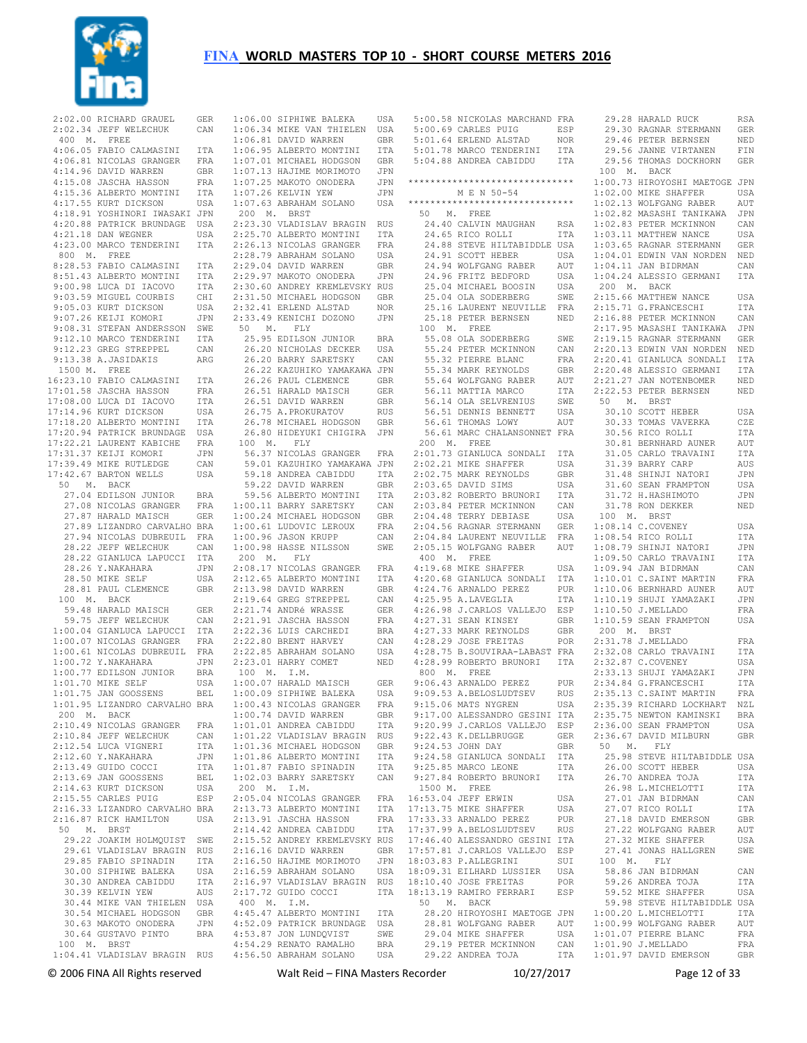

|           | 2:02.00 RICHARD GRAUEL                      | GER |                       | 1:06.00 SIPHIWE BALEKA                           | USA        |
|-----------|---------------------------------------------|-----|-----------------------|--------------------------------------------------|------------|
|           | 2:02.34 JEFF WELECHUK                       | CAN |                       | 1:06.34 MIKE VAN THIELEN                         | USA        |
| 400<br>Μ. | FREE                                        |     |                       | 1:06.81 DAVID WARREN                             | GBR        |
|           | 4:06.05 FABIO CALMASINI                     | ITA |                       | 1:06.95 ALBERTO MONTINI                          | ITA        |
|           | 4:06.81 NICOLAS GRANGER                     | FRA |                       | 1:07.01 MICHAEL HODGSON                          | GBR        |
|           | 4:14.96 DAVID WARREN                        | GBR |                       | 1:07.13 HAJIME MORIMOTO                          | JPN        |
|           | 4:15.08 JASCHA HASSON                       |     |                       | 1:07.25 MAKOTO ONODERA                           | JPN        |
|           | 4:15.36 ALBERTO MONTINI                     | FRA |                       |                                                  |            |
|           |                                             | ITA |                       | 1:07.26 KELVIN YEW                               | JPN        |
|           | 4:17.55 KURT DICKSON                        | USA |                       | 1:07.63 ABRAHAM SOLANO                           | USA        |
|           | 4:18.91 YOSHINORI IWASAKI                   | JPN | 200<br>M <sub>z</sub> | BRST                                             |            |
|           | 4:20.88 PATRICK BRUNDAGE                    | USA |                       | 2:23.30 VLADISLAV BRAGIN                         | <b>RUS</b> |
|           | 4:21.18 DAN WEGNER                          | USA |                       | 2:25.70 ALBERTO MONTINI                          | ITA        |
|           | 4:23.00 MARCO TENDERINI                     | ITA |                       | 2:26.13 NICOLAS GRANGER                          | FRA        |
| 800<br>М. | FREE                                        |     |                       | 2:28.79 ABRAHAM SOLANO                           | USA        |
|           | 8:28.53 FABIO CALMASINI                     | ITA |                       | 2:29.04 DAVID WARREN                             | GBR        |
|           | 8:51.43 ALBERTO MONTINI                     | ITA |                       | 2:29.97 MAKOTO ONODERA                           | JPN        |
|           | 9:00.98 LUCA DI IACOVO                      | ITA |                       | 2:30.60 ANDREY KREMLEVSKY RUS                    |            |
|           | 9:03.59 MIGUEL COURBIS                      | CHI |                       | 2:31.50 MICHAEL HODGSON                          | GBR        |
|           | 9:05.03 KURT DICKSON                        |     |                       | 2:32.41 ERLEND ALSTAD                            | <b>NOR</b> |
|           |                                             | USA |                       |                                                  |            |
|           | 9:07.26 KEIJI KOMORI                        | JPN |                       | 2:33.49 KENICHI DOZONO                           | JPN        |
|           | 9:08.31 STEFAN ANDERSSON                    | SWE | 50<br>Μ.              | FLY                                              |            |
|           | 9:12.10 MARCO TENDERINI                     | ITA |                       | 25.95 EDILSON JUNIOR                             | BRA        |
|           | 9:12.23 GREG STREPPEL                       | CAN |                       | 26.20 NICHOLAS DECKER                            | USA        |
|           | 9:13.38 A.JASIDAKIS                         | ARG |                       | 26.20 BARRY SARETSKY                             | CAN        |
| 1500 M.   | FREE                                        |     |                       | 26.22 KAZUHIKO YAMAKAWA                          | JPN        |
|           | 16:23.10 FABIO CALMASINI                    | ITA |                       | 26.26 PAUL CLEMENCE                              | GBR        |
|           | 17:01.58 JASCHA HASSON                      | FRA |                       | 26.51 HARALD MAISCH                              | GER        |
|           | 17:08.00 LUCA DI IACOVO                     | ITA |                       | 26.51 DAVID WARREN                               | GBR        |
|           | 17:14.96 KURT DICKSON                       | USA |                       | 26.75 A.PROKURATOV                               | <b>RUS</b> |
|           | 17:18.20 ALBERTO MONTINI                    | ITA |                       | 26.78 MICHAEL HODGSON                            | GBR        |
|           |                                             |     |                       |                                                  |            |
|           | 17:20.94 PATRICK BRUNDAGE                   | USA |                       | 26.80 HIDEYUKI CHIGIRA                           | JPN        |
|           | 17:22.21 LAURENT KABICHE                    | FRA | 100<br>Μ.             | FLY                                              |            |
|           | 17:31.37 KEIJI KOMORI                       | JPN |                       | 56.37 NICOLAS GRANGER                            | FRA        |
|           | 17:39.49 MIKE RUTLEDGE                      | CAN |                       | 59.01 KAZUHIKO YAMAKAWA JPN                      |            |
|           | 17:42.67 BARTON WELLS                       | USA |                       | 59.18 ANDREA CABIDDU                             | ITA        |
| 50<br>М.  | BACK                                        |     |                       | 59.22 DAVID WARREN                               | GBR        |
|           | 27.04 EDILSON JUNIOR                        | BRA |                       | 59.56 ALBERTO MONTINI                            | ITA        |
|           | 27.08 NICOLAS GRANGER                       | FRA |                       | 1:00.11 BARRY SARETSKY                           | CAN        |
|           | 27.87 HARALD MAISCH                         | GER |                       | 1:00.24 MICHAEL HODGSON                          | GBR        |
|           | 27.89 LIZANDRO CARVALHO BRA                 |     |                       | 1:00.61 LUDOVIC LEROUX                           | FRA        |
|           | 27.94 NICOLAS DUBREUIL                      | FRA |                       | 1:00.96 JASON KRUPP                              | CAN        |
|           |                                             |     |                       |                                                  |            |
|           | 28.22 JEFF WELECHUK                         | CAN |                       | 1:00.98 HASSE NILSSON                            | SWE        |
|           | 28.22 GIANLUCA LAPUCCI                      | ITA | М.<br>200             | FLY                                              |            |
|           | 28.26 Y.NAKAHARA                            | JPN |                       | 2:08.17 NICOLAS GRANGER                          | FRA        |
|           | 28.50 MIKE SELF                             | USA |                       | 2:12.65 ALBERTO MONTINI                          | ITA        |
|           | 28.81 PAUL CLEMENCE                         | GBR |                       | 2:13.98 DAVID WARREN                             | GBR        |
| 100<br>М. | BACK                                        |     |                       | 2:19.64 GREG STREPPEL                            | CAN        |
|           | 59.48 HARALD MAISCH                         | GER |                       | 2:21.74 ANDRé WRASSE                             | GER        |
|           | 59.75 JEFF WELECHUK                         | CAN |                       | 2:21.91 JASCHA HASSON                            | FRA        |
|           | 1:00.04 GIANLUCA LAPUCCI                    | ITA |                       | 2:22.36 LUIS CARCHEDI                            | BRA        |
|           | 1:00.07 NICOLAS GRANGER                     | FRA |                       | 2:22.80 BRENT HARVEY                             | CAN        |
|           | 1:00.61 NICOLAS DUBREUIL                    | FRA |                       | 2:22.85 ABRAHAM SOLANO                           | USA        |
|           | $1:00.72$ Y.NAKAHARA                        | JPN |                       | 2:23.01 HARRY COMET                              | NED        |
|           | 1:00.77 EDILSON JUNIOR                      | BRA | 100<br>М.             | I.M.                                             |            |
|           | 1:01.70 MIKE SELF                           |     |                       | 1:00.07 HARALD MAISCH                            |            |
|           |                                             | USA |                       |                                                  | GER        |
|           | 1:01.75 JAN GOOSSENS                        | BEL |                       | 1:00.09 SIPHIWE BALEKA                           | USA        |
|           | 1:01.95 LIZANDRO CARVALHO BRA               |     |                       | 1:00.43 NICOLAS GRANGER                          | FRA        |
| 200 M.    | BACK                                        |     |                       | 1:00.74 DAVID WARREN                             | GBR        |
|           | 2:10.49 NICOLAS GRANGER                     | FRA |                       | 1:01.01 ANDREA CABIDDU                           | ITA        |
|           | 2:10.84 JEFF WELECHUK                       | CAN |                       | 1:01.22 VLADISLAV BRAGIN                         | RUS        |
|           | 2:12.54 LUCA VIGNERI                        | ITA |                       | 1:01.36 MICHAEL HODGSON                          | GBR        |
|           | 2:12.60 Y.NAKAHARA                          | JPN |                       | 1:01.86 ALBERTO MONTINI                          | ITA        |
|           | 2:13.49 GUIDO COCCI                         | ITA |                       | 1:01.87 FABIO SPINADIN                           | ITA        |
|           | 2:13.69 JAN GOOSSENS                        | BEL |                       | 1:02.03 BARRY SARETSKY                           | CAN        |
|           | 2:14.63 KURT DICKSON                        | USA | 200<br>М.             | I.M.                                             |            |
|           | 2:15.55 CARLES PUIG                         | ESP |                       | 2:05.04 NICOLAS GRANGER                          | FRA        |
|           | 2:16.33 LIZANDRO CARVALHO BRA               |     |                       | 2:13.73 ALBERTO MONTINI                          |            |
|           |                                             |     |                       |                                                  | ITA        |
|           | 2:16.87 RICK HAMILTON                       | USA |                       | 2:13.91 JASCHA HASSON                            | FRA        |
| 50<br>Μ.  | <b>BRST</b>                                 |     |                       | 2:14.42 ANDREA CABIDDU                           | ITA        |
|           | 29.22 JOAKIM HOLMQUIST                      | SWE |                       | 2:15.52 ANDREY KREMLEVSKY RUS                    |            |
|           | 29.61 VLADISLAV BRAGIN                      | RUS |                       | 2:16.16 DAVID WARREN                             | GBR        |
|           | 29.85 FABIO SPINADIN                        | ITA |                       | 2:16.50 HAJIME MORIMOTO                          | JPN        |
|           | 30.00 SIPHIWE BALEKA                        | USA |                       | 2:16.59 ABRAHAM SOLANO                           | USA        |
|           | 30.30 ANDREA CABIDDU                        | ITA |                       | 2:16.97 VLADISLAV BRAGIN                         | RUS        |
|           | 30.39 KELVIN YEW                            | AUS |                       | $2:17.72$ GUIDO COCCI                            | ITA        |
|           | 30.44 MIKE VAN THIELEN                      | USA | 400 M.                | I.M.                                             |            |
|           | 30.54 MICHAEL HODGSON                       | GBR |                       | 4:45.47 ALBERTO MONTINI                          | ITA        |
|           | 30.63 MAKOTO ONODERA                        | JPN |                       | 4:52.09 PATRICK BRUNDAGE                         | USA        |
|           |                                             |     |                       |                                                  |            |
|           |                                             |     |                       |                                                  |            |
|           | 30.64 GUSTAVO PINTO                         | BRA |                       | 4:53.87 JON LUNDQVIST                            | SWE        |
| 100 M.    | <b>BRST</b><br>1:04.41 VLADISLAV BRAGIN RUS |     |                       | 4:54.29 RENATO RAMALHO<br>4:56.50 ABRAHAM SOLANO | BRA<br>USA |

|                      | 5:00.58 NICKOLAS MARCHAND FRA                                                                                                                                                                                                                 |                 |                      |
|----------------------|-----------------------------------------------------------------------------------------------------------------------------------------------------------------------------------------------------------------------------------------------|-----------------|----------------------|
|                      |                                                                                                                                                                                                                                               |                 |                      |
|                      |                                                                                                                                                                                                                                               |                 |                      |
|                      | 5:00.69 CARLES PUIG ESP<br>5:01.64 ERLEND ALSTAD NOR<br>5:01.78 MARCO TENDERINI ITA                                                                                                                                                           |                 |                      |
|                      | 5:04.88 ANDREA CABIDDU                                                                                                                                                                                                                        | ITA             |                      |
|                      | *****************************                                                                                                                                                                                                                 |                 | $\mathbf{1}$         |
|                      | M E N 50-54                                                                                                                                                                                                                                   |                 | 1:<br>1:             |
|                      | *****************************                                                                                                                                                                                                                 |                 | 1:                   |
|                      | 50 M. FREE                                                                                                                                                                                                                                    |                 | 1:                   |
|                      | 24.40 CALVIN MAUGHAN<br>24.65 RICO ROLLI                                                                                                                                                                                                      | RSA             | $\mathbf{1}$ :       |
|                      | 24.65 RICO ROLLI                                                                                                                                                                                                                              | ITA             | 1:                   |
|                      | 24.88 STEVE HILTABIDDLE USA                                                                                                                                                                                                                   |                 | $\mathbf{1}$ :       |
|                      | 24.91 SCOTT HEBER<br>24.94 WOLFGANG RABER AUT<br>24.96 FRITZ BEDFORD USA<br>25.04 MICHAEL BOOSIN USA<br>25.04 OLA SODERBERG SWE<br>25.16 LAURENT NEUVILLE FRA<br>25.16 LAURENT NEUVILLE FRA<br>25.18 PETER BERNSEN NED<br>25.18 PETER BERNSEN |                 | 1:<br>1:             |
|                      |                                                                                                                                                                                                                                               |                 | $1:$                 |
|                      |                                                                                                                                                                                                                                               |                 |                      |
|                      |                                                                                                                                                                                                                                               |                 | $\frac{1}{2}$        |
|                      |                                                                                                                                                                                                                                               |                 | 2:                   |
|                      |                                                                                                                                                                                                                                               |                 | 2:                   |
|                      | 100 M. FREE<br>00 M. FREE<br>55.08 OLA SODERBERG SWE<br>55.24 PETER MCKINNON CAN<br>55.32 PIERRE BLANC FRA<br>55.34 MARK REYNOLDS GBR<br>55.64 WOLFGANG RABER AUT<br>55.64 WOLFGANG RABER AUT                                                 |                 | 2:                   |
|                      |                                                                                                                                                                                                                                               | SWE<br>CAN      | 2:<br>2:             |
|                      |                                                                                                                                                                                                                                               |                 | 2:                   |
|                      |                                                                                                                                                                                                                                               |                 | 2:                   |
|                      |                                                                                                                                                                                                                                               |                 | 2:                   |
|                      | 56.11 MATTIA MARCO                                                                                                                                                                                                                            | AU<br>ITA<br>TR | 2:                   |
|                      | 56.11 MATILE MENUS<br>56.14 OLA SELVRENIUS SWE<br>56.51 DENNIS BENNETT USA<br>56.61 THOMAS LOWY AUT                                                                                                                                           |                 | 5                    |
|                      |                                                                                                                                                                                                                                               |                 |                      |
|                      |                                                                                                                                                                                                                                               |                 |                      |
|                      | 56.61 MARC CHALANSONNET FRA<br>200 M. FREE                                                                                                                                                                                                    |                 |                      |
|                      | 2:01.73 GIANLUCA SONDALI ITA                                                                                                                                                                                                                  |                 |                      |
|                      | 2:02.21 MIKE SHAFFER                                                                                                                                                                                                                          | USA             |                      |
|                      | 2:02.75 MARK REYNOLDS                                                                                                                                                                                                                         | GBR             |                      |
|                      | 2:03.65 DAVID SIMS<br>2:03.62 ROBERTO BRUNORI ITA<br>2:03.84 PETER MCKINNON CAN<br>5 PETER MCKINNON CAN                                                                                                                                       |                 |                      |
|                      |                                                                                                                                                                                                                                               |                 |                      |
|                      |                                                                                                                                                                                                                                               |                 |                      |
|                      |                                                                                                                                                                                                                                               |                 | $\mathbf{1}$         |
|                      | 2:04.48 TERRY DEBIASE US.<br>2:04.48 TERNAR STERMANN GER<br>2:04.84 LAURENT NEUVILLE FRA                                                                                                                                                      |                 | $\frac{1}{1}$<br>1:  |
|                      |                                                                                                                                                                                                                                               |                 | $\overline{1}$ :     |
| 400 M. FREE          |                                                                                                                                                                                                                                               |                 | 1:                   |
|                      | 400 M. FREE<br>4:19.68 MIKE SHAFFER USA<br>4:20.68 GIANLUCA SONDALI ITA<br>4:24.76 ARNALDO PEREZ PUR<br>4:25.95 A.LAVEGLIA ITA<br>5:25.95 A.LAVEGLIA ITA                                                                                      |                 | 1:                   |
|                      |                                                                                                                                                                                                                                               |                 | $\mathbf{1}$ :       |
|                      |                                                                                                                                                                                                                                               |                 | 1:                   |
|                      | 4:25.95 A.LAVEGLIA ITA 1:<br>4:27.31 SEAN KINSEY GBR 1:<br>4:27.31 SEAN KINSEY GBR 1:<br>4:27.33 MARK REYNOLDS GBR 2<br>4:28.29 JOSE FREITAS POR 2:                                                                                           |                 | 1:                   |
|                      |                                                                                                                                                                                                                                               |                 |                      |
|                      |                                                                                                                                                                                                                                               |                 | $\frac{1}{2}$        |
|                      |                                                                                                                                                                                                                                               |                 |                      |
|                      | 4:28.75 B.SOUVIRAA-LABAST FRA 2:<br>4:28.99 ROBERTO BRUNORI ITA 2:                                                                                                                                                                            |                 |                      |
|                      |                                                                                                                                                                                                                                               |                 |                      |
| 800 M. FREE          |                                                                                                                                                                                                                                               |                 | 2:                   |
|                      | 9:06.43 ARNALDO PEREZ PUR<br>9:09.53 A.BELOSLUDTSEV RUS                                                                                                                                                                                       |                 | 2:<br>$\mathbf{2}$ : |
|                      | 9:15.06 MATS NYGREN                                                                                                                                                                                                                           | USA             | 2:                   |
|                      | 9:17.00 ALESSANDRO GESINI                                                                                                                                                                                                                     | ITA             | 2:                   |
|                      | 9:20.99 J.CARLOS VALLEJO                                                                                                                                                                                                                      | ESP             | 2:                   |
|                      | 9:22.43 K.DELLBRUGGE                                                                                                                                                                                                                          | <b>GER</b>      | 2:                   |
|                      | 9:24.53 JOHN DAY                                                                                                                                                                                                                              | GBR             | E                    |
|                      | 9:24.58 GIANLUCA SONDALI                                                                                                                                                                                                                      | ITA             |                      |
|                      | 9:25.85 MARCO LEONE                                                                                                                                                                                                                           | ITA             |                      |
|                      | 9:27.84 ROBERTO BRUNORI<br>1500 M. FREE                                                                                                                                                                                                       | ITA             |                      |
|                      | 16:53.04 JEFF ERWIN                                                                                                                                                                                                                           | USA             |                      |
|                      | 17:13.75 MIKE SHAFFER                                                                                                                                                                                                                         | USA             |                      |
|                      | 17:33.33 ARNALDO PEREZ                                                                                                                                                                                                                        | PUR             |                      |
|                      | 17:37.99 A.BELOSLUDTSEV                                                                                                                                                                                                                       | <b>RUS</b>      |                      |
|                      | 17:46.40 ALESSANDRO GESINI                                                                                                                                                                                                                    | <b>ITA</b>      |                      |
|                      | 17:57.81 J.CARLOS VALLEJO                                                                                                                                                                                                                     | ESP             |                      |
|                      | 18:03.83 P.ALLEGRINI<br>18:09.31 EILHARD LUSSIER                                                                                                                                                                                              | SUI<br>USA      | 1                    |
|                      | 18:10.40 JOSE FREITAS                                                                                                                                                                                                                         | POR             |                      |
|                      | 18:13.19 RAMIRO FERRARI                                                                                                                                                                                                                       | ESP             |                      |
| M <sub>1</sub><br>50 | <b>BACK</b>                                                                                                                                                                                                                                   |                 |                      |
|                      | 28.20 HIROYOSHI MAETOGE JPN                                                                                                                                                                                                                   |                 | 1:                   |
|                      | 28.81 WOLFGANG RABER                                                                                                                                                                                                                          | AUT             | 1:                   |
|                      | 29.04 MIKE SHAFFER                                                                                                                                                                                                                            | USA             | 1:                   |
|                      | 29.19 PETER MCKINNON<br>29.22 ANDREA TOJA                                                                                                                                                                                                     | CAN<br>ITA      | 1:<br>1:             |
|                      |                                                                                                                                                                                                                                               |                 |                      |

| 29.28 HARALD RUCK                                                                                                                                                                                                                                    | RSA                                        |
|------------------------------------------------------------------------------------------------------------------------------------------------------------------------------------------------------------------------------------------------------|--------------------------------------------|
| 29.30 RAGNAR STERMANN<br>29.46 PETER BERNSEN<br>29.56 JANNE VIRTANEN                                                                                                                                                                                 | GER<br>NED                                 |
|                                                                                                                                                                                                                                                      |                                            |
|                                                                                                                                                                                                                                                      | $_{\rm FIN}$                               |
|                                                                                                                                                                                                                                                      |                                            |
| $\begin{tabular}{llllll} 29.56 THOMAS DOCRHORN & GER \\ 100 & M. BACK \\ 1:00.73 HIROYOSHI MAETOGE JPN \end{tabular}$                                                                                                                                |                                            |
| 1:02.00 MIKE SHAFFER                                                                                                                                                                                                                                 | USA                                        |
|                                                                                                                                                                                                                                                      |                                            |
| 1:02.13 WOLFGANG RABER<br>1:02.82 MASASHI TANIKAWA                                                                                                                                                                                                   | AUT<br>JPN                                 |
|                                                                                                                                                                                                                                                      |                                            |
|                                                                                                                                                                                                                                                      | USA                                        |
| 1:02.83 PETER MCKINNON CAN<br>1:03.11 MATTHEW NANCE USA<br>1:03.65 RAGNAR STERMANN GER                                                                                                                                                               |                                            |
| 1:04.01 EDWIN VAN NORDEN NED<br>1:04.11 JAN BIDRMAN CAN<br>1:04.24 ALESSIO GERMANI ITA                                                                                                                                                               |                                            |
|                                                                                                                                                                                                                                                      |                                            |
|                                                                                                                                                                                                                                                      |                                            |
| 200 M. BACK                                                                                                                                                                                                                                          |                                            |
| 2:15.66 MATTHEW NANCE<br>2:15.71 G.FRANCESCHI                                                                                                                                                                                                        | USA                                        |
|                                                                                                                                                                                                                                                      | ITA                                        |
|                                                                                                                                                                                                                                                      | CAN                                        |
| 2:16.88 PETER MCKINNON<br>2:17.95 MASASHI TANIKAWA<br>2:19.15 RAGNAR STERMANN                                                                                                                                                                        | JPN<br>GER                                 |
| 2:20.13 EDWIN VAN NORDEN<br>2:20.13 EDWIN VAN NORDEN<br>2:20.48 ALESSIO GERMANI<br>2:21.27 JAN NOTENBOMER<br>2:22.53 PETER BERNSEN                                                                                                                   | NED                                        |
|                                                                                                                                                                                                                                                      | ITA                                        |
|                                                                                                                                                                                                                                                      | $\frac{11}{1}$ $\frac{1}{1}$ $\frac{1}{2}$ |
|                                                                                                                                                                                                                                                      | NED                                        |
|                                                                                                                                                                                                                                                      | NED                                        |
| 50 M. BRST<br>30.10 SCOTT HEBER                                                                                                                                                                                                                      |                                            |
|                                                                                                                                                                                                                                                      | USA                                        |
|                                                                                                                                                                                                                                                      | CZE                                        |
|                                                                                                                                                                                                                                                      | ITA                                        |
|                                                                                                                                                                                                                                                      | AUT                                        |
|                                                                                                                                                                                                                                                      | ITA                                        |
|                                                                                                                                                                                                                                                      | AUS<br>JPN                                 |
|                                                                                                                                                                                                                                                      | USA                                        |
| 30.10 SCOTT HEBER<br>30.33 TOMAS VAVERKA<br>30.56 RICO ROLLI<br>30.81 BERNHARD AUNER<br>31.05 CARLO TRAVAINI<br>31.39 BARRY CARP<br>31.48 SHINJI NATORI<br>31.48 SHINJI NATORI<br>31.72 H.HASHIMOTO<br>31.72 H.HASHIMOTO<br>31.78 RON DEKKER<br>31.7 | JPN                                        |
|                                                                                                                                                                                                                                                      | $\operatorname{NED}$                       |
| 100 M. BRST                                                                                                                                                                                                                                          |                                            |
| 1:08.14 C.COVENEY<br>1:08.54 RICO ROLLI                                                                                                                                                                                                              | USA                                        |
|                                                                                                                                                                                                                                                      |                                            |
|                                                                                                                                                                                                                                                      | ITA                                        |
| 1:08.79 SHINJI NATORI                                                                                                                                                                                                                                | JPN                                        |
| 1:09.50 CARLO TRAVAINI                                                                                                                                                                                                                               | ITA                                        |
| $1:09.94$ JAN BIDRMAN                                                                                                                                                                                                                                | CAN                                        |
|                                                                                                                                                                                                                                                      | FRA                                        |
|                                                                                                                                                                                                                                                      | AUT                                        |
| 1:10.01 C.SAINT MARTIN<br>1:10.06 BERNHARD AUNER<br>1:10.19 SHUJI YAMAZAKI                                                                                                                                                                           | JPN                                        |
| $1:10.50$ J.MELLADO                                                                                                                                                                                                                                  | FRA                                        |
| $1:10.59$ SEAN FRAMPTON                                                                                                                                                                                                                              | USA                                        |
|                                                                                                                                                                                                                                                      | FRA                                        |
|                                                                                                                                                                                                                                                      | ITA                                        |
| - 200 M. BRST<br>2:31.78 J.MELLADO<br>2:32.08 CARLO TRAVAINI<br>2:32.87 C.COVENEY                                                                                                                                                                    | USA                                        |
|                                                                                                                                                                                                                                                      | JPN                                        |
| 2:33.13 SHUJI YAMAZAKI<br>2:34.84 G.FRANCESCHI                                                                                                                                                                                                       | ITA                                        |
|                                                                                                                                                                                                                                                      |                                            |
| Expressional ITA<br>2:35.13 C.SAINT MARTIN FRA<br>2:35.39 BIOUARE CO<br>2:35.39 RICHARD LOCKHART                                                                                                                                                     | NZL                                        |
|                                                                                                                                                                                                                                                      | <b>BRA</b>                                 |
|                                                                                                                                                                                                                                                      | USA                                        |
| 2:00:07<br>2:35.75 NEWTON KAMINSKI<br>2:36.00 SEAN FRAMPTON<br>2:36.67 DAVID MILBURN<br>2:36.67 DAVID MILBURN                                                                                                                                        | GBR                                        |
| 50 M. FLY                                                                                                                                                                                                                                            |                                            |
| 25.98 STEVE HILTABIDDLE USA<br>26.00 SCOTT HEBER                                                                                                                                                                                                     | USA                                        |
|                                                                                                                                                                                                                                                      | ITA                                        |
| 26.70 ANDREA TOJA                                                                                                                                                                                                                                    | ITA                                        |
| 26.98 L.MICHELOTTI<br>27.01 JAN BIDRMAN                                                                                                                                                                                                              | CAN                                        |
| 27.07 RICO ROLLI                                                                                                                                                                                                                                     | ITA                                        |
| 27.18 DAVID EMERSON                                                                                                                                                                                                                                  | GBR                                        |
| 27.22 WOLFGANG RABER                                                                                                                                                                                                                                 | AUT                                        |
| 27.32 MIKE SHAFFER                                                                                                                                                                                                                                   | USA                                        |
| 27.41 JONAS HALLGREN                                                                                                                                                                                                                                 | SWE                                        |
| 100 M. FLY                                                                                                                                                                                                                                           |                                            |
| 58.86 JAN BIDRMAN                                                                                                                                                                                                                                    | CAN                                        |
| 59.26 ANDREA TOJA                                                                                                                                                                                                                                    | ITA<br>USA                                 |
| 59.52 MIKE SHAFFER                                                                                                                                                                                                                                   |                                            |
| 59.98 STEVE HILTABIDDLE USA<br>1:00.20 L.MICHELOTTI                                                                                                                                                                                                  | ITA                                        |
| 1:00.99 WOLFGANG RABER                                                                                                                                                                                                                               | AUT                                        |
|                                                                                                                                                                                                                                                      | FRA                                        |
| 1:01.07 PIERRE BLANC<br>1:01.90 J.MELLADO<br>1:01.97 DAVID EMERSON                                                                                                                                                                                   | FRA<br>GBR                                 |

© 2006 FINA All Rights reserved Walt Reid – FINA Masters Recorder 10/27/2017 Page 12 of 33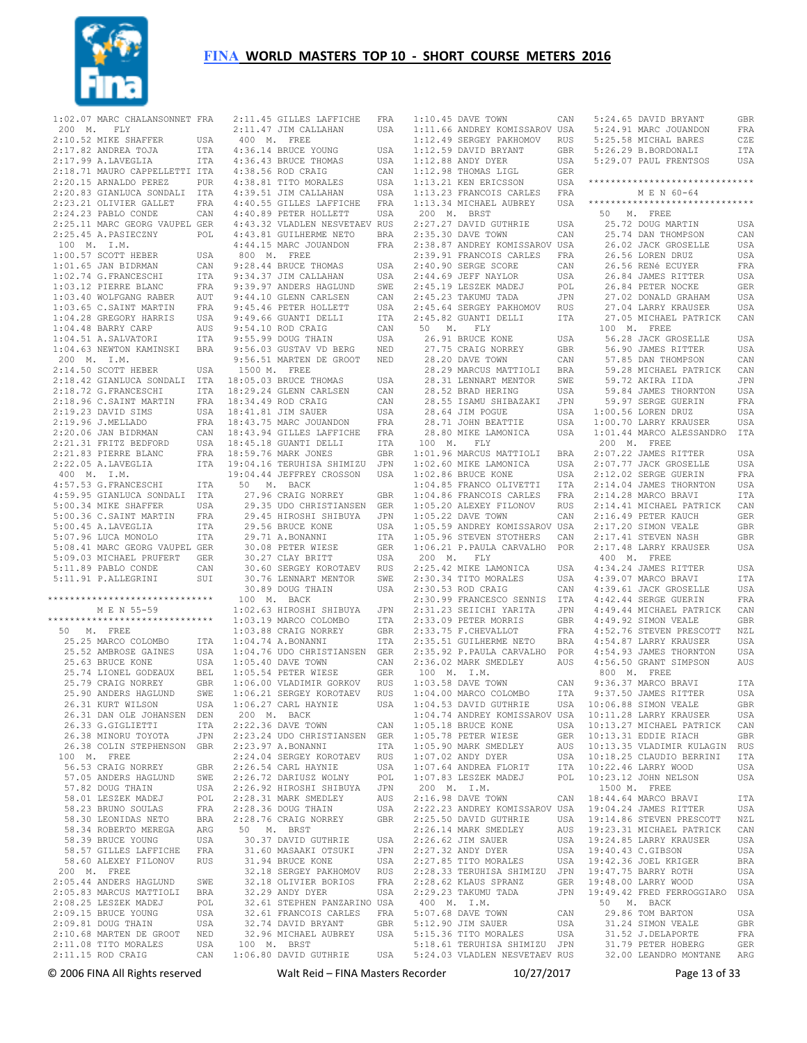

|           | 1:02.07 MARC CHALANSONNET FRA  |            |              | 2:11.45 GILLES LAFFICHE       | FRA        |
|-----------|--------------------------------|------------|--------------|-------------------------------|------------|
| 200<br>М. | FLY                            |            |              | 2:11.47 JIM CALLAHAN          | USA        |
|           | 2:10.52 MIKE SHAFFER           | USA        | 400 M. FREE  |                               |            |
|           | 2:17.82 ANDREA TOJA            | ITA        |              | 4:36.14 BRUCE YOUNG           | USA        |
|           |                                |            |              |                               |            |
|           | 2:17.99 A.LAVEGLIA             | ITA        |              | 4:36.43 BRUCE THOMAS          | USA        |
|           | 2:18.71 MAURO CAPPELLETTI      | ITA        |              | 4:38.56 ROD CRAIG             | CAN        |
|           | 2:20.15 ARNALDO PEREZ          | PUR        |              | 4:38.81 TITO MORALES          | USA        |
|           | 2:20.83 GIANLUCA SONDALI       | ITA        |              | 4:39.51 JIM CALLAHAN          | USA        |
|           | 2:23.21 OLIVIER GALLET         | FRA        |              | 4:40.55 GILLES LAFFICHE       | FRA        |
|           |                                |            |              |                               |            |
|           | 2:24.23 PABLO CONDE            | CAN        |              | 4:40.89 PETER HOLLETT         | USA        |
|           | 2:25.11 MARC GEORG VAUPEL GER  |            |              | 4:43.32 VLADLEN NESVETAEV RUS |            |
|           | 2:25.45 A.PASIECZNY            | POL        |              | 4:43.81 GUILHERME NETO        | BRA        |
| 100 M.    | I.M.                           |            |              | 4:44.15 MARC JOUANDON         | FRA        |
|           | 1:00.57 SCOTT HEBER            | USA        | 800 M. FREE  |                               |            |
|           |                                |            |              |                               |            |
|           | 1:01.65 JAN BIDRMAN            | CAN        |              | 9:28.44 BRUCE THOMAS          | USA        |
|           | 1:02.74 G.FRANCESCHI           | ITA        |              | 9:34.37 JIM CALLAHAN          | USA        |
|           | 1:03.12 PIERRE BLANC           | FRA        |              | 9:39.97 ANDERS HAGLUND        | SWE        |
|           | 1:03.40 WOLFGANG RABER         | AUT        |              | 9:44.10 GLENN CARLSEN         | CAN        |
|           | 1:03.65 C.SAINT MARTIN         | FRA        |              | 9:45.46 PETER HOLLETT         | USA        |
|           |                                |            |              |                               |            |
|           | 1:04.28 GREGORY HARRIS         | USA        |              | 9:49.66 GUANTI DELLI          | ITA        |
|           | $1:04.48$ BARRY CARP           | AUS        |              | 9:54.10 ROD CRAIG             | CAN        |
|           | 1:04.51 A.SALVATORI            | ITA        |              | 9:55.99 DOUG THAIN            | USA        |
|           | 1:04.63 NEWTON KAMINSKI        | BRA        |              | 9:56.03 GUSTAV VD BERG        | NED        |
| 200 M.    | I.M.                           |            |              | 9:56.51 MARTEN DE GROOT       | NED        |
|           |                                |            |              |                               |            |
|           | 2:14.50 SCOTT HEBER            | USA        | 1500 M. FREE |                               |            |
|           | 2:18.42 GIANLUCA SONDALI       | ITA        |              | 18:05.03 BRUCE THOMAS         | USA        |
|           | 2:18.72 G.FRANCESCHI           | ITA        |              | 18:29.24 GLENN CARLSEN        | CAN        |
|           | 2:18.96 C.SAINT MARTIN         | FRA        |              | 18:34.49 ROD CRAIG            | CAN        |
|           | 2:19.23 DAVID SIMS             | USA        |              | 18:41.81 JIM SAUER            | USA        |
|           |                                |            |              |                               |            |
|           | 2:19.96 J.MELLADO              | <b>FRA</b> |              | 18:43.75 MARC JOUANDON        | FRA        |
|           | 2:20.06 JAN BIDRMAN            | CAN        |              | 18:43.94 GILLES LAFFICHE      | FRA        |
|           | 2:21.31 FRITZ BEDFORD          | USA        |              | 18:45.18 GUANTI DELLI         | ITA        |
|           | 2:21.83 PIERRE BLANC           | FRA        |              | 18:59.76 MARK JONES           | GBR        |
|           |                                |            |              |                               |            |
|           | 2:22.05 A.LAVEGLIA             | ITA        |              | 19:04.16 TERUHISA SHIMIZU     | JPN        |
| 400 M.    | I.M.                           |            |              | 19:04.44 JEFFREY CROSSON      | USA        |
|           | 4:57.53 G.FRANCESCHI           | ITA        | 50<br>М.     | BACK                          |            |
|           | 4:59.95 GIANLUCA SONDALI       | ITA        |              | 27.96 CRAIG NORREY            | GBR        |
|           | 5:00.34 MIKE SHAFFER           | USA        |              | 29.35 UDO CHRISTIANSEN        | GER        |
|           |                                |            |              |                               |            |
|           | 5:00.36 C.SAINT MARTIN         | FRA        |              | 29.45 HIROSHI SHIBUYA         | JPN        |
|           | 5:00.45 A.LAVEGLIA             | ITA        |              | 29.56 BRUCE KONE              | USA        |
|           | 5:07.96 LUCA MONOLO            | ITA        |              | 29.71 A.BONANNI               | ITA        |
|           |                                |            |              |                               |            |
|           |                                |            |              |                               |            |
|           | 5:08.41 MARC GEORG VAUPEL GER  |            |              | 30.08 PETER WIESE             | GER        |
|           | 5:09.03 MICHAEL PRUFERT        | GER        |              | 30.27 CLAY BRITT              | USA        |
|           | 5:11.89 PABLO CONDE            | CAN        |              | 30.60 SERGEY KOROTAEV         | RUS        |
|           | 5:11.91 P.ALLEGRINI            | SUI        |              | 30.76 LENNART MENTOR          | SWE        |
|           |                                |            |              | 30.89 DOUG THAIN              | USA        |
|           | ****************************** |            | 100          |                               |            |
|           |                                |            | М.           | BACK                          |            |
|           | M E N 55-59                    |            |              | 1:02.63 HIROSHI SHIBUYA       | JPN        |
|           | ****************************** |            |              | 1:03.19 MARCO COLOMBO         | ITA        |
| 50        | M. FREE                        |            |              | 1:03.88 CRAIG NORREY          | GBR        |
|           | 25.25 MARCO COLOMBO            | ITA        |              | 1:04.74 A. BONANNI            | ITA        |
|           |                                |            |              |                               |            |
|           | 25.52 AMBROSE GAINES           | USA        |              | 1:04.76 UDO CHRISTIANSEN      | GER        |
|           | 25.63 BRUCE KONE               | USA        |              | $1:05.40$ DAVE TOWN           | CAN        |
|           | 25.74 LIONEL GODEAUX           | BEL        |              | 1:05.54 PETER WIESE           | GER        |
|           | 25.79 CRAIG NORREY             | <b>GBR</b> |              | 1:06.00 VLADIMIR GORKOV       | RUS        |
|           | 25.90 ANDERS HAGLUND           | SWE        |              | 1:06.21 SERGEY KOROTAEV       | RUS        |
|           |                                |            |              |                               |            |
|           | 26.31 KURT WILSON              | USA        |              | 1:06.27 CARL HAYNIE           | USA        |
|           | 26.31 DAN OLE JOHANSEN         | DEN        | 200 M.       | BACK                          |            |
|           | 26.33 G.GIGLIETTI              | ITA        |              | 2:22.36 DAVE TOWN             | CAN        |
|           | 26.38 MINORU TOYOTA            | JPN        |              | 2:23.24 UDO CHRISTIANSEN      | <b>GER</b> |
|           | 26.38 COLIN STEPHENSON         | GBR        |              | 2:23.97 A.BONANNI             | ITA        |
| 100 M.    |                                |            |              |                               |            |
|           | FREE                           |            |              | 2:24.04 SERGEY KOROTAEV       | RUS        |
|           | 56.53 CRAIG NORREY             | GBR        |              | 2:26.54 CARL HAYNIE           | USA        |
|           | 57.05 ANDERS HAGLUND           | SWE        |              | 2:26.72 DARIUSZ WOLNY         | POL        |
|           | 57.82 DOUG THAIN               | USA        |              | 2:26.92 HIROSHI SHIBUYA       | JPN        |
|           | 58.01 LESZEK MADEJ             | POL        |              | 2:28.31 MARK SMEDLEY          | AUS        |
|           |                                |            |              |                               |            |
|           | 58.23 BRUNO SOULAS             | FRA        |              | 2:28.36 DOUG THAIN            | USA        |
|           | 58.30 LEONIDAS NETO            | BRA        |              | 2:28.76 CRAIG NORREY          | GBR        |
|           | 58.34 ROBERTO MEREGA           | ARG        | 50<br>М.     | <b>BRST</b>                   |            |
|           | 58.39 BRUCE YOUNG              | USA        |              | 30.37 DAVID GUTHRIE           | USA        |
|           | 58.57 GILLES LAFFICHE          | FRA        |              | 31.60 MASAAKI OTSUKI          | JPN        |
|           |                                |            |              |                               |            |
|           | 58.60 ALEXEY FILONOV           | RUS        |              | 31.94 BRUCE KONE              | USA        |
| 200 M.    | FREE                           |            |              | 32.18 SERGEY PAKHOMOV         | RUS        |
|           | 2:05.44 ANDERS HAGLUND         | SWE        |              | 32.18 OLIVIER BORIOS          | FRA        |
|           | 2:05.83 MARCUS MATTIOLI        | BRA        |              | 32.29 ANDY DYER               | USA        |
|           | 2:08.25 LESZEK MADEJ           | POL        |              | 32.61 STEPHEN PANZARINO USA   |            |
|           |                                |            |              |                               |            |
|           | 2:09.15 BRUCE YOUNG            | USA        |              | 32.61 FRANCOIS CARLES         | FRA        |
|           | 2:09.81 DOUG THAIN             | USA        |              | 32.74 DAVID BRYANT            | GBR        |
|           | 2:10.68 MARTEN DE GROOT        | NED        |              | 32.96 MICHAEL AUBREY          | USA        |
|           | 2:11.08 TITO MORALES           | USA        | 100 M.       | BRST                          |            |
|           | 2:11.15 ROD CRAIG              | CAN        |              | 1:06.80 DAVID GUTHRIE         | USA        |

|             | 2:11.45 GILLES LAFFICHE                                                                                 | FRA        | 1:10.4 |
|-------------|---------------------------------------------------------------------------------------------------------|------------|--------|
|             | 2:11.47 JIM CALLAHAN                                                                                    | USA        | 1:11.6 |
| 400 M. FREE |                                                                                                         |            | 1:12.4 |
|             | 4:36.14 BRUCE YOUNG                                                                                     |            |        |
|             |                                                                                                         | USA        | 1:12.5 |
|             | 4:36.43 BRUCE THOMAS                                                                                    | USA        | 1:12.8 |
|             | 4:38.56 ROD CRAIG                                                                                       | CAN        | 1:12.9 |
|             | 4:38.81 TITO MORALES                                                                                    | USA        | 1:13.2 |
|             | 4:39.51 JIM CALLAHAN                                                                                    | USA        | 1:13.2 |
|             | 4:40.55 GILLES LAFFICHE                                                                                 | FRA        | 1:13.3 |
|             |                                                                                                         |            |        |
|             | 4:40.89 PETER HOLLETT                                                                                   | USA        | 200    |
|             | 4:43.32 VLADLEN NESVETAEV RUS                                                                           |            | 2:27.2 |
|             | 4:43.81 GUILHERME NETO                                                                                  | BRA        | 2:35.3 |
|             | 4:44.15 MARC JOUANDON                                                                                   | FRA        | 2:38.8 |
| 800 M. FREE |                                                                                                         |            | 2:39.9 |
|             | 9:28.44 BRUCE THOMAS                                                                                    | USA        | 2:40.9 |
|             |                                                                                                         |            |        |
|             | 9:34.37 JIM CALLAHAN                                                                                    | USA        | 2:44.6 |
|             | 9:39.97 ANDERS HAGLUND                                                                                  | SWE        | 2:45.1 |
|             | 9:44.10 GLENN CARLSEN                                                                                   | CAN        | 2:45.2 |
|             | 9:45.46 PETER HOLLETT                                                                                   | USA        | 2:45.6 |
|             | 9:49.66 GUANTI DELLI                                                                                    | ITA        | 2:45.8 |
|             | 9:54.10 ROD CRAIG                                                                                       | CAN        | 50     |
|             |                                                                                                         |            |        |
|             | 9:55.99 DOUG THAIN                                                                                      | USA        | 26.9   |
|             | 9:56.03 GUSTAV VD BERG                                                                                  | NED        | 27.7   |
|             | 9:56.51 MARTEN DE GROOT NED                                                                             |            | 28.2   |
|             | 1500 M. FREE                                                                                            |            | 28.2   |
|             | 18:05.03 BRUCE THOMAS                                                                                   | USA        | 28.3   |
|             | 18:29.24 GLENN CARLSEN                                                                                  | CAN        | 28.5   |
|             |                                                                                                         |            |        |
|             | 18:34.49 ROD CRAIG                                                                                      | CAN        | 28.5   |
|             | 18:41.81 JIM SAUER                                                                                      | USA        | 28.6   |
|             | 18:43.75 MARC JOUANDON                                                                                  | FRA        | 28.7   |
|             | 18:43.94 GILLES LAFFICHE                                                                                | FRA        | 28.8   |
|             | 18:45.18 GUANTI DELLI                                                                                   | ITA        | 100    |
|             | 18:59.76 MARK JONES                                                                                     | GBR        | 1:01.9 |
|             |                                                                                                         |            |        |
|             | 19:04.16 TERUHISA SHIMIZU                                                                               | JPN        | 1:02.6 |
|             | 19:04.44 JEFFREY CROSSON                                                                                | USA        | 1:02.8 |
|             | 50 M. BACK                                                                                              |            | 1:04.8 |
|             | 27.96 CRAIG NORREY                                                                                      | GBR        | 1:04.8 |
|             | 29.35 UDO CHRISTIANSEN                                                                                  | GER        | 1:05.2 |
|             | 29.45 HIROSHI SHIBUYA                                                                                   | JPN        | 1:05.2 |
|             |                                                                                                         |            |        |
|             | 29.56 BRUCE KONE                                                                                        | USA        | 1:05.5 |
|             | 29.71 A.BONANNI                                                                                         | ITA        | 1:05.9 |
|             | 30.08 PETER WIESE                                                                                       | GER        | 1:06.2 |
|             | 30.27 CLAY BRITT                                                                                        | USA        | 200    |
|             | 30.60 SERGEY KOROTAEV                                                                                   | RUS        | 2:25.4 |
|             | 30.76 LENNART MENTOR                                                                                    | SWE        | 2:30.3 |
|             |                                                                                                         |            | 2:30.5 |
|             | 30.89 DOUG THAIN                                                                                        | USA        |        |
|             | 100 M. BACK                                                                                             |            | 2:30.9 |
|             | $1:02.63$ HIROSHI SHIBUYA                                                                               | JPN        | 2:31.2 |
|             | 1:03.19 MARCO COLOMBO                                                                                   | ITA        | 2:33.0 |
|             | $1:03.88$ CRAIG NORREY                                                                                  | GBR        | 2:33.7 |
|             | 1:04.74 A.BONANNI                                                                                       | ITA        | 2:35.5 |
|             |                                                                                                         |            | 2:35.9 |
|             | 1:04.76 UDO CHRISTIANSEN GER                                                                            |            |        |
|             | 1:05.40 DAVE TOWN                                                                                       | CAN        | 2:36.0 |
|             | 1:05.54 PETER WIESE                                                                                     | GER        | 100    |
|             | 1:06.00 VLADIMIR GORKOV                                                                                 | RUS        | 1:03.5 |
|             | 1:06.21 SERGEY KOROTAEV                                                                                 | <b>RUS</b> | 1:04.0 |
|             | $1:06.27$ CARL HAYNIE                                                                                   | USA        | 1:04.5 |
|             |                                                                                                         |            |        |
| 200 M. BACK |                                                                                                         |            | 1:04.7 |
|             | 2:22.36 DAVE TOWN                                                                                       | CAN        | 1:05.1 |
|             | 2:23.24 UDO CHRISTIANSEN                                                                                | GER        | 1:05.7 |
|             | 2:23.97 A.BONANNI                                                                                       | ITA        | 1:05.9 |
|             | 2:24.04 SERGEY KOROTAEV RUS                                                                             |            | 1:07.0 |
|             | 2:26.54 CARL HAYNIE                                                                                     | USA        | 1:07.6 |
|             | 2:26.72 DARIUSZ WOLNY                                                                                   |            | 1:07.8 |
|             |                                                                                                         | POL        |        |
|             | 2:26.92 HIROSHI SHIBUYA                                                                                 | JPN        | 200    |
|             | 2:28.31 MARK SMEDLEY                                                                                    | AUS        | 2:16.9 |
|             | 2:28.36 DOUG THAIN                                                                                      | USA        | 2:22.2 |
|             | 2:28.76 CRAIG NORREY                                                                                    | GBR        | 2:25.5 |
|             | 50 M. BRST                                                                                              |            | 2:26.1 |
|             | 30.37 DAVID GUTHRIE                                                                                     | USA        | 2:26.6 |
|             | 31.60 MASAAKI OTSUKI                                                                                    |            |        |
|             |                                                                                                         | JPN        | 2:27.3 |
|             | 31.94 BRUCE KONE                                                                                        | USA        | 2:27.8 |
|             |                                                                                                         |            | 2:28.3 |
|             | 32.18 SERGEY PAKHOMOV<br>32.18 OLIVIER BORIOS                                                           | RUS<br>FRA | 2:28.6 |
|             | 32.29 ANDY DYER                                                                                         | USA        | 2:29.2 |
|             |                                                                                                         |            | 400    |
|             |                                                                                                         |            |        |
|             | 32.29 AND 1 DILAN<br>32.61 STEPHEN PANZARINO USA<br>32.61 FRANCOIS CARLES FRA<br>32.74 DAVID BRYANT GBR |            | 5:07.6 |
|             |                                                                                                         |            | 5:12.9 |
|             | 32.96 MICHAEL AUBREY USA                                                                                |            | 5:15.3 |
|             | $100 \t M$ RPST                                                                                         |            | 5.186  |

|                                                               | CAN        |                   | 5:24.65 DAVID BRYANT                        | GBR        |
|---------------------------------------------------------------|------------|-------------------|---------------------------------------------|------------|
| 1:10.45 DAVE TOWN                                             |            |                   | 5:24.91 MARC JOUANDON                       |            |
| 1:11.66 ANDREY KOMISSAROV USA                                 |            |                   |                                             | FRA        |
| 1:12.49 SERGEY PAKHOMOV                                       | RUS        |                   | 5:25.58 MICHAL BARES                        | CZE        |
| 1:12.59 DAVID BRYANT                                          | GBR        |                   | 5:26.29 B.BORDONALI                         | ITA        |
| 1:12.88 ANDY DYER                                             | USA        |                   | 5:29.07 PAUL FRENTSOS                       | USA        |
| 1:12.98 THOMAS LIGL                                           | GER        |                   |                                             |            |
| 1:13.21 KEN ERICSSON                                          | USA        |                   | ******************************              |            |
| 1:13.23 FRANCOIS CARLES                                       | FRA        |                   | M E N 60-64                                 |            |
| 1:13.34 MICHAEL AUBREY                                        | USA        |                   | ******************************              |            |
| Μ.<br>200<br>BRST                                             |            | 50<br>М.          | FREE                                        |            |
| 2:27.27 DAVID GUTHRIE                                         |            |                   | 25.72 DOUG MARTIN                           |            |
|                                                               | USA        |                   |                                             | USA        |
| 2:35.30 DAVE TOWN                                             | CAN        |                   | 25.74 DAN THOMPSON                          | CAN        |
| 2:38.87 ANDREY KOMISSAROV USA                                 |            |                   | 26.02 JACK GROSELLE                         | USA        |
| 2:39.91 FRANCOIS CARLES                                       | FRA        |                   | 26.56 LOREN DRUZ                            | USA        |
| 2:40.90 SERGE SCORE                                           | CAN        |                   | 26.56 RENé ECUYER                           | FRA        |
| 2:44.69 JEFF NAYLOR                                           | USA        |                   | 26.84 JAMES RITTER                          | USA        |
| 2:45.19 LESZEK MADEJ                                          | POL        |                   | 26.84 PETER NOCKE                           | GER        |
| 2:45.23 TAKUMU TADA                                           | JPN        |                   | 27.02 DONALD GRAHAM                         | USA        |
| 2:45.64 SERGEY PAKHOMOV                                       | RUS        |                   | 27.04 LARRY KRAUSER                         | USA        |
| 2:45.82 GUANTI DELLI                                          |            |                   |                                             |            |
|                                                               | ITA        |                   | 27.05 MICHAEL PATRICK                       | CAN        |
| 50<br>М.<br>FLY                                               |            | 100 M.            | FREE                                        |            |
| 26.91 BRUCE KONE                                              | USA        |                   | 56.28 JACK GROSELLE                         | USA        |
| 27.75 CRAIG NORREY                                            | GBR        |                   | 56.90 JAMES RITTER                          | USA        |
| 28.20 DAVE TOWN                                               | CAN        |                   | 57.85 DAN THOMPSON                          | CAN        |
| 28.29 MARCUS MATTIOLI                                         | BRA        |                   | 59.28 MICHAEL PATRICK                       | CAN        |
| 28.31 LENNART MENTOR                                          | SWE        |                   | 59.72 AKIRA IIDA                            | JPN        |
| 28.52 BRAD HERING                                             | USA        |                   | 59.84 JAMES THORNTON                        | USA        |
| 28.55 ISAMU SHIBAZAKI                                         | JPN        |                   | 59.97 SERGE GUERIN                          | FRA        |
| 28.64 JIM POGUE                                               | USA        |                   | 1:00.56 LOREN DRUZ                          |            |
|                                                               |            |                   |                                             | USA        |
| 28.71 JOHN BEATTIE                                            | USA        |                   | 1:00.70 LARRY KRAUSER                       | USA        |
| 28.80 MIKE LAMONICA                                           | USA        |                   | 1:01.44 MARCO ALESSANDRO                    | ITA        |
| 100<br>М.<br>FLY                                              |            | 200<br>М.         | FREE                                        |            |
| 1:01.96 MARCUS MATTIOLI                                       | BRA        |                   | 2:07.22 JAMES RITTER                        | USA        |
| 1:02.60 MIKE LAMONICA                                         | USA        |                   | 2:07.77 JACK GROSELLE                       | USA        |
| 1:02.86 BRUCE KONE                                            | USA        |                   | 2:12.02 SERGE GUERIN                        | FRA        |
| 1:04.85 FRANCO OLIVETTI                                       | ITA        |                   | 2:14.04 JAMES THORNTON                      | USA        |
| 1:04.86 FRANCOIS CARLES                                       | FRA        |                   | 2:14.28 MARCO BRAVI                         | ITA        |
| 1:05.20 ALEXEY FILONOV                                        |            |                   | 2:14.41 MICHAEL PATRICK                     | CAN        |
|                                                               | RUS        |                   |                                             |            |
| 1:05.22 DAVE TOWN                                             | CAN        |                   | 2:16.49 PETER KAUCH                         | GER        |
| 1:05.59 ANDREY KOMISSAROV USA                                 |            |                   | 2:17.20 SIMON VEALE                         | GBR        |
| 1:05.96 STEVEN STOTHERS                                       | CAN        |                   | 2:17.41 STEVEN NASH                         | GBR        |
| 1:06.21 P.PAULA CARVALHO                                      | POR        |                   | 2:17.48 LARRY KRAUSER                       | USA        |
| 200 M.<br>FLY                                                 |            | 400 M.            | FREE                                        |            |
| 2:25.42 MIKE LAMONICA                                         | USA        |                   | 4:34.24 JAMES RITTER                        | USA        |
| 2:30.34 TITO MORALES                                          | USA        |                   | 4:39.07 MARCO BRAVI                         | ITA        |
| 2:30.53 ROD CRAIG                                             | CAN        |                   | 4:39.61 JACK GROSELLE                       | USA        |
| 2:30.99 FRANCESCO SENNIS                                      |            |                   | 4:42.44 SERGE GUERIN                        |            |
|                                                               | ITA        |                   |                                             | FRA        |
| 2:31.23 SEIICHI YARITA                                        | JPN        |                   | 4:49.44 MICHAEL PATRICK                     | CAN        |
| 2:33.09 PETER MORRIS                                          | GBR        |                   | 4:49.92 SIMON VEALE                         | GBR        |
| 2:33.75 F. CHEVALLOT                                          | FRA        |                   | 4:52.76 STEVEN PRESCOTT                     | NZL        |
| 2:35.51 GUILHERME NETO                                        | BRA        |                   | 4:54.87 LARRY KRAUSER                       | USA        |
| 2:35.92 P.PAULA CARVALHO                                      | POR.       |                   | 4:54.93 JAMES THORNTON                      | USA        |
| 2:36.02 MARK SMEDLEY                                          | AUS        |                   | 4:56.50 GRANT SIMPSON                       |            |
| 100<br>м.<br>I.M.                                             |            |                   |                                             |            |
|                                                               |            |                   |                                             | AUS        |
|                                                               |            | 800<br>М.         | FREE                                        |            |
| $1:03.58$ DAVE TOWN                                           | CAN        |                   | 9:36.37 MARCO BRAVI                         | ITA        |
| 1:04.00 MARCO COLOMBO                                         | <b>ITA</b> |                   | 9:37.50 JAMES RITTER                        | USA        |
| 1:04.53 DAVID GUTHRIE                                         | USA        |                   | $10:06.88$ SIMON VEALE                      | GBR        |
| 1:04.74 ANDREY KOMISSAROV USA                                 |            |                   | 10:11.28 LARRY KRAUSER                      | USA        |
| $1:05.18$ BRUCE KONE                                          | USA        |                   | 10:13.27 MICHAEL PATRICK                    | CAN        |
| $1:05.78$ PETER WIESE                                         |            |                   | GER 10:13.31 EDDIE RIACH                    | <b>GBR</b> |
| 1:05.90 MARK SMEDLEY                                          |            |                   |                                             | <b>RUS</b> |
|                                                               | USA        |                   | AUS 10:13.35 VLADIMIR KULAGIN               |            |
| 1:07.02 ANDY DYER                                             |            |                   | 10:18.25 CLAUDIO BERRINI                    | ITA        |
| 1:07.64 ANDREA FLORIT                                         | ITA        |                   | 10:22.46 LARRY WOOD                         | USA        |
| 1:07.83 LESZEK MADEJ                                          | POL        |                   | 10:23.12 JOHN NELSON                        | USA        |
| 200 M.<br>$\mathtt{I}$ . $\mathtt{M}$ .                       |            |                   | 1500 M. FREE                                |            |
| 2:16.98 DAVE TOWN                                             | CAN        |                   | 18:44.64 MARCO BRAVI                        | ITA        |
| 2:22.23 ANDREY KOMISSAROV USA                                 |            |                   | 19:04.24 JAMES RITTER                       | USA        |
| 2:25.50 DAVID GUTHRIE                                         | USA        |                   | 19:14.86 STEVEN PRESCOTT                    | NZL        |
| 2:26.14 MARK SMEDLEY                                          |            |                   | AUS 19:23.31 MICHAEL PATRICK                | CAN        |
| 2:26.62 JIM SAUER                                             |            |                   | USA 19:24.85 LARRY KRAUSER                  | USA        |
|                                                               |            |                   |                                             |            |
| 2:27.32 ANDY DYER                                             | USA        | 19:40.43 C.GIBSON |                                             | USA        |
| 2:27.85 TITO MORALES                                          |            |                   | USA 19:42.36 JOEL KRIGER                    | BRA        |
| 2:28.33 TERUHISA SHIMIZU JPN 19:47.75 BARRY ROTH              |            |                   |                                             | USA        |
| 2:28.62 KLAUS SPRANZ                                          | GER        |                   | 19:48.00 LARRY WOOD                         | USA        |
| 2:29.23 TAKUMU TADA                                           | JPN        |                   | 19:49.42 FRED FERROGGIARO                   | USA        |
| 400 M.<br>I.M.                                                |            | 50                | M. BACK                                     |            |
| 5:07.68 DAVE TOWN                                             | CAN        |                   | 29.86 TOM BARTON                            | USA        |
| 5:12.90 JIM SAUER                                             | USA        |                   | 31.24 SIMON VEALE                           | GBR        |
| 5:15.36 TITO MORALES                                          | USA        |                   | 31.52 J.DELAPORTE                           |            |
|                                                               |            |                   |                                             | FRA        |
| 5:18.61 TERUHISA SHIMIZU JPN<br>5:24.03 VLADLEN NESVETAEV RUS |            |                   | 31.79 PETER HOBERG<br>32.00 LEANDRO MONTANE | GER<br>ARG |

© 2006 FINA All Rights reserved Walt Reid – FINA Masters Recorder 10/27/2017 Page 13 of 33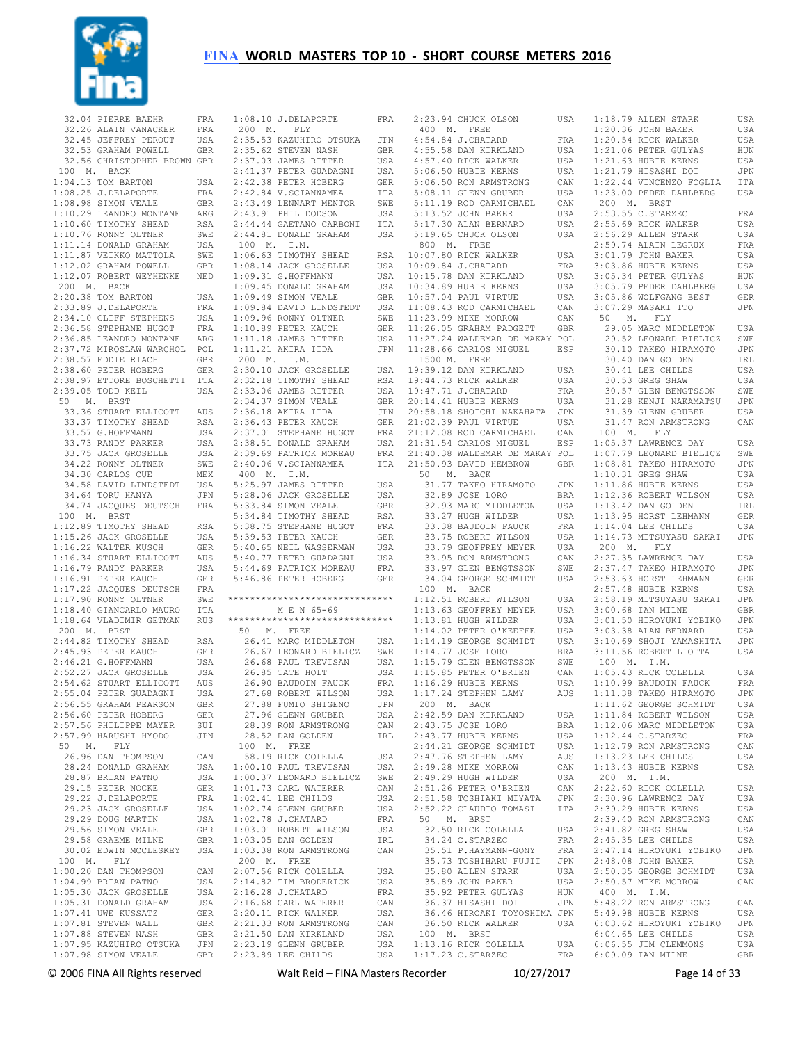

| 32.04 PIERRE BAEHR                            | FRA                      |             | 1:08.10 J.DELAPORTE                           | FRA                      |             | 2:23.94 CHUCK OLSON                                                       | USA               | 1:18.79 ALLEN STARK                               | USA               |
|-----------------------------------------------|--------------------------|-------------|-----------------------------------------------|--------------------------|-------------|---------------------------------------------------------------------------|-------------------|---------------------------------------------------|-------------------|
| 32.26 ALAIN VANACKER                          | FRA                      | 200 M.      | FLY                                           |                          |             | 400 M. FREE                                                               |                   | 1:20.36 JOHN BAKER                                | USA               |
| 32.45 JEFFREY PEROUT                          | USA                      |             | 2:35.53 KAZUHIRO OTSUKA                       | JPN                      |             | 4:54.84 J.CHATARD                                                         | FRA               | 1:20.54 RICK WALKER                               | USA               |
| 32.53 GRAHAM POWELL                           | <b>GBR</b>               |             | 2:35.62 STEVEN NASH                           | GBR                      |             | 4:55.58 DAN KIRKLAND                                                      | USA               | 1:21.06 PETER GULYAS                              | HUN               |
| 32.56 CHRISTOPHER BROWN GBR                   |                          |             | 2:37.03 JAMES RITTER                          | USA                      |             | 4:57.40 RICK WALKER                                                       | USA               | 1:21.63 HUBIE KERNS                               | USA               |
| 100 M. BACK                                   |                          |             | 2:41.37 PETER GUADAGNI                        | USA                      |             | 5:06.50 HUBIE KERNS<br>5:06.50 RON ARMSTRONG                              | USA               | 1:21.79 HISASHI DOI                               | JPN               |
| $1:04.13$ TOM BARTON<br>1:08.25 J.DELAPORTE   | USA<br>FRA               |             | 2:42.38 PETER HOBERG<br>2:42.84 V.SCIANNAMEA  | <b>GER</b><br><b>ITA</b> |             | 5:08.11 GLENN GRUBER                                                      | CAN<br>USA        | 1:22.44 VINCENZO FOGLIA<br>1:23.00 PEDER DAHLBERG | ITA<br>USA        |
| 1:08.98 SIMON VEALE                           | <b>GBR</b>               |             | 2:43.49 LENNART MENTOR                        | SWE                      |             | 5:11.19 ROD CARMICHAEL                                                    | CAN               | 200 M. BRST                                       |                   |
| 1:10.29 LEANDRO MONTANE                       | ARG                      |             | 2:43.91 PHIL DODSON                           | USA                      |             | 5:13.52 JOHN BAKER                                                        | USA               | 2:53.55 C.STARZEC                                 | FRA               |
| 1:10.60 TIMOTHY SHEAD                         | RSA                      |             | 2:44.44 GAETANO CARBONI                       | ITA                      |             | 5:17.30 ALAN BERNARD                                                      | USA               | 2:55.69 RICK WALKER                               | USA               |
| 1:10.76 RONNY OLTNER                          | SWE                      |             | 2:44.81 DONALD GRAHAM                         | USA                      |             | 5:19.65 CHUCK OLSON                                                       | USA               | 2:56.29 ALLEN STARK                               | USA               |
| 1:11.14 DONALD GRAHAM                         | USA                      | 100 M. I.M. |                                               |                          | 800 M. FREE |                                                                           |                   | 2:59.74 ALAIN LEGRUX                              | FRA               |
| 1:11.87 VEIKKO MATTOLA                        | SWE                      |             | 1:06.63 TIMOTHY SHEAD                         | RSA                      |             | 10:07.80 RICK WALKER                                                      | USA               | 3:01.79 JOHN BAKER                                | USA               |
| 1:12.02 GRAHAM POWELL                         | <b>GBR</b>               |             | 1:08.14 JACK GROSELLE                         | USA                      |             | 10:09.84 J.CHATARD                                                        | FRA               | 3:03.86 HUBIE KERNS                               | USA               |
| 1:12.07 ROBERT WEYHENKE                       | NED                      |             | 1:09.31 G.HOFFMANN                            | USA                      |             | 10:15.78 DAN KIRKLAND                                                     | USA               | 3:05.34 PETER GULYAS                              | HUN               |
| 200 M. BACK                                   |                          |             | 1:09.45 DONALD GRAHAM<br>1:09.49 SIMON VEALE  | USA                      |             | 10:34.89 HUBIE KERNS                                                      | USA               | 3:05.79 PEDER DAHLBERG<br>3:05.86 WOLFGANG BEST   | USA               |
| 2:20.38 TOM BARTON<br>2:33.89 J.DELAPORTE     | USA<br>FRA               |             | 1:09.84 DAVID LINDSTEDT                       | <b>GBR</b><br>USA        |             | 10:57.04 PAUL VIRTUE<br>11:08.43 ROD CARMICHAEL                           | USA<br>CAN        | 3:07.29 MASAKI ITO                                | <b>GER</b><br>JPN |
| 2:34.10 CLIFF STEPHENS                        | USA                      |             | 1:09.96 RONNY OLTNER                          | SWE                      |             | 11:23.99 MIKE MORROW                                                      | CAN               | 50<br>М.<br>FLY                                   |                   |
| 2:36.58 STEPHANE HUGOT                        | FRA                      |             | 1:10.89 PETER KAUCH                           | <b>GER</b>               |             | 11:26.05 GRAHAM PADGETT                                                   | <b>GBR</b>        | 29.05 MARC MIDDLETON                              | USA               |
| 2:36.85 LEANDRO MONTANE                       | ARG                      |             | 1:11.18 JAMES RITTER                          | USA                      |             | 11:27.24 WALDEMAR DE MAKAY POL                                            |                   | 29.52 LEONARD BIELICZ                             | SWE               |
| 2:37.72 MIROSLAW WARCHOL                      | POL                      |             | 1:11.21 AKIRA IIDA                            | <b>JPN</b>               |             | 11:28.66 CARLOS MIGUEL                                                    | ESP               | 30.10 TAKEO HIRAMOTO                              | <b>JPN</b>        |
| 2:38.57 EDDIE RIACH                           | <b>GBR</b>               | 200 M. I.M. |                                               |                          |             | 1500 M. FREE                                                              |                   | 30.40 DAN GOLDEN                                  | IRL               |
| 2:38.60 PETER HOBERG                          | <b>GER</b>               |             | 2:30.10 JACK GROSELLE                         | USA                      |             | 19:39.12 DAN KIRKLAND                                                     | USA               | 30.41 LEE CHILDS                                  | USA               |
| 2:38.97 ETTORE BOSCHETTI                      | ITA                      |             | 2:32.18 TIMOTHY SHEAD                         | <b>RSA</b>               |             | 19:44.73 RICK WALKER                                                      | USA               | 30.53 GREG SHAW                                   | USA               |
| 2:39.05 TODD KEIL                             | USA                      |             | 2:33.06 JAMES RITTER                          | USA                      |             | 19:47.71 J.CHATARD                                                        | FRA               | 30.57 GLEN BENGTSSON                              | SWE               |
| M. BRST<br>50                                 |                          |             | 2:34.37 SIMON VEALE                           | <b>GBR</b>               |             | 20:14.41 HUBIE KERNS                                                      | USA               | 31.28 KENJI NAKAMATSU                             | <b>JPN</b>        |
| 33.36 STUART ELLICOTT<br>33.37 TIMOTHY SHEAD  | <b>AUS</b><br><b>RSA</b> |             | 2:36.18 AKIRA IIDA<br>2:36.43 PETER KAUCH     | JPN<br><b>GER</b>        |             | 20:58.18 SHOICHI NAKAHATA<br>21:02.39 PAUL VIRTUE                         | JPN               | 31.39 GLENN GRUBER<br>31.47 RON ARMSTRONG         | USA               |
| 33.57 G.HOFFMANN                              | USA                      |             | 2:37.01 STEPHANE HUGOT                        | FRA                      |             | 21:12.08 ROD CARMICHAEL                                                   | USA<br>CAN        | 100 M.<br>FLY                                     | CAN               |
| 33.73 RANDY PARKER                            | USA                      |             | 2:38.51 DONALD GRAHAM                         | USA                      |             | 21:31.54 CARLOS MIGUEL                                                    | ESP               | 1:05.37 LAWRENCE DAY                              | USA               |
| 33.75 JACK GROSELLE                           | USA                      |             | 2:39.69 PATRICK MOREAU                        | FRA                      |             | 21:40.38 WALDEMAR DE MAKAY POL                                            |                   | 1:07.79 LEONARD BIELICZ                           | SWE               |
| 34.22 RONNY OLTNER                            | SWE                      |             | 2:40.06 V.SCIANNAMEA                          | ITA                      |             | 21:50.93 DAVID HEMBROW                                                    | <b>GBR</b>        | 1:08.81 TAKEO HIRAMOTO                            | JPN               |
| 34.30 CARLOS CUE                              | MEX                      | 400 M. I.M. |                                               |                          |             | 50 M. BACK                                                                |                   | 1:10.31 GREG SHAW                                 | USA               |
| 34.58 DAVID LINDSTEDT                         | USA                      |             | 5:25.97 JAMES RITTER                          | USA                      |             | 31.77 TAKEO HIRAMOTO                                                      | JPN               | 1:11.86 HUBIE KERNS                               | USA               |
| 34.64 TORU HANYA                              | JPN                      |             | 5:28.06 JACK GROSELLE                         | USA                      |             | 32.89 JOSE LORO                                                           | <b>BRA</b>        | 1:12.36 ROBERT WILSON                             | USA               |
| 34.74 JACQUES DEUTSCH                         | FRA                      |             | 5:33.84 SIMON VEALE                           | GBR                      |             | 32.93 MARC MIDDLETON                                                      | USA               | 1:13.42 DAN GOLDEN                                | IRL               |
| 100 M. BRST                                   |                          |             | 5:34.84 TIMOTHY SHEAD                         | RSA                      |             | 33.27 HUGH WILDER                                                         | USA               | 1:13.95 HORST LEHMANN                             | <b>GER</b>        |
| 1:12.89 TIMOTHY SHEAD                         | RSA                      |             | 5:38.75 STEPHANE HUGOT                        | FRA                      |             | 33.38 BAUDOIN FAUCK                                                       | FRA               | 1:14.04 LEE CHILDS                                | USA               |
| 1:15.26 JACK GROSELLE<br>1:16.22 WALTER KUSCH | USA<br><b>GER</b>        |             | 5:39.53 PETER KAUCH<br>5:40.65 NEIL WASSERMAN | <b>GER</b><br>USA        |             | 33.75 ROBERT WILSON<br>33.79 GEOFFREY MEYER                               | USA<br>USA        | 1:14.73 MITSUYASU SAKAI<br>200 M.<br>FLY          | <b>JPN</b>        |
| 1:16.34 STUART ELLICOTT                       | <b>AUS</b>               |             | 5:40.77 PETER GUADAGNI                        | USA                      |             | 33.95 RON ARMSTRONG                                                       | CAN               | 2:27.35 LAWRENCE DAY                              | USA               |
| 1:16.79 RANDY PARKER                          | USA                      |             | 5:44.69 PATRICK MOREAU                        | FRA                      |             | 33.97 GLEN BENGTSSON                                                      | SWE               | 2:37.47 TAKEO HIRAMOTO                            | JPN               |
| 1:16.91 PETER KAUCH                           | <b>GER</b>               |             | 5:46.86 PETER HOBERG                          | <b>GER</b>               |             | 34.04 GEORGE SCHMIDT                                                      | USA               | 2:53.63 HORST LEHMANN                             | <b>GER</b>        |
| 1:17.22 JACQUES DEUTSCH                       | FRA                      |             |                                               |                          |             | 100 M. BACK                                                               |                   | 2:57.48 HUBIE KERNS                               | USA               |
| 1:17.90 RONNY OLTNER                          | SWE                      |             | ******************************                |                          |             | 1:12.51 ROBERT WILSON                                                     | USA               | 2:58.19 MITSUYASU SAKAI                           | JPN               |
| 1:18.40 GIANCARLO MAURO                       | ITA                      |             | M E N 65-69                                   |                          |             | 1:13.63 GEOFFREY MEYER                                                    | USA               | 3:00.68 IAN MILNE                                 | <b>GBR</b>        |
| 1:18.64 VLADIMIR GETMAN                       | <b>RUS</b>               |             | ******************************                |                          |             | 1:13.81 HUGH WILDER                                                       | USA               | 3:01.50 HIROYUKI YOBIKO                           | <b>JPN</b>        |
| 200 M. BRST                                   |                          | 50          | M. FREE                                       |                          |             | 1:14.02 PETER O'KEEFFE                                                    | USA               | 3:03.38 ALAN BERNARD                              | USA               |
| 2:44.82 TIMOTHY SHEAD                         | RSA                      |             | 26.41 MARC MIDDLETON                          | USA                      |             | 1:14.19 GEORGE SCHMIDT                                                    | USA               | 3:10.69 SHOJI YAMASHITA<br>3:11.56 ROBERT LIOTTA  | JPN               |
| 2:45.93 PETER KAUCH<br>2:46.21 G.HOFFMANN     | <b>GER</b><br>USA        |             | 26.67 LEONARD BIELICZ<br>26.68 PAUL TREVISAN  | SWE<br>USA               |             | 1:14.77 JOSE LORO<br>1:15.79 GLEN BENGTSSON                               | <b>BRA</b><br>SWE | 100 M. I.M.                                       | USA               |
| 2:52.27 JACK GROSELLE                         | USA                      |             | 26.85 TATE HOLT                               | USA                      |             | 1:15.85 PETER O'BRIEN                                                     | CAN               | 1:05.43 RICK COLELLA                              | USA               |
| 2:54.62 STUART ELLICOTT                       | AUS                      |             | 26.90 BAUDOIN FAUCK                           | FRA                      |             | 1:16.29 HUBIE KERNS                                                       | USA               | 1:10.99 BAUDOIN FAUCK                             | FRA               |
| 2:55.04 PETER GUADAGNI                        | USA                      |             | 27.68 ROBERT WILSON                           | USA                      |             | 1:17.24 STEPHEN LAMY                                                      | AUS               | 1:11.38 TAKEO HIRAMOTO                            | JPN               |
| 2:56.55 GRAHAM PEARSON                        | GBR                      |             | 27.88 FUMIO SHIGENO                           | JPN                      |             | 200 M. BACK                                                               |                   | 1:11.62 GEORGE SCHMIDT                            | USA               |
| 2:56.60 PETER HOBERG                          | GER                      |             | 27.96 GLENN GRUBER                            | USA                      |             | 2:42.59 DAN KIRKLAND                                                      | USA               | 1:11.84 ROBERT WILSON                             | USA               |
| 2:57.56 PHILIPPE MAYER                        | SUI                      |             | 28.39 RON ARMSTRONG                           | CAN                      |             | 2:43.75 JOSE LORO                                                         | BRA               | 1:12.06 MARC MIDDLETON                            | USA               |
| 2:57.99 HARUSHI HYODO                         | JPN                      |             | 28.52 DAN GOLDEN                              | IRL                      |             | 2:43.77 HUBIE KERNS                                                       | USA               | 1:12.44 C.STARZEC                                 | FRA               |
| 50 M. FLY                                     |                          | 100 M. FREE |                                               |                          |             | 2:44.21 GEORGE SCHMIDT                                                    | USA               | 1:12.79 RON ARMSTRONG                             | CAN               |
| 26.96 DAN THOMPSON<br>28.24 DONALD GRAHAM     | CAN<br>USA               |             | 58.19 RICK COLELLA<br>1:00.10 PAUL TREVISAN   | USA                      |             | USA 2:47.76 STEPHEN LAMY<br>2:49.28 MIKE MORROW                           | AUS<br>CAN        | 1:13.23 LEE CHILDS<br>1:13.43 HUBIE KERNS         | USA<br>USA        |
| 28.87 BRIAN PATNO                             | USA                      |             | 1:00.37 LEONARD BIELICZ                       | SWE                      |             | 2:49.29 HUGH WILDER                                                       | USA               | 200 M. I.M.                                       |                   |
| 29.15 PETER NOCKE                             | GER                      |             | 1:01.73 CARL WATERER                          | CAN                      |             | 2:51.26 PETER O'BRIEN                                                     | CAN               | 2:22.60 RICK COLELLA                              | USA               |
| 29.22 J.DELAPORTE                             | FRA                      |             | 1:02.41 LEE CHILDS                            | USA                      |             | 2:51.58 TOSHIAKI MIYATA                                                   | JPN               | 2:30.96 LAWRENCE DAY                              | USA               |
| 29.23 JACK GROSELLE                           | USA                      |             | 1:02.74 GLENN GRUBER                          | USA                      |             | 2:52.22 CLAUDIO TOMASI                                                    | ITA               | 2:39.29 HUBIE KERNS                               | USA               |
| 29.29 DOUG MARTIN                             | USA                      |             | 1:02.78 J.CHATARD                             | FRA                      | 50 M. BRST  |                                                                           |                   | 2:39.40 RON ARMSTRONG                             | CAN               |
| 29.56 SIMON VEALE                             | GBR                      |             | 1:03.01 ROBERT WILSON                         | USA                      |             | 32.50 RICK COLELLA                                                        | USA               | 2:41.82 GREG SHAW                                 | USA               |
| 29.58 GRAEME MILNE                            | GBR                      |             | 1:03.05 DAN GOLDEN                            | IRL                      |             | 34.24 C.STARZEC                                                           | FRA               | 2:45.35 LEE CHILDS                                | USA               |
| 30.02 EDWIN MCCLESKEY                         | USA                      |             | 1:03.38 RON ARMSTRONG                         | CAN                      |             | 35.51 P.HAYMANN-GONY                                                      | FRA               | 2:47.14 HIROYUKI YOBIKO                           | JPN               |
| 100 M. FLY                                    |                          |             |                                               |                          |             | 35.73 TOSHIHARU FUJII                                                     | JPN               | 2:48.08 JOHN BAKER                                | USA               |
|                                               |                          | 200 M. FREE |                                               |                          |             |                                                                           |                   |                                                   |                   |
| 1:00.20 DAN THOMPSON                          | CAN                      |             | 2:07.56 RICK COLELLA                          | USA                      |             | 35.80 ALLEN STARK                                                         | USA               | 2:50.35 GEORGE SCHMIDT                            | USA               |
| $1:04.99$ BRIAN PATNO                         | USA                      |             | 2:14.82 TIM BRODERICK                         | USA                      |             | 35.89 JOHN BAKER                                                          | USA               | 2:50.57 MIKE MORROW                               | CAN               |
| 1:05.30 JACK GROSELLE                         | USA                      |             | 2:16.28 J. CHATARD                            | FRA                      |             | 35.92 PETER GULYAS                                                        | HUN               | 400 M. I.M.                                       |                   |
| 1:05.31 DONALD GRAHAM<br>1:07.41 UWE KUSSATZ  | USA<br>GER               |             | 2:16.68 CARL WATERER<br>2:20.11 RICK WALKER   | CAN<br>USA               |             |                                                                           |                   | 5:48.22 RON ARMSTRONG<br>5:49.98 HUBIE KERNS      | CAN<br>USA        |
| 1:07.81 STEVEN WALL                           | GBR                      |             | 2:21.33 RON ARMSTRONG                         | CAN                      |             | 36.37 HISASHI DOI JPN<br>36.46 HIROAKI TOYOSHIMA JPN<br>36.50 RICK WALKER | USA               | 6:03.62 HIROYUKI YOBIKO                           | JPN               |
| 1:07.88 STEVEN NASH                           | GBR                      |             | 2:21.50 DAN KIRKLAND                          | USA                      | 100 M. BRST |                                                                           |                   | 6:04.65 LEE CHILDS                                | USA               |
| 1:07.95 KAZUHIRO OTSUKA                       | JPN                      |             | 2:23.19 GLENN GRUBER                          | USA                      |             | 1:13.16 RICK COLELLA                                                      | USA               | 6:06.55 JIM CLEMMONS                              | USA               |
| 1:07.98 SIMON VEALE                           | GBR                      |             | 2:23.89 LEE CHILDS                            | USA                      |             | $1:17.23$ C.STARZEC                                                       | FRA               | 6:09.09 IAN MILNE                                 | GBR               |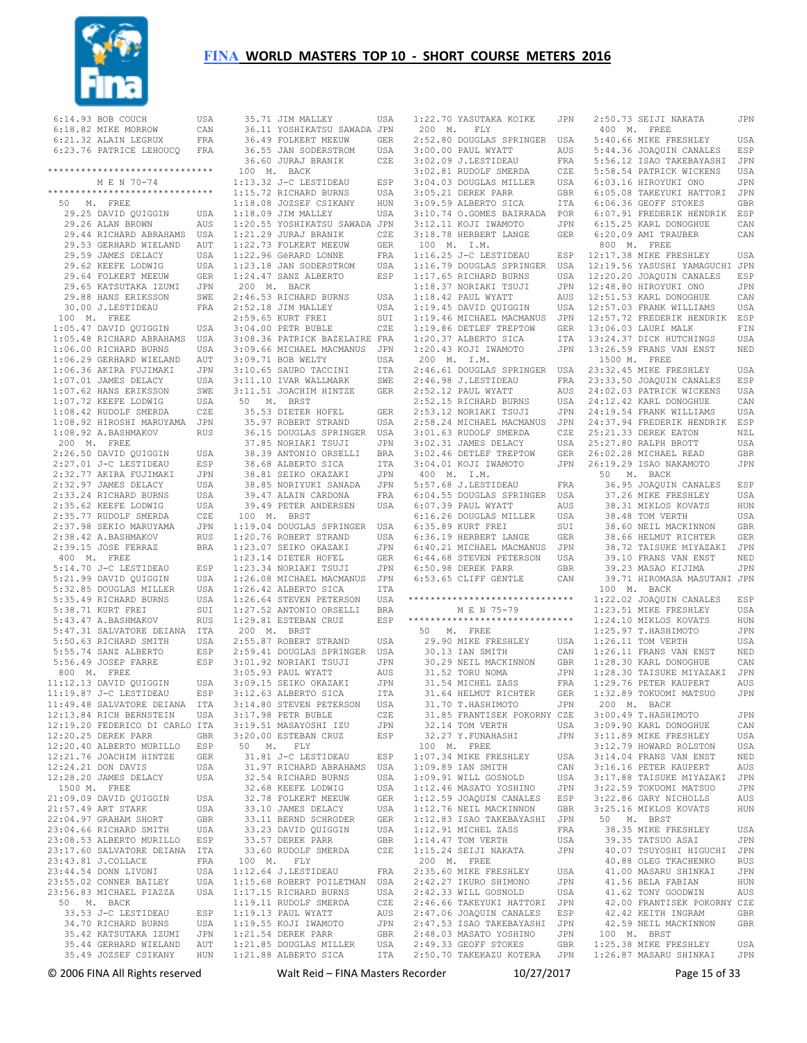

|                                                                                                                                           | USA                         |
|-------------------------------------------------------------------------------------------------------------------------------------------|-----------------------------|
|                                                                                                                                           | CAN                         |
| 6:14.93 BOB COUCH<br>6:18.82 MIKE MORROW<br>6:21.32 ALAIN LEGRUX                                                                          | FRA                         |
| 6:23.76 PATRICE LEHOUCQ FRA                                                                                                               |                             |
|                                                                                                                                           |                             |
| *****************************                                                                                                             |                             |
| M E N 70-74                                                                                                                               |                             |
| ******************************                                                                                                            |                             |
| 50 M. FREE                                                                                                                                |                             |
|                                                                                                                                           | USA                         |
| 29.25 DAVID QUIGGIN<br>29.26 ALAN BROWN                                                                                                   | AUS                         |
| 29.44 RICHARD ABRAHAMS                                                                                                                    | USA                         |
|                                                                                                                                           |                             |
| 29.53 GERHARD WIELAND                                                                                                                     | $\mathop{\rm AUT}\nolimits$ |
| 29.59 JAMES DELACY<br>29.62 KEEFE LODWIG                                                                                                  | USA                         |
|                                                                                                                                           | USA                         |
|                                                                                                                                           | <b>GER</b>                  |
| 29.64 FOLKERT MEEUW<br>29.65 KATSUTAKA IZUMI                                                                                              | JPN                         |
|                                                                                                                                           | SWE                         |
| 29.88 HANS ERIKSSON<br>30.00 J.LESTIDEAU                                                                                                  | FRA                         |
| 100 M. FREE                                                                                                                               |                             |
| 1:05.47 DAVID QUIGGIN                                                                                                                     | USA                         |
| 1:05.48 RICHARD ABRAHAMS                                                                                                                  | USA                         |
| $1:06.00$ RICHARD BURNS                                                                                                                   |                             |
|                                                                                                                                           | USA                         |
| $1:06.29$ GERHARD WIELAND                                                                                                                 | AUT                         |
|                                                                                                                                           | JPN                         |
| 1:06.36 AKIRA FUJIMAKI<br>1:07.01 JAMES DELACY<br>1:07.03 UNIMA PRIMACY                                                                   | USA                         |
| 1:07.62 HANS ERIKSSON                                                                                                                     | SWE                         |
| 1:07.72 KEEFE LODWIG<br>1:08.42 RUDOLF SMERDA                                                                                             | USA                         |
|                                                                                                                                           | CZE                         |
| 1:08.92 HIROSHI MARUYAMA                                                                                                                  | JPN                         |
| $1:08.92$ A.BASHMAKOV                                                                                                                     | <b>RUS</b>                  |
| 200 M. FREE                                                                                                                               |                             |
| 2:26.50 DAVID QUIGGIN                                                                                                                     | USA                         |
|                                                                                                                                           |                             |
|                                                                                                                                           | ESP                         |
| 2:27.01 J-C LESTIDEAU<br>2:32.77 AKIRA FUJIMAKI<br>2:32.97 JAMES DELACY                                                                   | JPN                         |
|                                                                                                                                           | USA                         |
| 2:33.24 RICHARD BURNS<br>2:35.62 KEEFE LODWIG<br>2:35.77 RUDOLF SMERDA                                                                    | USA<br>USA<br>USA           |
|                                                                                                                                           |                             |
|                                                                                                                                           | CZE                         |
|                                                                                                                                           | JPN                         |
|                                                                                                                                           | <b>RUS</b>                  |
| 2:39.15 JOSE FERRAZ                                                                                                                       | <b>BRA</b>                  |
| 400 M. FREE                                                                                                                               |                             |
| 400 M. FREE<br>5:14.70 J-C LESTIDEAU<br>5:21.99 DAVID QUIGGIN<br>5:32.85 DOUGLAS MILLER<br>5:35.49 RICHARD BURNS<br>7:35.47 RICHARD BURNS |                             |
|                                                                                                                                           | ESP<br>USA                  |
|                                                                                                                                           | USA                         |
|                                                                                                                                           |                             |
|                                                                                                                                           | USA                         |
| 5:38.71 KURT FREI                                                                                                                         | SUI                         |
| $5:43.47$ A.BASHMAKOV                                                                                                                     | <b>RUS</b>                  |
|                                                                                                                                           |                             |
| 5:47.31 SALVATORE DEIANA ITA<br>5:50.63 RICHARD SMITH USA                                                                                 |                             |
|                                                                                                                                           | ESP                         |
| 5:55.74 SANZ ALBERTO<br>5:56.49 JOSEP FARRE                                                                                               | ESP                         |
| $800$ M. FREE                                                                                                                             |                             |
|                                                                                                                                           | USA                         |
| 11:12.13 DAVID QUIGGIN<br>11:19.87 J-C LESTIDEAU                                                                                          | ESP                         |
| 11:49.48 SALVATORE DEIANA                                                                                                                 | ITA                         |
| 12:13.84 RICH BERNSTEIN                                                                                                                   | USA                         |
|                                                                                                                                           |                             |
| 12:19.20 FEDERICO DI CARLO                                                                                                                | ITA                         |
| 12:20.25 DEREK PARR                                                                                                                       | GBR                         |
| 12:20.40 ALBERTO MURILLO                                                                                                                  | ESP                         |
| 12:21.76 JOACHIM HINTZE                                                                                                                   | <b>GER</b>                  |
| 12:24.21 DON DAVIS                                                                                                                        | USA                         |
| 12:28.20 JAMES DELACY                                                                                                                     | USA                         |
| 1500 M. FREE                                                                                                                              |                             |
| 21:09.09 DAVID QUIGGIN                                                                                                                    | USA                         |
| 21:57.49 ART STARK                                                                                                                        | USA                         |
| 22:04.97 GRAHAM SHORT                                                                                                                     | <b>GBR</b>                  |
| 23:04.66 RICHARD SMITH                                                                                                                    | USA                         |
| 23:08.53 ALBERTO MURILLO                                                                                                                  | ESP                         |
|                                                                                                                                           | ITA                         |
|                                                                                                                                           |                             |
| 23:17.60 SALVATORE DEIANA                                                                                                                 |                             |
| 23:43.81 J.COLLACE                                                                                                                        | FRA                         |
| 23:44.54 DONN LIVONI                                                                                                                      | USA                         |
| 23:55.02 CONNER BAILEY                                                                                                                    | USA                         |
| 23:56.83 MICHAEL PIAZZA                                                                                                                   | USA                         |
| 50 M. BACK                                                                                                                                |                             |
| 33.53 J-C LESTIDEAU                                                                                                                       | ESP                         |
| 34.70 RICHARD BURNS                                                                                                                       | USA                         |
| 35.42 KATSUTAKA IZUMI                                                                                                                     | JPN                         |
| 35.44 GERHARD WIELAND                                                                                                                     | AUT                         |

 35.71 JIM MALLEY USA 36.11 YOSHIKATSU SAWADA JPN 36.49 FOLKERT MEEUW GER 36.55 JAN SODERSTROM USA 36.60 JURAJ BRANIK CZE 100 M. BACK 1:13.32 J-C LESTIDEAU ESP 1:15.72 RICHARD BURNS USA  $1:18.08$  JOZSEF CSIKANY  $1:18.09$  JIM MALLEY 1:20.55 YOSHIKATSU SAWADA JPN 1:21.29 JURAJ BRANIK CZE 1:22.73 FOLKERT MEEUW GER 1:22.96 GéRARD LONNE FRA 1:23.18 JAN SODERSTROM USA 1:24.47 SANZ ALBERTO ESP 200 M. BACK 2:46.53 RICHARD BURNS USA 2:52.18 JIM MALLEY USA 2:59.65 KURT FREI SUI 3:04.00 PETR BUBLE CZE 3:08.36 PATRICK BAZELAIRE FRA 3:09.66 MICHAEL MACMANUS JPN 3:09.71 BOB WELTY USA 3:10.65 SAURO TACCINI ITA 3:11.10 IVAR WALLMARK SWE 3:11.51 JOACHIM HINTZE GER 2:52.12 PAUL WYATT 50 M. BRST 35.53 DIETER HOFEL GER 35.97 ROBERT STRAND USA 36.15 DOUGLAS SPRINGER USA 37.85 NORIAKI TSUJI JPN 38.39 ANTONIO ORSELLI BRA 38.68 ALBERTO SICA ITA 38.81 SEIKO OKAZAKI JPN 38.85 NORIYUKI SANADA JPN 39.47 ALAIN CARDONA FRA 39.49 PETER ANDERSEN USA 6:04.55 DOUGLAS SPRINGER USA 6:07.39 PAUL WYATT AUS 100 M. BRST<br>1:19.04 DOUGLAS SPRINGER USA<br>1:20.76 ROBERT STRAND USA<br>1:23.07 SEIKO OKAZAKI JPN 1:23.14 DIETER HOFEL GER<br>1:23.34 NORIAKI TSUJI JPN 1:23.34 NORIAKI TSUJI JPN 1:26.08 MICHAEL MACMANUS JPN 6:50.98 DEREK PARR GBR 6:53.65 CLIFF GENTLE CAN 1:26.42 ALBERTO SICA ITA  $1:26.64$  STEVEN PETERSON 1:27.52 ANTONIO ORSELLI BRA 1:29.81 ESTEBAN CRUZ ESP 200 M. BRST 2:55.87 ROBERT STRAND USA 2:59.41 DOUGLAS SPRINGER USA 3:01.92 NORIAKI TSUJI JPN 3:05.93 PAUL WYATT AUS 3:09.15 SEIKO OKAZAKI JPN 3:12.63 ALBERTO SICA ITA 3:14.80 STEVEN PETERSON USA 3:17.98 PETR BUBLE CZE 3:19.51 MASAYOSHI IZU JPN 3:17.98 PETR BUBLE CZE<br>3:19.51 MASAYOSHI IZU JPN<br>3:20.00 ESTEBAN CRUZ ESP 50 M. FLY 31.81 J-C LESTIDEAU 31.97 RICHARD ABRAHAMS USA 32.54 RICHARD BURNS USA 32.68 KEEFE LODWIG USA 32.78 FOLKERT MEEUW GER 33.10 JAMES DELACY USA 33.11 BERND SCHRODER GER 33.23 DAVID QUIGGIN 33.57 DEREK PARR GBR 33.60 RUDOLF SMERDA 100 M. FLY 1:12.64 J.LESTIDEAU FRA 1:15.68 ROBERT POILETMAN USA 1:17.15 RICHARD BURNS USA 1:19.11 RUDOLF SMERDA CZE 1:19.13 PAUL WYATT AUS 1:19.55 KOJI IWAMOTO JPN 1.21.54 DEREK PARR<br>1.21.54 DEREK PARR GBR 2:49.33 GEOFF STOKES<br>1.21.85 DOUGLAS MILLER USA 2:49.33 GEOFF STOKES 1:21.85 DOUGLAS MILLER USA

 1:22.70 YASUTAKA KOIKE JPN 200 M. FLY 2:50.73 SEIJI NAKATA JPN 400 M. FREE 2:52.80 DOUGLAS SPRINGER USA 3:00.00 PAUL WYATT AUS 3:02.09 J.LESTIDEAU FRA  $3:02.81$  RUDOLF SMERDA 3:04.03 DOUGLAS MILLER USA 3:05.21 DEREK PARR GBR 3:09.59 ALBERTO SICA ITA 3:10.74 O.GOMES BAIRRADA POR 3:12.11 KOJI IWAMOTO JPN 3:18.78 HERBERT LANGE GER 6:20.09 AMI TRAUBER CAN 3:18.78 HERBERT LANGE<br>100 M. T.M. 100 m. 1.11.<br>1:16.25 J-C LESTIDEAU ESP 12:17.38 MIKE FRESHLEY 1:16.79 DOUGLAS SPRINGER USA<br>
1:17.65 RICHARD BURNS USA<br>
1:18.37 NORIAKI TSUJI JPN<br>
1:18.42 PAUL WYATT AUS<br>
1:19.45 DAVID QUIGGIN USA 1:19.46 MICHAEL MACMANUS JPN<br>
1:19.86 DETLEF TREPTOW GER<br>
1:20.37 ALBERTO SICA ITA<br>
1:20.43 KOJI IWAMOTO JPN<br>
200 M. I.M. 2:46.61 DOUGLAS SPRINGER USA 2:46.98 J.LESTIDEAU FRA 23:32.45 MIKE FRESHLEY USA 23:33.50 JOAQUIN CANALES ESP 2:52.12 PAUL WYATT AUS 2:52.15 RICHARD BURNS USA 24:02.03 PATRICK WICKENS USA 24:12.42 KARL DONOGHUE CAN 2:53.12 NORIAKI TSUJI JPN 24:19.54 FRANK WILLIAMS USA<br>2:58.24 MICHAEL MACMANUS JPN 24:37.94 FREDERIK HENDRIK ESP 3:01.63 RUDOLF SMERDA CZE 3:02.31 JAMES DELACY USA 3:02.46 DETLEF TREPTOW GER<br>3:04.01 KOJI IWAMOTO JPN<br>400 M. I.M.<br>5:57.68 J.LESTIDEAU FRA 6:16.26 DOUGLAS MILLER USA 6:35.89 KURT FREI SUI 6:36.19 HERBERT LANGE GER 6:40.21 MICHAEL MACMANUS JPN 6:44.68 STEVEN PETERSON USA \*\*\*\*\*\*\*\*\*\*\*\*\*\*\*\*\*\*\*\*\*\*\*\*\*\*\*\*\*\* 1:22.02 JOAQUIN CANALES ESP M E N 75-79 \*\*\*\*\*\*\*\*\*\*\*\*\*\*\*\*\*\*\*\*\*\*\*\*\*\*\*\*\*\* 1:23.51 MIKE FRESHLEY USA 1:24.10 MIKLOS KOVATS HUN 50 M. FREE<br>29.90 MIKE FRESHLEY<br>30.13 IAN SMITH 29.90 MIKE FRESHLEY USA 30.13 IAN SMITH CAN<br>30.29 NEIL MACKINNON GBR<br>31.52 TORU NOMA JPN<br>31.54 MICHEL ZASS FRA 31.64 HELMUT RICHTER GER 31.70 T.HASHIMOTO JPN 31.85 FRANTISEK POKORNY CZE 200 M. BACK 3:00.49 T.HASHIMOTO JPN 32.14 TOM VERTH USA<br>32.27 Y.FUNAHASHI JPN 100 M. FREE 1:07.34 MIKE FRESHLEY USA 3:14.04 FRANS VAN ENST NED 1:09.89 IAN SMITH CAN<br>1:09.91 WILL GOSNOLD USA<br>1:12.46 MASATO YOSHINO JPN<br>1:12.59 JOAQUIN CANALES ESP 1:12.76 NEIL MACKINNON GBR 1:12.83 ISAO TAKEBAYASHI JPN 1:12.91 MICHEL ZASS FRA 1:14.47 TOM VERTH USA 38.35 MIKE FRESHLEY USA 39.35 TATSUO ASAI JPN 1:15.24 SEIJI NAKATA JPN 200 M. FREE 2:35.60 MIKE FRESHLEY USA 2:42.27 IKURO SHIMONO JPN 2:42.33 WILL GOSNOLD USA 2:46.66 TAKEYUKI HATTORI JPN 2:47.06 JOAQUIN CANALES ESP 2:47.53 ISAO TAKEBAYASHI JPN 2:48.03 MASATO YOSHINO JPN 2:49.33 GEOFF STOKES GBR 100 M. BRST 1:25.38 MIKE FRESHLEY USA

 1:21.88 ALBERTO SICA ITA 2:50.70 TAKEKAZU KOTERA JPN 1:26.87 MASARU SHINKAI JPN 5:40.66 MIKE FRESHLEY USA 5:44.36 JOAQUIN CANALES ESP 5:56.12 ISAO TAKEBAYASHI JPN 5:58.54 PATRICK WICKENS USA 6:03.16 HIROYUKI ONO JPN<br>6:05.08 TAKEYUKI HATTORI JPN<br>6:06.36 GEOFF STOKES<br>6:07.91 FREDERIK HENDRIK ESP 6:15.25 KARL DONOGHUE CAN 800 M. FREE 12:17.38 MIKE FRESHLEY USA<br>
12:19.56 YASUSHI YAMAGUCHI JPN<br>
12:20.20 JOAQUIN CANALES ESP<br>
12:48.80 HIROYUKI ONO JPN<br>
12:51.53 KARL DONOGHUE CAN<br>
12:57.03 FRANK WILLIAMS USA 12:57.72 FREDERIK HENDRIK ESP<br>
13:06.03 LAURI MALK FIN<br>
13:24.37 DICK HUTCHINGS USA<br>
13:26.59 FRANS VAN ENST NED<br>
1500 M. FREE 25:21.33 DEREK EATON NZL 25:27.80 RALPH BROTT USA 26:02.28 MICHAEL READ GBR<br>26:19.29 ISAO NAKAMOTO JPN<br>50 M. BACK<br>36.95 JOAQUIN CANALES ESP 37.26 MIKE FRESHLEY USA 38.31 MIKLOS KOVATS HUN 38.48 TOM VERTH USA 38.60 NEIL MACKINNON GBR 38.66 HELMUT RICHTER GER 38.72 TAISUKE MIYAZAKI JPN 39.10 FRANS VAN ENST NED 39.23 MASAO KIJIMA JPN 39.71 HIROMASA MASUTANI JPN 100 M. BACK 1:25.97 T.HASHIMOTO JPN 1:26.11 TOM VERTH USA<br>
1:26.11 FRANS VAN ENST NED<br>
1:28.30 KARL DONOGHUE CAN<br>
1:28.30 TAISUKE MIYAZAKI JPN<br>
1:29.76 PETER KAUPERT AUS 1:32.89 TOKUOMI MATSUO JPN 3:09.90 KARL DONOGHUE CAN 3:11.89 MIKE FRESHLEY USA 3:12.79 HOWARD ROLSTON USA 3:16.16 PETER KAUPERT AUS 3:17.88 TAISUKE MIYAZAKI JPN 3:22.59 TOKUOMI MATSUO JPN 3:22.86 GARY NICHOLLS AUS 3:25.16 MIKLOS KOVATS HUN 50 M. BRST 40.07 TSUYOSHI HIGUCHI JPN 40.88 OLEG TKACHENKO RUS 41.00 MASARU SHINKAI JPN 41.56 BELA FABIAN HUN 41.62 TONY GOODWIN AUS 42.00 FRANTISEK POKORNY CZE 42.42 KEITH INGRAM GBR 42.59 NEIL MACKINNON GBR

© 2006 FINA All Rights reserved Walt Reid – FINA Masters Recorder 10/27/2017 Page 15 of 33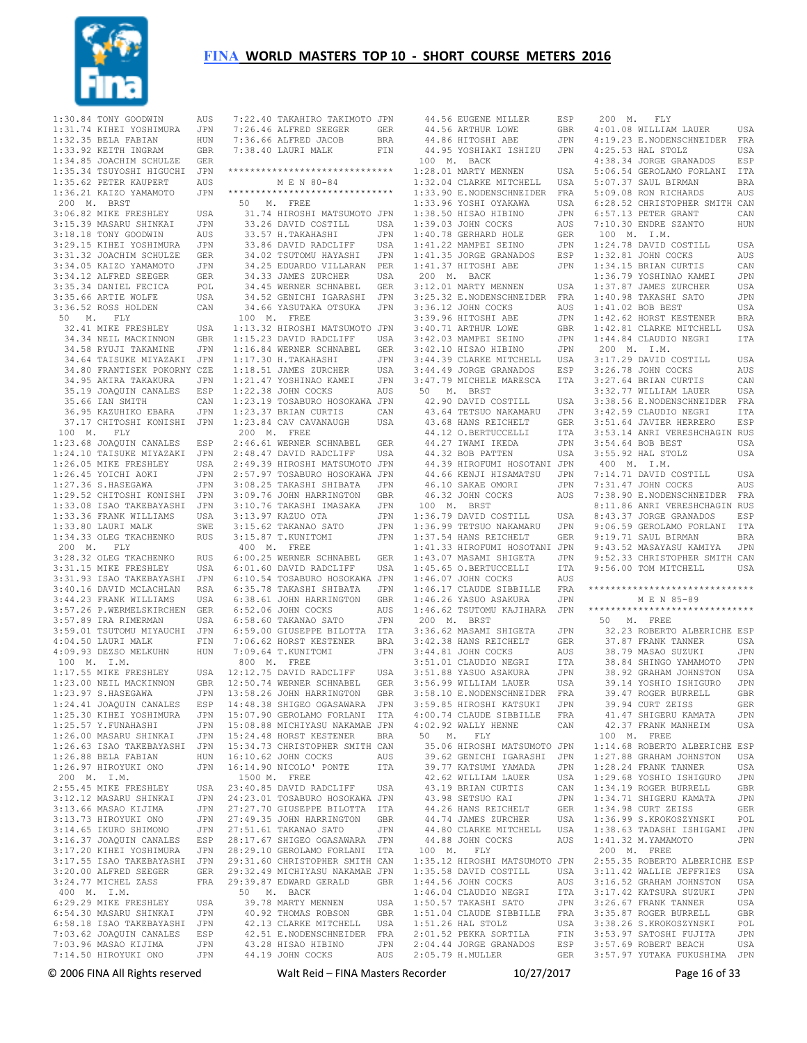

|                                                                                                                                                                                                                                                              | JPN<br>HUN |
|--------------------------------------------------------------------------------------------------------------------------------------------------------------------------------------------------------------------------------------------------------------|------------|
|                                                                                                                                                                                                                                                              |            |
|                                                                                                                                                                                                                                                              | GBR        |
|                                                                                                                                                                                                                                                              |            |
|                                                                                                                                                                                                                                                              |            |
|                                                                                                                                                                                                                                                              |            |
| 200 M. BRST                                                                                                                                                                                                                                                  |            |
| 3:06.82 MIKE FRESHLEY                                                                                                                                                                                                                                        | USA        |
|                                                                                                                                                                                                                                                              |            |
|                                                                                                                                                                                                                                                              |            |
| 3:06.82 MIKE FRESHLEY<br>3:18.18 MASARV SHINKAI JPN<br>3:29.15 KIHEI YOSHIMURA JPN<br>3:29.15 KIHEI YOSHIMURA JPN<br>3:31.32 JOACHIM SCHULZE GER<br>3:34.02 NAMADO YAMAMOTO JPN<br>3:34.12 ALFRED SEEGER GER<br>3:35.54 DANIEL FECICA FOL<br>3               |            |
|                                                                                                                                                                                                                                                              |            |
|                                                                                                                                                                                                                                                              |            |
|                                                                                                                                                                                                                                                              |            |
|                                                                                                                                                                                                                                                              |            |
|                                                                                                                                                                                                                                                              |            |
| 50 M. FLY                                                                                                                                                                                                                                                    |            |
| 32.41 MIKE FRESHLEY USA<br>34.34 NEIL MACKINNON GBR<br>34.58 RYUJI TAKAMINE JPN<br>34.64 TAISUKE MIYAZAKI JPN<br>34.80 FRANTISEK POKORNY CZE                                                                                                                 |            |
|                                                                                                                                                                                                                                                              |            |
|                                                                                                                                                                                                                                                              |            |
|                                                                                                                                                                                                                                                              |            |
|                                                                                                                                                                                                                                                              |            |
|                                                                                                                                                                                                                                                              |            |
|                                                                                                                                                                                                                                                              |            |
| 34.95 AKIRA TAKAKURA JPN<br>35.19 JOAQUIN CANALES ESP<br>35.66 IAN SMITH CAN<br>36.95 KAZUHIKO EBARA JPN                                                                                                                                                     |            |
|                                                                                                                                                                                                                                                              |            |
| 37.17 CHITOSHI KONISHI JPN                                                                                                                                                                                                                                   |            |
| 100 M. FLY<br>1:23.68 JOAQUIN CANALES                                                                                                                                                                                                                        | ESP        |
|                                                                                                                                                                                                                                                              |            |
|                                                                                                                                                                                                                                                              |            |
|                                                                                                                                                                                                                                                              |            |
|                                                                                                                                                                                                                                                              |            |
|                                                                                                                                                                                                                                                              |            |
|                                                                                                                                                                                                                                                              |            |
|                                                                                                                                                                                                                                                              |            |
|                                                                                                                                                                                                                                                              |            |
|                                                                                                                                                                                                                                                              |            |
|                                                                                                                                                                                                                                                              |            |
| 1:23.68 JOAQUIN CANALES ESP<br>1:26.05 MIKE FRESHLEY JPN<br>1:26.05 MIKE FRESHLEY USA<br>1:26.05 MIKE FRESHLEY USA<br>1:27.36 S.HASEGAWA JPN<br>1:29.52 CHITOSHI KONISHI JPN<br>1:33.08 ISAO TAKEBAYASHI JPN<br>1:33.36 FRANK WILLIAMS USA<br><br>200 M. FLY |            |
|                                                                                                                                                                                                                                                              |            |
| 3:28.32 OLEG TKACHENKO RUS<br>3:31.15 MIKE FRESHLEY USA                                                                                                                                                                                                      |            |
|                                                                                                                                                                                                                                                              |            |
|                                                                                                                                                                                                                                                              |            |
|                                                                                                                                                                                                                                                              |            |
|                                                                                                                                                                                                                                                              |            |
|                                                                                                                                                                                                                                                              |            |
|                                                                                                                                                                                                                                                              |            |
|                                                                                                                                                                                                                                                              |            |
| 3:31.93 ISBO TAKEBAYASHLIMA<br>3:40.16 DAVID MCLACHLAN RSA<br>3:40.16 DAVID MCLACHLAN RSA<br>3:44.23 FRANK WILLIAMS USA<br>3:57.26 P.WERMELSKIRCHEN GER<br>3:57.89 IRA RIMERMAN USA<br>3:59.01 TSUTOMU MTYAUCHI JPN<br>4:04.50 LAURI MALK FI<br>100 M. I.M.  |            |
|                                                                                                                                                                                                                                                              |            |
|                                                                                                                                                                                                                                                              |            |
| 1:17.55 MIKE FRESHLEY USA<br>1:23.00 NEIL MACKINNON GBR<br>1:23.97 S.HASEGAWA JPN                                                                                                                                                                            |            |
|                                                                                                                                                                                                                                                              | ESP<br>JPN |
|                                                                                                                                                                                                                                                              | JPN        |
| 1:24.41 JOAQUIN CANALES<br>1:25.30 KIHEI YOSHIMURA<br>1:25.57 Y.FUNAHASHI                                                                                                                                                                                    | JPN        |
|                                                                                                                                                                                                                                                              | JPN        |
|                                                                                                                                                                                                                                                              | HUN        |
| 1:26.00 MASARU SHINKAI<br>1:26.63 ISAO TAKEBAYASHI<br>1:26.88 BELA FABIAN<br>1:26.88 BELA FABIAN<br>1:26.97 HIROYUKI ONO                                                                                                                                     | JPN        |
| 200 M. I.M.                                                                                                                                                                                                                                                  |            |
| 2:55.45 MIKE FRESHLEY                                                                                                                                                                                                                                        | USA        |
| 3:12.12 MASARU SHINKAI                                                                                                                                                                                                                                       | JPN        |
| 3:13.66 MASAO KIJIMA                                                                                                                                                                                                                                         | JPN        |
|                                                                                                                                                                                                                                                              | JPN<br>JPN |
|                                                                                                                                                                                                                                                              | ESP        |
|                                                                                                                                                                                                                                                              | JPN        |
|                                                                                                                                                                                                                                                              | JPN        |
| 3:13.66 MASAO AIOIRA<br>3:14.65 IKURO SHIMONO<br>3:14.65 IKURO SHIMONO<br>3:16.37 JOAQUIN CANALES<br>3:17.55 ISAO TAKEBAYASHI<br>3:17.55 ISAO TAKEBAYASHI<br>3:20.00 ALFRED SEEGER                                                                           | GER        |
| 3:24.77 MICHEL ZASS                                                                                                                                                                                                                                          | FRA        |
| 400 M. I.M.                                                                                                                                                                                                                                                  |            |
| 6:29.29 MIKE FRESHLEY                                                                                                                                                                                                                                        | USA        |
| 6:54.30 MASARU SHINKAI                                                                                                                                                                                                                                       | JPN        |
|                                                                                                                                                                                                                                                              | JPN<br>ESP |
|                                                                                                                                                                                                                                                              | JPN        |
| %1.58.18 ISAO TAKEBAYASHI<br>7:03.62 JOAQUIN CANALES<br>7:03.96 MASAO KIJIMA<br>7:03.96 MASAO KIJIMA<br>7:14.50 HIROYUKI ONO                                                                                                                                 | JPN        |

| 7:22.40 TAKAHIRO TAKIMOTO JPN                                                             |               |
|-------------------------------------------------------------------------------------------|---------------|
| 7:26.46 ALFRED SEEGER<br>7:36.66 ALFRED JACOB<br>7:36.66 ALFRED JACOB                     | GER           |
|                                                                                           | BRA           |
| 7:38.40 LAURI MALK                                                                        | FIN           |
|                                                                                           |               |
| ******************************                                                            |               |
| M E N 80-84                                                                               |               |
| ******************************                                                            |               |
| 50 M. FREE                                                                                |               |
| 31.74 HIROSHI MATSUMOTO JPN                                                               |               |
|                                                                                           | USA           |
|                                                                                           | JPN           |
| 33.26 DAVID COSTILL<br>33.57 H.TAKAHASHI<br>33.86 DAVID RADCLIFF<br>34.02 TSUTOMU HAYASHI |               |
|                                                                                           | USA           |
|                                                                                           | JPN           |
| 34.25 EDUARDO VILLARAN                                                                    | $_{\rm{PER}}$ |
| 34.33 JAMES ZURCHER<br>34.45 WERNER SCHNABEL                                              | USA           |
|                                                                                           | GER           |
|                                                                                           | JPN           |
| 34.52 GENICHI IGARASHI JPN<br>34.66 YASUTAKA OTSUKA JPN                                   |               |
| 100 M. FREE<br>1:13.32 HIROSHI MATSUMOTO JPN                                              |               |
|                                                                                           |               |
|                                                                                           | USA           |
| 1:15.23 DAVID RADCLIFF<br>1:16.84 WERNER SCHNABEL<br>1:17.30 H.TAKAHASHI                  | GER           |
|                                                                                           | JPN           |
|                                                                                           | USA           |
|                                                                                           | <b>JPN</b>    |
| 1:17.30 H.TAKARASHI<br>1:18.51 JAMES ZURCHER<br>1:21.47 YOSHINAO KAMEI                    |               |
| 1:22.38 JOHN COCKS                                                                        | AUS           |
| 1:23.19 TOSABURO HOSOKAWA JPN                                                             |               |
|                                                                                           | CAN           |
| 1:23.37 BRIAN CURTIS<br>1:23.84 CAV CAVANAUGH                                             | USA           |
| 200 M. FREE                                                                               |               |
| 2:46.61 WERNER SCHNABEL GER                                                               |               |
| 2:48.47 DAVID RADCLIFF                                                                    | USA           |
|                                                                                           |               |
| 2:49.39 HIROSHI MATSUMOTO JPN<br>2:57.97 TOSABURO HOSOKAWA JPN                            |               |
| 3:08.25 TAKASHI SHIBATA JPN<br>3:09.76 JOHN HARRINGTON GBR<br>3:10.76 TAKASHI IMASAKA JPN |               |
|                                                                                           |               |
|                                                                                           |               |
| 3:13.97 KAZUO OTA                                                                         | JPN           |
| 3:15.62 TAKANAO SATO<br>3:15.87 T.KINTTOMT                                                | JPN           |
| 3:15.87 T.KUNITOMI                                                                        | JPN           |
| 400 M. FREE                                                                               |               |
|                                                                                           |               |
| 6:00.25 WERNER SCHNABEL<br>6:01.60 DAVID RADCLIFF                                         | GER           |
|                                                                                           | USA           |
| 6:10.54 TOSABURO HOSOKAWA JPN                                                             |               |
| 6:35.78 TAKASHI SHIBATA                                                                   | JPN           |
| 6:38.61 JOHN HARRINGTON GBR                                                               |               |
| 6:52.06 JOHN COCKS<br>6:58.60 TAKANAO SATO<br>6:58.60 TAKANAO SATO<br>6:59.00 CIHOTOTO    | AUS           |
| 6:58.60 TAKANAO SATO<br>6:59.00 GIUSEPPE BILOTTA                                          | JPN           |
|                                                                                           | ITA           |
| 7:06.62 HORST KESTENER                                                                    | <b>BRA</b>    |
|                                                                                           | JPN           |
|                                                                                           |               |
| 7:09.64 T.KUNITOMI<br>800 M. FREE<br>12:12.75 DAVID RADCLIFF                              | USA           |
| 12:50.74 WERNER SCHNABEL GER<br>13:58.26 JOHN HARRINGTON GBR                              |               |
|                                                                                           |               |
| 14:48.38 SHIGEO OGASAWARA                                                                 | JPN           |
| 15:07.90 GEROLAMO FORLANI                                                                 | ITA           |
| 15:08.88 MICHIYASU NAKAMAE JPN                                                            |               |
| 15:24.48 HORST KESTENER                                                                   | <b>BRA</b>    |
| 15:34.73 CHRISTOPHER SMITH CAN                                                            |               |
| 16:10.62 JOHN COCKS                                                                       | AUS           |
| 16:14.90 NICOLO' PONTE                                                                    | ITA           |
|                                                                                           |               |
| 1500 M. FREE<br>23:40.85 DAVID RADCLIFF                                                   | USA           |
|                                                                                           |               |
| 24:23.01 TOSABURO HOSOKAWA JPN                                                            |               |
| 27:27.70 GIUSEPPE BILOTTA                                                                 | ITA           |
| 27:49.35 JOHN HARRINGTON                                                                  | GBR           |
| 27:51.61 TAKANAO SATO                                                                     | JPN           |
| 28:17.67 SHIGEO OGASAWARA                                                                 | JPN           |
| 28:29.10 GEROLAMO FORLANI                                                                 | ITA           |
| 29:31.60 CHRISTOPHER SMITH CAN                                                            |               |
| 29:32.49 MICHIYASU NAKAMAE JPN                                                            |               |
| 29:39.87 EDWARD GERALD                                                                    | GBR           |
| 50 M. BACK                                                                                |               |
| 39.78 MARTY MENNEN                                                                        | USA           |
| 40.92 THOMAS ROBSON                                                                       | GBR           |
| 42.13 CLARKE MITCHELL                                                                     | USA           |
| 42.51 E.NODENSCHNEIDER                                                                    | FRA           |
| 43.28 HISAO HIBINO                                                                        | JPN           |
| 44.19 JOHN COCKS                                                                          | AUS           |

|             | 44.56 EUGENE MILLER                                                                                                    | ESP            | 200                   |
|-------------|------------------------------------------------------------------------------------------------------------------------|----------------|-----------------------|
|             | 44.86 HITOSHI ABE<br>44.86 HITOSHI ABE<br>44.95 MOST                                                                   |                | 4:01.0                |
|             |                                                                                                                        | GBR<br>JPN     | 4:19.2                |
|             | 44.95 YOSHIAKI ISHIZU                                                                                                  | JPN            |                       |
|             |                                                                                                                        |                | 4:25.5                |
|             | 100 M. BACK                                                                                                            |                | 4:38.3                |
|             | 1:28.01 MARTY MENNEN                                                                                                   | USA            | 5:06.5                |
|             | 1:32.04 CLARKE MITCHELL                                                                                                | USA            | 5:07.3                |
|             | 1:33.90 E.NODENSCHNEIDER FRA<br>1:33.90 E.NODENSCHNEIDER FRA                                                           |                |                       |
|             |                                                                                                                        |                | 5:09.0                |
|             | 1:33.96 YOSHI OYAKAWA                                                                                                  | USA            | 6:28.5                |
|             | 1:38.50 HISAO HIBINO                                                                                                   | JPN            | 6:57.1                |
|             | 1:39.03 JOHN COCKS                                                                                                     | AUS            | 7:10.3                |
|             |                                                                                                                        |                |                       |
|             | 1:40.78 GERHARD HOLE<br>1:41.22 MAMPEI SEINO                                                                           | GER            | 100<br>$100$<br>1:24. |
|             |                                                                                                                        | JPN            |                       |
|             | 1:41.35 JORGE GRANADOS                                                                                                 | ESP            | 1:32.8                |
|             | 1:41.37 HITOSHI ABE                                                                                                    | <b>JPN</b>     | 1:34.                 |
|             |                                                                                                                        |                |                       |
| 200 M. BACK |                                                                                                                        |                | 1:36.                 |
|             | 3:12.01 MARTY MENNEN                                                                                                   | USA            | 1:37.8                |
|             | 3:25.32 E.NODENSCHNEIDER FRA                                                                                           |                | 1:40.9                |
|             | 3:36.12 JOHN COCKS                                                                                                     | AUS            | 1:41.0                |
|             |                                                                                                                        |                |                       |
|             | 3:39.96 HITOSHI ABE                                                                                                    | JPN            | 1:42.6                |
|             | 3:40.71 ARTHUR LOWE                                                                                                    | $\mbox{GBR}$   | 1:42.8                |
|             | 3:42.03 MAMPEI SEINO                                                                                                   | JPN            | 1:44.8                |
|             | 3:42.10 HISAO HIBINO                                                                                                   |                | 200                   |
|             |                                                                                                                        | JPN            |                       |
|             |                                                                                                                        | USA            | 3:17.2                |
|             | 3:44.39 CLARKE MITCHELL<br>3:44.49 JORGE GRANADOS                                                                      | ESP            | 3:26.                 |
|             | 3:47.79 MICHELE MARESCA                                                                                                | $_{\tt ITA}$   | 3:27.6                |
|             |                                                                                                                        |                | 3:32.                 |
|             | 50 M. BRST                                                                                                             |                |                       |
|             | 42.90 DAVID COSTILL USA                                                                                                |                | 3:38.5                |
|             | 43.64 TETSUO NAKAMARU                                                                                                  |                | 3:42.5                |
|             | 43.68 HANS REICHELT                                                                                                    | JPN<br>GER     | 3:51.6                |
|             |                                                                                                                        |                |                       |
|             | 44.12 O.BERTUCCELLI                                                                                                    | ITA            | 3:53.1                |
|             | 44.27 IWAMI IKEDA<br>11.22 DAD DATTEN                                                                                  | JPN            | 3:54.6                |
|             | 44.32 BOB PATTEN                                                                                                       | USA            | 3:55.9                |
|             | 44.39 HIROFUMI HOSOTANI JPN                                                                                            |                |                       |
|             |                                                                                                                        |                | 400                   |
|             | 44.66 KENJI HISAMATSU JPN                                                                                              |                | 7:14.                 |
|             | 46.10 SAKAE OMORI                                                                                                      | JPN            | 7:31.4                |
|             | 46.32 JOHN COCKS                                                                                                       | AUS            | 7:38.9                |
|             |                                                                                                                        |                |                       |
|             | 100 M. BRST                                                                                                            |                | 8:11.8                |
|             | 1:36.79 DAVID COSTILL<br>1:36.79 DAVID COSTILL USA<br>1:36.99 TETSUO NAKAMARU JPN<br>1:37.54 HANS REICHELT CER         |                | 8:43.3                |
|             |                                                                                                                        |                | $9:06.5$<br>9:19.     |
|             | 1:37.54 HANS REICHELT                                                                                                  |                |                       |
|             | 1:37.54 HANS RELUMBLE<br>1:41.33 HIROFUMI HOSOTANI JPN<br>1:43 07 MASAMI SHIGETA JUN                                   |                |                       |
|             |                                                                                                                        |                | 9:43.5                |
|             |                                                                                                                        |                | 9:52.3                |
|             |                                                                                                                        | ITA            | 9:56.0                |
|             | 1:43.07 MASAMI SHIGETA<br>1:45.65 O.BERTUCCELLI<br>1:46.07 JOHN COCKS<br>1:46.07 JOHN COCKS                            | AUS            |                       |
|             |                                                                                                                        |                |                       |
|             |                                                                                                                        |                |                       |
|             | 1:46.17 CLAUDE SIBBILLE FRA ******<br>1:46.26 YASUO ASAKURA JPN                                                        |                |                       |
|             | 1:46.62 TSUTOMU KAJIHARA JPN                                                                                           |                | *******               |
| 200 M. BRST |                                                                                                                        |                | 50                    |
|             |                                                                                                                        |                |                       |
|             | 3:36.62 MASAMI SHIGETA                                                                                                 | JPN            | 32.2                  |
|             | 3:42.38 HANS REICHELT<br>3:44.81 JOHN COCKS                                                                            | GER<br>AUS     | 37.8                  |
|             |                                                                                                                        |                | 38.7                  |
|             | 3:51.01 CLAUDIO NEGRI                                                                                                  | ITA            | 38.8                  |
|             |                                                                                                                        |                |                       |
|             |                                                                                                                        |                | 38.9                  |
|             |                                                                                                                        |                | 39.1                  |
|             | 3:51.88 YASUO ASAKURA JPN<br>3:56.99 WILLIAM LAUER USA<br>3:58.10 E.NODENSCHNEIDER FRA<br>3:58.10 E.NODENSCHNEIDER FRA |                | 39.4                  |
|             | 3:59.85 HIROSHI KATSUKI                                                                                                | JPN            |                       |
|             |                                                                                                                        |                | $39.9$<br>$41.4$      |
|             | 4:00.74 CLAUDE SIBBILLE                                                                                                | FRA            |                       |
|             | 4:02.92 WALLY HENNE                                                                                                    | CAN            | 42.3                  |
|             | 50 M. FLY                                                                                                              |                | 100                   |
|             |                                                                                                                        |                | 1:14.0                |
|             |                                                                                                                        |                |                       |
|             | 35.06 HIROSHI MATSUMOTO JPN                                                                                            |                |                       |
|             | 39.62 GENICHI IGARASHI JPN                                                                                             |                | 1:27.8                |
|             | 39.77 KATSUMI YAMADA                                                                                                   | JPN            | 1:28.2                |
|             |                                                                                                                        |                |                       |
|             | 42.62 WILLIAM LAUER                                                                                                    | USA            | 1:29.6                |
|             | 43.19 BRIAN CURTIS                                                                                                     | CAN            | 1:34.1                |
|             | 43.98 SETSUO KAI                                                                                                       | JPN            | 1:34.                 |
|             |                                                                                                                        | GER            | 1:34.9                |
|             |                                                                                                                        |                |                       |
|             | 44.26 HANS REICHELT<br>44.74 JAMES ZURCHER                                                                             | USA            | 1:36.9                |
|             | 44.80 CLARKE MITCHELL                                                                                                  | USA            | 1:38.6                |
|             | 44.88 JOHN COCKS                                                                                                       | AUS            | 1:41.3                |
| 100 M.      | ${\rm FLY}$                                                                                                            |                | 200                   |
|             |                                                                                                                        |                |                       |
|             | 1:35.12 HIROSHI MATSUMOTO JPN                                                                                          |                | 2:55.3                |
|             | 1:35.58 DAVID COSTILL                                                                                                  | USA            | 3:11.4                |
|             | 1:44.56 JOHN COCKS                                                                                                     | AUS            | 3:16.5                |
|             | 1:46.04 CLAUDIO NEGRI                                                                                                  | ITA            | 3:17.4                |
|             |                                                                                                                        |                |                       |
|             | 1:50.57 TAKASHI SATO                                                                                                   | $\mathtt{JPN}$ | 3:26.6                |
|             | 1:51.04 CLAUDE SIBBILLE                                                                                                | FRA            | 3:35.8                |
|             | 1:51.26 HAL STOLZ                                                                                                      | USA            | 3:38.2                |
|             |                                                                                                                        |                |                       |
|             | 2:01.52 PEKKA SORTILA                                                                                                  | FIN            | 3:53.9                |
|             | 2:04.44 JORGE GRANADOS<br>2:05.79 H. MULLER                                                                            | ESP<br>GER     | 3:57.6<br>3:57.9      |

| 200 M. FLY                                                                                                                                                    |                |
|---------------------------------------------------------------------------------------------------------------------------------------------------------------|----------------|
| 4:01.08 WILLIAM LAUER USA<br>4:19.23 E.NODENSCHNEIDER FRA                                                                                                     |                |
|                                                                                                                                                               |                |
| $4:25.53$ HAL STOLZ                                                                                                                                           | USA            |
| 4:38.34 JORGE GRANADOS ESP<br>5:06.54 GEROLAMO FORLANI ITA                                                                                                    |                |
|                                                                                                                                                               |                |
| 5:07.37 SAUL BIRMAN<br>5:09.08 RON RICHARDS                                                                                                                   | <b>BRA</b>     |
|                                                                                                                                                               | AUS            |
| 6:28.52 CHRISTOPHER SMITH CAN                                                                                                                                 |                |
| $6:57.13$ PETER GRANT                                                                                                                                         | CAN            |
| 7:10.30 ENDRE SZANTO HUN                                                                                                                                      |                |
| 100 M. I.M.                                                                                                                                                   |                |
| $1:24.78$ DAVID COSTILL                                                                                                                                       | USA            |
|                                                                                                                                                               | AUS            |
|                                                                                                                                                               | CAN            |
|                                                                                                                                                               | JPN            |
|                                                                                                                                                               | USA            |
|                                                                                                                                                               | JPN            |
| 1:24.78 DAVID COSITION<br>1:34.15 BRIAN CORS<br>1:34.15 BRIAN CURTIS<br>1:36.79 YOSHINAO KAMEI<br>1:40.98 TAKASHI SATO<br>2:4 02 DAP BEST<br>1:41.02 BOB BEST | USA            |
|                                                                                                                                                               | BRA            |
| 1:42.62 HORST KESTENER<br>1:42.81 CLARKE MITCHELL                                                                                                             | USA            |
| 1:44.84 CLAUDIO NEGRI                                                                                                                                         | ITA            |
| 200 M. I.M.                                                                                                                                                   |                |
| 3:17.29 DAVID COSTILL                                                                                                                                         | USA            |
| 3:26.78 JOHN COCKS<br>3:26.78 JOHN COCKS<br>3:32.77 WILLIAM LAUER<br>3:38.56 E.NODENSCHNEIDER                                                                 | AUS            |
|                                                                                                                                                               | CAN            |
|                                                                                                                                                               | USA            |
|                                                                                                                                                               | FRA            |
|                                                                                                                                                               |                |
| 3:42.59 CLAUDIO NEGRI ITA<br>3:51.64 JAVIER HERRERO ESP                                                                                                       |                |
| 3:53.14 ANRI VERESHCHAGIN RUS                                                                                                                                 |                |
| 3:54.64 BOB BEST                                                                                                                                              |                |
| 3:55.92 HAL STOLZ                                                                                                                                             | USA            |
| 400 M. I.M.                                                                                                                                                   | USA            |
|                                                                                                                                                               |                |
| 7:14.71 DAVID COSTILL<br>7:31.47 JOHN COCKS                                                                                                                   | USA            |
| 7:38.90 E.NODENSCHNEIDER FRA                                                                                                                                  | AUS            |
|                                                                                                                                                               |                |
|                                                                                                                                                               |                |
| 8:11.86 ANRI VERESHCHAGIN RUS<br>8:43.37 JORGE GRANADOS ESP<br>9:06.59 GEROLAMO FORLANI ITA                                                                   |                |
| 9:19.71 SAUL BIRMAN                                                                                                                                           |                |
|                                                                                                                                                               | BRA            |
|                                                                                                                                                               |                |
| 9:43.52 MASAYASU KAMIYA JPN                                                                                                                                   |                |
| 9:52.33 CHRISTOPHER SMITH CAN                                                                                                                                 |                |
| 9:56.00 TOM MITCHELL USA                                                                                                                                      |                |
| ******************************                                                                                                                                |                |
| M E N 85-89                                                                                                                                                   |                |
| *****************************                                                                                                                                 |                |
|                                                                                                                                                               |                |
| 50 M. FREE                                                                                                                                                    |                |
| 32.23 ROBERTO ALBERICHE ESP                                                                                                                                   |                |
|                                                                                                                                                               | USA            |
|                                                                                                                                                               | $\mathtt{JPN}$ |
| 37.87 FRANK TANNER<br>38.79 MASAO SUZUKI<br>38.84 SHINGO YAMAMOTO                                                                                             | JPN            |
|                                                                                                                                                               | USA            |
|                                                                                                                                                               | JPN            |
| 38.92 GRAHAM JOHNSTON<br>39.14 YOSHIO ISHIGURO<br>39.47 ROGER BURRELL                                                                                         | GBR            |
| 39.94 CURT ZEISS                                                                                                                                              | GER            |
|                                                                                                                                                               | JPN            |
| 42.37 FRANK MANHEIM                                                                                                                                           | USA            |
| 100 M. FREE                                                                                                                                                   |                |
| 1:14.68 ROBERTO ALBERICHE ESP                                                                                                                                 |                |
| 1:27.88 GRAHAM JOHNSTON USA                                                                                                                                   | USA            |
| $1:28.24$ FRANK TANNER                                                                                                                                        |                |
| 1:29.68 YOSHIO ISHIGURO                                                                                                                                       | JPN            |
| 1:34.19 ROGER BURRELL                                                                                                                                         | GBR            |
| 1:34.71 SHIGERU KAMATA                                                                                                                                        | JPN            |
| 1:34.98 CURT ZEISS                                                                                                                                            | ${\tt GER}$    |
| 1:36.99 S.KROKOSZYNSKI                                                                                                                                        | POL            |
| 1:38.63 TADASHI ISHIGAMI                                                                                                                                      | JPN            |
| 1:41.32 M.YAMAMOTO                                                                                                                                            | JPN            |
| 200 M. FREE                                                                                                                                                   |                |
|                                                                                                                                                               |                |
| 2:55.35 ROBERTO ALBERICHE ESP<br>3:11.42 WALLIE JEFFRIES USA                                                                                                  |                |
| 3:16.52 GRAHAM JOHNSTON USA                                                                                                                                   |                |
|                                                                                                                                                               | JPN            |
|                                                                                                                                                               | USA            |
| 3:17.42 KATSURA SUZUKI<br>3:26.67 FRANK TANNER<br>3:35.87 ROGER BURRELL                                                                                       | GBR            |
|                                                                                                                                                               | POL            |
|                                                                                                                                                               | JPN            |
| 3:38.26 S.KROKOSZYNSKI<br>3:53.97 SATOSHI FUJITA<br>3:53.97 SATOSHI FUJITA<br>3:57.69 ROBERT BEACH<br>3:57.97 YUTAKA FUKUSHIMA                                | USA<br>JPN     |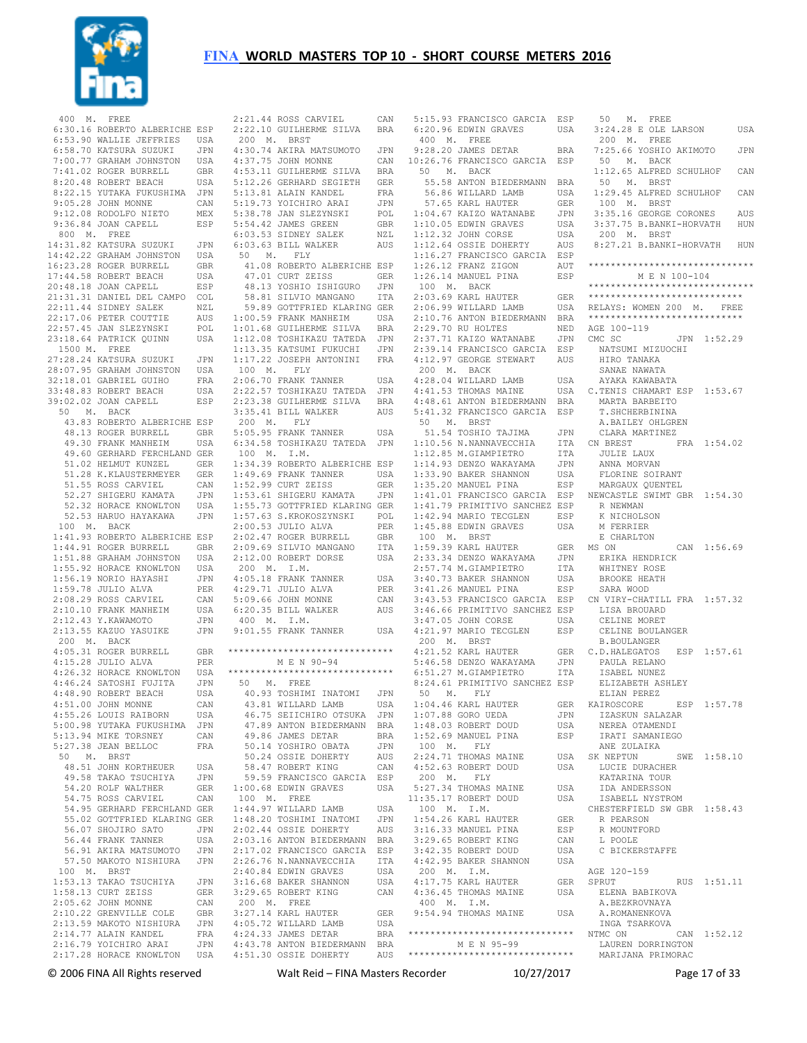

|              | 400 M. FREE                                                |            | $\overline{2}$ :         |
|--------------|------------------------------------------------------------|------------|--------------------------|
|              | 6:30.16 ROBERTO ALBERICHE ESP                              |            | $\mathbf{2}:$            |
|              | 6:53.90 WALLIE JEFFRIES                                    | USA        | ź                        |
|              | 6:58.70 KATSURA SUZUKI                                     | JPN        | 4:                       |
|              | 7:00.77 GRAHAM JOHNSTON                                    | USA        | 4:                       |
|              | 7:41.02 ROGER BURRELL                                      | GBR        | 4:                       |
|              | 8:20.48 ROBERT BEACH                                       | USA        | 5:                       |
|              | 8:22.15 YUTAKA FUKUSHIMA                                   | JPN        | 5:                       |
|              | 9:05.28 JOHN MONNE                                         | CAN        | 5:                       |
|              | 9:12.08 RODOLFO NIETO                                      | MEX        | 5:                       |
|              | 9:36.84 JOAN CAPELL                                        | ESP        | 5:                       |
| 800 M. FREE  | 14:31.82 KATSURA SUZUKI                                    | JPN        | 6:<br>6:                 |
|              | 14:42.22 GRAHAM JOHNSTON                                   | USA        | Į,                       |
|              | 16:23.28 ROGER BURRELL                                     | GBR        |                          |
|              | 17:44.58 ROBERT BEACH                                      | USA        |                          |
|              | 20:48.18 JOAN CAPELL                                       | ESP        |                          |
|              |                                                            |            |                          |
|              | 21:31.31 DANIEL DEL CAMPO COL<br>22:11.44 SIDNEY SALEK NZL | NZL        |                          |
|              | 22:17.06 PETER COUTTIE                                     | AUS        | 1:                       |
|              | 22:57.45 JAN SLEZYNSKI                                     | POL        | 1:                       |
|              | 23:18.64 PATRICK QUINN                                     | USA        | $\mathbf{1}$ :           |
| 1500 M. FREE |                                                            |            | 1:                       |
|              | 27:28.24 KATSURA SUZUKI                                    | JPN        | 1:                       |
|              | 28:07.95 GRAHAM JOHNSTON                                   | USA        | - 1                      |
|              | 32:18.01 GABRIEL GUIHO                                     | FRA        | $\mathbf{2}$ :           |
|              | 32:10.01 0.11<br>33:48.83 ROBERT BEACH<br>----- CARPLI     | USA        | $\overline{2}$ :         |
|              | 39:02.02 JOAN CAPELL                                       | ESP        | $\overline{2}$ :         |
|              | 50 M. BACK                                                 |            | 3:                       |
|              | 43.83 ROBERTO ALBERICHE ESP                                |            | $\tilde{z}$              |
|              | 48.13 ROGER BURRELL                                        | GBR        | 5:                       |
|              | 49.30 FRANK MANHEIM                                        | USA        | 6:                       |
|              | 49.60 GERHARD FERCHLAND GER                                |            | Ĵ                        |
|              | 51.02 HELMUT KUNZEL                                        | GER        | $1\,$                    |
|              | 51.28 K.KLAUSTERMEYER                                      | GER        | $\mathbf{1}$ :           |
|              | 51.55 ROSS CARVIEL<br>52.27 SHIGERU KAMATA                 | CAN        | 1:<br>$1$ :              |
|              | 52.32 HORACE KNOWLTON                                      | JPN<br>USA | 1:                       |
|              | 52.53 HARUO HAYAKAWA                                       | JPN        | $\mathbf{1}$ :           |
|              | 100 M. BACK                                                |            | 2:                       |
|              | 1:41.93 ROBERTO ALBERICHE ESP                              |            | $\mathbf{2}:$            |
|              | 1:44.91 ROGER BURRELL                                      | GBR        | $\overline{2}$ :         |
|              | 1:51.88 GRAHAM JOHNSTON                                    | USA        | 2:                       |
|              | 1:55.92 HORACE KNOWLTON                                    | USA        | ź                        |
|              | 1:56.19 NORIO HAYASHI                                      | JPN        | 4:                       |
|              | 1:59.78 JULIO ALVA                                         | PER        | 4:                       |
|              | 2:08.29 ROSS CARVIEL                                       | CAN        | $5:$                     |
|              | $2:10.10$ FRANK MANHEIM                                    | USA        | 6:                       |
|              | 2:12.43 Y.KAWAMOTO                                         | JPN        | $\overline{\phantom{a}}$ |
|              | 2:13.55 KAZUO YASUIKE                                      | JPN        | 9:                       |
| 200 M. BACK  |                                                            |            |                          |
|              | 4:05.31 ROGER BURRELL                                      | GBR        | $***$                    |
|              | 1:15.28 JULIO ALVA<br>4:15.28 JULIO ALVA<br>4:26.32 MOTE   | PER        |                          |
|              | 4:26.32 HORACE KNOWLTON                                    | USA        | $***$                    |
|              | 4:46.24 SATOSHI FUJITA                                     | JPN        | Į                        |
|              | 4:48.90 ROBERT BEACH                                       | USA        |                          |
|              | 4:51.00 JOHN MONNE                                         | CAN        |                          |
|              | 4:55.26 LOUIS RAIBORN                                      | USA        |                          |
|              | 5:00.98 YUTAKA FUKUSHIMA                                   | JPN        |                          |
|              | 5:13.94 MIKE TORSNEY                                       | CAN        |                          |
|              | 5:27.38 JEAN BELLOC                                        | FRA        |                          |
| 50           | M. BRST<br>48.51 JOHN KORTHEUER                            | USA        |                          |
|              | 49.58 TAKAO TSUCHIYA                                       | JPN        |                          |
|              | 54.20 ROLF WALTHER                                         | GER        | $\mathbf{1}$ :           |
|              | 54.75 ROSS CARVIEL                                         | CAN        | 1                        |
|              | 54.95 GERHARD FERCHLAND GER                                |            | 1:                       |
|              | 55.02 GOTTFRIED KLARING GER                                |            | 1:                       |
|              | 56.07 SHOJIRO SATO                                         | JPN        | $\overline{2}$ :         |
|              | 56.44 FRANK TANNER                                         | USA        | $\overline{2}$ :         |
|              | 56.91 AKIRA MATSUMOTO                                      | JPN        | 2:                       |
|              | 57.50 MAKOTO NISHIURA                                      | JPN        | $\overline{2}$ :         |
|              | 100 M. BRST                                                |            | $\overline{2}$ :         |
|              | 1:53.13 TAKAO TSUCHIYA                                     | JPN        | 3:                       |
|              | 1:58.13 CURT ZEISS                                         | GER        | $\mathbf{3}:$            |
|              | 2:05.62 JOHN MONNE                                         | CAN        | ź                        |
|              | 2:10.22 GRENVILLE COLE                                     | GBR        | 3:                       |
|              | 2:13.59 MAKOTO NISHIURA                                    | JPN        | 4:                       |
|              | 2:14.77 ALAIN KANDEL                                       | FRA        | 4:                       |
|              | 2:16.79 YOICHIRO ARAI                                      | JPN        | 4:                       |
|              | 2:17.28 HORACE KNOWLTON                                    | USA        | $\sqrt{4}$ :             |

2:21.44 ROSS CARVIEL CAN<br>2:22.10 GUILHERME SILVA BRA<br>200 M. BRST<br>4:30.74 AKIRA MATSUMOTO JPN 37.75 JOHN MONNE 53.11 GUILHERME SILVA BRA<br>12.26 GERHARD SEGIETH GER 12.26 GERHARD SEGIETH 5:13.81 ALAIN KANDEL FRA 5:19.73 YOICHIRO ARAI JPN .15:75 ISICHING HRWI<br>:38.78 JAN SLEZYNSKI 5:54.42 JAMES GREEN GBR 6:03.53 SIDNEY SALEK NZL 6:03.63 BILL WALKER AUS 1:12.64 OSSIE DOHERTY AUS 50 M. FLY 41.08 ROBERTO ALBERICHE ESP 47.01 CURT ZEISS GER 48.13 YOSHIO ISHIGURO JPN 58.81 SILVIO MANGANO ITA 59.89 GOTTFRIED KLARING GER 1:00.59 FRANK MANHEIM USA 1:01.68 GUILHERME SILVA BRA 1:12.08 TOSHIKAZU TATEDA JPN 1:13.35 KATSUMI FUKUCHI JPN 1:17.22 JOSEPH ANTONINI FRA 100 M. FLY<br>
2:06.70 FRANK TANNER USA<br>
2:22.57 TOSHIKAZU TATEDA JPN<br>
2:23.38 GUILHERME SILVA BRA<br>
3:35.41 BILL WALKER AUS<br>
200 M. FLY<br>
5:05.95 FRANK TANNER USA 6:34.58 TOSHIKAZU TATEDA JPN 100 M. I.M. 1:34.39 ROBERTO ALBERICHE ESP 1:49.69 FRANK TANNER USA 1:52.99 CURT ZEISS GER 1:53.61 SHIGERU KAMATA JPN 1:55.73 GOTTFRIED KLARING GER 1:57.63 S.KROKOSZYNSKI POL 2:00.53 JULIO ALVA PER 2:02.47 ROGER BURRELL GBR 2:09.69 SILVIO MANGANO ITA 2:12.00 ROBERT DORSE USA 2:33.34 DENZO WAKAYAMA JPN ERIKA HENDRICK 200 M. I.M. 4:05.18 FRANK TANNER USA 4:29.71 JULIO ALVA PER 5:09.66 JOHN MONNE CAN .<br>20.35 BILL WALKER 400 M. I.M. 9:01.55 FRANK TANNER USA 3:47.05 JOHN CORSE USA 4:21.97 MARIO TECGLEN ESP CELINE MORET CELINE BOULANGER \*\*\*\*\*\*\*\*\*\*\*\*\*\*\*\*\*\*\*\*\*\*\*\*\*\*\*\*\*\* 200 M. BRST 4:21.52 KARL HAUTER GER B.BOULANGER C.D.HALEGATOS ESP 1:57.61 M E N 90-94 \*\*\*\*\*\*\*\*\*\*\*\*\*\*\*\*\*\*\*\*\*\*\*\*\*\*\*\*\*\* 5:46.58 DENZO WAKAYAMA JPN 6:51.27 M.GIAMPIETRO ITA PAULA RELANO ISABEL NUNEZ 50 M. FREE 40.93 TOSHIMI INATOMI JPN 43.81 WILLARD LAMB USA 46.75 SEIICHIRO OTSUKA JPN 47.89 ANTON BIEDERMANN BRA 49.86 JAMES DETAR BRA 50.14 YOSHIRO OBATA JPN 50.24 OSSIE DOHERTY AUS 58.47 ROBERT KING CAN 59.59 FRANCISCO GARCIA ESP 00.68 EDWIN GRAVES USA 100 M. FREE 1:44.97 WILLARD LAMB USA 1:48.20 TOSHIMI INATOMI JPN 2:02.44 OSSIE DOHERTY AUS 2:03.16 ANTON BIEDERMANN BRA 2:17.02 FRANCISCO GARCIA ESP 17.02 ERANGIOUS SILE<br>26.76 N.NANNAVECCHIA ITA<br>40.84 EDWIN GRAVES USA 2:40.84 EDWIN GRAVES USA 3:16.68 BAKER SHANNON USA 29.65 ROBERT KING CAN 200 M. FREE 3:27.14 KARL HAUTER GER 4:05.72 WILLARD LAMB USA 4:24.33 JAMES DETAR BRA 4:43.78 ANTON BIEDERMANN BRA

 4:51.30 OSSIE DOHERTY AUS \*\*\*\*\*\*\*\*\*\*\*\*\*\*\*\*\*\*\*\*\*\*\*\*\*\*\*\*\*\* MARIJANA PRIMORAC 5:15.93 FRANCISCO GARCIA ESP<br>6:20.96 EDWIN GRAVES USA<br>400 M. FREE<br>9:28.20 JAMES DETAR BRA 10:26.76 FRANCISCO GARCIA ESP 50 M. BACK 55.58 ANTON BIEDERMANN BRA 56.86 WILLARD LAMB USA 57.65 KARL HAUTER GER 1:10.05 EDWIN GRAVES USA 1:12.32 JOHN CORSE USA 1:16.27 FRANCISCO GARCIA ESP 1:26.12 FRANZ ZIGON AUT 1:26.14 MANUEL PINA ESP 100 M. BACK 2:03.69 KARL HAUTER GER 2:06.99 WILLARD LAMB USA 2:29.70 RU HOLTES NED 2:37.71 KAIZO WATANABE JPN AGE 100-119 2:39.14 FRANCISCO GARCIA ESP 4:12.97 GEORGE STEWART AUS 200 M. BACK 4:28.04 WILLARD LAMB USA 4:41.53 THOMAS MAINE USA<br>
4:48.61 ANTON BIEDERMANN BRA<br>
5:41.32 FRANCISCO GARCIA ESP<br>
50 M. BRST<br>
51.54 TOSHIO TAJIMA JPN 1:10.56 N.NANNAVECCHIA ITA CN BREST  $1:12.85$  M.GIAMPIETRO  $1:14.93$  DENZO WAKAYAMA 1:1:33.90 BAKER SHANNON USA 1:35.20 MANUEL PINA ESP 1:41.79 PRIMITIVO SANCHEZ ESP R NEWMAN 1:42.94 MARIO TECGLEN ESP 1:45.88 EDWIN GRAVES USA K NICHOLSON M FERRIER  $1:42.94$  PENALLY 1-1.<br>1:45.88 EDWIN GRAVES<br>100 M. BRST 1:59.39 KARL HAUTER GER MS ON 2:57.74 M.GIAMPIETRO ITA<br>3:40.73 BAKER SHANNON USA 3:40.73 BAKER SHANNON  $3:41.26$  MANUEL PINA ESP<br> $3:43.25$  measured PINA ESP CAN 3:43.33 FRANCISCO GARCIA ESP<br>AUS 3:46.66 PRIMITIVO SANCHEZ ESP 8:24.61 PRIMITIVO SANCHEZ ESP ELIZABETH ASHLEY 50 M. FLY 1:04.46 KARL HAUTER GER<br>1:07.88 GORO UEDA JPN JPN<br>1:48.03 ROBERT DOUD USA<br>1:52.69 MANUEL PINA ESP 100 M. FLY 2:24.71 THOMAS MAINE USA SK NEPTUN  $4:52.63$  ROBERT DOUD 200 M. FLY 5:27.34 THOMAS MAINE USA 11:35.17 ROBERT DOUD USA 100 M. I.M. 1:54.26 KARL HAUTER GER 3:16.33 MANUEL PINA ESP<br>
3:29.65 ROBERT KING CAN<br>
3:42.35 ROBERT DOUD USA<br>
4:42.95 BAKER SHANNON USA<br>
200 M. I.M.<br>
4:17.75 KARL HAUTER GER<br>
4:36.45 THOMAS MAINE USA 400 M. I.M. 9:54.94 THOMAS MAINE USA A.ROMANENKOVA \*\*\*\*\*\*\*\*\*\*\*\*\*\*\*\*\*\*\*\*\*\*\*\*\*\*\*\*\*\* M E N 95-99 ELENA BABIKOVA

 1:04.67 KAIZO WATANABE JPN 3:35.16 GEORGE CORONES AUS 2:10.76 ANTON BIEDERMANN BRA \*\*\*\*\*\*\*\*\*\*\*\*\*\*\*\*\*\*\*\*\*\*\*\*\*\*\*\* 1:41.01 FRANCISCO GARCIA ESP NEWCASTLE SWIMT GBR 1:54.30 3:43.53 FRANCISCO GARCIA ESP CN VIRY-CHATILL FRA 1:57.32 50 M. FREE 3:24.28 E OLE LARSON USA 200 M. FREE 7:25.66 YOSHIO AKIMOTO JPN 50 M. BACK 1:12.65 ALFRED SCHULHOF CAN 50 M. BRST 1:29.45 ALFRED SCHULHOF CAN 100 M. BRST 3:37.75 B.BANKI-HORVATH HUN 200 M. BRST 8:27.21 B.BANKI-HORVATH HUN \*\*\*\*\*\*\*\*\*\*\*\*\*\*\*\*\*\*\*\*\*\*\*\*\*\*\*\*\*\* M E N 100-104 \*\*\*\*\*\*\*\*\*\*\*\*\*\*\*\*\*\*\*\*\*\*\*\*\*\*\*\*\*\* GER \*\*\*\*\*\*\*\*\*\*\*\*\*\*\*\*\*\*\*\*\*\*\*\*\* USA RELAYS: WOMEN 200 M. FREE CMC SC JPN 1:52.29 NATSUMI MIZUOCHI HIRO TANAKA SANAE NAWATA AYAKA KAWABATA USA C.TENIS CHAMART ESP 1:53.67 MARTA BARBEITO T.SHCHERBININA A.BAILEY OHLGREN CLARA MARTINEZ CN BREST FRA 1:54.02 JULIE LAUX ANNA MORVAN FLORINE SOIRANT MARGAUX OUENTEL E CHARLTON  $CAN 1:56.69$  WHITNEY ROSE BROOKE HEATH SARA WOOD LISA BROUARD ELIAN PEREZ<br>R<br>R<br>CER KAIROSCORE – SYLIN SALAZI KAIROSCORE ESP 1:57.78 IZASKUN SALAZAR NEREA OTAMENDI IRATI SAMANIEGO ANE ZULAIKA SK NEPTUN SWE 1:58.10 USA LUCIE DURACHER KATARINA TOUR IDA ANDERSSON ISABELL NYSTROM CHESTERFIELD SW GBR 1:58.43 R PEARSON R MOUNTFORD L POOLE C BICKERSTAFFE AGE 120-159 SPRUT RUS 1:51.11 A.BEZKROVNAYA INGA TSARKOVA  $CAN$  1:52.12 LAUREN DORRINGTON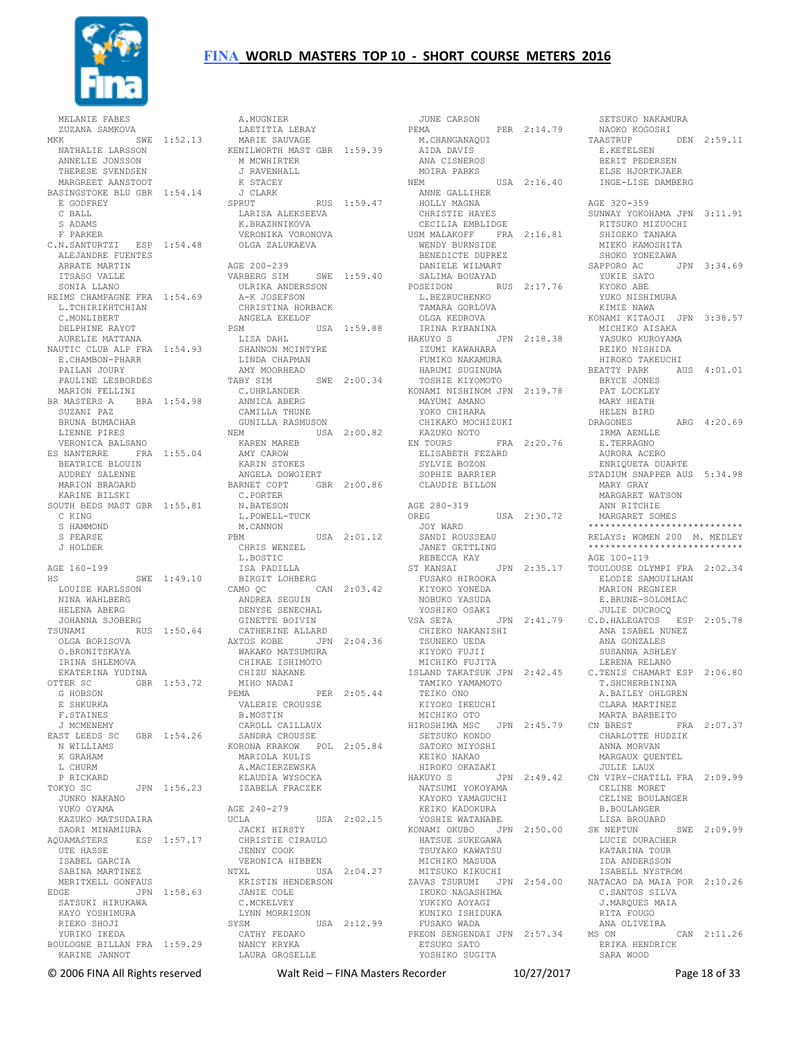

 MELANIE FABES ZUZANA SAMKOVA MKK SWE 1:52.13 NATHALIE LARSSON ANNELIE JONSSON THERESE SVENDSEN MARGREET AANSTOOT<br>BASINGSTOKE BLU GBR 1:54.14<br>E GODFREY<br>C BALL<br>S ADAMS F PARKER C.N.SANTURTZI ESP 1:54.48 ALEJANDRE FUENTES ARRATE MARTIN ITSASO VALLE SONIA LLANO REIMS CHAMPAGNE FRA 1:54.69 L.TCHIRIKHTCHIAN C.MONLIBERT DELPHINE RAYOT<br>AURELIE MATTANA<br>NAUTIC CLUB ALP FRA 1:54.93<br>E.CHAMBON-PHARR PAILAN JOURY PAULINE LESBORDES TABY SIM MARION FELLINI BR MASTERS A BRA 1:54.98 C.UHRLANDER ANNICA ABERG SUZANI PAZ BRUNA BUMACHAR<br>LIENNE PIRES LINI FIKES<br>VERONICA BALSANO<br>3 NAMEROCI VERONICA BALSANO ES NANTERRE FRA 1:55.04 BEATRICE BLOUIN 5 NANTERS<br>BEATRICE BLOUIN<br>AUDREY SALENNE MARION BRAGARD KARINE BILSKI SOUTH BEDS MAST GBR 1:55.81 C KING S HAMMOND S PEARSE J HOLDER AGE 160-199 HS SWE 1:49.10 LOUISE KARLSSON NINA WAHLBERG HELENA ABERG JOHANNA SJOBERG TSUNAMI RUS 1:50.64 OLGA BORISOVA O.BRONITSKAYA IRINA SHLEMOVA EKATERINA YUDINA OTTER SC GBR 1:53.72 G HOBSON E SHKURKA F.STAINES J MCMENEMY EAST LEEDS SC GBR 1:54.26 N WILLIAMS K GRAHAM L CHURM P RICKARD TOKYO SC JPN 1:56.23 JUNKO NAKANO YUKO OYAMA KAZUKO MATSUDAIRA SAORI MINAMIURA AQUAMASTERS ESP 1:57.17 UTE HASSE ISABEL GARCIA SABINA MARTINEZ<br>MERITXELL GONFAUS<br>EDGE<br>SATSUKI HIRUKAWA<br>KAYO YOSHIMURA RIEKO SHOJI YURIKO IKEDA BOULOGNE BILLAN FRA 1:59.29 KARINE JANNOT

 A.MUGNIER LAETITIA LERAY MARIE SAUVAGE KENILWORTH MAST GBR 1:59.39 M MCWHIRTER J RAVENHALL K STACEY J CLARK  $J$  CLARK<br>  $\overline{S}$  CLARK<br>
RUS 1:59.47 LARISA ALEKSEEVA K.BRAZHNIKOVA VERONIKA VORONOVA OLGA ZALUKAEVA AGE 200-239 VARBERG SIM SWE 1:59.40 ULRIKA ANDERSSON A-K JOSEFSON CHRISTINA HORBACK ANGELA EKELOF PSM USA 1:59.88 LISA DAHL SHANNON MCINTYRE LINDA CHAPMAN AMY MOORHEAD SWE 2:00.34 CAMILLA THUNE GUNILLA RASMUSON<br>NEM USA NEM USA 2:00.82 KAREN MAREB AMY CAROW KARIN STOKES ANGELA DOWGIERT BARNET COPT GBR 2:00.86 C.PORTER N.BATESON L.POWELL-TUCK M.CANNON PBM USA 2:01.12 CHRIS WENZEL L. BOSTIC ISA PADILLA BIRGIT LOHBERG CAMO QC CAN 2:03.42 ANDREA SEGUIN DENYSE SENECHAL GINETTE BOIVIN CATHERINE ALLARD AXTOS KOBE JPN 2:04.36 WAKAKO MATSUMURA CHIKAE ISHIMOTO CHIZU NAKANE MIHO NADAI PEMA PER 2:05.44 TAMIKO YAMAMOTO TEIKO ONO VALERIE CROUSSE B.MOSTIN CAROLL CAILLAUX MICHIKO OTO HIROSHIMA MSC JPN 2:45.79 MARTA BARBEITO CN BREST FRA 2:07.37 SANDRA CROUSSE KORONA KRAKOW POL 2:05.84 MARIOLA KULIS A.MACIERZEWSKA KLAUDIA WYSOCKA IZABELA FRACZEK AGE 240-279 UCLA USA 2:02.15 JACKI HIRSTY CHRISTIE CIRAULO JENNY COOK VERONICA HIBBEN NTXL USA 2:04.27 KRISTIN HENDERSON JANIE COLE C.MCKELVEY LYNN MORRISON SYSM USA 2:12.99 CATHY FEDAKO NANCY KRYKA LAURA GROSELLE

 JUNE CARSON PEMA PER 2:14.79 SETSUKO NAKAMURA NAOKO KOGOSHI M.CHANGANAQUI AIDA DAVIS ANA CISNEROS MOIRA PARKS NEM USA 2:16.40 ANNE GALLIHER HOLLY MAGNA CHRISTIE HAYES CECILIA EMBLIDGE USM MALAKOFF FRA 2:16.81 WENDY BURNSIDE BENEDICTE DUPREZ DANIELE WILMART SALIMA BOUAYAD POSEIDON RUS 2:17.76 L.BEZRUCHENKO TAMARA GORLOVA OLGA KEDROVA IRINA RYBANINA HAKUYO S JPN 2:18.38 MICHIKO AISAKA YASUKO KUROYAMA IZUMI KAWAHARA FUMIKO NAKAMURA HARUMI SUGINUMA TOSHIE KIYOMOTO KONAMI NISHINOM JPN 2:19.78 MAYUMI AMANO YOKO CHIHARA CHIKAKO MOCHIZUKI KAZUKO NOTO EN TOURS FRA 2:20.76 ELISABETH FEZARD ELISABETH FEZARD<br>ELISABETH FEZARD<br>SYLVIE BOZON SOPHIE BARRIER CLAUDIE BILLON AGE 280-319 AGE 280-319 OREG USA 2:30.72 JOY WARD SANDI ROUSSEAU JANET GETTLING REBECCA KAY AGE 100-119 ST KANSAI JPN 2:35.17<br>FUSAKO HIROOKA<br>KIYOKO YONEDA<br>NOBUKO YASUDA<br>YOSHIKO OSAKI VSA SETA JPN 2:41.79<br>CHIEKO NAKANISHI<br>TSUNEKO UEDA<br>KIYOKO FUJII<br>MICHIKO FUJITA KIYOKO IKEUCHI SETSUKO KONDO<br>SATOKO MIYOSHI<br>KEIKO NAKAO<br>HIROKO OKAZAKI NATSUMI YOKOYAMA KAYOKO YAMAGUCHI CELINE MORET CELINE BOULANGER KEIKO KADOKURA<br>YOSHIE WATANABE KONAMI OKUBO JPN 2:50.00 HATSUE SUKEGAWA TSUYAKO KAWATSU MICHIKO MASUDA MICHIKO MASUDA<br>MITSUKO KIKUCHI ZAVAS TSURUMI JPN 2:54.00 IKUKO NAGASHIMA YUKIKO AOYAGI KUNIKO ISHIDUKA FUSAKO WADA PREON SENGENDAI JPN 2:57.34 ETSUKO SATO YOSHIKO SUGITA VSA SETA JPN 2:41.79 C.D.HALEGATOS ESP 2:05.78

ISLAND TAKATSUK JPN 2:42.45 C.TENIS CHAMART ESP 2:06.80 HAKUYO S JPN 2:49.42 CN VIRY-CHATILL FRA 2:09.99 TAASTRUP DEN 2:59.11 E.KETELSEN BERIT PEDERSEN ELSE HJORTKJAER INGE-LISE DAMBERG AGE 320-359 SUNWAY YOKOHAMA JPN 3:11.91 RITSUKO MIZUOCHI SHIGEKO TANAKA MIEKO KAMOSHITA SHOKO YONEZAWA<br>SAPPORO AC JI JPN 3:34.69 YUKIE SATO KYOKO ABE YUKO NISHIMURA KIMIE NAWA KONAMI KITAOJI JPN 3:38.57 REIKO NISHIDA<br>HIROKO TAKEUCH<br>BEATTY PARK<br>BEATTY TAWES HIROKO TAKEUCHI AUS 4:01.01 BRYCE JONES PAT LOCKLEY<br>MARY HEATH MARY HEATH HELEN BIRD DRAGONES ARG 4:20.69 IRMA AENLLE E.TERRAGNO<br>AURORA ACERO<br>ENRIQUETA DUARTE STADIUM SNAPPER AUS 5:34.98 MARY GRAY MARGARET WATSON ANN RITCHIE MARGARET SOMES \*\*\*\*\*\*\*\*\*\*\*\*\*\*\*\*\*\*\*\*\*\*\*\*\*\*\*\* RELAYS: WOMEN 200 M. MEDLEY \*\*\*\*\*\*\*\*\*\*\*\*\*\*\*\*\*\*\*\*\*\*\*\*\*\*\*\* TOULOUSE OLYMPI FRA 2:02.34 ELODIE SAMOUILHAN MARION REGNIER E.BRUNE-SOLOMIAC JULIE DUCROCQ ANA ISABEL NUNEZ ANA GONZALES SUSANNA ASHLEY LERENA RELANO T.SHCHERBININA A.BAILEY OHLGREN CLARA MARTINEZ CHARLOTTE HUDZIK ANNA MORVAN MARGAUX QUENTEL JULIE LAUX B.BOULANGER LISA BROUARD SK NEPTUN SWE 2:09.99 LUCIE DURACHER KATARINA TOUR IDA ANDERSSON ISABELL NYSTROM NATACAO DA MAIA POR 2:10.26 C.SANTOS SILVA J.MARQUES MAIA RITA FOUGO ANA OLIVEIRA  $CAN$  2:11.26 ERIKA HENDRICK SARA WOOD

© 2006 FINA All Rights reserved Walt Reid – FINA Masters Recorder 10/27/2017 Page 18 of 33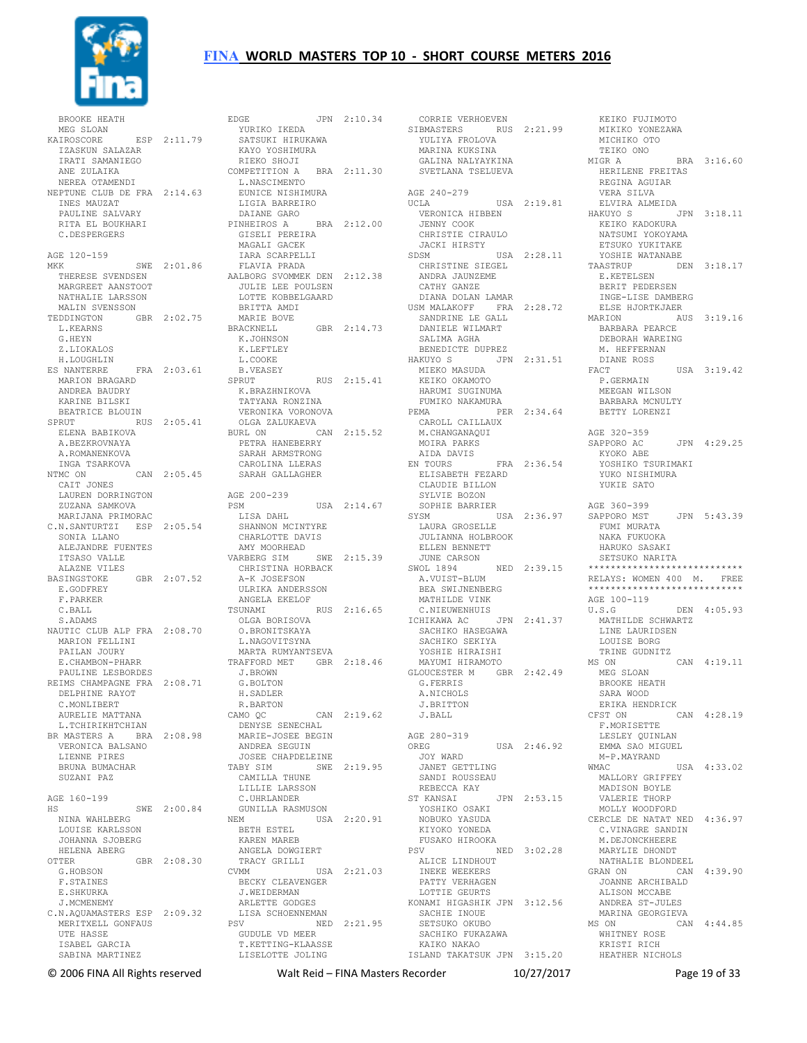

 BROOKE HEATH MEG SLOAN KAIROSCORE ESP 2:11.79 IZASKUN SALAZAR IRATI SAMANIEGO ANE ZULAIKA NEREA OTAMENDI NEPTUNE CLUB DE FRA 2:14.63 INES MAUZAT PAULINE SALVARY RITA EL BOUKHARI C.DESPERGERS AGE 120-159 THERESE SVENDSEN MARGREET AANSTOOT NATHALIE LARSSON MALIN SVENSSON TEDDINGTON GBR 2:02.75 L.KEARNS G.HEYN Z.LIOKALOS H. LOUGHLIN H.LOUGHLIN<br>ES NANTERRE FRA 2:03.61 B.VEA<br>CHARLET SPRUT MARION BRAGARD ANDREA BAUDRY<br>KARINE BILSKI KARINE BILSKI BEATRICE BLOUIN SPRUT RUS 2:05.41 ELENA BABIKOVA A.BEZKROVNAYA A.ROMANENKOVA INGA TSARKOVA  $NTMC ON$ <br> $NTMC ON$  CAN 2:05.45 CAIT JONES LAUREN DORRINGTON ZUZANA SAMKOVA MARIJANA PRIMORAC C.N.SANTURTZI ESP 2:05.54 SONIA LLANO ALEJANDRE FUENTES ITSASO VALLE ALAZNE VILES BASINGSTOKE GBR 2:07.52 E.GODFREY F.PARKER C. BALL S.ADAMS NAUTIC CLUB ALP FRA 2:08.70 MARION FELLINI PATLAN JOURY E.CHAMBON-PHARR PAULINE LESBORDES REIMS CHAMPAGNE FRA 2:08.71 DELPHINE RAYOT C.MONLIBERT AURELIE MATTANA L.TCHIRIKHTCHIAN BR MASTERS A BRA 2:08.98 DENYSE SENECHAL MARIE-JOSEE BEGIN VERONICA BALSANO LIENNE PIRES BRUNA BUMACHAR SUZANI PAZ AGE 160-199 HS SWE 2:00.84 GUNI<br>
NINA WAHLBERG NEM NINA WAHLBERG LOUISE KARLSSON JOHANNA SJOBERG HELENA ABERG OTTER GBR 2:08.30 G.HOBSON F.STAINES E.SHKURKA J.MCMENEMY C.N.AQUAMASTERS ESP 2:09.32 MERITXELL GONFAUS UTE HASSE ISABEL GARCIA SABINA MARTINEZ

MKK SWE 2:01.86 IARA SCARPELLI FLAVIA PRADA AALBORG SVOMMEK DEN 2:12.38 JULIE LEE POULSEN EDGE JPN 2:10.34 YURIKO IKEDA SATSUKI HIRUKAWA KAYO YOSHIMURA RIEKO SHOJI COMPETITION A BRA 2:11.30 L.NASCIMENTO EUNICE NISHIMURA LIGIA BARREIRO LIGIA BARREIRO<br>DAIANE GARO<br>PINHEIROS A BRA PINHEIROS A BRA 2:12.00 GISELI PEREIRA MAGALI GACEK<br>IARA SCARPELLI LOTTE KOBBELGAARD BRITTA AMDI MARIE BOVE<br>BRACKNELL GBR 2:14.73 K.JOHNSON K.LEFTLEY L.COOKE B.VEASEY RUS 2:15.41 K.BRAZHNIKOVA TATYANA RONZINA VERONIKA VORONOVA OLGA ZALUKAEVA BURL ON CAN 2:15.52 PETRA HANEBERRY PETRA HANEBERRY<br>SARAH ARMSTRONG CAROLINA LLERAS SARAH GALLAGHER AGE 200-239 PSM USA 2:14.67 LISA DAHL SHANNON MCINTYRE CHARLOTTE DAVIS AMY MOORHEAD VARBERG SIM SWE 2:15.39 CHRISTINA HORBACK A-K JOSEFSON ULRIKA ANDERSSON ANGELA EKELOF<br>TSUNAMI TSUNAMI RUS 2:16.65 OLGA BORISOVA O.BRONITSKAYA L.NAGOVITSYNA MARTA RUMYANTSEVA TRAFFORD MET GBR 2:18.46 J.BROWN G.BOLTON H.SADLER R.BARTON CAMO QC CAN 2:19.62 ANDREA SEGUIN JOSEE CHAPDELEINE TABY SIM SWE 2:19.95 CAMILLA THUNE LILLIE LARSSON C.UHRLANDER GUNILLA RASMUSON NEM USA 2:20.91 NOBUKO YASUDA BETH ESTEL KAREN MAREB ANGELA DOWGIERT TRACY GRILLI CVMM USA 2:21.03 CVMM USA 2:21.0<br>BECKY CLEAVENGER J.WEIDERMAN ARLETTE GODGES LISA SCHOENNEMAN<br>PSV<br>GUDULE VD MEER<br>T.KETTING-KLAASSE LISELOTTE JOLING ISLAND TAKATSUK JPN 3:15.20

 CORRIE VERHOEVEN SIBMASTERS RUS 2:21.99 YULIYA FROLOVA MARINA KUKSINA GALINA NALYAYKINA SVETLANA TSELUEVA AGE 240-279<br>UCLA JENNY COOK CHRISTIE CIRAULO JACKI HIRSTY SDSM USA 2:28.11 CHRISTINE SIEGEL ANDRA JAUNZEME CATHY GANZE DIANA DOLAN LAMAR USM MALAKOFF FRA 2:28.72 SANDRINE LE GALL DANIELE WILMART SALIMA AGHA BENEDICTE DUPREZ HAKUYO S JPN 2:31.51 DIAN<br>MIEKO MASUDA FACT<br>TRACT MIEKO MASUDA KEIKO OKAMOTO HARUMI SUGINUMA FUMIKO NAKAMURA PEMA PER 2:34.64 CAROLL CAILLAUX M.CHANGANAQUI MOIRA PARKS AIDA DAVIS EN TOURS FRA 2:36.54 ELISABETH FEZARD CLAUDIE BILLON SYLVIE BOZON SOPHIE BARRIER LAURA GROSELLE<br>JULIANNA HOLBROOK<br>TILLE JULIANNA HOLBROOK ELLEN BENNETT JUNE CARSON SWOL 1894 NED 2:39.15 A.VUIST-BLUM BEA SWIJNENBERG MATHILDE VINK C.NIEUWENHUIS ICHIKAWA AC JPN 2:41.37 SACHIKO HASEGAWA SACHIKO SEKIYA YOSHIE HIRAISHI MAYUMI HIRAMOTO GLOUCESTER M GBR 2:42.49 G.FERRIS A.NICHOLS J.BRITTON J.BALL AGE 280-319<br>OREG USA 2:46.92 OREG USA 2:46.92<br>
JOY WARD<br>
JANET GETTLING<br>
SANDI ROUSSEAU<br>
REBECCA KAY<br>
ST KANSAI JPN 2:53.15<br>
YOSHIKO OSAKI KIYOKO YONEDA FUSAKO HIROOKA NED 3:02.28 ALICE LINDHOUT INEKE WEEKERS PATTY VERHAGEN LOTTIE GEURTS KONAMI HIGASHIK JPN 3:12.56 SACHIE INOUE SETSUKO OKUBO SACHIKO FUKAZAWA KAIKO NAKAO

UCLA USA 2:19.81 VERONICA HIBBEN ELVIRA ALMEIDA HAKUYO S JPN 3:18.11 SYSM USA 2:36.97 SAPPORO MST JPN 5:43.39 KEIKO FUJIMOTO MIKIKO YONEZAWA MICHIKO OTO TEIKO ONO TEIKO ONO<br>
MIGR A BRA 3:16.60 HERILENE FREITAS REGINA AGUIAR VERA SILVA KEIKO KADOKURA<br>NATSUMI YOKOYAMA ETSUKO YUKITAKE<br>VOSTT THE VIEW PROPERTY OF THE WATANABE TRASTRUP DEN 3:18.17 E.KETELSEN BERIT PEDERSEN INGE-LISE DAMBERG ELSE HJORTKJAER MARION AUS 3:19.16 BARBARA PEARCE MARION<br>BARBARA PEARCE<br>DEBORAH WAREING M. HEFFERNAN DIANE ROSS USA 3:19.42 P.GERMAIN MEEGAN WILSON BARBARA MCNULTY BETTY LORENZI AGE 320-359 SAPPORO AC JPN 4:29.25 KYOKO ABE YOSHIKO TSURIMAKI YUKO NISHIMURA YUKIE SATO AGE 360-399 FUMI MURATA NAKA FUKUOKA HARUKO SASAKI SETSUKO NARITA \*\*\*\*\*\*\*\*\*\*\*\*\*\*\*\*\*\*\*\*\*\*\*\*\*\*\*\* RELAYS: WOMEN 400 M. FREE \*\*\*\*\*\*\*\*\*\*\*\*\*\*\*\*\*\*\*\*\*\*\*\*\*\*\*\* AGE 100-119 U.S.G DEN 4:05.93 MATHILDE SCHWARTZ LINE LAURIDSEN LOUISE BORG TRINE GUDNITZ<br>MS ON CAN 4:19.11 MEG SLOAN BROOKE HEATH SARA WOOD ERIKA HENDRICK CFST ON CAN 4:28.19 F.MORISETTE LESLEY QUINLAN EMMA SAO MIGUEL M-P.MAYRAND  $HSA$   $4:33.02$  MALLORY GRIFFEY MADISON BOYLE VALERIE THORP MOLLY WOODFORD CERCLE DE NATAT NED 4:36.97 C.VINAGRE SANDIN M. DEJONCKHEERE MARYLIE DHONDT NATHALIE BLONDEEL GRAN ON CAN 4:39.90 JOANNE ARCHIBALD ALISON MCCABE ANDREA ST-JULES MARINA GEORGIEVA MS ON CAN 4:44.85 WHITNEY ROSE KRISTI RICH HEATHER NICHOLS

© 2006 FINA All Rights reserved Walt Reid – FINA Masters Recorder 10/27/2017 Page 19 of 33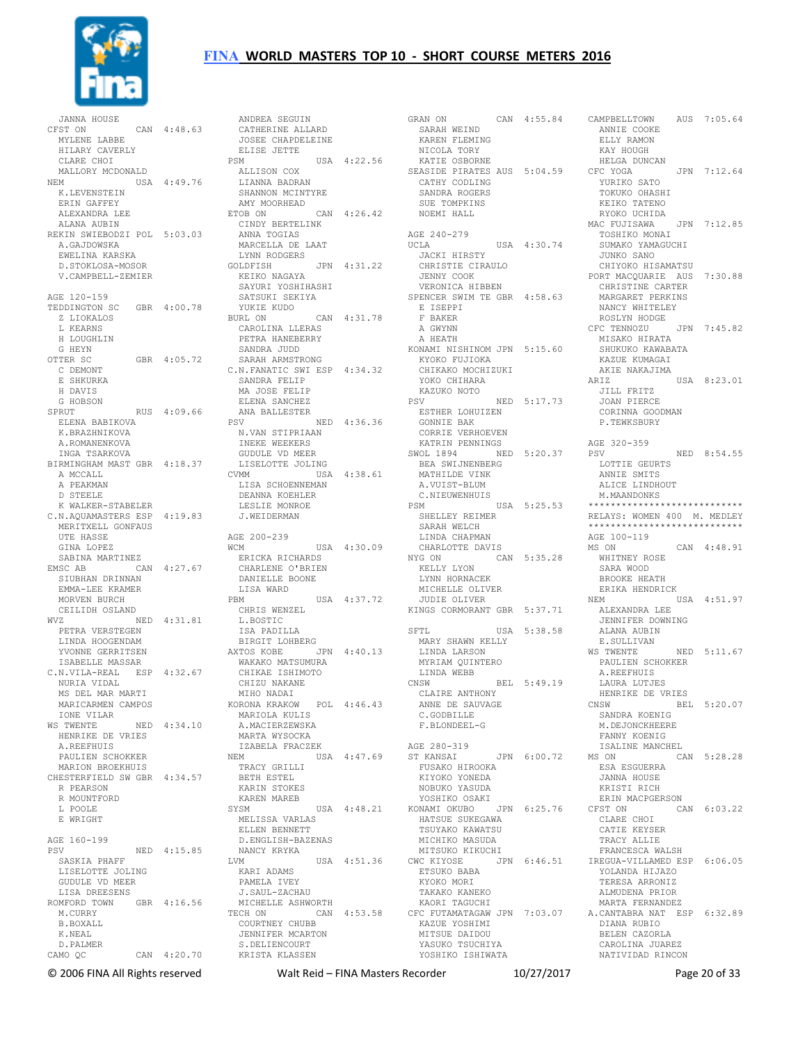

JANNA HOUSE<br>CFST ON CFST ON CAN 4:48.63 MYLENE LABBE CATHERINE ALLARD JOSEE CHAPDELEINE HILARY CAVERLY CLARE CHOI MALLORY MCDONALD NEM USA 4:49.76 K.LEVENSTEIN ERIN GAFFEY ALEXANDRA LEE ALANA AUBIN REKIN SWIEBODZI POL 5:03.03 CINDY BERTELINK ANNA TOGIAS A.GAJDOWSKA EWELINA KARSKA D.STOKLOSA-MOSOR V.CAMPBELL-ZEMIER AGE 120-159 TEDDINGTON SC GBR 4:00.78 Z LIOKALOS L KEARNS H LOUGHLIN G HEYN OTTER SC  $GRR$   $4 \cdot 05$  72 C DEMONT E SHKURKA H DAVIS G HOBSON SPRIIT RUS 4:09.66 ELENA BABIKOVA K.BRAZHNIKOVA A.ROMANENKOVA INGA TSARKOVA BIRMINGHAM MAST GBR 4:18.37 A MCCALL A PEAKMAN D STEELE K WALKER-STABELER C.N.AQUAMASTERS ESP 4:19.83 J.WEIDERMAN MERITYELL GONFAUS UTE HASSE GINA LOPEZ SABINA MARTINEZ EMSC AB CAN 4:27.67 SIUBHAN DRINNAN MSC AB<br>SIUBHAN DRINNAN<br>EMMA-LEE KRAMER MORVEN BURCH CEILIDH OSLAND<br>WVZ N WVZ NED 4:31.81 PETRA VERSTEGEN LINDA HOOGENDAM YVONNE GERRITSEN ISABELLE MASSAR C.N.VILA-REAL ESP 4:32.67 WAKAKO MATSUMURA CHIKAE ISHIMOTO NURIA VIDAL MS DEL MAR MARTI MARICARMEN CAMPOS IONE VILAR WS TWENTE NED 4:34.10 HENRIKE DE VRIES A.REEFHUIS<br>
PAULIEN SCHOKKER<br>
MARION BROEKHUIS<br>CHESTERFIELD SW GBR 4:34.57<br>
R PEARSON R MOUNTFORD L POOLE E WRIGHT AGE 160-199 PSV NED 4:15.85 SASKIA PHAFF LISELOTTE JOLING GUDULE VD MEER LISA DREESENS ROMFORD TOWN GBR 4:16.56 M. CURRY B. BOXALL K.NEAL D.PALMER CAMO QC CAN 4:20.70 S.DELIENCOURT KRISTA KLASSEN

 ANDREA SEGUIN ELISE JETTE<br>PSM PSM USA 4:22.56 ALLISON COX LIANNA BADRAN SHANNON MCINTYRE AMY MOORHEAD SHANNON...<br>
MY MOORHEAD<br>
ETOB ON CAN 4:26.42 MARCELLA DE LAAT<br>LYNN RODGERS LYNN RODGERS GOLDFISH JPN 4:31.22 KEIKO NAGAYA<br>SAYURI YOSHIHASHI<br>SATSUKI SEKIYA<br>YUKIE KUDO BURL ON CAN 4:31.78 CAROLINA LLERAS PETRA HANEBERRY SANDRA JUDD SARAH ARMSTRONG C.N.FANATIC SWI ESP 4:34.32 SANDRA FELIP MA JOSE FELIP ELENA SANCHEZ ANA BALLESTER PSV NED 4:36.36 ESTHER LOHUIZEN GONNIE BAK N.VAN STIPRIAAN INEKE WEEKERS GUDULE VD MEER LISELOTTE JOLING CVMM USA 4:38.61 LISA SCHOENNEMAN DEANNA KOEHLER LESLIE MONROE AGE 200-239 WCM USA 4:30.09 ERICKA RICHARDS CHARLENE O'BRIEN DANIELLE BOONE LISA WARD<br>PBM CHRIS WENZEL L.BOSTIC ISA PADILLA BIRGIT LOHBERG AXTOS KOBE JPN 4:40.13 CHIZU NAKANE MIHO NADAI KORONA KRAKOW POL 4:46.43 MARIOLA KULIS A.MACIERZEWSKA A.MACIERZEWSKA<br>MARTA WYSOCKA IZABELA FRACZEK NEM USA 4:47.69 TRACY GRILLI BETH ESTEL KARIN STOKES KAREN MAREB SYSM USA 4:48.21 MELISSA VARLAS ELLEN BENNETT D.ENGLISH-BAZENAS NANCY KRYKA KARI ADAMS PAMELA IVEY J.SAUL-ZACHAU MICHELLE ASHWORTH<br>TECH ON COURTNEY CHUBB JENNIFER MCARTON KAZUE YOSHIMI MITSUE DAIDOU

PBM USA 4:37.72 JUDIE OLIVER KINGS CORMORANT GBR 5:37.71 LVM USA 4:51.36 CWC KIYOSE JPN 6:46.51 ETSUKO BABA KYOKO MORI TECH ON CAN 4:53.58 CFC FUTAMATAGAW JPN 7:03.07 A.CANTABRA NAT ESP 6:32.89 GRAN ON CAN 4:55.84 SARAH WEIND KAREN FLEMING NICOLA TORY KATIE OSBORNE SEASIDE PIRATES AUS 5:04.59 CATHY CODLING SANDRA ROGERS SUE TOMPKINS NOEMI HALL AGE 240-279<br>
UCLA USA 4:30.74<br>
JACKI HIRSTY<br>
CHRISTIE CIRAULO<br>
JENNY COOK<br>
VERONICA HIBBEN SPENCER SWIM TE GBR 4:58.63 E ISEPPI F BAKER A GWYNN A HEATH KONAMI NISHINOM JPN 5:15.60 KYOKO FUJIOKA CHIKAKO MOCHIZUKI<br>YOKO CHIHARA<br>KAZUKO NOTO  $YONQ = 5:17.73$ <br>PSV  $NED = 5:17.73$  CORRIE VERHOEVEN KATRIN PENNINGS SWOL 1894 NED 5:20.37<br>BEA SWIJNENBERG<br>MATHILDE VINK<br>A.VUIST-BLUM<br>C.NIEUWENHUIS SHELLEY REIMER SARAH WELCH LINDA CHAPMAN CHARLOTTE DAVIS NYG ON CAN 5:35.28 KELLY LYON LYNN HORNACEK MICHELLE OLIVER SFTL USA 5:38.58 MARY SHAWN KELLY LINDA LARSON MYRIAM QUINTERO LINDA WEBB CNSW BEL 5:49.19 LAURA LUTJES CLAIRE ANTHONY ANNE DE SAUVAGE C.GODBILLE F.BLONDEEL-G AGE 280-319 JPN 6:00.72 FUSAKO HIROOKA KIYOKO YONEDA<br>Nobuko yasuda NOBUKO YASUDA YOSHIKO OSAKI HATSUE SUKEGAWA<br>TSUYAKO KAWATSU MICHIKO MASUDA MITSUKO KIKUCHI TAKAKO KANEKO KAORI TAGUCHI YASUKO TSUCHIYA YOSHIKO ISHIWATA

PSM USA 5:25.53 \*\*\*\*\*\*\*\*\*\*\*\*\*\*\*\*\*\*\*\*\*\*\*\*\*\*\*\* KONAMI OKUBO JPN 6:25.76 HATSUE SUKEGAWA CFST ON CAN 6:03.22 CLARE CHOI CAMPBELLTOWN AUS 7:05.64 ANNIE COOKE ELLY RAMON KAY HOUGH HELGA DUNCAN CFC YOGA JPN 7:12.64 YURIKO SATO TOKUKO OHASHI KEIKO TATENO RYOKO UCHIDA<br>MAC FUJISAWA JPN 7:12.85 TOSHIKO MONAI SUMAKO YAMAGUCHI JUNKO SANO CHIYOKO HISAMATSU PORT MACQUARIE AUS 7:30.88 CHRISTINE CARTER MARGARET PERKINS NANCY WHITELEY ROSLYN HODGE<br>CFC TENNOZU JPN 7:45.82 CFC TENNOZU JPN 7:45.82 MISAKO HIRATA SHUKUKO KAWABATA KAZUE KUMAGAI AKIE NAKAJIMA<br>ARIZ USA 8:23.01 JILL FRITZ JOAN PIERCE CORINNA GOODMAN P.TEWKSBURY AGE 320-359 PSV NED 8:54.55 LOTTIE GEURTS ANNIE SMITS ALICE LINDHOUT M.MAANDONKS RELAYS: WOMEN 400 M. MEDLEY \*\*\*\*\*\*\*\*\*\*\*\*\*\*\*\*\*\*\*\*\*\*\*\*\*\*\*\* AGE 100-119<br>MS ON  $CAN 4:48.91$ WHITNEY ROSE SARA WOOD BROOKE HEATH ERIKA HENDRICK NEM USA 4:51.97 ALEXANDRA LEE JENNIFER DOWNING ALANA AUBIN E.SULLIVAN WS TWENTE NED 5:11.67 PAULIEN SCHOKKER A.REEFHUIS HENRIKE DE VRIES CNSW BEL 5:20.07 SANDRA KOENIG M.DEJONCKHEERE FANNY KOENIG ISALINE MANCHEL MS ON CAN 5:28.28 ESA ESGUERRA JANNA HOUSE KRISTI RICH ERIN MACPGERSON CATIE KEYSER TRACY ALLIE FRANCESCA WALSH IREGUA-VILLAMED ESP 6:06.05 YOLANDA HIJAZO TERESA ARRONIZ ALMUDENA PRIOR MARTA FERNANDEZ DIANA RUBIO BELEN CAZORLA CAROLINA JUAREZ NATIVIDAD RINCON

© 2006 FINA All Rights reserved Walt Reid – FINA Masters Recorder 10/27/2017 Page 20 of 33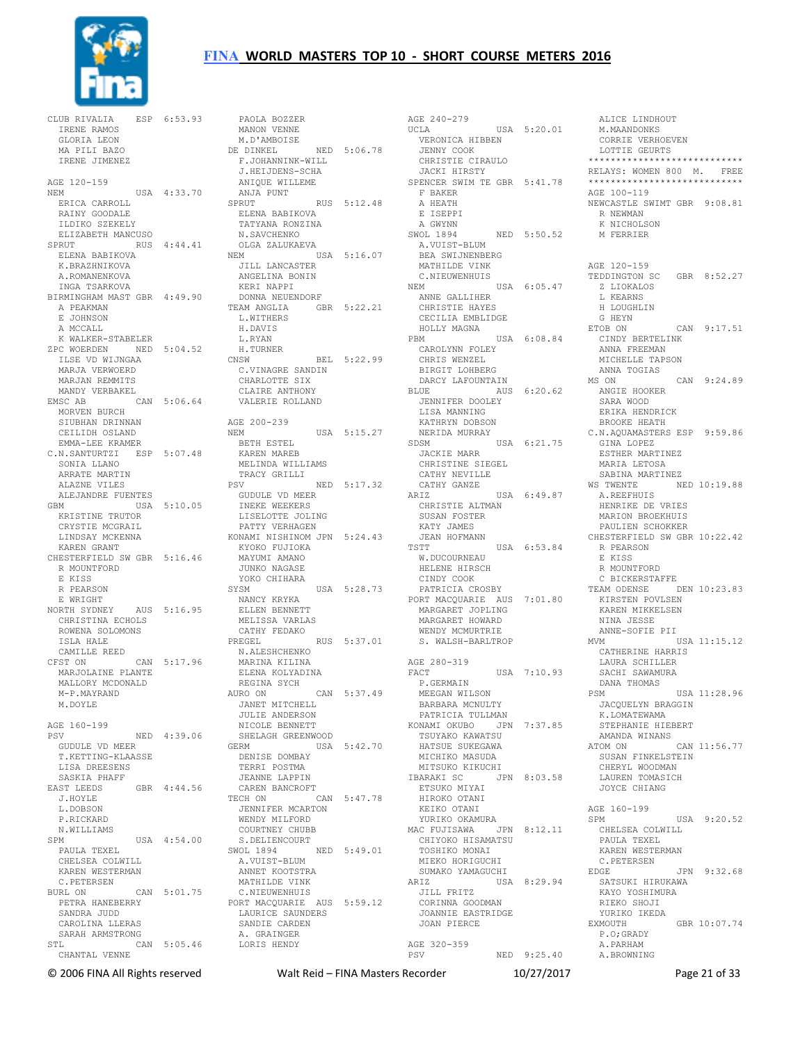

CLUB RIVALIA ESP 6:53.93 IRENE RAMOS GLORIA LEON MA PILI BAZO IRENE JIMENEZ AGE 120-159 NEM USA 4:33.70 ERICA CARROLL RAINY GOODALE ILDIKO SZEKELY ELIZABETH MANCUSO SPRUT RUS 4:44.41 ELENA BABIKOVA K.BRAZHNIKOVA A.ROMANENKOVA INGA TSARKOVA BIRMINGHAM MAST GBR 4:49.90 A PEAKMAN E JOHNSON A MCCALL K WALKER-STABELER ZPC WOERDEN NED 5:04.52 ILSE VD WIJNGAA MARJA VERWOERD MARJAN REMMITS MANDY VERBAKEL EMSC AB CAN 5:06.64 MORVEN BURCH SIUBHAN DRINNAN CEILIDH OSLAND EMMA-LEE KRAMER C.N.SANTURTZI ESP 5:07.48 SONIA LLANO ARRATE MARTIN<br>ALAZNE VILES ALAZNE VILES ALEJANDRE FUENTES GBM USA 5:10.05 KRISTINE TRUTOR CRYSTIE MCGRAIL LINDSAY MCKENNA KAREN GRANT CHESTERFIELD SW GBR 5:16.46 R MOUNTFORD E KISS R PEARSON E WRIGHT NORTH SYDNEY AUS 5:16.95 CHRISTINA ECHOLS ROWENA SOLOMONS ISLA HALE CAMILLE REED CFST ON CAN 5:17.96 MARJOLAINE PLANTE MALLORY MCDONALD M-P.MAYRAND M. DOYLE AGE 160-199 AGE 160-199<br>PSV NED 4:39.06 GUDULE VD MEER T.KETTING-KLAASSE LISA DREESENS SASKIA PHAFF EAST LEEDS GBR  $4:44.56$  J.HOYLE L.DOBSON P.RICKARD N.WILLIAMS SPM USA 4:54.00 PAULA TEXEL CHELSEA COLWILL KAREN WESTERMAN C.PETERSEN<br>RURL ON CAN 5:01.75 PETRA HANEBERRY SANDRA JUDD CAROLINA LLERAS SARAH ARMSTRONG STL CAN 5:05.46 CHANTAL VENNE

 PAOLA BOZZER MANON VENNE M.D'AMBOISE DE DINKEL NED 5:06.78 E DINNEL<br>F.JOHANNINK-WILL J.HEIJDENS-SCHA ANIQUE WILLEME ANJA PUNT SPRUT RUS 5:12.48 ELENA BABIKOVA TATYANA RONZINA 11111111111111111112.<br>N.SAVCHENKO OLGA ZALUKAEVA NEM USA 5:16.07 JILL LANCASTER ANGELINA BONIN KERI NAPPI DONNA NEUENDORF TEAM ANGLIA GBR 5:22.21 L.WITHERS H.DAVIS L.RYAN<br>H.TURNER H.TURNER<br>CNSW BEL 5:22.99 C.VINAGRE SANDIN CHARLOTTE SIX CLAIRE ANTHONY VALERIE ROLLAND AGE 200-239 NEM USA 5:15.27 BETH ESTEL KAREN MAREB MELINDA WILLIAMS TRACY GRILLI PSV NED 5:17.32<br>
GUDULE VD MEER<br>
INEKE WEEKERS<br>
LISELOTTE JOLING<br>
PATTY VERHAGEN KONAMI NISHINOM JPN 5:24.43 KYOKO FUJIOKA MAYUMI AMANO JUNKO NAGASE YOKO CHIHARA SYSM USA 5:28.73 NANCY KRYKA المحسنة<br>ELLEN BENNETT<br>MELISSA VARLAS MELISSA VARLAS CATHY FEDAKO PREGEL RUS 5:37.01 N.ALESHCHENKO MARINA KILINA ELENA KOLYADINA REGINA SYCH AURO ON CAN 5:37.49 JANET MITCHELL JULIE ANDERSON NICOLE BENNETT SHELAGH GREENWOOD GERM USA 5:42.70 GERM USA 5:42.70<br>DENISE DOMBAY TERRI POSTMA JEANNE LAPPIN CAREN BANCROFT TECH ON CAN 5:47.78 JENNIFER MCARTON WENDY MILFORD COURTNEY CHUBB S.DELIENCOURT SWOL 1894 NED 5:49.01 A.VUIST-BLUM ANNET KOOTSTRA MATHILDE VINK C.NIEUWENHUIS PORT MACQUARIE AUS 5:59.12 LAURICE SAUNDERS SANDIE CARDEN A. GRAINGER LORIS HENDY

AGE 240-279 UCLA USA 5:20.01 ALICE LINDHOUT M.MAANDONKS UCLA<br>UCLA VERONICA HIBBEN JENNY COOK CHRISTIE CIRAULO JACKI HIRSTY SPENCER SWIM TE GBR 5:41.78 F BAKER A HEATH E ISEPPI A GWYNN<br>SWOL 1894 NED 5:50.52 A.VUIST-BLUM BEA SWIJNENBERG MATHILDE VINK C.NIEUWENHUIS NEM USA 6:05.47 ANNE GALLIHER CHRISTIE HAYES CECILIA EMBLIDGE HOLLY MAGNA PBM USA 6:08.84 CAROLYNN FOLEY CHRIS WENZEL BIRGIT LOHBERG DARCY LAFOUNTAIN BLUE AUS 6:20.62 JENNIFER DOOLEY LISA MANNING KATHRYN DOBSON NERIDA MURRAY<br>SDSM SDSM USA 6:21.75 JACKIE MARR CHRISTINE SIEGEL CATHY NEVILLE CATHY GANZE ARIZ USA 6:49.87 CHRISTIE ALTMAN SUSAN FOSTER KATY JAMES JEAN HOFMANN<br>TSTT  $USA \quad 6:53.84$  W.DUCOURNEAU HELENE HIRSCH CINDY COOK PATRICIA CROSBY PORT MACQUARIE AUS 7:01.80 MARGARET JOPLING MARGARET HOWARD WENDY MCMURTRIE S. WALSH-BARLTROP AGE 280-319<br>FACT USA 7:10.93 P.GERMAIN MEEGAN WILSON BARBARA MCNULTY PATRICIA TULLMAN KONAMI OKUBO JPN 7:37.85 TSUYAKO KAWATSU HATSUE SUKEGAWA MICHIKO MASUDA MITSUKO KIKUCHI<br>IBARAKI SC JPN 8:03.58<br>ETSUKO MIYAI<br>HIROKO OTANI KEIKO OTANI YURIKO OKAMURA MAC FUJISAWA JPN 8:12.11 CHIYOKO HISAMATSU TOSHIKO MONAI MIEKO HORIGUCHI SUMAKO YAMAGUCHI<br>ARIZ USA USA 8:29.94 JILL FRITZ CORINNA GOODMAN JOANNIE EASTRIDGE JOAN PIERCE AGE 320-359 PSV NED 9:25.40

 CORRIE VERHOEVEN LOTTIE GEURTS \*\*\*\*\*\*\*\*\*\*\*\*\*\*\*\*\*\*\*\*\*\*\*\*\*\*\*\* RELAYS: WOMEN 800 M. FREE \*\*\*\*\*\*\*\*\*\*\*\*\*\*\*\*\*\*\*\*\*\*\*\*\*\*\*\* AGE 100-119 NEWCASTLE SWIMT GBR 9:08.81 R NEWMAN K NICHOLSON M FERRIER AGE 120-159 TEDDINGTON SC GBR 8:52.27 Z LIOKALOS L KEARNS H LOUGHLIN G HEYN<br>ETOB ON ETOB ON CAN 9:17.51 CINDY BERTELINK ANNA FREEMAN MICHELLE TAPSON ANNA TOGIAS<br>MS ON CAN 9:24.89 ANGIE HOOKER SARA WOOD ERIKA HENDRICK BROOKE HEATH C.N.AQUAMASTERS ESP 9:59.86 GINA LOPEZ ESTHER MARTINEZ MARIA LETOSA SABINA MARTINEZ WS TWENTE NED 10:19.88 A.REEFHUIS HENRIKE DE VRIES MARION BROEKHUIS PAULLEN SCHOKKER CHESTERFIELD SW GBR 10:22.42 R PEARSON E KISS R MOUNTFORD C BICKERSTAFFE TEAM ODENSE DEN 10:23.83 KIRSTEN POVLSEN KAREN MIKKELSEN NINA JESSE ANNE-SOFIE PII MVM USA 11:15.12 CATHERINE HARRIS LAURA SCHILLER SACHI SAWAMURA DANA THOMAS<br>PSM  $TISA$   $11:28.96$  JACQUELYN BRAGGIN K. LOMATEWAMA STEPHANIE HIEBERT AMANDA WINANS ATOM ON CAN 11:56.77 SUSAN FINKELSTEIN CHERYL WOODMAN LAUREN TOMASICH JOYCE CHIANG AGE 160-199 SPM USA 9:20.52 CHELSEA COLWILL PAULA TEXEL KAREN WESTERMAN C.PETERSEN EDGE JPN 9:32.68 SATSUKI HIRUKAWA KAYO YOSHIMURA RIEKO SHOJI YURIKO IKEDA<br>EXMOUTH GBR 10:07.74 P.O;GRADY A.PARHAM A.BROWNING

© 2006 FINA All Rights reserved Walt Reid – FINA Masters Recorder 10/27/2017 Page 21 of 33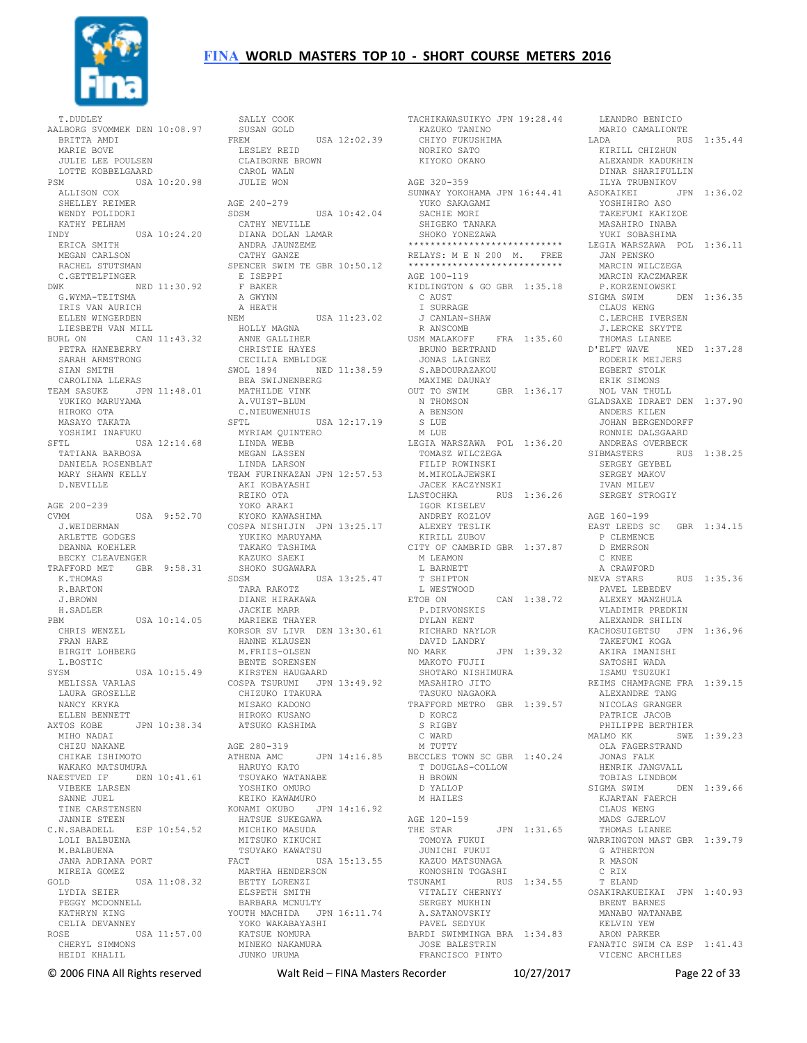

 T.DUDLEY AALBORG SVOMMEK DEN 10:08.97 BRITTA AMDI MARIE BOVE JULIE LEE POULSEN LOTTE KOBBELGAARD<br>PSM USA PSM USA 10:20.98 ALLISON COX SHELLEY REIMER WENDY POLIDORI KATHY PELHAM<br>TNDY EXATHY PELHAM CATHY NEVILLE<br>INDY USA 10:24.20 DIANA DOLAN LAMAR ERICA SMITH MEGAN CARLSON RACHEL STUTSMAN C.GETTELFINGER DWK NED 11:30.92 G.WYMA-TEITSMA IRIS VAN AURICH ELLEN WINGERDEN LIESBETH VAN MILL BURL ON CAN 11:43.32 PETRA HANEBERRY SARAH ARMEBERRY<br>SARAH ARMSTRONG SIAN SMITH<br>CAROLINA LLERAS<br>TEAM SASUKE JPN 11:48.01<br>YUKIKO MARUYAMA<br>HIROKO OTA MASAYO TAKATA YOSHIMI INAFUKU SFTL USA 12:14.68 TATIANA BARBOSA TATIANA BARBOSA<br>TATIANA BARBOSA<br>DANIELA ROSENBLAT MARY SHAWN KELLY D.NEVILLE AGE 200-239 CVMM USA 9:52.70 J.WEIDERMAN ARLETTE GODGES DEANNA KOEHLER BECKY CLEAVENGER TRAFFORD MET GBR 9:58.31 K.THOMAS R.BARTON J.BROWN H.SADLER H.SADLER<br>PBM USA 10:14.05 CHRIS WENZEL FRAN HARE BIRGIT LOHBERG L.BOSTIC SYSM USA 10:15.49 MELISSA VARLAS COSPA TSURUMI JPN 13:49.92 LAURA GROSELLE NANCY KRYKA ELLEN BENNETT AXTOS KOBE JPN 10:38.34 MIHO NADAI CHIZU NAKANE CHIKAE ISHIMOTO WAKAKO MATSUMURA NAESTVED IF DEN 10:41.61 VIBEKE LARSEN SANNE JUEL TINE CARSTENSEN KONAMI OKUBO JPN 14:16.92 JANNIE STEEN C.N.SABADELL ESP 10:54.52 LOLI BALBUENA M. BALBUENA JANA ADRIANA PORT FACT USA 15:13.55 MIREIA GOMEZ GOLD USA 11:08.32 LYDIA SEIER PEGGY MCDONNELL KATHRYN KING CELIA DEVANNEY<br>NSE 1190 11.57.00 ROSE USA 11:57.00 CHERYL SIMMONS HEIDI KHALIL

 SALLY COOK SUSAN GOLD FREM USA 12:02.39 LESLEY REID CLAIBORNE BROWN CAROL WALN JULIE WON AGE 240-279 SDSM USA 10:42.04 ANDRA JAUNZEME CATHY GANZE SPENCER SWIM TE GBR 10:50.12 E ISEPPI F BAKER - ------<br>F BAKER<br>A GWYNN A HEATH NEM USA 11:23.02 HOLLY MAGNA ANNE GALLIHER CHRISTIE HAYES CECILIA HAYES<br>CECILIA EMBLIDGE<br>WOI 1994 SWOL 1894 NED 11:38.59 BEA SWIJNENBERG MATHILDE VINK A.VUIST-BLUM C.NIEUWENHUIS<br>SFTL USA 12:17.19 MYRIAM QUINTERO LINDA WEBB MEGAN LASSEN LINDA LARSON TEAM FURINKAZAN JPN 12:57.53 AKI KOBAYASHI REIKO OTA YOKO ARAKI KYOKO KAWASHIMA COSPA NISHIJIN JPN 13:25.17 YUKIKO MARUYAMA TAKAKO TASHIMA KAZUKO SAEKI SHOKO SUGAWARA SDSM USA 13:25.47 TARA RAKOTZ DIANE HIRAKAWA JACKIE MARR MARIEKE THAYER KORSOR SV LIVR DEN 13:30.61 HANNE KLAUSEN M.FRIIS-OLSEN BENTE SORENSEN KIRSTEN HAUGAARD CHIZUKO ITAKURA MISAKO KADONO HIROKO KUSANO ATSUKO KASHIMA AGE 280-319 ATHENA AMC JPN 14:16.85 HARUYO KATO TSUYAKO WATANABE YOSHIKO OMURO KEIKO KAWAMURO HATSUE SUKEGAWA MICHIKO MASUDA MITSUKO KIKUCHI TSUYAKO KAWATSU MARTHA HENDERSON BETTY LORENZI ELSPETH SMITH VITALIY CHERNYY BARBARA MCNULTY YOUTH MACHIDA JPN 16:11.74 YOKO WAKABAYASHI KATSUE NOMURA MINEKO NAKAMURA JUNKO URUMA

TACHIKAWASUIKYO JPN 19:28.44 LEANDRO BENICIO KAZUKO TANINO CHIYO FUKUSHIMA NORIKO SATO KIYOKO OKANO AGE 320-359 SUNWAY YOKOHAMA JPN 16:44.41 YUKO SAKAGAMI SACHIE MORI SHIGEKO TANAKA SHOKO YONEZAWA \*\*\*\*\*\*\*\*\*\*\*\*\*\*\*\*\*\*\*\*\*\*\*\*\*\*\*\* RELAYS: M E N 200 M. FREE \*\*\*\*\*\*\*\*\*\*\*\*\*\*\*\*\*\*\*\*\*\*\*\*\*\*\*\* AGE 100-119 KIDLINGTON & GO GBR 1:35.18 C AUST I SURRAGE J CANLAN-SHAW R ANSCOMB USM MALAKOFF FRA 1:35.60 BRUNO BERTRAND JONAS LAIGNEZ S.ABDOURAZAKOU MAXIME DAUNAY  $OUT TO SWIM$ <br> $OUT TO SWIM$  GBR  $1:36.17$  N THOMSON A BENSON S LUE M LUE LEGIA WARSZAWA POL 1:36.20 TOMASZ WILCZEGA FILIP ROWINSKI M.MIKOLAJEWSKI JACEK KACZYNSKI LASTOCHKA RUS 1:36.26 IGOR KISELEV ANDREY KOZLOV ANDREY KOZLOV<br>ALEXEY TESLIK KIRILL ZUBOV CITY OF CAMBRID GBR 1:37.87 M LEAMON L BARNETT T SHIPTON L WESTWOOD<br>ETOB ON ETOB ON CAN 1:38.72<br>
P.DIRVONSKIS<br>
DYLAN KENT<br>
RICHARD NAYLOR<br>
DAVID LANDRY<br>
NO MARK JPN 1:39.32<br>
MAKOTO FUJII SHOTARO NISHIMURA<br>MAGAWILI MASAHIRO JITO TASUKU NAGAOKA TRAFFORD METRO GBR 1:39.57 D KORCZ S RIGBY C WARD M TUTTY BECCLES TOWN SC GBR 1:40.24 T DOUGLAS-COLLOW H BROWN D YALLOP M HAILES AGE 120-159 THE STAR JPN 1:31.65<br>
TOMOYA FUKUI<br>
JUNICHI FUKUI<br>KAZUO MATSUNAGA<br>
KONOSHIN TOGASHI<br>
TSUNAMI RUS 1:34.55 SERGEY MUKHIN<br>A.SATANOVSKIY PAVEL SEDYUK BARDI SWIMMINGA BRA 1:34.83 JOSE BALESTRIN FRANCISCO PINTO

MARIO CAMALIONTE<br>LADA RUS RUS 1:35.44 KIRILL CHIZHUN ALEXANDR KADUKHIN DINAR SHARIFULLIN ILYA TRUBNIKOV ASOKAIKEI JPN 1:36.02 YOSHIHIRO ASO TAKEFUMI KAKIZOE MASAHIRO INABA YUKI SOBASHIMA LEGIA WARSZAWA POL 1:36.11 .... wakszAW<br>JAN PENSKO<br>... MARCIN WILCZEGA MARCIN KACZMAREK P.KORZENIOWSKI SIGMA SWIM DEN 1:36.35 CLAUS WENG C.LERCHE IVERSEN J.LERCKE SKYTTE THOMAS LIANEE<br>'ELFT WAVE NED 1:37.28 D'ELFT WAVE RODERIK MEIJERS EGBERT STOLK ERIK SIMONS NOL VAN THULL GLADSAXE IDRAET DEN 1:37.90 ANDERS KILEN JOHAN BERGENDORFF RONNIE DALSGAARD ANDREAS OVERBECK SIBMASTERS RUS 1:38.25 SERGEY GEYBEL SERGEY MAKOV IVAN MILEV SERGEY STROGIY AGE 160-199 EAST LEEDS SC GBR 1:34.15 P CLEMENCE D EMERSON C KNEE A CRAWFORD<br>NEVA STARS NEVA STARS RUS 1:35.36 PAVEL LEBEDEV ALEXEY MANZHULA<br>
VLADIMIR PREDKIN<br>
ALEXANDR SHILIN<br>
KACHOSUIGETSU JPN 1:36.96<br>
TAKEFUMI KOGA<br>
AKIRA IMANISHI<br>
SATOSHI WADA<br>
ISAMU TSUZUKI REIMS CHAMPAGNE FRA 1:39.15 ALEXANDRE TANG NICOLAS GRANGER PATRICE JACOB PHILIPPE BERTHIER MALMO KK SWE 1:39.23 OLA FAGERSTRAND JONAS FALK HENRIK JANGVALL. TOBIAS LINDBOM SIGMA SWIM DEN 1:39.66 KJARTAN FAERCH CLAUS WENG MADS GJERLOV THOMAS LIANEE WARRINGTON MAST GBR 1:39.79 G ATHERTON R MASON C RIX T ELAND OSAKIRAKUEIKAI JPN 1:40.93 BRENT BARNES MANABU WATANABE KELVIN YEW ARON PARKER FANATIC SWIM CA ESP 1:41.43 VICENC ARCHILES

© 2006 FINA All Rights reserved Walt Reid – FINA Masters Recorder 10/27/2017 Page 22 of 33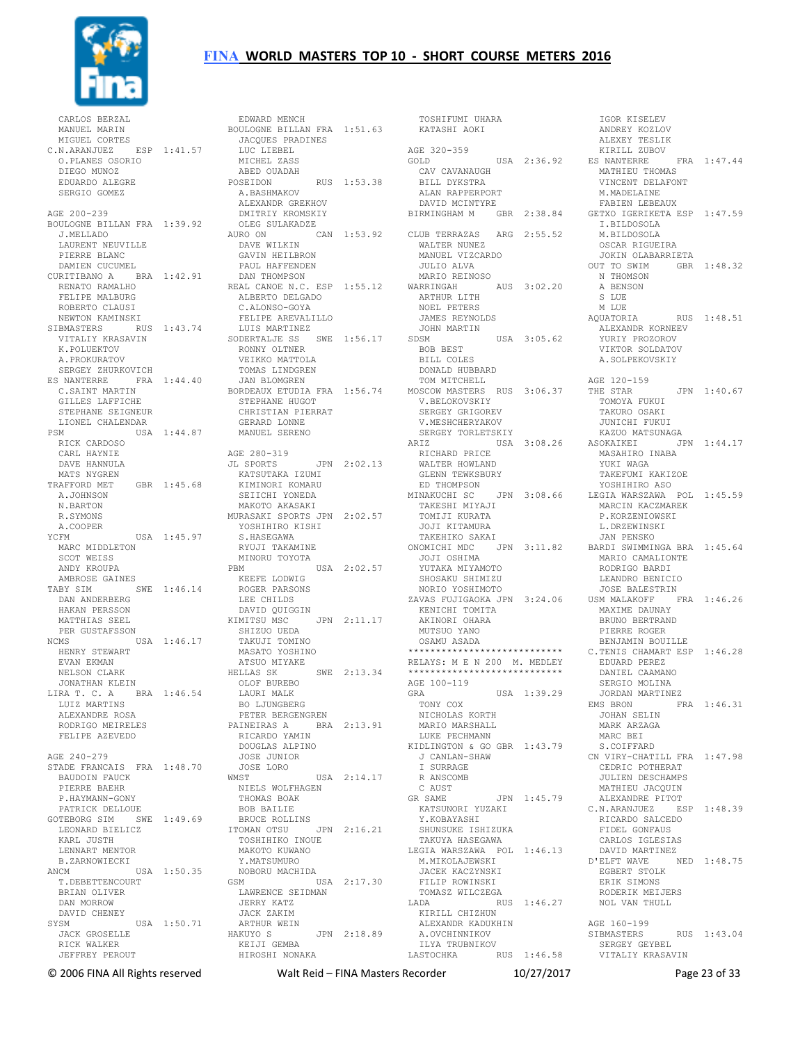

 CARLOS BERZAL MANUEL MARIN MIGUEL CORTES C.N.ARANJUEZ ESP 1:41.57 O.PLANES OSORIO ...<br>O.PLANES OSORIO<br>DIEGO MUNOZ EDUARDO ALEGRE SERGIO GOMEZ AGE 200-239<br>
BOULOGNE BILLAN FRA 1:39.92<br>
J.MELLADO<br>
LAURENT NEUVILLE<br>
PIERRE BLANC<br>
DAMIEN CUCUMEL<br>
CURITIBANO A BRA 1:42.91<br>
RENATO RAMALHO FELIPE MALBURG ROBERTO CLAUSI NEWTON KAMINSKI<br>SIBMASTERS RUS 1:43.74<br>VITALIY KRASAVIN<br>K.POLUEKTOV<br>A.PROKURATOV SERGEY ZHURKOVICH ES NANTERRE FRA 1:44.40 TOMAS LINDGREN JAN BLOMGREN C.SAINT MARTIN GILLES LAFFICHE STEPHANE SEIGNEUR LIONEL CHALENDAR PSM USA 1:44.87 MANUEL SERENO RICK CARDOSO CARL HAYNIE DAVE HANNULA MATS NYGREN<br>TRAFFORD MET GBR 1:45.68 A.JOHNSON N.BARTON R.SYMONS A.COOPER YCFM USA 1:45.97 MARC MIDDLETON SCOT WEISS ANDY KROUPA AMBROSE GAINES TABY SIM SWE 1:46.14 DAN ANDERBERG HAKAN PERSSON MATTHIAS SEEL PER GUSTAFSSON NCMS USA 1:46.17 HENRY STEWART EVAN EKMAN NELSON CLARK JONATHAN KLEIN LIRA T. C. A BRA 1:46.54 LUIZ MARTINS ALEXANDRE ROSA RODRIGO MEIRELES FELIPE AZEVEDO AGE 240-279 STADE FRANCAIS FRA 1:48.70 JOSE BAUDOIN FAUCK WMST BAUDOIN FAUCK PIERRE BAEHR P.HAYMANN-GONY PATRICK DELLOUE BOB BAILIE<br>
GOTEBORG SIM SWE 1:49.69 BRUCE ROLLINS LEONARD BIELICZ KARL JUSTH LENNART MENTOR B.ZARNOWIECKI ANCM USA 1:50.35 T.DEBETTENCOURT ....<br>T.DEBETTENCOURT<br>BRIAN OLIVER DAN MORROW<br>
DAVID CHENEY<br>
SYSM USA 1:50.71<br>
JACK GROSELLE<br>
RICK WALKER YSM<br>JACK GROSELLE<br>RICK WALKER<br>JEFFREY PEROUT

 EDWARD MENCH BOULOGNE BILLAN FRA 1:51.63 JACQUES PRADINES LUC LIEBEL MICHEL ZASS ABED OUADAH POSEIDON RUS 1:53.38 A.BASHMAKOV ALEXANDR GREKHOV DMITRIY KROMSKIY BIRMINGHAM M GBR 2:38.84 OLEG SULAKADZE<br>
AURO ON CAN 1:53.92<br>
DAVE WILKIN<br>
GAVIN HEILBRON<br>
PAUL HAFFENDEN<br>
DAN THOMPSON<br>
REAL CANOE N.C. ESP 1:55.12 ALBERTO DELGADO C.ALONSO-GOYA ARTHUR LITH NOEL PETERS FELIPE AREVALILLO<br>
LUIS MARTINEZ<br>
SODERTALJE SS SWE 1:56.17<br>
RONNY OLTNER<br>
VEIKKO MATTOLA BORDEAUX ETUDIA FRA 1:56.74 STEPHANE HUGOT CHRISTIAN PIERRAT GERARD LONNE AGE 280-319 JL SPORTS JPN 2:02.13 KATSUTAKA IZUMI UL SIUNIS<br>KATSUTAKA IZUMI<br>KIMINORI KOMARU SEIICHI YONEDA MAKOTO AKASAKI MURASAKI SPORTS JPN 2:02.57 YOSHIHIRO KISHI S.HASEGAWA RYUJI TAKAMINE MINORU TOYOTA PBM USA 2:02.57 KEEFE LODWIG ROGER PARSONS LEE CHILDS DAVID QUIGGIN KIMITSU MSC JPN 2:11.17<br>
SHIZUO UEDA<br>
TAKUJI TOMINO<br>
MASATO YOSHINO<br>
ATSUO MIYAKE<br>
HELLAS SK SWE 2:13.34 OLOF BUREBO LAURI MALK BO LJUNGBERG PETER BERGENGREN<br>PAINEIRAS A BRA 2:13.91<br>RICARDO YAMIN<br>DOUGLAS ALPINO<br>JOSE JUNIOR JOSE LORO<br>WMST USA 2:14.17<br>NIELS WOLFHAGEN<br>THOMAS BOAK ITOMAN OTSU JPN 2:16.21<br>
TOSHIHIKO INOUE<br>
MAKOTO KUWANO<br>
Y.MATSUMURO<br>
NOBORU MACHIDA<br>
GSM USA 2:17.30<br>
LAWRENCE SEIDMAN JERRY KATZ<br>JERRY KATZ<br>JERRY KATZ<br>Jerry Katz JACK ZAKIM ARTHUR WEIN HAKUYO S JPN 2:18.89 KEIJI GEMBA HIROSHI NONAKA LASTOCHKA RUS 1:46.58 SERGEY GEYBEL VITALIY KRASAVIN

 TOSHIFUMI UHARA KATASHI AOKI AGE 320-359 GOLD USA 2:36.92 CAV CAVANAUGH BILL DYKSTRA ALAN RAPPERPORT DAVID MCINTYRE CLUB TERRAZAS ARG 2:55.52<br>
WALTER NUNEZ<br>
MANUEL VIZCARDO<br>
JULIO ALVA<br>MARIO REINOSO<br>WARRINGAH AUS 3:02.20 JAMES REYNOLDS JOHN MARTIN JATHER ...<br>JOHN MARTIN<br>SDSM USA 3:05.62<br>BOB BEST<br>BILL COLES BOB BEST BILL COLES DONALD HUBBARD TOM MITCHELL MOSCOW MASTERS RUS 3:06.37 V.BELOKOVSKIY SERGEY GRIGOREV V.MESHCHERYAKOV SERGEY TORLETSKIY ARIZ USA 3:08.26 RICHARD PRICE WALTER HOWLAND GLENN TEWKSBURY ED THOMPSON MINAKUCHI SC JPN 3:08.66 YOSHIHIRO ASO LEGIA WARSZAWA POL 1:45.59 TAKESHI MIYAJI TOMIJI KURATA JOJI KITAMURA TAKEHIKO SAKAI ONOMICHI MDC JPN 3:11.82 BARDI SWIMMINGA BRA 1:45.64 JOJI OSHIMA YUTAKA MIYAMOTO SHOSAKU SHIMIZU NORIO YOSHIMOTO ZAVAS FUJIGAOKA JPN 3:24.06 USM MALAKOFF FRA 1:46.26 MAXIME DAUNAY KENICHI TOMITA AKINORI OHARA MUTSUO YANO OSAMU ASADA<br>\*\*\*\*\*\*\*\*\*\*\*\*\*\*\*\*\*\*\*\*\*\*\*\*\*\*\*\*\* \*\*\*\*\*\*\*\*\*\*\*\*\*\*\*\*\*\*\*\*\*\*\*\*\*\*\*\* RELAYS: M E N 200 M. MEDLEY \*\*\*\*\*\*\*\*\*\*\*\*\*\*\*\*\*\*\*\*\*\*\*\*\*\*\*\* AGE 100-119<br>GRA USA 1:39.29 GRA USA 1:39.29 TONY COX<br>
MICHOLAS KORTH<br>
MARIO MARSHALL<br>
LUKE PECHMANN<br>
KIDLINGTON & GO GBR 1:43.79<br>
J CANLAN-SHAW I SURRAGE<br>R ANSCOMB<br>C AUST<br>GR SAME JPN 1:45.79 KATSUNORI YUZAKI Y.KOBAYASHI SHUNSUKE ISHIZUKA<br>
TAKUYA HASEGAWA<br>
LEGIA WARSZAWA POL 1:46.13<br>
M.MIKOLAJEWSKI<br>
JACEK KACZYNSKI<br>
FILIP ROWINSKI<br>
TOMASZ WILCZEGA JACEK KACZINONI<br>FILIP ROWINSKI<br>TOMASZ WILCZEGA<br>LADA – RUS – 1:46.27 KIRILL CHIZHUN<br>ALEXANDR KADUKHIN<br>A.OVCHINNIKOV<br>ILYA TRUBNIKOV

 IGOR KISELEV ANDREY KOZLOV ALEXEY TESLIK KIRILL ZUBOV ES NANTERRE FRA 1:47.44 MATHIEU THOMAS VINCENT DELAFONT M.MADELAINE FABIEN LEBEAUX GETXO IGERIKETA ESP 1:47.59 I.BILDOSOLA M.BILDOSOLA OSCAR RIGUEIRA JOKIN OLABARRIETA OUT TO SWIM GBR 1:48.32 N THOMSON A BENSON S LUE M LUE AQUATORIA RUS 1:48.51 ALEXANDR KORNEEV YURIY PROZOROV VIKTOR SOLDATOV A.SOLPEKOVSKIY AGE 120-159 THE STAR JPN 1:40.67 TOMOYA FUKUI TAKURO OSAKI JUNICHI FUKUI KAZUO MATSUNAGA ASOKAIKEI JPN 1:44.17 MASAHIRO INABA YUKI WAGA TAKEFUMI KAKIZOE MARCIN KACZMAREK P.KORZENIOWSKI L.NONZENIOWSP<br>L.DRZEWINSKI JAN PENSKO MARIO CAMALIONTE RODRIGO BARDI LEANDRO BENICIO JOSE BALESTRIN BRUNO BERTRAND PIERRE ROGER BENJAMIN BOUILLE C.TENIS CHAMART ESP 1:46.28 EDUARD PEREZ DANIEL CAAMANO SERGIO MOLINA JORDAN MARTINEZ<br>EMS BRON FR FRA 1:46.31 JOHAN SELIN MARK ARZAGA MARC BEI S. COTFFARD CN VIRY-CHATILL FRA 1:47.98 CEDRIC POTHERAT JULIEN DESCHAMPS MATHIEU JACQUIN ALEXANDRE PITOT<br>C.N.ARANJUEZ ESP 1:48.39 C.N.ARANJUEZ ESP 1:48.39 RICARDO SALCEDO FIDEL GONFAUS<br>
CARLOS IGLESIAS<br>
DAVID MARTINEZ<br>
D'ELFT WAVE NED 1:48.75<br>
EGERT STOLK<br>
ERIK SIMONS<br>
RODERIK MEIJERS RODERIK MEIJERS<br>NOL VAN THULL AGE 160-199 SIBMASTERS RUS 1:43.04

© 2006 FINA All Rights reserved Walt Reid – FINA Masters Recorder 10/27/2017 Page 23 of 33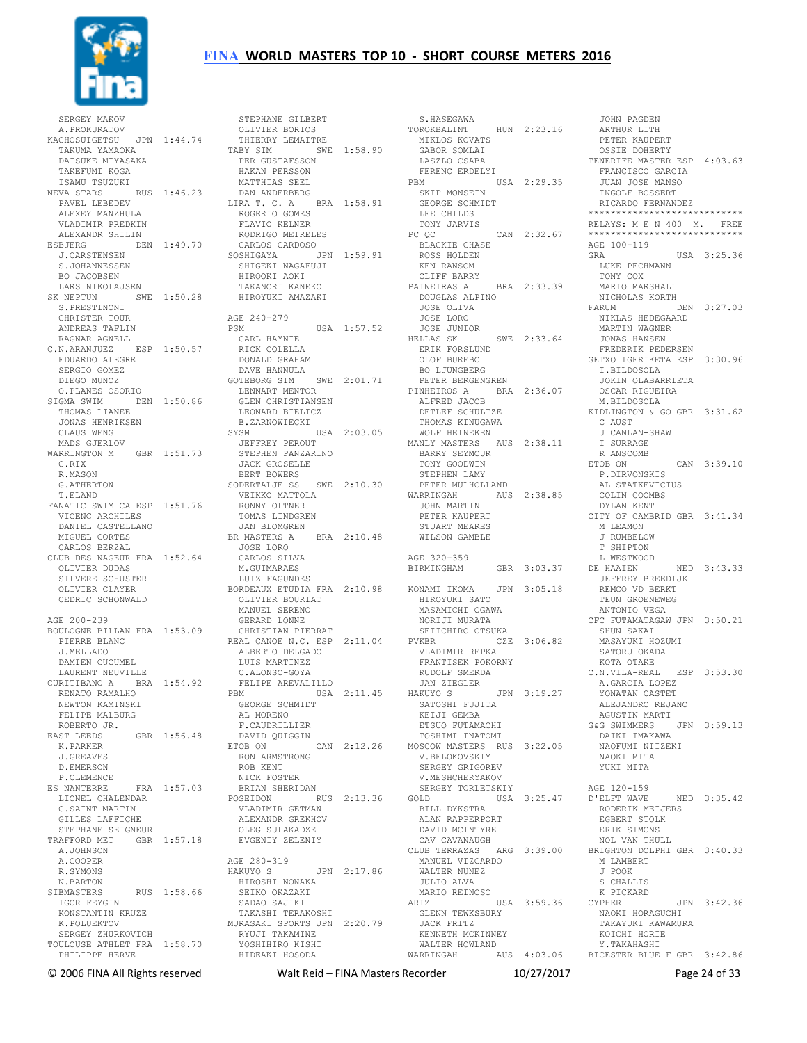

 SERGEY MAKOV A.PROKURATOV DAISUKE MIYASAKA TAKEFUMI KOGA ISAMU TSUZUKI NEVA STARS RUS 1:46.23 DAN ANDERBERG LIRA T. C. A BRA 1:58.91 PAVEL LEBEDEV ALEXEY MANZHULA VLADIMIR PREDKIN ALEXANDR SHILIN<br>ESBJERG DEL S.JOHANNESSEN BO JACOBSEN LARS NIKOLAJSEN SK NEPTUN SWE 1:50.28 S.PRESTINONI CHRISTER TOUR ANDREAS TAFLIN RAGNAR AGNELL C.N.ARANJUEZ ESP 1:50.57 EDUARDO ALEGRE SERGIO GOMEZ DIEGO MUNOZ O.PLANES OSORIO SIGMA SWIM DEN 1:50.86 THOMAS LIANEE JONAS HENRIKSEN CLAUS WENG MADS GJERLOV WARRINGTON M GBR 1:51.73 C.RIX R.MASON G.ATHERTON T.ELAND FANATIC SWIM CA ESP 1:51.76 VICENC ARCHILES DANIEL CASTELLANO DANIEL CASTELLANO<br>MIGUEL CORTES CARLOS BERZAL CLUB DES NAGEUR FRA 1:52.64 JOSE LORO CARLOS SILVA OLIVIER DUDAS SILVERE SCHUSTER OLIVIER CLAYER CEDRIC SCHONWALD AGE 200-239 BOULOGNE BILLAN FRA 1:53.09 PIERRE BLANC J.MELLADO DAMIEN CUCUMEL<br>LAURENT NEUVILLE LAURENT NEUVILLE CURITIBANO A BRA 1:54.92 RENATO RAMALHO NEWTON KAMINSKI FELIPE MALBURG ROBERTO JR. EAST LEEDS GBR 1:56.48 K.PARKER J.GREAVES D.EMERSON P.CLEMENCE ES NANTERRE FRA 1:57.03 LIONEL CHALENDAR C.SAINT MARTIN C.SAINT MARTIN<br>GILLES LAFFICHE STEPHANE SEIGNEUR TRAFFORD MET GBR 1:57.18 A.JOHNSON A.COOPER R.SYMONS N.BARTON SIBMASTERS RUS 1:58.66 IGOR FEYGIN LUUN KRUZE<br>KONSTANTIN KRUZE<br>KUDOTITILLU K.POLUEKTOV SERGEY ZHURKOVICH TOULOUSE ATHLET FRA 1:58.70 PHILIPPE HERVE YOSHIHIRO KISHI

KACHOSUIGETSU JPN 1:44.74 TAKUMA YAMAOKA THIERRY LEMAITRE TABY SIM SWE 1:58.90 MIKLOS KOVATS GABOR SOMLAI ESBJERG DEN 1:49.70 J.CARSTENSEN CARLOS CARDOSO SOSHIGAYA JPN 1:59.91 BLACKIE CHASE ROSS HOLDEN STEPHANE GILBERT S.HASEGAWA **OLIVIER GILBERT**<br>OLIVIER BORIOS PER GUSTAFSSON HAKAN PERSSON MATTHIAS SEEL ROGERIO GOMES FLAVIO KELNER RODRIGO MEIRELES SHIGEKI NAGAFUJI HIROOKI AOKI TAKANORI KANEKO HIROYUKI AMAZAKI AGE 240-279 PSM USA 1:57.52 CARL HAYNIE RICK COLELLA DONALD GRAHAM DAVE HANNULA GOTEBORG SIM SWE 2:01.71 LENNART MENTOR GLEN CHRISTIANSEN LEONARD BIELICZ B.ZARNOWIECKI<br>SYSM SYSM USA 2:03.05 JEFFREY PEROUT STEPHEN PANZARINO JACK GROSELLE BERT BOWERS SODERTALJE SS SWE 2:10.30 VEIKKO MATTOLA RONNY OLTNER TOMAS LINDGREN JAN BLOMGREN BR MASTERS A BRA 2:10.48 M.GUIMARAES LUIZ FAGUNDES BORDEAUX ETUDIA FRA 2:10.98 OLIVIER BOURIAT MANUEL SERENO GERARD LONNE CHRISTIAN PIERRAT REAL CANOE N.C. ESP 2:11.04 ALBERTO DELGADO LUIS MARTINEZ C.ALONSO-GOYA FELIPE AREVALILLO PBM USA 2:11.45 GEORGE SCHMIDT AL MORENO F.CAUDRILLIER DAVID QUIGGIN ETOB ON CAN 2:12.26 TOSHIMI INATOMI MOSCOW MASTERS RUS 3:22.05 RON ARMSTRONG ROB KENT NICK FOSTER BRIAN SHERIDAN POSEIDON RUS 2:13.36 VLADIMIR GETMAN دن.<br>VLADIMIR GETMAN<br>ALEXANDR GREKHOV OLEG SULAKADZE EVGENIY ZELENIY AGE 280-319 HAKUYO S JPN 2:17.86 HIROSHI NONAKA SEIKO OKAZAKI SADAO SAJIKI TAKASHI TERAKOSHI MURASAKI SPORTS JPN 2:20.79 RYUJI TAKAMINE JACK FRITZ KENNETH MCKINNEY WALTER HOWLAND HIDEAKI HOSODA

© 2006 FINA All Rights reserved Walt Reid – FINA Masters Recorder 10/27/2017 Page 24 of 33 TOROKBALINT HUN 2:23.16 JOHN PAGDEN ARTHUR LITH LASZLO CSABA FERENC ERDELYI PBM USA 2:29.35 SKIP MONSEIN GEORGE SCHMIDT LEE CHILDS TONY JARVIS PC  $QC$  CAN  $2:32.67$  KEN RANSOM CLIFF BARRY PAINEIRAS A BRA 2:33.39 DOUGLAS ALPINO JOSE OLIVA JOSE LORO<br>JOSE JUNIOR JOSE JUNIOR HELLAS SK SWE 2:33.64 MARTIN WAGNER JONAS HANSEN ERIK FORSLUND OLOF BUREBO BO LJUNGBERG PETER BERGENGREN PINHEIROS A BRA 2:36.07 ALFRED JACOB OSCAR RIGUEIRA M.BILDOSOLA DETLEF SCHULTZE THOMAS KINUGAWA WOLF HEINEKEN MANLY MASTERS AUS 2:38.11<br>
BARRY SEYMOUR<br>
TONY GOODWIN<br>
STEPHEN LAMY<br>
PETER MULHOLLAND<br>
WARRINGAH AUS 2:38.85<br>
JOHN MARTIN PETER KAUPERT<br>
MARRINGAH AUS 2:38.85<br>
JOHN MARTIN<br>
PETER KAUPERT STUART MEARES WILSON GAMBLE AGE 320-359 BIRMINGHAM GBR 3:03.37 KONAMI IKOMA JPN 3:05.18 HIROYUKI SATO MASAMICHI OGAWA NORIJI MURATA SEIICHIRO OTSUKA PVKBR CZE 3:06.82 VLADIMIR REPKA FRANTISEK POKORNY RUDOLF SMERDA JAN ZIEGLER HAKUYO S JPN 3:19.27 A.GARCIA LOPEZ YONATAN CASTET SATOSHI FUJITA KEIJI GEMBA ETSUO FUTAMACHI V.BELOKOVSKIY SERGEY GRIGOREV V.MESHCHERYAKOV SERGEY TORLETSKIY GOLD USA 3:25.47 BILL DYKSTRA ALAN RAPPERPORT DAVID MCINTYRE CAV CAVANAUGH MANUEL VIZCARDO WALTER NUNEZ

CLUB TERRAZAS ARG 3:39.00 BRIGHTON DOLPHI GBR 3:40.33 JULIO ALVA MARIO REINOSO ARIZ USA 3:59.36 GLENN TEWKSBURY CYPHER JPN 3:42.36 WARRINGAH AUS 4:03.06 BICESTER BLUE F GBR 3:42.86 PETER KAUPERT OSSIE DOHERTY TENERIFE MASTER ESP 4:03.63 FRANCISCO GARCIA JUAN JOSE MANSO INGOLF BOSSERT RICARDO FERNANDEZ \*\*\*\*\*\*\*\*\*\*\*\*\*\*\*\*\*\*\*\*\*\*\*\*\*\*\*\* RELAYS: M E N 400 M. FREE \*\*\*\*\*\*\*\*\*\*\*\*\*\*\*\*\*\*\*\*\*\*\*\*\*\*\*\* AGE 100-119 GRA USA 3:25.36 LUKE PECHMANN TONY COX MARIO MARSHALL NICHOLAS KORTH FARUM DEN 3:27.03 NIKLAS HEDEGAARD FREDERIK PEDERSEN GETXO IGERIKETA ESP 3:30.96 I.BILDOSOLA JOKIN OLABARRIETA M.BlLDUSULA<br>KIDLINGTON & GO GBR 3:31.62 C AUST J CANLAN-SHAW I SURRAGE R ANSCOMB<br>ETOB ON CAN 3:39.10<br>P.DIRVONSKIS<br>AL STATKEVICIUS COLIN COOMBS DYLAN KENT CITY OF CAMBRID GBR 3:41.34 M LEAMON J RUMBELOW T SHIPTON L WESTWOOD NED 3:43.33 JEFFREY BREEDIJK REMCO VD BERKT TEUN GROENEWEG ANTONIO VEGA CFC FUTAMATAGAW JPN 3:50.21 SHUN SAKAI MASAYUKI HOZUMI SATORU OKADA KOTA OTAKE C.N.VILA-REAL ESP 3:53.30 ALEJANDRO REJANO AGUSTIN MARTI G&G SWIMMERS JPN 3:59.13 DAIKI IMAKAWA NAOFUMI NIIZEKI NAOKI MITA YIIKT MTTA AGE 120-159 NED 3:35.42 RODERIK MEIJERS EGBERT STOLK ERIK SIMONS NOL VAN THULL M LAMBERT J POOK S CHALLIS K PICKARD NAOKI HORAGUCHI TAKAYUKI KAWAMURA KOICHI HORIE Y.TAKAHASHI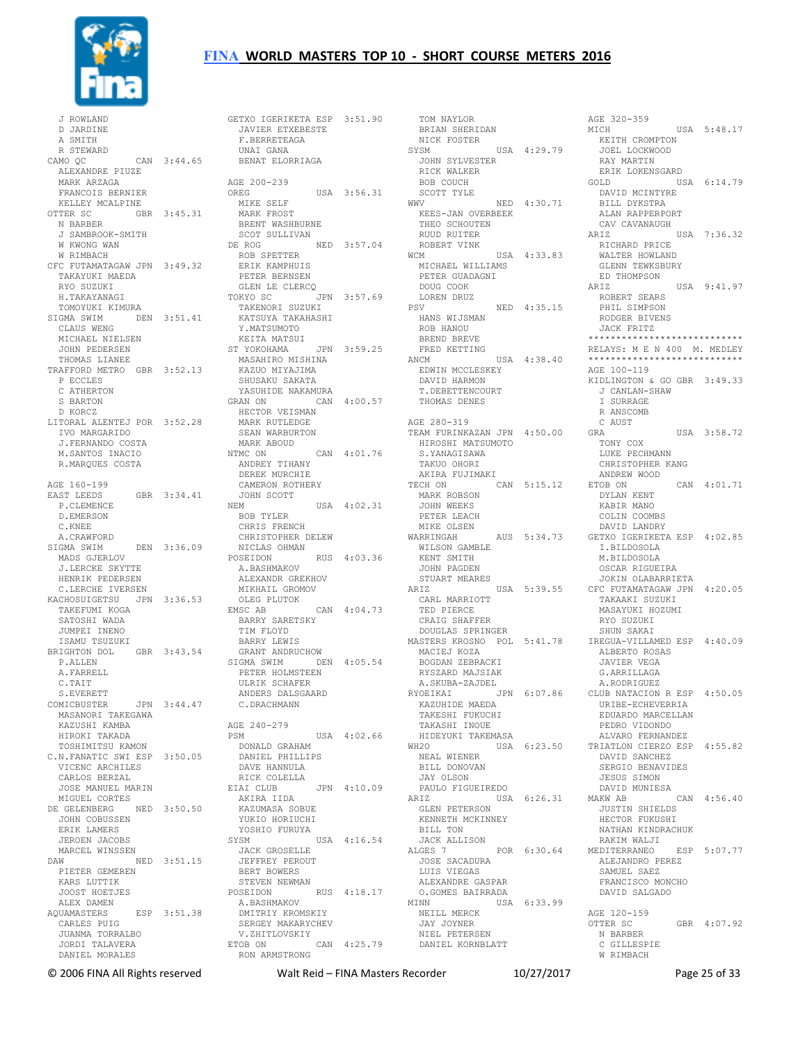

 J ROWLAND D JARDINE A SMITH R STEWARD CAMO QC CAN 3:44.65 ALEXANDRE PIUZE MARK ARZAGA FRANCOIS BERNIER KELLEY MCALPINE OTTER SC GBR 3:45.31 N BARBER J SAMBROOK-SMITH W KWONG WAN W RIMBACH CFC FUTAMATAGAW JPN 3:49.32 TAKAYUKI MAEDA RYO SUZUKI H.TAKAYANAGI TOMOYUKI KIMURA SIGMA SWIM DEN 3:51.41 CLAUS WENG MICHAEL NIELSEN JOHN PEDERSEN THOMAS LIANEE TRAFFORD METRO GBR 3:52.13 P ECCLES C ATHERTON S BARTON D KORCZ LITORAL ALENTEJ POR 3:52.28 HECTOR VEISMAN MARK RUTLEDGE IVO MARGARIDO J.FERNANDO COSTA M.SANTOS INACIO R.MARQUES COSTA AGE 160-199  $EAST{}^{1,9}$ <br>  $D GIN"$ <br>  $D GIN"$  P.CLEMENCE D.EMERSON C.KNEE A.CRAWFORD SIGMA SWIM DEN 3:36.09 MADS GJERLOV J.LERCKE SKYTTE HENRIK PEDERSEN C.LERCHE IVERSEN KACHOSUIGETSU JPN 3:36.53 TAKEFUMI KOGA SATOSHI WADA JUMPEI INENO ISAMU TSUZUKI BRIGHTON DOL GBR 3:43.54 P.ALLEN A.FARRELL C.TAIT S.EVERETT COMICBUSTER JPN 3:44.47 MASANORI TAKEGAWA KAZUSHI KAMBA HIROKI TAKADA TOSHIMITSU KAMON C.N.FANATIC SWI ESP 3:50.05 VICENC ARCHILES CARLOS BERZAL<br>JOSE MANUEL MARIN<br>MIGUEL CORTES<br>DE GELENBERG<br>JOHN COBUSSEN<br>JOHN COBUSSEN ERIK LAMERS JEROEN JACOBS MARCEL WINSSEN DAW NED 3:51.15 PIETER GEMEREN KARS LUTTIK JOOST HOETJES ALEX DAMEN AQUAMASTERS ESP 3:51.38 CARLES PUIG JUANMA TORRALBO JORDI TALAVERA DANIEL MORALES

GETXO IGERIKETA ESP 3:51.90 JAVIER ETXEBESTE F.BERRETEAGA UNAI GANA BENAT ELORRIAGA AGE 200-239 OREG USA 3:56.31 MIKE SELF MARK FROST BRENT WASHBURNE SCOT SULLIVAN<br>
DE ROG NED 3:57.04<br>
ROB SPETTER<br>
ERIK KAMPHUIS<br>
PETER BERNSEN<br>
GLEN LE CLERCQ TOKYO SC JPN 3:57.69 TAKENORI SUZUKI KATSUYA TAKAHASHI Y.MATSUMOTO KEITA MATSUI<br>ST YOKOHAMA ST YOKOHAMA JPN 3:59.25 MASAHIRO MISHINA FRED KETTING ANCM USA 4:38.40 KAZUO MIYAJIMA<br>SHUSAKU SAKATA YASUHIDE NAKAMURA GRAN ON CAN 4:00.57 SEAN WARBURTON MARK ABOUD NTMC ON CAN 4:01.76 ANDREY TIHANY DEREK MURCHIE CAMERON ROTHERY JOHN SCOTT NEM USA 4:02.31 BOB TYLER CHRIS FRENCH CHRISTOPHER DELEW NICLAS OHMAN POSEIDON RUS 4:03.36 A.BASHMAKOV ALEXANDR GREKHOV MIKHAIL GROMOV OLEG PLUTOK EMSC AB CAN 4:04.73 BARRY SARETSKY TIM FLOYD<br>BARRY LEWIS<br>GRANT ANDRUCHOW<br>ILCMA CILE BARRY LEWIS GRANT ANDRUCHOW SIGMA SWIM DEN 4:05.54 PETER HOLMSTEEN ISINI S...<br>PETER HOLMSTEEN<br>ULRIK SCHAFER ANDERS DALSGAARD C.DRACHMANN AGE 240-279 PSM USA 4:02.66 DONALD GRAHAM DANIEL PHILLIPS DAVE HANNULA RICK COLELLA<br>EIAI CLUB JPN 4:10.09<br>AKIRA IIDA<br>KAZUMASA SOBUE<br>YUKIO HORIUCHI YOSHIO FURUYA SYSM USA 4:16.54 JACK GROSELLE JEFFREY PEROUT JEFFREY PEROUT<br>BERT BOWERS STEVEN NEWMAN POSEIDON RUS 4:18.17 A.BASHMAKOV DMITRIY KROMSKIY SERGEY MAKARYCHEV V.ZHITLOVSKIY ETOB ON CAN 4:25.79 RON ARMSTRONG

 TOM NAYLOR BRIAN SHERIDAN AGE 320-359 MICH USA 5:48.17 NICK FOSTER SYSM USA 4:29.79 JOHN SYLVESTER RICK WALKER BOB COUCH SCOTT TYLE<br>WWV WWV NED 4:30.71 KEES-JAN OVERBEEK THEO SCHOUTEN RUUD RUITER ROBERT VINK<br>WCM WCM USA 4:33.83 MICHAEL WILLIAMS PETER GUADAGNI DOUG COOK LOREN DRUZ PSV NED 4:35.15 HANS WIJSMAN ROB HANOU NOD HANOU<br>BREND BREVE<br>ERER 117 EDWIN MCCLESKEY DAVID HARMON T.DEBETTENCOURT THOMAS DENES AGE 280-319 TEAM FURINKAZAN JPN 4:50.00 HIROSHI MATSUMOTO S.YANAGISAWA TAKUO OHORI AKIRA FUJIMAKI TECH ON CAN 5:15.12 MARK ROBSON JOHN WEEKS PETER LEACH MIKE OLSEN WARRINGAH AUS 5:34.73 WILSON GAMBLE KENT SMITH JOHN PAGDEN JOHN PAGDEN<br>STUART MEARES ARIZ USA 5:39.55 CARL MARRIOTT TED PIERCE CRAIG SHAFFER DOUGLAS SPRINGER MACIEJ KOZA BOGDAN ZEBRACKI RYSZARD MAJSIAK A.SKUBA-ZAJDEL KAZUHIDE MAEDA TAKESHI FUKUCHI TAKASHI INOUE HIDEYUKI TAKEMASA NEAL WIENER BILL DONOVAN JAY OLSON PAULO FIGUEIREDO GLEN PETERSON KENNETH MCKINNEY BILL TON JACK ALLISON JOSE SACADURA LUIS VIEGAS ALEXANDRE GASPAR O.GOMES BAIRRADA MINN USA 6:33.99 NEILL MERCK JAY JOYNER NIEL PETERSEN DANIEL KORNBLATT

MASTERS KROSNO POL 5:41.78 IREGUA-VILLAMED ESP 4:40.09 RYOEIKAI JPN 6:07.86 CLUB NATACION R ESP 4:50.05 WH2O USA 6:23.50 TRIATLON CIERZO ESP 4:55.82 ARIZ USA 6:26.31 MAKW AB CAN 4:56.40 ALGES 7 POR 6:30.64 MEDITERRANEO ESP 5:07.77 US<br>KEITH CROMPTON<br>TOTT JOEL LOCKWOOD RAY MARTIN ERIK LOKENSGARD GOLD USA 6:14.79 DAVID MCINTYRE BILL DYKSTRA ALAN RAPPERPORT CAV CAVANAUGH ARIZ USA 7:36.32 RICHARD PRICE WALTER HOWLAND GLENN TEWKSBURY ED THOMPSON ARIZ USA 9:41.97 ROBERT SEARS PHIL SIMPSON RODGER BIVENS JACK FRITZ \*\*\*\*\*\*\*\*\*\*\*\*\*\*\*\*\*\*\*\*\*\*\*\*\*\*\*\* RELAYS: M E N 400 M. MEDLEY \*\*\*\*\*\*\*\*\*\*\*\*\*\*\*\*\*\*\*\*\*\*\*\*\*\*\*\* AGE 100-119 KIDLINGTON & GO GBR 3:49.33 J CANLAN-SHAW I SURRAGE R ANSCOMB C AUST GRA USA 3:58.72 TONY COX LUKE PECHMANN CHRISTOPHER KANG ANDREW WOOD ETOB ON CAN 4:01.71<br>
DYLAN KENT<br>
KABIR MANO<br>
COLIN COOMBS<br>
DAVID LANDRY<br>
GETXO IGERIKETA ESP 4:02.85 I.BILDOSOLA M. BILDOSOLA OSCAR RIGUEIRA JOKIN OLABARRIETA<br>CFC FUTAMATAGAW JPN 4:20.05<br>TAKAAKI SUZUKI<br>MASAYUKI HOZUMI<br>RYO SUZUKI SHUN SAKAT ALBERTO ROSAS JAVIER VEGA G.ARRILLAGA A.RODRIGUEZ URIBE-ECHEVERRIA EDUARDO MARCELLAN PEDRO VIDONDO ALVARO FERNANDEZ DAVID SANCHEZ SERGIO BENAVIDES JESUS SIMON DAVID MUNIESA JUSTIN SHIELDS HECTOR FUKUSHI NATHAN KINDRACHUK RAKIM WALJI ALEJANDRO PEREZ SAMUEL SAEZ FRANCISCO MONCHO DAVID SALGADO AGE 120-159 OTTER SC GBR  $4:07.92$  N BARBER C GILLESPIE W RIMBACH

© 2006 FINA All Rights reserved Walt Reid – FINA Masters Recorder 10/27/2017 Page 25 of 33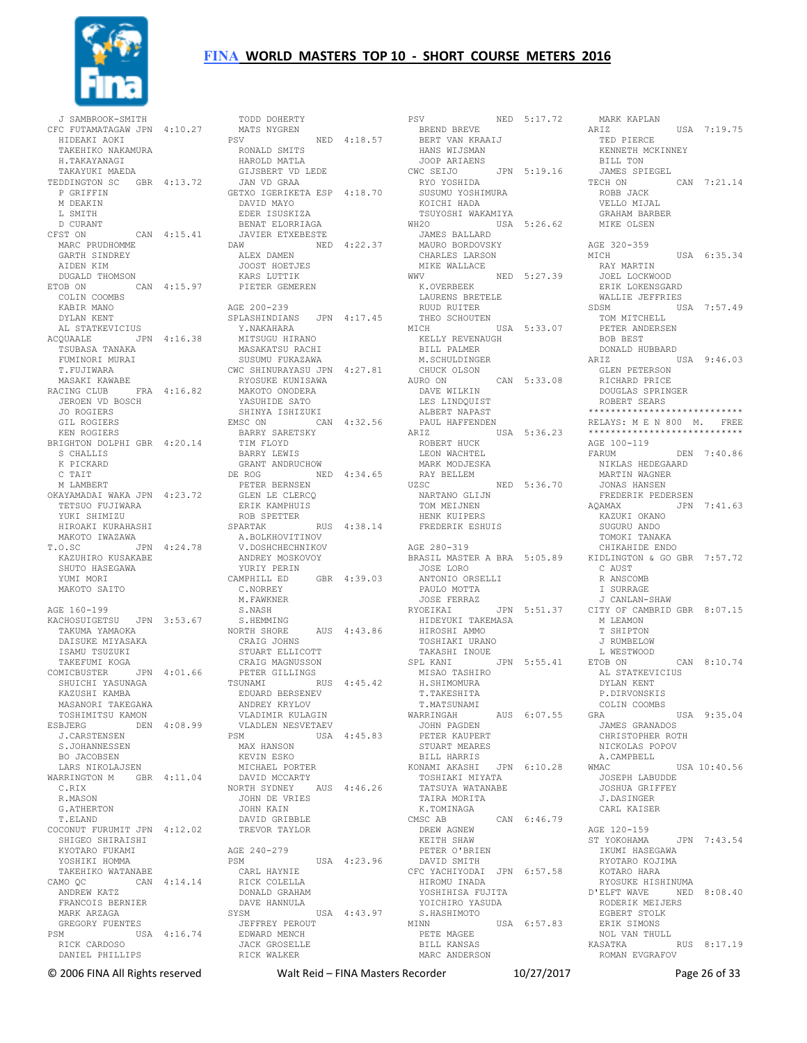

 J SAMBROOK-SMITH CFC FUTAMATAGAW JPN 4:10.27 HIDEAKI AOKI TAKEHIKO NAKAMURA H.TAKAYANAGI TAKAYUKI MAEDA TEDDINGTON SC GBR 4:13.72 P GRIFFIN M DEAKIN L SMITH D CURANT CFST ON CAN 4:15.41 MARC PRUDHOMME GARTH SINDREY AIDEN KIM DUGALD THOMSON ETOB ON CAN 4:15.97 COLIN COOMBS KABIR MANO DYLAN KENT AL STATKEVICIUS ACQUAALE JPN 4:16.38 TSUBASA TANAKA FUMINORI MURAI T.FUJIWARA MASAKI KAWABE RACING CLUB FRA 4:16.82 JEROEN VD BOSCH JO ROGIERS GIL ROGIERS KEN ROGIERS BRIGHTON DOLPHI GBR 4:20.14 S CHALLIS K PICKARD C TAIT M LAMBERT OKAYAMADAI WAKA JPN 4:23.72 TETSUO FUJIWARA YUKI SHIMIZU HIROAKI KURAHASHI MAKOTO IWAZAWA T.O.SC JPN 4:24.78 A.BOLKHOVITINOV V.DOSHCHECHNIKOV ....<br>KAZUHIRO KUSAKABE SHUTO HASEGAWA YUMI MORI MAKOTO SAITO AGE 160-199 KACHOSUIGETSU JPN 3:53.67 TAKUMA YAMAOKA HUNUSULULULU<br>TAKUMA YAMAOKA<br>-------- miyasaka ISAMU TSUZUKI<br>TAKEFUMI KOGA<br>COMICBUSTER JPN 4:01.66<br>SHUICHI YASUNAGA<br>KAZUSHI KAMBA MASANORI TAKEGAWA TOSHIMITSU KAMON ESBJERG DEN 4:08.99 J.CARSTENSEN S.JOHANNESSEN BO JACOBSEN LARS NIKOLAJSEN WARRINGTON M GBR 4:11.04 C.RIX R.MASON G.ATHERTON T.ELAND COCONUT FURUMIT JPN 4:12.02 SHIGEO SHIRAISHI KYOTARO FUKAMI YOSHIKI HOMMA TAKEHIKO WATANABE CAMO QC CAN 4:14.14 ANDREW KATZ FRANCOIS BERNIER MARK ARZAGA GREGORY FUENTES PSM USA 4:16.74 RICK CARDOSO RICK CARDOSO<br>DANIEL PHILLIPS

 TODD DOHERTY MATS NYGREN PSV NED 4:18.57 RONALD SMITS HAROLD MATLA GIJSBERT VD LEDE JAN VD GRAA GETXO IGERIKETA ESP 4:18.70 GETXO IGERIKETA ESP 4:18.70<br>DAVID MAYO EDER ISUSKIZA BENAT ELORRIAGA JAVIER ETXEBESTE NED 4:22.37 ALEX DAMEN JOOST HOETJES KARS LUTTIK PIETER GEMEREN AGE 200-239 SPLASHINDIANS JPN 4:17.45 Y.NAKAHARA<br>MITSUGU HIRANO<br>MASAKATSU RACHI<br>SUSUMU FUKAZAWA CWC SHINURAYASU JPN 4:27.81 RYOSUKE KUNISAWA MAKOTO ONODERA YASUHIDE SATO SHINYA ISHIZUKI EMSC ON CAN 4:32.56 BARRY SARETSKY TIM FLOYD BARRY LEWIS GRANT ANDRUCHOW<br>DE ROG NED DE ROG NED 4:34.65 PETER BERNSEN GLEN LE CLERCQ EBIEN EERIKSEE<br>GLEN LE CLERCQ<br>ERIK KAMPHUIS ROB SPETTER<br>SPARTAK RUS 4:38.14 ANDREY MOSKOVOY YURIY PERIN CAMPHILL ED GBR 4:39.03 C.NORREY M.FAWKNER S.NASH S.HEMMING NORTH SHORE AUS 4:43.86 CRAIG JOHNS STUART ELLICOTT CRAIG MAGNUSSON PETER GILLINGS TSUNAMI RUS 4:45.42 EDUARD BERSENEV **EDUARD BERSENEV<br>ANDREY KRYLOV** VLADIMIR KULAGIN<br>VLADLEN NESVETAEV<br>PSM USA VLADLEN NESVETAEV PSM USA 4:45.83 MAX HANSON KEVIN ESKO MICHAEL PORTER DAVID MCCARTY NORTH SYDNEY AUS 4:46.26 JOHN DE VRIES JOHN KAIN DAVID GRIBBLE TREVOR TAYLOR AGE 240-279 PSM USA 4:23.96 CARL HAYNIE RICK COLELLA DONALD GRAHAM DAVE HANNULA SYSM USA 4:43.97 JEFFREY PEROUT EDWARD MENCH JACK GROSELLE EDWARD FERNON<br>JACK GROSELLE<br>RICK WALKER

PSV NED 5:17.72 BREND BREVE BERT VAN KRAAIJ HANS WIJSMAN JOOP ARIAENS CWC SEIJO JPN 5:19.16 RYO YOSHIDA<br>SUSUMU YOSHIMURA KOICHI HADA TSUYOSHI WAKAMIYA<br>WH2O USA 5:26.62<br>JAMES BALLARD<br>MAURO BORDOVSKY CHARLES LARSON MIKE WALLACE NED 5:27.39 K.OVERBEEK LAURENS BRETELE RUUD RUITER THEO SCHOUTEN<br>MICH USA 5:33.07 KELLY REVENAUGH BILL PALMER M.SCHULDINGER CHUCK OLSON<br>AURO ON CAN 5:33.08 DAVE WILKIN LES LINDQUIST ALBERT NAPAST PAUL HAFFENDEN<br>ARIZ U USA 5:36.23 ROBERT HUCK LEON WACHTEL MARK MODJESKA RAY BELLEM UZSC NED 5:36.70 NARTANO GLIJN TOM MEIJNEN HENK KUIPERS FREDERIK ESHUIS AGE 280-319 BRASIL MASTER A BRA 5:05.89 JOSE LORO ANTONIO ORSELLI ANTONIO ORSEI<br>PAULO MOTTA JOSE FERRAZ HIDEYUKI TAKEMASA HIROSHI AMMO TOSHIAKI URANO TAKASHI INOUE SPL KANI JPN 5:55.41 MISAO TASHIRO H.SHIMOMURA T.TAKESHITA T.MATSUNAMI WARRINGAH AUS 6:07.55 JOHN PAGDEN PETER KAUPERT STUART MEARES BILL HARRIS KONAMI AKASHI JPN 6:10.28 TOSHIAKI MIYATA TATSUYA WATANABE TAIRA MORITA K.TOMINAGA<br>CMSC AB CAN 6:46.79 DREW AGNEW KEITH SHAW PETER O'BRIEN DAVID SMITH CFC YACHIYODAI JPN 6:57.58 HIROMU INADA YOSHIHISA FUJITA<br>YOSHIHISA FUJITA YOICHIRO YASUDA S.HASHIMOTO MINN USA 6:57.83 PETE MAGEE BILL KANSAS MARC ANDERSON

RYOEIKAI JPN 5:51.37 CITY OF CAMBRID GBR 8:07.15 MARK KAPLAN<br>ARTZ  $TISA$  7:19.75 TED PIERCE KENNETH MCKINNEY BILL TON JAMES SPIEGEL TECH ON CAN 7:21.14 ROBB JACK VELLO MIJAL GRAHAM BARBER MIKE OLSEN AGE 320-359 MICH USA 6:35.34 RAY MARTIN JOEL LOCKWOOD ERIK LOKENSGARD WALLIE JEFFRIES SDSM USA 7:57.49 TOM MITCHELL PETER ANDERSEN BOB BEST DONALD HUBBARD ARIZ USA 9:46.03 GLEN PETERSON RICHARD PRICE DOUGLAS SPRINGER ROBERT SEARS \*\*\*\*\*\*\*\*\*\*\*\*\*\*\*\*\*\*\*\*\*\*\*\*\*\*\*\* RELAYS: M E N 800 M. FREE \*\*\*\*\*\*\*\*\*\*\*\*\*\*\*\*\*\*\*\*\*\*\*\*\*\*\*\* AGE 100-119<br>FARUM DEN 7:40.86 NIKLAS HEDEGAARD MARTIN WAGNER JONAS HANSEN FREDERIK PEDERSEN AQAMAX JPN 7:41.63 KAZUKI OKANO SUGURU ANDO TOMOKI TANAKA CHIKAHIDE ENDO KIDLINGTON & GO GBR 7:57.72 C AUST R ANSCOMB I SURRAGE J CANLAN-SHAW  $M$  LEAMON T SHIPTON J RUMBELOW L WESTWOOD<br>ETOB ON CAN 8:10.74 AL STATKEVICIUS DYLAN KENT P.DIRVONSKIS COLIN COOMBS GRA USA 9:35.04 JAMES GRANADOS CHRISTOPHER ROTH NICKOLAS POPOV A.CAMPBELL  $HSS 10:40.56$  JOSEPH LABUDDE JOSHUA GRIFFEY J.DASINGER CARL KAISER AGE 120-159 ST YOKOHAMA JPN 7:43.54 IKUMI HASEGAWA RYOTARO KOJIMA KOTARO HARA RYOSUKE HISHINUMA D'ELFT WAVE NED 8:08.40 RODERIK MEIJERS EGBERT STOLK ERIK SIMONS NOL VAN THULL KASATKA RUS 8:17.19 ROMAN EVGRAFOV

© 2006 FINA All Rights reserved Walt Reid – FINA Masters Recorder 10/27/2017 Page 26 of 33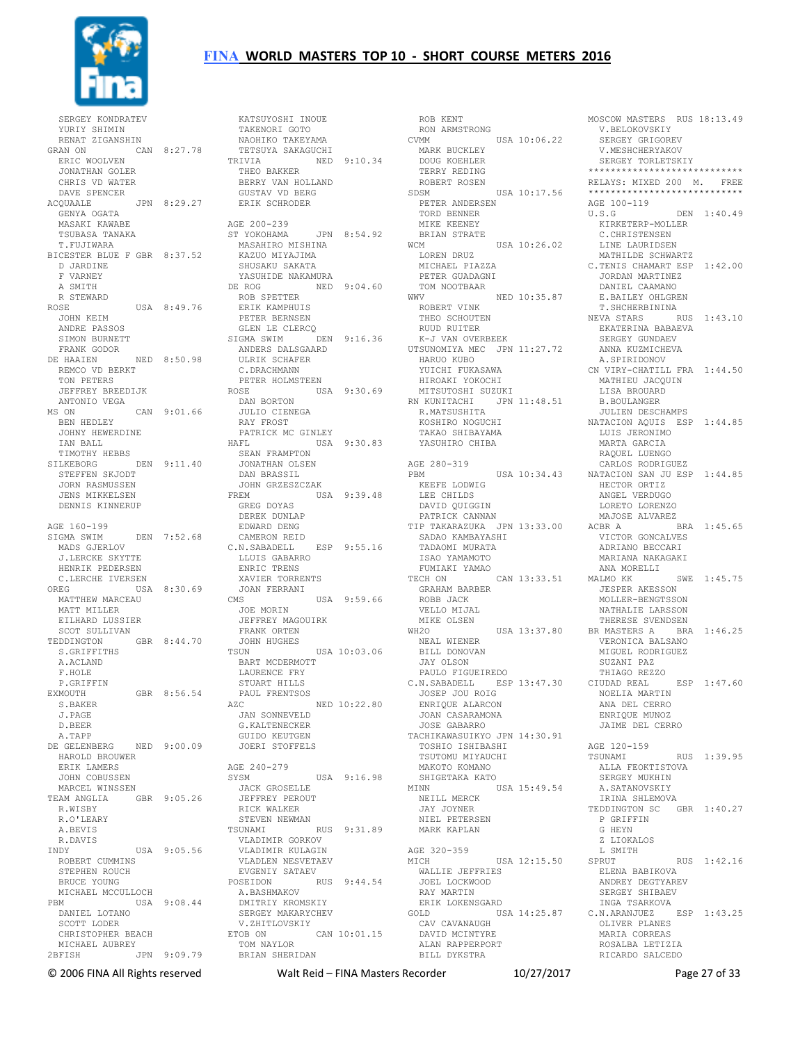

 SERGEY KONDRATEV YURIY SHIMIN RENAT ZIGANSHIN GRAN ON CAN 8:27.78 ERIC WOOLVEN JONATHAN GOLER CHRIS VD WATER DAVE SPENCER ACQUAALE JPN 8:29.27 GENYA OGATA MASAKI KAWABE TSUBASA TANAKA T.FUJIWARA BICESTER BLUE F GBR 8:37.52 D JARDINE F VARNEY A SMITH R STEWARD ROSE USA 8:49.76 JOHN KEIM ANDRE PASSOS SIMON BURNETT FRANK GODOR DE HAAIEN NED 8:50.98 ANDERS DALSGAARD ULRIK SCHAFER REMCO VD BERKT TON PETERS JEFFREY BREEDIJK ANTONIO VEGA MS ON CAN 9:01.66 BEN HEDLEY JOHNY HEWERDINE IAN BALL TIMOTHY HEBBS SILKEBORG DEN 9:11.40 STEFFEN SKJODT JORN RASMUSSEN JENS MIKKELSEN DENNIS KINNERUP AGE 160-199 SIGMA SWIM DEN 7:52.68 MADS GJERLOV CAMERON REID C.N.SABADELL ESP 9:55.16 J.LERCKE SKYTTE HENRIK PEDERSEN C.LERCHE IVERSEN OREG USA 8:30.69 MATTHEW MARCEAU MATT MILLER EILHARD LUSSIER SCOT SULLIVAN TEDDINGTON GBR 8:44.70<br>
SCRIPTING S. GRIFFITHS A.ACLAND F.HOLE P.GRIFFIN EXMOUTH GBR 8:56.54 S.BAKER J.PAGE D.BEER A.TAPP<br>DE GELENBERG DE GELENBERG NED 9:00.09 HAROLD BROUWER ERIK LAMERS JOHN COBUSSEN MARCEL WINSSEN TEAM ANGLIA GBR 9:05.26 R.WISBY R.O'LEARY A.BEVIS R.DAVIS INDY USA 9:05.56 ROBERT CUMMINS STEPHEN ROUCH BRUCE YOUNG<br>
MICHAEL MCCULLOCH<br>
PBM USA 9:08.44<br>
DANIEL LOTANO SCOTT LODER CHRISTOPHER BEACH ETOB ON THE TOPHER BEACH ETOB ON MICHAEL AUBREY 2BFISH JPN 9:09.79 TOM NAYLOR BRIAN SHERIDAN

 KATSUYOSHI INOUE TAKENORI GOTO NAOHIKO TAKEYAMA TETSUYA SAKAGUCHI<br>TRIVIA NED NED 9:10.34 THEO BAKKER BERRY VAN HOLLAND GUSTAV VD BERG ERIK SCHRODER AGE 200-239 ST YOKOHAMA JPN 8:54.92 MASAHIRO MISHINA KAZUO MIYAJIMA SHUSAKU SAKATA YASUHIDE NAKAMURA DE ROG NED 9:04.60 ROB SPETTER ERIK KAMPHUIS PETER BERNSEN GLEN LE CLERCQ SIGMA SWIM DEN 9:16.36 C.DRACHMANN PETER HOLMSTEEN<br>ROSE USA 9:30.69<br>DAN BORTON<br>JULIO CIENEGA ----- BUKTON<br>JULIO CIENEGA<br>RAY FROST<br>DAMPI- PATRICK MC GINLEY HAFL USA 9:30.83 SEAN FRAMPTON JONATHAN OLSEN DAN BRASSIL JOHN GRZESZCZAK FREM USA 9:39.48 GREG DOYAS DEREK DUNLAP EDWARD DENG LLUIS GABARRO ENRIC TRENS XAVIER TORRENTS JOAN FERRANI CMS<br>JOE MORIN<br>COE MORIN JOE MORIN JEFFREY MAGOUIRK FRANK ORTEN JOHN HUGHES TSUN USA 10:03.06 BART MCDERMOTT LAURENCE FRY STUART HILLS PAUL FRENTSOS AZC NED 10:22.80 JAN SONNEVELD G.KALTENECKER GUIDO KEUTGEN JOERI STOFFELS AGE 240-279 SYSM USA 9:16.98 JACK GROSELLE JEFFREY PEROUT RICK WALKER STEVEN NEWMAN<br>TSUNAMI RUS 9:31.89 VLADIMIR GORKOV VLADIMIR KULAGIN VLADLEN NESVETAEV EVGENIY SATAEV POSEIDON RUS 9:44.54 A.BASHMAKOV DMITRIY KROMSKIY SERGEY MAKARYCHEV V.ZHITLOVSKIY ETOB ON CAN 10:01.15

 ROB KENT RON ARMSTRONG MOSCOW MASTERS RUS 18:13.49 V.BELOKOVSKIY CVMM USA 10:06.22 MARK BUCKLEY DOUG KOEHLER TERRY REDING ROBERT ROSEN SDSM USA 10:17.56 PETER ANDERSEN<br>---------- TORD BENNER MIKE KEENEY BRIAN STRATE WCM USA 10:26.02 LOREN DRUZ MICHAEL PIAZZA PETER GUADAGNI TOM NOOTBAAR WWV NED 10:35.87 ROBERT VINK THEO SCHOUTEN RUUD RUITER K-J VAN OVERBEEK UTSUNOMIYA MEC JPN 11:27.72 HARUO KUBO YUICHI FUKASAWA IJICHI IJAADAMA<br>HIROAKI YOKOCHI<br>MITSUTOSHI SUZUKI MITSUTOSHI SUZUKI RN KUNITACHI JPN 11:48.51 R.MATSUSHITA KOSHIRO NOGUCHI TAKAO SHIBAYAMA YASUHIRO CHIBA AGE 280-319<br>PBM PBM USA 10:34.43 NATACION SAN JU ESP 1:44.85 KEEFE LODWIG LEE CHILDS DAVID QUIGGIN PATRICK CANNAN TIP TAKARAZUKA JPN 13:33.00 ACBR A BRA 1:45.65 SADAO KAMBAYASHI TADAOMI MURATA VICTOR GONCALVES ADRIANO BECCARI ISAO YAMAMOTO FUMIAKI YAMAO TECH ON CAN 13:33.51 GRAHAM BARBER ROBB JACK VELLO MIJAL MIKE OLSEN WH2O USA 13:37.80 NEAL WIENER BILL DONOVAN JAY OLSON PAULO FIGUEIREDO C.N.SABADELL ESP 13:47.30 CIUDAD REAL ESP 1:47.60 JOSEP JOU ROIG ENRIQUE ALARCON JOAN CASARAMONA JOSE GABARRO TACHIKAWASUIKYO JPN 14:30.91 TOSHIO ISHIBASHI TSUTOMU MIYAUCHI MAKOTO KOMANO SHIGETAKA KATO MINN USA 15:49.54 NEILL MERCK JAY JOYNER NIEL PETERSEN MARK KAPLAN AGE 320-359 MICH USA 12:15.50 WALLIE JEFFRIES JOEL LOCKWOOD RAY MARTIN ERIK LOKENSGARD GOLD USA 14:25.87<br>
CAV CAVANAUGH<br>
DAVID MCINTYRE<br>
ALAN RAPPERPORT<br>
BILL DYKSTRA

SERGET MASTERS RI<br>V.BELOKOVSKIY<br>SERGEY GRIGOREV V.MESHCHERYAKOV SERGEY TORLETSKIY \*\*\*\*\*\*\*\*\*\*\*\*\*\*\*\*\*\*\*\*\*\*\*\*\*\*\*\* RELAYS: MIXED 200 M. FREE<br>\*\*\*\*\*\*\*\*\*\*\*\*\*\*\*\*\*\*\*\*\*\*\*\*\*\*\*\* AGE 100-119<br>U.S.G  $DEN$  1:40.49 KIRKETERP-MOLLER C.CHRISTENSEN LINE LAURIDSEN MATHILDE SCHWARTZ C.TENIS CHAMART ESP 1:42.00 JORDAN MARTINEZ DANIEL CAAMANO E.BAILEY OHLGREN T.SHCHERBININA NEVA STARS RUS 1:43.10 EKATERINA BABAEVA SERGEY GUNDAEV ANNA KUZMICHEVA A.SPIRIDONOV CN VIRY-CHATILL FRA 1:44.50 MATHIEU JACQUIN<br>TIOL TO LISA BROUARD **B.BOULANGER**  JULIEN DESCHAMPS NATACION AQUIS ESP 1:44.85 LUIS JERONIMO MARTA GARCIA RAQUEL LUENGO CARLOS RODRIGUEZ HECTOR ORTIZ ANGEL VERDUGO LORETO LORENZO MAJOSE ALVAREZ MARIANA NAKAGAKI ANA MORELLI MALMO KK SWE 1:45.75 JESPER AKESSON MOLLER-BENGTSSON NATHALIE LARSSON THERESE SVENDSEN BR MASTERS A BRA 1:46.25 VERONICA BALSANO MIGUEL RODRIGUEZ SUZANI PAZ THIAGO REZZO NOELIA MARTIN ANA DEL CERRO ENRIQUE MUNOZ JAIME DEL CERRO AGE 120-159 RUS 1:39.95 ALLA FEOKTISTOVA SERGEY MUKHIN A.SATANOVSKIY IRINA SHLEMOVA TEDDINGTON SC GBR 1:40.27 P GRIFFIN G HEYN Z LIOKALOS L SMITH SPRUT RUS 1:42.16 ELENA BABIKOVA<br>\*\*\*\*\*\* ANDREY DEGTYAREV SERGEY SHIBAEV INGA TSARKOVA C.N.ARANJUEZ ESP 1:43.25 OLIVER PLANES MARIA CORREAS ROSALBA LETIZIA RICARDO SALCEDO

© 2006 FINA All Rights reserved Walt Reid – FINA Masters Recorder 10/27/2017 Page 27 of 33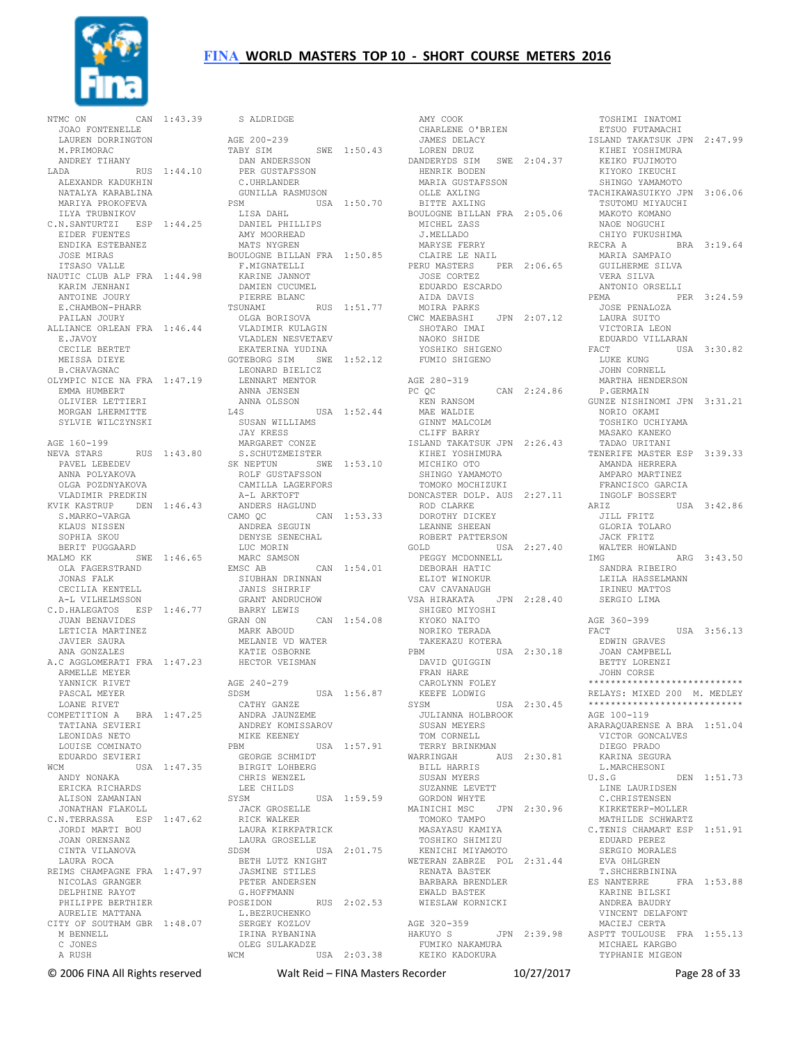

NTMC ON CAN 1:43.39 S ALDRIDGE JOAO FONTENELLE LAUREN DORRINGTON M.PRIMORAC ANDREY TIHANY LADA RUS 1:44.10 ALEXANDR KADUKHIN NATALYA KARABLINA MARIYA PROKOFEVA<br>
ILYA TRUBNIKOV<br>
C.N.SANTURTZI ESP 1:44.25<br>
EIDER FUENTES<br>
ENDIKA ESTEBANEZ<br>
JOSE MIRAS ITSASO VALLE NAUTIC CLUB ALP FRA 1:44.98 F.MIGNATELLI KARINE JANNOT KARIM JENHANI ANTOINE JOURY E.CHAMBON-PHARR PATLAN JOURY ALLIANCE ORLEAN FRA 1:46.44 E.JAVOY CECILE BERTET MEISSA DIEYE B.CHAVAGNAC OLYMPIC NICE NA FRA 1:47.19 EMMA HUMBERT OLIVIER LETTIERI MORGAN LHERMITTE SYLVIE WILCZYNSKI AGE 160-199 PAVEL LEBEDEV<br>
ANNA POLYAKOVA<br>
OLGA POZDNYAKOVA<br>
VLADIMIR PREDKIN<br>
KVIK KASTRUP DEN 1:46.43<br>
S.MARKO-VARGA<br>
KLAUS NISSEN<br>
SOPHIA SKOU BERIT PUGGAARD MALMO KK SWE 1:46.65 OLA FAGERSTRAND JONAS FALK CECILIA KENTELL A-L VILHELMSSON C.D.HALEGATOS ESP 1:46.77 JUAN BENAVIDES LETICIA MARTINEZ JAVIER SAURA ANA GONZALES A.C AGGLOMERATI FRA 1:47.23 HECTOR VEISMAN ARMELLE MEYER YANNICK RIVET PASCAL MEYER LOANE RIVET COMPETITION A BRA 1:47.25 TATIANA SEVIERI LEONIDAS NETO LOUISE COMINATO EDUARDO SEVIERI WCM USA 1:47.35 ANDY NONAKA ERICKA RICHARDS ALISON ZAMANIAN JONATHAN FLAKOLL C.N.TERRASSA ESP 1:47.62 JACK GROSELLE RICK WALKER JORDI MARTI BOU JOAN ORENSANZ CINTA VILANOVA LAURA ROCA REIMS CHAMPAGNE FRA 1:47.97 NICOLAS GRANGER DELPHINE RAYOT PHILIPPE BERTHIER<br>
AURELIE MATTANA<br>CITY OF SOUTHAM GBR 1:48.07<br>
M BENNELL<br>
C JONES A RUSH

NEVA STARS RUS 1:43.80 SK NEPTUN SWE 1:53.10 ROLF GUSTAFSSON AGE 200-239 TABY SIM SWE 1:50.43 DAN ANDERSSON PER GUSTAFSSON C.UHRLANDER GUNILLA RASMUSON PSM USA 1:50.70 LISA DAHL DANIEL PHILLIPS AMY MOORHEAD MATS NYGREN BOULOGNE BILLAN FRA 1:50.85 DAMIEN CUCUMEL PIERRE BLANC<br>
TSUNAMI RUS 1:51.77 OLGA BORISOVA VLADIMIR KULAGIN .<br>VLADLEN NESVETAEV EKATERINA YUDINA GOTEBORG SIM SWE 1:52.12 LEONARD BIELICZ LENNART MENTOR ANNA JENSEN ANNA OLSSON L4S USA 1:52.44 SUSAN WILLIAMS<br>
SUSAN WILLIAMS JAY KRESS MARGARET CONZE S.SCHUTZMEISTER CAMILLA LAGERFORS<br>
A-L ARKTOFT<br>
ANDERS HAGLUND<br>
CAMO QC<br>
ANDREA SEGUIN<br>
DENYSE SENECHAL DENYSE SENECHAL<br>LUC MORIN MARC SAMSON EMSC AB CAN 1:54.01 SIUBHAN DRINNAN JANIS SHIRRIF GRANT ANDRUCHOW BARRY LEWIS GRAN ON CAN 1:54.08 MARK ABOUD MELANIE VD WATER KATIE OSBORNE AGE 240-279<br>SDSM USA 1:56.87 CATHY GANZE ANDRA JAUNZEME ANDREY KOMISSAROV ANDRE KEENEY<br>MIKE KEENEY<br>PBM (1990) USA 1:57.91 PBM USA 1:57.91 GEORGE SCHMIDT BIRGIT LOHBERG CHRIS WENZEL LEE CHILDS<br>SYSM USA 1:59.59 LAURA KIRKPATRICK LAURA GROSELLE SDSM USA 2:01.75 BETH LUTZ KNIGHT JASMINE STILES PETER ANDERSEN ELLEN .....<br>G.HOFFMANN<br>COSTINON RUS 2:02.53 POSEIDON RUS 2:02.53 L.BEZRUCHENKO SERGEY KOZLOV IRINA RYBANINA OLEG SULAKADZE WCM USA 2:03.38 KEIKO KADOKURA

 AMY COOK CHARLENE O'BRIEN JAMES DELACY ETSUO FUTAMACHI ISLAND TAKATSUK JPN 2:47.99 LOREN DRUZ DANDERYDS SIM SWE 2:04.37 HENRIK BODEN MARIA GUSTAFSSON OLLE AXLING BITTE AXLING BOULOGNE BILLAN FRA 2:05.06 MICHEL ZASS J.MELLADO MARYSE FERRY CLAIRE LE NAIL<br>CLAIRE LE NAIL PERU MASTERS PER 2:06.65 JOSE CORTEZ EDUARDO ESCARDO AIDA DAVIS MOIRA PARKS CWC MAEBASHI JPN 2:07.12 SHOTARO IMAI NAOKO SHIDE YOSHIKO SHIGENO FUMIO SHIGENO AGE 280-319<br>PC QC PC QC CAN 2:24.86 P.GERMAIN GUNZE NISHINOMI JPN 3:31.21 KEN RANSOM MAE WALDIE GINNT MALCOLM CLIFF BARRY ISLAND TAKATSUK JPN 2:26.43 KIHEI YOSHIMURA<br>MICHIKO OTO<br>SHINGO YAMAMOTO TOMOKO MOCHIZUKI TOMOKO MOCHIZUKI<br>DONCASTER DOLP. AUS 2:27.11 ROD CLARKE DOROTHY DICKEY LEANNE SHEEAN ROBERT PATTERSON GOLD USA 2:27.40 PEGGY MCDONNELL DEBORAH HATIC ELIOT WINOKUR CAV CAVANAUGH VSA HIRAKATA JPN 2:28.40 SHIGEO MIYOSHI KYOKO NAITO NORIKO TERADA TAKEKAZU KOTERA PBM USA 2:30.18 DAVID QUIGGIN FRAN HARE CAROLYNN FOLEY KEEFE LODWIG SYSM USA 2:30.45 JULIANNA HOLBROOK SUSAN MEYERS TOM CORNELL<br>TERRY BRINKMAN TERRY BRINKMAN WARRINGAH AUS 2:30.81 BILL HARRIS SUSAN MYERS SUZANNE LEVETT GORDON WHYTE MAINICHI MSC JPN 2:30.96 TOMOKO TAMPO KIRKETERP-MOLLER MATHILDE SCHWARTZ MASAYASU KAMIYA TOSHIKO SHIMIZU KENICHI MIYAMOTO WETERAN ZABRZE POL 2:31.44 RENATA BASTEK BARBARA BRENDLER ES NANTERRE FRA 1:53.88 KARINE BILSKI ANDREA BAUDRY EWALD BASTEK WIESLAW KORNICKI AGE 320-359 HAKUYO S JPN 2:39.98 FUMIKO NAKAMURA

TOSHIMI INATOMI<br>ETSUO FUTAMACHI KIHEI YOSHIMURA KEIKO FUJIMOTO<br>KIYOKO IKEUCHI SHINGO YAMAMOTO TACHIKAWASUIKYO JPN 3:06.06 TSUTOMU MIYAUCHI MAKOTO KOMANO NAOE NOGUCHI CHIYO FUKUSHIMA RECRA A BRA 3:19.64 MARIA SAMPAIO GUILHERME SILVA VERA SILVA ANTONIO ORSELLI PEMA PER 3:24.59 JOSE PENALOZA LAURA SUITO VICTORIA LEON EDUARDO VILLARAN<br>FACT USA USA 3:30.82 LUKE KUNG JOHN CORNELL MARTHA HENDERSON NORIO OKAMI TOSHIKO UCHIYAMA MASAKO KANEKO TADAO URITANI TENERIFE MASTER ESP 3:39.33 AMANDA HERRERA AMPARO MARTINEZ FRANCISCO GARCIA INGOLF BOSSERT ARIZ USA 3:42.86 JILL FRITZ GLORIA TOLARO JACK FRITZ WALTER HOWLAND IMG ARG 3:43.50 SANDRA RIBEIRO LEILA HASSELMANN IRINEU MATTOS SERGIO LIMA AGE 360-399 USA 3:56.13 EDWIN GRAVES JOAN CAMPBELL BETTY LORENZI JOHN CORSE \*\*\*\*\*\*\*\*\*\*\*\*\*\*\*\*\*\*\*\*\*\*\*\*\*\*\*\* RELAYS: MIXED 200 M. MEDLEY \*\*\*\*\*\*\*\*\*\*\*\*\*\*\*\*\*\*\*\*\*\*\*\*\*\*\*\* AGE 100-119 ARARAQUARENSE A BRA 1:51.04 VICTOR GONCALVES DIEGO PRADO KARINA SEGURA L.MARCHESONI U.S.G DEN 1:51.73 LINE LAURIDSEN C.CHRISTENSEN C.TENIS CHAMART ESP 1:51.91 EDUARD PEREZ SERGIO MORALES EVA OHLGREN T.SHCHERBININA VINCENT DELAFONT MACIEJ CERTA ASPTT TOULOUSE FRA 1:55.13 MICHAEL KARGBO TYPHANIE MIGEON

© 2006 FINA All Rights reserved Walt Reid – FINA Masters Recorder 10/27/2017 Page 28 of 33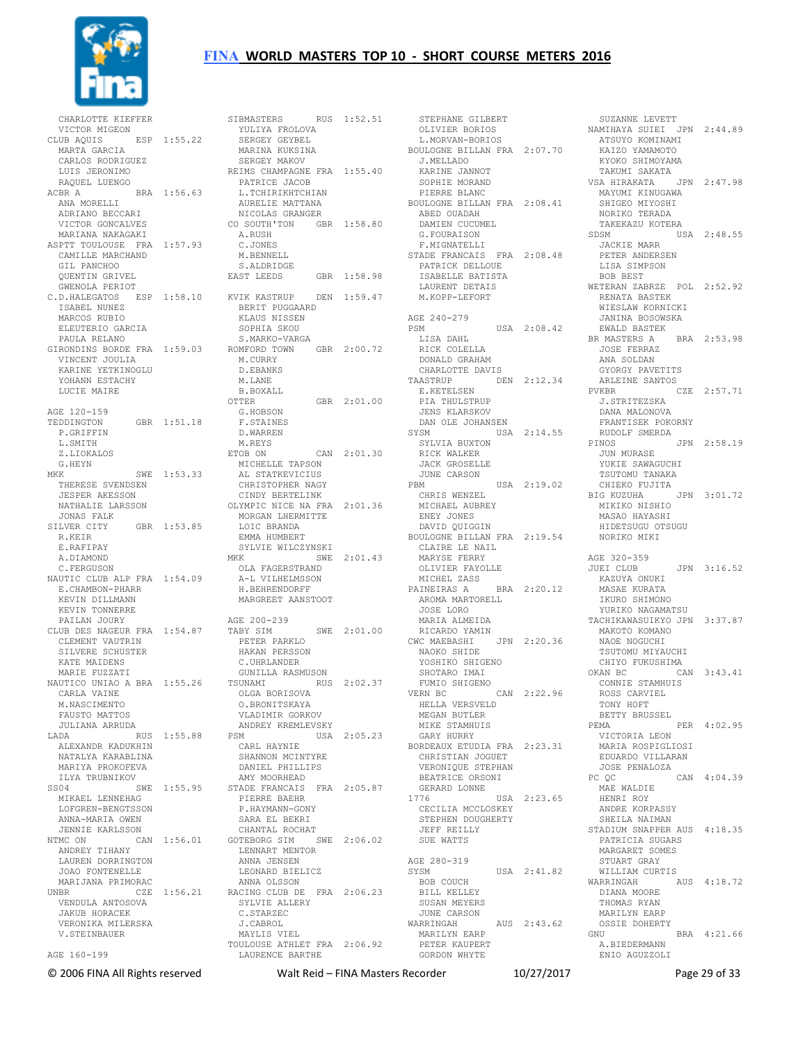

| CHARLOTTE KIEFFER                              |
|------------------------------------------------|
| VICTOR MIGEON<br>ESP 1:55.22<br>CLUB AQUIS     |
| MARTA GARCIA<br>CARLOS RODRIGUEZ               |
| LUIS JERONIMO<br>RAQUEL LUENGO                 |
| BRA 1:56.63<br>ACBR A<br>ANA MORELLI           |
| ADRIANO BECCARI                                |
| VICTOR GONCALVES<br>MARIANA NAKAGAKI           |
| ASPTT TOULOUSE FRA 1:57.93<br>CAMILLE MARCHAND |
| GIL PANCHOO<br>QUENTIN GRIVEL                  |
| GWENOLA PERIOT                                 |
| C.D.HALEGATOS ESP 1:58.10<br>ISABEL NUNEZ      |
| MARCOS RUBIO<br>ELEUTERIO GARCIA               |
| PAULA RELANO                                   |
| GIRONDINS BORDE FRA 1:59.03<br>VINCENT JOULIA  |
| KARINE YETKINOGLU<br>YOHANN ESTACHY            |
| LUCIE MAIRE                                    |
| AGE 120-159                                    |
| GBR 1:51.18<br>TEDDINGTON<br>P.GRIFFIN         |
| L.SMITH<br>Z.LIOKALOS                          |
| G.HEYN                                         |
| SWE 1:53.33<br>MKK<br>THERESE SVENDSEN         |
| <b>JESPER AKESSON</b><br>NATHALIE LARSSON      |
| JONAS FALK<br>GBR 1:53.85<br>SILVER CITY       |
| R.KEIR                                         |
| E.RAFIPAY<br>A.DIAMOND                         |
| C.FERGUSON<br>NAUTIC CLUB ALP FRA 1:54.09      |
| E.CHAMBON-PHARR<br>KEVIN DILLMANN              |
| KEVIN TONNERRE                                 |
| PAILAN JOURY<br>CLUB DES NAGEUR FRA 1:54.87    |
| CLEMENT VAUTRIN<br>SILVERE SCHUSTER            |
| KATE MAIDENS                                   |
| MARIE FUZZATI<br>NAUTICO UNIAO A BRA 1:55.26   |
| CARLA VAINE<br>M.NASCIMENTO                    |
| FAUSTO MATTOS<br>JULIANA ARRUDA                |
| LADA<br>RUS 1:55.88                            |
| ALEXANDR KADUKHIN<br>NATALYA KARABLINA         |
| MARIYA PROKOFEVA<br>ILYA TRUBNIKOV             |
| SS04<br>SWE 1:55.95                            |
| MIKAEL LENNEHAG<br>LOFGREN-BENGTSSON           |
| ANNA-MARIA OWEN<br>JENNIE KARLSSON             |
| CAN 1:56.01<br>NTMC ON<br>ANDREY TIHANY        |
| LAUREN DORRINGTON                              |
| JOAO FONTENELLE<br>MARIJANA PRIMORAC           |
| 1:56.21<br>CZE<br>UNBR<br>VENDULA ANTOSOVA     |
| <b>JAKUB HORACEK</b>                           |
| VERONIKA MILERSKA<br>V. STEINBAUER             |
| AGE 160-199                                    |

© 2006 FINA All Rights reserved Walt Reid – FINA Masters Recorder 10/27/2017 Page 29 of 33

| SIBMASTERS<br>YULIYA FROLOVA                 | RUS 1:52.51 |
|----------------------------------------------|-------------|
| SERGEY GEYBEL<br>MARINA KUKSINA              |             |
| SERGEY MAKOV                                 |             |
| REIMS CHAMPAGNE FRA 1:55.40<br>PATRICE JACOB |             |
| L.TCHIRIKHTCHIAN<br>AURELIE MATTANA          |             |
| NICOLAS GRANGER                              |             |
| CO SOUTH'TON GBR 1:58.80<br>A.RUSH           |             |
| C.JONES                                      |             |
| M.BENNELL                                    |             |
| S.ALDRIDGE                                   |             |
| EAST LEEDS                                   | GBR 1:58.98 |
| KVIK KASTRUP                                 | DEN 1:59.47 |
| BERIT PUGGAARD                               |             |
| KLAUS NISSEN                                 |             |
| SOPHIA SKOU<br>S.MARKO-VARGA                 |             |
| ROMFORD TOWN GBR 2:00.72                     |             |
| M.CURRY                                      |             |
| D. EBANKS                                    |             |
| M.LANE<br><b>B.BOXALL</b>                    |             |
| OTTER                                        | GBR 2:01.00 |
| G.HOBSON                                     |             |
| F.STAINES                                    |             |
| D. WARREN<br>M.REYS                          |             |
| ETOB ON                                      | CAN 2:01.30 |
| MICHELLE TAPSON                              |             |
| AL STATKEVICIUS<br>CHRISTOPHER NAGY          |             |
| CINDY BERTELINK                              |             |
| OLYMPIC NICE NA FRA 2:01.36                  |             |
| MORGAN LHERMITTE                             |             |
| LOIC BRANDA<br>EMMA HUMBERT                  |             |
| SYLVIE WILCZYNSKI                            |             |
| MKK                                          | SWE 2:01.43 |
| OLA FAGERSTRAND<br>A-L VILHELMSSON           |             |
| H.BEHRENDORFF                                |             |
| MARGREET AANSTOOT                            |             |
| AGE 200-239                                  |             |
| TABY SIM                                     | SWE 2:01.00 |
| PETER PARKLO                                 |             |
| HAKAN PERSSON<br>C.UHRLANDER                 |             |
| GUNILLA RASMUSON                             |             |
| TSUNAMI                                      | RUS 2:02.37 |
| OLGA BORISOVA                                |             |
| O.BRONITSKAYA<br>VLADIMIR GORKOV             |             |
| ANDREY KREMLEVSKY                            |             |
| PSM<br>CARL HAYNIE                           | USA 2:05.23 |
| SHANNON MCINTYRE                             |             |
| DANIEL PHILLIPS                              |             |
| AMY MOORHEAD                                 |             |
| STADE FRANCAIS FRA 2:05.87<br>PIERRE BAEHR   |             |
| P.HAYMANN-GONY                               |             |
| SARA EL BEKRI                                |             |
| CHANTAL ROCHAT                               |             |
| GOTEBORG SIM SWE 2:06.02<br>LENNART MENTOR   |             |
| ANNA JENSEN                                  |             |
| LEONARD BIELICZ                              |             |
| ANNA OLSSON<br>RACING CLUB DE FRA 2:06.23    |             |
| SYLVIE ALLERY                                |             |
| C.STARZEC                                    |             |
| <b>J.CABROL</b><br>MAYLIS VIEL               |             |
| TOULOUSE ATHLET FRA 2:06.92                  |             |
|                                              |             |

 STEPHANE GILBERT OLIVIER BORIOS SUZANNE LEVETT NAMIHAYA SUIEI JPN 2:44.89 L.MORVAN-BORIOS BOULOGNE BILLAN FRA 2:07.70 J.MELLADO KARINE JANNOT SOPHIE MORAND PIERRE BLANC BOULOGNE BILLAN FRA 2:08.41 ABED OUADAH DAMIEN CUCUMEL G.FOURAISON F.MIGNATELLI STADE FRANCAIS FRA 2:08.48 JACKIE MARR PETER ANDERSEN PATRICK DELLOUE ISABELLE BATISTA LAURENT DETAIS M.KOPP-LEFORT AGE 240-279 LISA DAHL RICK COLELLA DONALD GRAHAM CHARLOTTE DAVIS TAASTRUP DEN 2:12.34<br>
E.KETELSEN<br>
PIA THULSTRUP<br>
JENS KLARSKOV<br>
DAN OLE JOHANSEN<br>
SYSM USA 2:14.55 SYLVIA BUXTON RICK WALKER JACK GROSELLE JUNE CARSON PBM USA 2:19.02 CHRIS WENZEL MICHAEL AUBREY ENEY JONES DAVID QUIGGIN BOULOGNE BILLAN FRA 2:19.54 NORIKO MIKI CLAIRE LE NAIL MARYSE FERRY OLIVIER FAYOLLE MICHEL ZASS PAINEIRAS A BRA 2:20.12 RICARDO YAMIN CWC MAEBASHI JPN 2:20.36 NAOKO SHIDE NAOE NOGUCHI YOSHIKO SHIGENO SHOTARO IMAI FUMIO SHIGENO<br>VERN BC VERN BC CAN 2:22.96 HELLA VERSVELD MEGAN BUTLER MIKE STAMHUIS GARY HURRY BORDEAUX ETUDIA FRA 2:23.31 CHRISTIAN JOGUET VERONIQUE STEPHAN BEATRICE ORSONI GERARD LONNE 1776 USA 2:23.65 MAE WALDIE HENRI ROY CECILIA MCCLOSKEY STEPHEN DOUGHERTY JEFF REILLY SUE WATTS AGE 280-319 USA 2:41.82 BOB COUCH BILL KELLEY SUSAN MEYERS JUNE CARSON WARRINGAH AUS 2:43.62 MARILYN EARP MARILYN EARP<br>PETER KAUPERT GORDON WHYTE

PSM USA 2:08.42 EWALD BASTEK BR MASTERS A BRA 2:53.98 AROMA MARTORELL JOSE LORO MARIA ALMEIDA TACHIKAWASUIKYO JPN 3:37.87 MAKOTO KOMANO ATSUYO KOMINAMI KAIZO YAMAMOTO KYOKO SHIMOYAMA TAKUMI SAKATA VSA HIRAKATA JPN 2:47.98 MAYUMI KINUGAWA SHIGEO MIYOSHI NORIKO TERADA TAKEKAZU KOTERA USA 2:48.55 LISA SIMPSON BOB BEST WETERAN ZABRZE POL 2:52.92 RENATA BASTEK WIESLAW KORNICKI JANINA BOSOWSKA JOSE FERRAZ ANA SOLDAN GYORGY PAVETITS ARLEINE SANTOS PVKBR CZE 2:57.71 J.STRITEZSKA DANA MALONOVA FRANTISEK POKORNY RUDOLF SMERDA PINOS JPN 2:58.19 JUN MURASE YUKIE SAWAGUCHI TSUTOMU TANAKA CHIEKO FUJITA BIG KUZUHA JPN 3:01.72 MIKIKO NISHIO MASAO HAYASHI MASAO HAYASHI<br>HIDETSUGU OTSUGU AGE 320-359 JUEI CLUB JPN 3:16.52 KAZUYA ONUKI MASAE KURATA IKURO SHIMONO YURIKO NAGAMATSU TSUTOMU MIYAUCHI CHIYO FUKUSHIMA OKAN BC CAN 3:43.41 CONNIE STAMHUIS ROSS CARVIEL TONY HOFT BETTY BRUSSEL<br>EMA PER 4:02.95 PEMA PER 4:02.95 VICTORIA LEON MARIA ROSPIGLIOSI EDUARDO VILLARAN JOSE PENALOZA  $CAN$  4:04.39 ANDRE KORPASSY SHEILA NAIMAN STADIUM SNAPPER AUS 4:18.35 PATRICIA SUGARS MARGARET SOMES STUART GRAY<br>WILLIAM CURTIS WILLIAM CURTIS WARRINGAH AUS 4:18.72 DIANA MOORE THOMAS RYAN MARILYN EARP OSSIE DOHERTY<br>GNU BRA 4:21.66 A.BIEDERMANN ENIO AGUZZOLI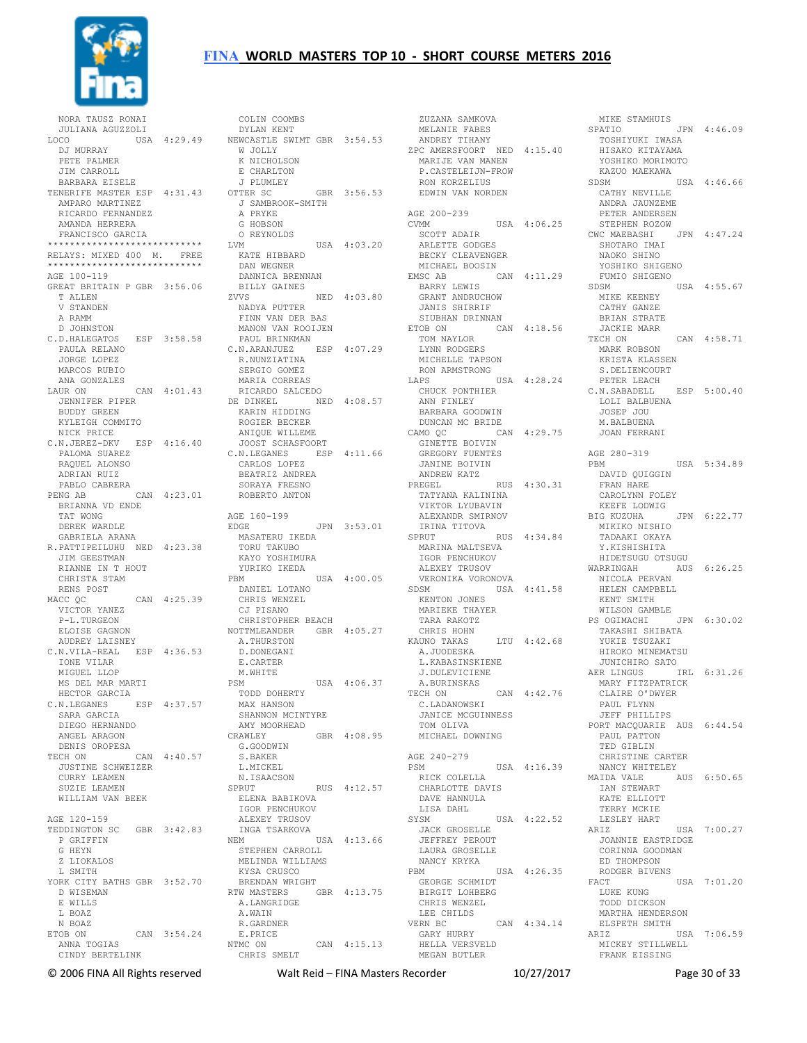

 NORA TAUSZ RONAI JULIANA AGUZZOLI LOCO USA 4:29.49 DJ MURRAY PETE PALMER JIM CARROLL BARBARA EISELE TENERIFE MASTER ESP 4:31.43 AMPARO MARTINEZ RICARDO FERNANDEZ AMANDA HERRERA FRANCISCO GARCIA \*\*\*\*\*\*\*\*\*\*\*\*\*\*\*\*\*\*\*\*\*\*\*\*\*\*\*\* RELAYS: MIXED 400 M. FREE \*\*\*\*\*\*\*\*\*\*\*\*\*\*\*\*\*\*\*\*\*\*\*\*\*\*\*\* AGE 100-119 GREAT BRITAIN P GBR 3:56.06 T ALLEN V STANDEN A RAMM D JOHNSTON C.D.HALEGATOS ESP 3:58.58 PAULA RELANO JORGE LOPEZ MARCOS RUBIO ANA GONZALES LAUR ON CAN 4:01.43 JENNIFER PIPER BUDDY GREEN KYLEIGH COMMITO NICK PRICE C.N.JEREZ-DKV ESP 4:16.40 PALOMA SUAREZ RAQUEL ALONSO ADRIAN RUIZ PABLO CABRERA PENG AB CAN 4:23.01 BRIANNA VD ENDE TAT WONG DEREK WARDLE GABRIELA ARANA R.PATTIPEILUHU NED 4:23.38 JIM GEESTMAN RIANNE IN T HOUT CHRISTA STAM RENS POST MACC QC CAN 4:25.39 VICTOR YANEZ P-L. TURGEON ELOISE GAGNON AUDREY LAISNEY C.N.VILA-REAL ESP 4:36.53 A.THURSTON D.DONEGANI IONE VILAR MIGUEL LLOP MS DEL MAR MARTI PSM HECTOR GARCIA C.N.LEGANES ESP 4:37.57 SARA GARCIA DIEGO HERNANDO ANGEL ARAGON DENIS OROPESA TECH ON CAN 4:40.57 JUSTINE SCHWEIZER CURRY LEAMEN SUZIE LEAMEN WILLIAM VAN BEEK AGE 120-159 TEDDINGTON SC GBR 3:42.83 P GRIFFIN G HEYN Z LIOKALOS L SMITH YORK CITY BATHS GBR 3:52.70 D WISEMAN E WILLS L BOAZ N BOAZ ETOB ON CAN 3:54.24 ANNA TOGIAS CINDY BERTELINK

 COLIN COOMBS DYLAN KENT NEWCASTLE SWIMT GBR 3:54.53 W JOLLY W JOLLY<br>K NICHOLSON E CHARLTON J PLUMLEY GBR 3:56.53 J SAMBROOK-SMITH A PRYKE G HOBSON O REYNOLDS LVM USA 4:03.20 KATE HIBBARD DAN WEGNER DANNICA BRENNAN BILLY GAINES ZVVS NED 4:03.80 NADYA PUTTER FINN VAN DER BAS MANON VAN ROOIJEN PAUL BRINKMAN C.N.ARANJUEZ ESP 4:07.29 R.NUNZIATINA SERGIO GOMEZ MARIA CORREAS RICARDO SALCEDO<br>DE DINKEL MED 4:08.57<br>KARIN HIDDING<br>ROGIER BECKER ANIQUE WILLEME JOOST SCHASFOORT C.N.LEGANES ESP 4:11.66 CARLOS LOPEZ BEATRIZ ANDREA SORAYA FRESNO ROBERTO ANTON AGE 160-199 EDGE JPN 3:53.01 MASATERU IKEDA TORU TAKUBO KAYO YOSHIMURA YURIKO IKEDA PBM USA 4:00.05 DANIEL LOTANO CHRIS WENZEL CJ PISANO CHRISTOPHER BEACH NOTTMLEANDER GBR 4:05.27 E.CARTER M WHITE USA 4:06.37 TODD DOHERTY MAX HANSON SHANNON MCINTYRE AMY MOORHEAD<br>CRAWLEY GBR 4:08.95 G.GOODWIN S.BAKER L.MICKEL N.ISAACSON SPRUT RUS 4:12.57 ELENA BABIKOVA IGOR PENCHUKOV ALEXEY TRUSOV INGA TSARKOVA NEM USA 4:13.66 STEPHEN CARROLL MELINDA WILLIAMS KYSA CRUSCO BRENDAN WRIGHT RTW MASTERS GBR 4:13.75 A.LANGRIDGE A.WAIN<br>
R.GARDNER<br>
E.PRICE<br>NTMC ON CAN 4:15.13<br>CHRIS SMELT

 ZUZANA SAMKOVA MELANIE FABES ANDREY TIHANY ZPC AMERSFOORT NED 4:15.40 MARIJE VAN MANEN P.CASTELEIJN-FROW RON KORZELIUS EDWIN VAN NORDEN AGE 200-239 CVMM USA 4:06.25 SCOTT ADAIR ARLETTE GODGES BECKY CLEAVENGER MICHAEL BOOSIN EMSC AB CAN 4:11.29 BARRY LEWIS GRANT ANDRUCHOW JANIS SHIRRIF SIUBHAN DRINNAN ETOB ON CAN 4:18.56 TOM NAYLOR LYNN RODGERS MICHELLE TAPSON RON ARMSTRONG LAPS USA 4:28.24 CHUCK PONTHIER ANN FINLEY BARBARA GOODWIN DUNCAN MC BRIDE<br>CAMO QC CAN 4:29.75 GINETTE BOIVIN GREGORY FUENTES JANINE BOIVIN ANDREW KATZ PREGEL RUS 4:30.31 TATYANA KALININA VIKTOR LYUBAVIN ALEXANDR SMIRNOV IRINA TITOVA SPRUT RUS 4:34.84 MARINA MALTSEVA IGOR PENCHUKOV ALEXEY TRUSOV VERONIKA VORONOVA SDSM USA 4:41.58 KENTON JONES MARIEKE THAYER TARA RAKOTZ CHRIS HOHN KAUNO TAKAS LTU 4:42.68 A.JUODESKA L.KABASINSKIENE J.DULEVICIENE A.BURINSKAS TECH ON CAN 4:42.76 C.LADANOWSKI JANICE MCGUINNESS TOM OLIVA MICHAEL DOWNING AGE 240-279<br>PSM PSM USA 4:16.39 RICK COLELLA CHARLOTTE DAVIS DAVE HANNULA LISA DAHL SYSM USA 4:22.52 JACK GROSELLE JEFFREY PEROUT LAURA GROSELLE NANCY KRYKA PBM USA 4:26.35 GEORGE SCHMIDT BIRGIT LOHBERG CHRIS WENZEL LEE CHILDS VERN BC CAN 4:34.14 GARY HURRY HELLA VERSVELD MEGAN BUTLER

MIKE STAMHUIS<br>SPATIO JPN 4:46.09<br> TOSHIYUKI IWASA<br>HISAKO KITAYAMA YOSHIKO MORIMOTO KAZUO MAEKAWA SDSM USA 4:46.66 CATHY NEVILLE ANDRA JAUNZEME PETER ANDERSEN STEPHEN ROZOW CWC MAEBASHI JPN 4:47.24 SHOTARO IMAI NAOKO SHINO YOSHIKO SHIGENO FUMIO SHIGENO SDSM USA 4:55.67 MIKE KEENEY CATHY GANZE BRIAN STRATE JACKIE MARR TECH ON CAN 4:58.71 MARK ROBSON KRISTA KLASSEN S.DELIENCOURT PETER LEACH C.N.SABADELL ESP 5:00.40 LOLI BALBUENA JOSEP JOU M.BALBUENA JOAN FERRANI AGE 280-319 PBM USA 5:34.89 DAVID QUIGGIN FRAN HARE CAROLYNN FOLEY KEEFE LODWIG BIG KUZUHA JPN 6:22.77 MIKIKO NISHIO TADAAKI OKAYA TADAAKI OKAYA<br>Y.KISHISHITA HIDETSUGU OTSUGU WARRINGAH AUS 6:26.25 NICOLA PERVAN HELEN CAMPBELL KENT SMITH WILSON GAMBLE PS OGIMACHI JPN 6:30.02 TAKASHI SHIBATA YUKIE TSUZAKI HIROKO MINEMATSU JUNICHIRO SATO AER LINGUS IRL 6:31.26 MARY FITZPATRICK CLAIRE O'DWYER PAUL FLYNN JEFF PHILLIPS PORT MACQUARIE AUS 6:44.54 PAUL PATTON TED GIBLIN CHRISTINE CARTER NANCY WHITELEY MAIDA VALE AUS 6:50.65 IAN STEWART KATE ELLIOTT TERRY MCKIE LESLEY HART ARIZ USA 7:00.27 JOANNIE EASTRIDGE CORINNA GOODMAN ED THOMPSON RODGER BIVENS FACT USA 7:01.20 LUKE KUNG TODD DICKSON MARTHA HENDERSON ELSPETH SMITH<br>ARIZ USA 7:06.59 MICKEY STILLWELL FRANK EISSING

© 2006 FINA All Rights reserved Walt Reid – FINA Masters Recorder 10/27/2017 Page 30 of 33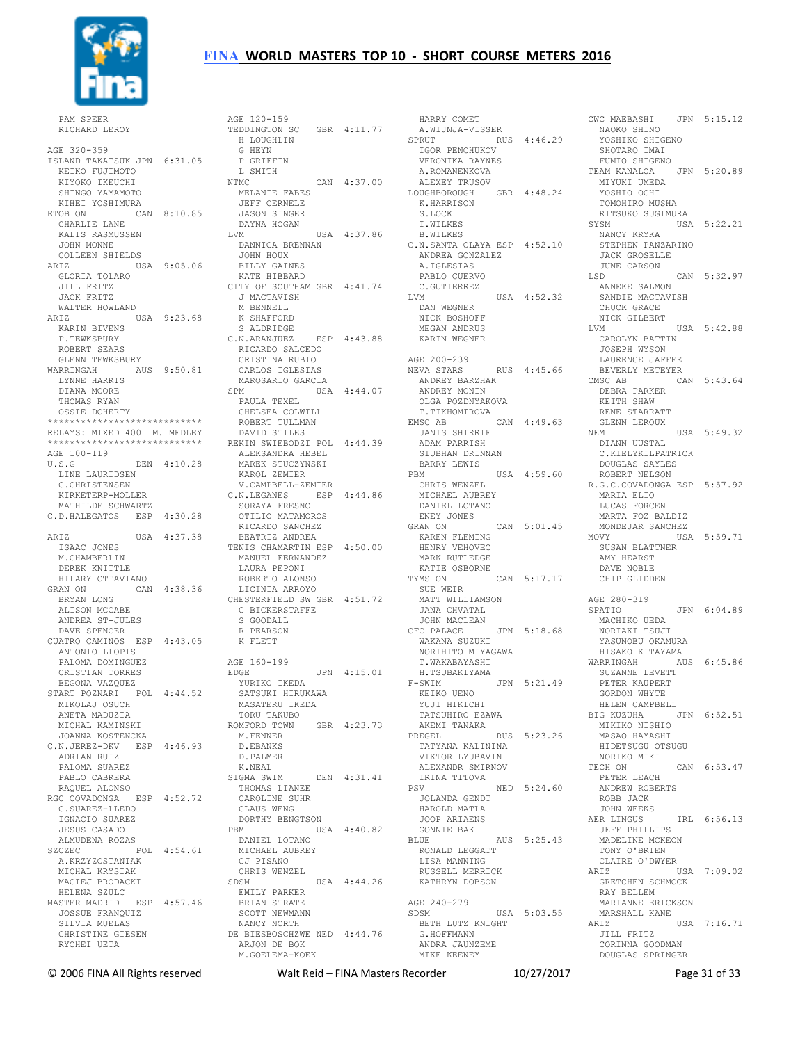

 PAM SPEER RICHARD LEROY AGE 320-359 ISLAND TAKATSUK JPN 6:31.05 KEIKO FUJIMOTO KIYOKO IKEUCHI SHINGO YAMAMOTO KIHEI YOSHIMURA ETOB ON CAN 8:10.85 CHARLIE LANE KALIS RASMUSSEN JOHN MONNE COLLEEN SHIELDS ARIZ USA 9:05.06 GLORIA TOLARO JILL FRITZ JACK FRITZ WALTER HOWLAND ARIZ USA 9:23.68 K SHAFFORD<br>KARIN BIVENS S ALDRIDGE P.TEWKSBURY ROBERT SEARS GLENN TEWKSBURY WARRINGAH AUS 9:50.81 LYNNE HARRIS DIANA MOORE THOMAS RYAN OSSIE DOHERTY \*\*\*\*\*\*\*\*\*\*\*\*\*\*\*\*\*\*\*\*\*\*\*\*\*\*\*\* RELAYS: MIXED 400 M. MEDLEY \*\*\*\*\*\*\*\*\*\*\*\*\*\*\*\*\*\*\*\*\*\*\*\*\*\*\*\* AGE 100-119 AGE 100-119<br>U.S.G DEN 4:10.28 LINE LAURIDSEN C.CHRISTENSEN KIRKETERP-MOLLER MATHILDE SCHWARTZ C.D.HALEGATOS ESP 4:30.28 ARIZ USA 4:37.38 ISAAC JONES BEATRIZ ANDREA TENIS CHAMARTIN ESP 4:50.00 M.CHAMBERLIN DEREK KNITTLE HILARY OTTAVIANO GRAN ON CAN 4:38.36<br>REYAN LONG BRYAN LONG ALISON MCCABE ANDREA ST-JULES DAVE SPENCER CUATRO CAMINOS ESP 4:43.05 ANTONIO LLOPIS PALOMA DOMINGUEZ CRISTIAN TORRES BEGONA VAZQUEZ START POZNARI POL 4:44.52 MIKOLAJ OSUCH ANETA MADUZIA MICHAL KAMINSKI JOANNA KOSTENCKA C.N.JEREZ-DKV ESP 4:46.93 ADRIAN RUIZ PALOMA SUAREZ PABLO CABRERA RAQUEL ALONSO RGC COVADONGA ESP 4:52.72 C.SUAREZ-LLEDO IGNACIO SUAREZ JESUS CASADO ALMUDENA ROZAS SZCZEC POL 4:54.61 A.KRZYZOSTANIAK MICHAL KRYSIAK MACIEJ BRODACKI HELENA SZULC MASTER MADRID ESP 4:57.46 EMILY PARKER BRIAN STRATE JOSSUE FRANQUIZ SILVIA MUELAS CHRISTINE GIESEN RYOHEI UETA

AGE 120-159 TEDDINGTON SC GBR 4:11.77 H LOUGHLIN G HEYN P GRIFFIN L SMITH<br>NTMC CAN 4:37.00 MELANIE FABES JEFF CERNELE JASON SINGER DAYNA HOGAN UASON<br>DAYNA HOGAN<br>LVM USA 4:37.86 DANNICA BRENNAN JOHN HOUX BILLY GAINES KATE HIBBARD CITY OF SOUTHAM GBR 4:41.74 J MACTAVISH M BENNELL S ALDRIDGE C.N.ARANJUEZ ESP 4:43.88 RICARDO SALCEDO CRISTINA RUBIO CARLOS IGLESIAS MAROSARIO GARCIA<br>SPM USA SPM USA 4:44.07 ANDREY BARZHAK ANDREY MONIN OLGA POZDNYAKOVA PAULA TEXEL CHELSEA COLWILL ROBERT TULLMAN DAVID STILES REKIN SWIEBODZI POL 4:44.39 ALEKSANDRA HEBEL MAREK STUCZYNSKI KAROL ZEMIER V.CAMPBELL-ZEMIER C.N.LEGANES ESP 4:44.86 SORAYA FRESNO OTILIO MATAMOROS RICARDO SANCHEZ MANUEL FERNANDEZ LAURA PEPONI ROBERTO ALONSO LICINIA ARROYO CHESTERFIELD SW GBR 4:51.72 C BICKERSTAFFE S GOODALL R PEARSON K FLETT AGE 160-199<br>EDGE JPN 4:15.01<br> SATSUKI HIRUKAWA MASATERU IKEDA TORU TAKUBO ROMFORD TOWN GBR 4:23.73 M.FENNER D.EBANKS D.EBANKS<br>D.PALMER K.NEAL<br>SIGMA SWIM DEN 4:31.41 THOMAS LIANEE CAROLINE SUHR CLAUS WENG<br>DORTHY BENGTSON PBM USA 4:40.82 DANIEL LOTANO MICHAEL AUBREY CJ PISANO CHRIS WENZEL<br>SDSM USA 4:44.26 SCOTT NEWMANN<br>
NANCY NORTH<br>
DE BIESBOSCHZWE NED 4:44.76<br>
ARJON DE BOK<br>
M.GOELEMA-KOEK

 HARRY COMET A.WIJNJA-VISSER SPRUT RUS 4:46.29 IGOR PENCHUKOV SPROI<br>IGOR PENCHUKOV<br>VERONIKA RAYNES A.ROMANENKOVA ALEXEY TRUSOV LOUGHBOROUGH GBR 4:48.24 K.HARRISON S.LOCK I.WILKES B.WILKES C.N.SANTA OLAYA ESP 4:52.10 ANDREA GONZALEZ A.IGLESIAS<br>PABLO CUERVO PABLO CUERVO C.GUTIERREZ LVM USA 4:52.32 DAN WEGNER NICK BOSHOFF MEGAN ANDRUS KARIN WEGNER AGE 200-239<br>NEVA STARS RUS 4:45.66 T.TIKHOMIROVA EMSC AB CAN 4:49.63 JANIS SHIRRIF ADAM PARRISH SIUBHAN DRINNAN BARRY LEWIS<br>PBM  $USA = 4:59.60$  CHRIS WENZEL MICHAEL AUBREY DANIEL LOTANO ENEY JONES GRAN ON CAN 5:01.45 KAREN FLEMING HENRY VEHOVEC MARK RUTLEDGE KATIE OSBORNE<br>TYMS ON CAN 5:17.17  $\begin{array}{ll}\n\multicolumn{3}{l}\n\text{SUE} & \text{WELR} \\
\text{SUE} & \text{WELR}\n\end{array}$  MATT WILLIAMSON JANA CHVATAL JOHN MACLEAN CFC PALACE JPN 5:18.68 WAKANA SUZUKI NORIHITO MIYAGAWA T.WAKABAYASHI H.TSUBAKIYAMA F-SWIM JPN 5:21.49 KEIKO UENO YUJI HIKICHI TATSUHIRO EZAWA AKEMI TANAKA PREGEL RUS 5:23.26 TATYANA KALININA VIKTOR LYUBAVIN ALEXANDR SMIRNOV IRINA TITOVA PSV NED 5:24.60 JOLANDA GENDT HAROLD MATLA JOOP ARIAENS GONNIE BAK BLUE AUS 5:25.43 JEFF PHILLIPS MADELINE MCKEON RONALD LEGGATT LISA MANNING RUSSELL MERRICK KATHRYN DOBSON AGE 240-279<br>SDSM SDSM USA 5:03.55 BETH LUTZ KNIGHT G.HOFFMANN ANDRA JAUNZEME MIKE KEENEY

CWC MAEBASHI JPN 5:15.12 NAOKO SHINO YOSHIKO SHIGENO SHOTARO IMAI FUMIO SHIGENO TEAM KANALOA JPN 5:20.89 MIYUKI UMEDA YOSHIO OCHI TOMOHIRO MUSHA RITSUKO SUGIMURA<br>SYSM USA USA 5:22.21 NANCY KRYKA STEPHEN PANZARINO JACK GROSELLE JUNE CARSON<br>LSD  $CAN$  5:32.97 ANNEKE SALMON SANDIE MACTAVISH CHUCK GRACE NICK GILBERT<br>T.VM USA 5:42.88 CAROLYN BATTIN JOSEPH WYSON LAURENCE JAFFEE BEVERLY METEYER<br>CMSC AB CA CAN 5:43.64 DEBRA PARKER KEITH SHAW RENE STARRATT GLENN LEROUX<br>NEM  $IISA$  5:49.32 DIANN UUSTAL C.KIELYKILPATRICK DOUGLAS SAYLES ROBERT NELSON R.G.C.COVADONGA ESP 5:57.92 MARIA ELIO LUCAS FORCEN MARTA FOZ BALDIZ MONDEJAR SANCHEZ MOVY USA 5:59.71 SUSAN BLATTNER AMY HEARST DAVE NOBLE CHIP GLIDDEN AGE 280-319 JPN 6:04.89 MACHIKO UEDA NORIAKI TSUJI YASUNOBU OKAMURA HISAKO KITAYAMA WARRINGAH AUS 6:45.86 SUZANNE LEVETT PETER KAUPERT GORDON WHYTE HELEN CAMPBELL BIG KUZUHA JPN 6:52.51 MIKIKO NISHIO MASAO HAYASHI HIDETSUGU OTSUGU NORIKO MIKI<br>TECH ON  $CAN 6:53.47$  PETER LEACH ANDREW ROBERTS ROBB JACK JOHN WEEKS<br>AER LINGUS IRL 6:56.13 TONY O'BRIEN CLAIRE O'DWYER ARIZ USA 7:09.02 GRETCHEN SCHMOCK RAY BELLEM MARIANNE ERICKSON MARSHALL KANE ARIZ USA 7:16.71 JILL FRITZ CORINNA GOODMAN DOUGLAS SPRINGER

© 2006 FINA All Rights reserved Walt Reid – FINA Masters Recorder 10/27/2017 Page 31 of 33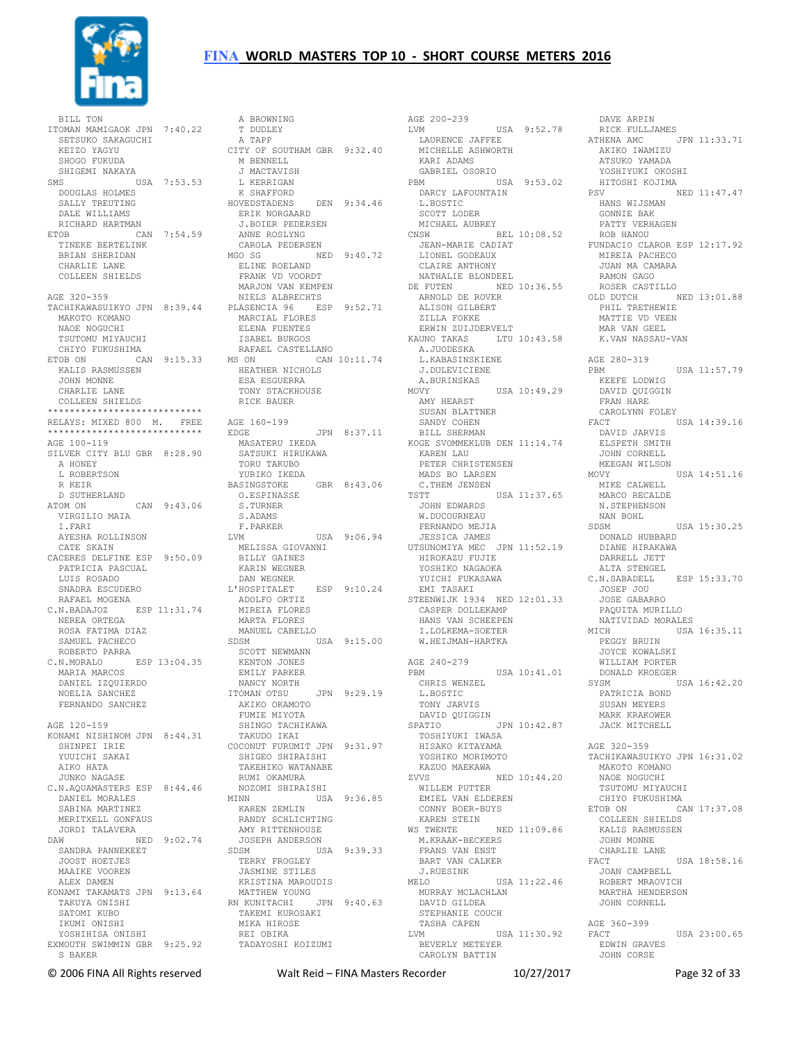

 BILL TON ITOMAN MAMIGAOK JPN 7:40.22 SETSUKO SAKAGUCHI KEISUKO SAKAGUCHI<br>KEIZO YAGYU SHOGO FUKUDA<br>SHIGEMI NAKAYA SMS USA 7:53.53 DOUGLAS HOLMES SALLY TREUTING DALE WILLIAMS RICHARD HARTMAN ETOB CAN 7:54.59 J.BOIER PEDERSEN ANNE ROSLYNG TINEKE BERTELINK BRIAN SHERIDAN CHARLIE LANE COLLEEN SHIELDS AGE 320-359 MAKOTO KOMANO<br>NAOE NOGUCHI NAOE NOGUCHI<br>TSUTOMU MIYAUCHI<br>CHIYO FUKUSHIMA<br>ETOB ON CAN 9:15.33<br>KALIS RASMUSSEN JOHN MONNE CHARLIE LANE COLLEEN SHIELDS \*\*\*\*\*\*\*\*\*\*\*\*\*\*\*\*\*\*\*\*\*\*\*\*\*\*\*\* RELAYS: MIXED 800 M. FREE \*\*\*\*\*\*\*\*\*\*\*\*\*\*\*\*\*\*\*\*\*\*\*\*\*\*\*\* AGE 100-119 SILVER CITY BLU GBR 8:28.90 A HONEY L ROBERTSON R KEIR D SUTHERLAND ATOM ON CAN 9:43.06 VIRGILIO MAIA I.FARI AYESHA ROLLINSON CATE SKAIN CACERES DELFINE ESP 9:50.09 PATRICIA PASCUAL LUIS ROSADO SNADRA ESCUDERO RAFAEL MOGENA C.N.BADAJOZ ESP 11:31.74 NEREA ORTEGA ROSA FATIMA DIAZ SAMUEL PACHECO ROBERTO PARRA C.N.MORALO ESP 13:04.35 MARIA MARCOS DANIEL IZQUIERDO NOELIA SANCHEZ FERNANDO SANCHEZ AGE 120-159 KONAMI NISHINOM JPN 8:44.31 SHINPEI IRIE YUUICHI SAKAI AIKO HATA JUNKO NAGASE C.N.AQUAMASTERS ESP 8:44.46 DANIEL MORALES SABINA MARTINEZ MERITYELL GONFAUS JORDI TALAVERA SANDRA PANNEKEET JOOST HOETJES MAAIKE VOOREN ALEX DAMEN KONAMI TAKAMATS JPN 9:13.64 TAKUYA ONISHI SATOMI KUBO IKUMI ONISHI YOSHIHISA ONISHI EXMOUTH SWIMMIN GBR 9:25.92 S BAKER

TACHIKAWASUIKYO JPN 8:39.44 PLASENCIA 96 ESP 9:52.71 DAW NED 9:02.74 AMY RITTENHOUSE JOSEPH ANDERSON SDSM USA 9:39.33 A BROWNING<br>T DUDLEY<br>A TAPP CITY OF SOUTHAM GBR 9:32.40 M BENNELL J MACTAVISH L KERRIGAN K SHAFFORD HOVEDSTADENS DEN 9:34.46 ERIK NORGAARD CAROLA PEDERSEN MGO SG NED 9:40.72 ELINE ROELAND FRANK VD VOORDT MARJON VAN KEMPEN NIELS ALBRECHTS MARCIAL FLORES<br>ELENA FUENTES ELENA FUENTES<br>
ISABEL BURGOS<br>
RAFAEL CASTELLANO<br>
MS ON CAN 10:11.74<br>
HEATHER NICHOLS HEATHER NICHOLS<br>ESA ESGUERRA TONY STACKHOUSE RICK BAUER AGE 160-199<br>EDGE JPN 8:37.11 MASATERU IKEDA SATSUKI HIRUKAWA TORU TAKUBO YURIKO IKEDA BASINGSTOKE GBR 8:43.06 O.ESPINASSE S.TURNER S.ADAMS F.PARKER F.PARKER<br>LVM USA 9:06.94 MELISSA GIOVANNI BILLY GAINES KARIN WEGNER DAN WEGNER L'HOSPITALET ESP 9:10.24 ADOLFO ORTIZ MIREIA FLORES MARTA FLORES MANUEL CABELLO<br>SDSM U USA 9:15.00 SCOTT NEWMANN KENTON JONES EMILY PARKER NANCY NORTH ITOMAN OTSU JPN 9:29.19 AKIKO OKAMOTO FUMIE MIYOTA SHINGO TACHIKAWA DAVID QUIGGIN SPATIO JPN 10:42.87 TAKUDO IKAI COCONUT FURUMIT JPN 9:31.97 SHIGEO SHIRAISHI TAKEHIKO WATANABE RUMI OKAMURA<br>NOZOMI SHIRAISHI USA 9:36.85 KAREN ZEMLIN RANDY SCHLICHTING TERRY FROGLEY JASMINE STILES KRISTINA MAROUDIS MATTHEW YOUNG RN KUNITACHI JPN 9:40.63 TAKEMI KUROSAKI MIKA HIROSE REI OBIKA TADAYOSHI KOIZUMI

AGE 200-239 LVM USA 9:52.78 LAURENCE JAFFEE MICHELLE ASHWORTH KARI ADAMS GABRIEL OSORIO PBM USA 9:53.02 DARCY LAFOUNTAIN L.BOSTIC SCOTT LODER MICHAEL AUBREY CNSW BEL 10:08.52 JEAN-MARIE CADIAT LIONEL GODEAUX CLAIRE ANTHONY CLAIRE ANTHONY<br>NATHALIE BLONDEEL DE FUTEN NED 10:36.55 ARNOLD DE ROVER ALISON GILBERT ZILLA FOKKE ERWIN ZUIJDERVELT KAUNO TAKAS LTU 10:43.58 A.JUODESKA L.KABASINSKIENE J.DULEVICIENE A.BURINSKAS MOVY USA 10:49.29 AMY HEARST SUSAN BLATTNER SUSAN DEALLAST.<br>SANDY COHEN BILL SHERMAN KOGE SVOMMEKLUB DEN 11:14.74 KAREN LAU PETER CHRISTENSEN MADS BO LARSEN C.THEM JENSEN<br>TSTT USA 11:37.65<br>JOHN EDWARDS<br>W.DUCOURNEAU FERNANDO MEJIA JESSICA JAMES UTSUNOMIYA MEC JPN 11:52.19 DONALD HUBBARD DIANE HIRAKAWA HIROKAZU FUJIE YOSHIKO NAGAOKA YUICHI FUKASAWA EMI TASAKI STEENWIJK 1934 NED 12:01.33 CASPER DOLLEKAMP HANS VAN SCHEEPEN I.LOLKEMA-SOETER W.HEIJMAN-HARTKA AGE 240-279 USA 10:41.01 CHRIS WENZEL L.BOSTIC TONY JARVIS TOSHIYUKI IWASA HISAKO KITAYAMA YOSHIKO MORIMOTO KAZUO MAEKAWA ZVVS NED 10:44.20 WILLEM PUTTER EMIEL VAN ELDEREN CONNY BOER-BUYS KAREN STEIN WS TWENTE NED 11:09.86 M.KRAAK-BECKERS FRANS VAN ENST BART VAN CALKER J.RUESINK USA 11:22.46 MURRAY MCLACHLAN DAVID GILDEA STEPHANIE COUCH TASHA CAPEN<br>LVM USA 11:30.92 FACT BEVERLY METEYER CAROLYN BATTIN

 DAVE ARPIN RICK FULLJAMES ATHENA AMC JPN 11:33.71 AKIKO IWAMIZU ATSUKO YAMADA YOSHIYUKI OKOSHI HITOSHI KOJIMA NED 11:47.47 HANS WIJSMAN GONNIE BAK PATTY VERHAGEN ROB HANOU FUNDACIO CLAROR ESP 12:17.92 MIREIA PACHECO JUAN MA CAMARA RAMON GAGO ROSER CASTILLO<br>OLD DUTCH NED 13:01.88<br>PHIL TRETHEWIE MATTIE VD VEEN MAR VAN GEEL K.VAN NASSAU-VAN AGE 280-319 PBM USA 11:57.79 KEEFE LODWIG **DAVID QUIGGIN<br>FRAN HARE**  FRAN HARE CAROLYNN FOLEY FACT USA 14:39.16 DAVID JARVIS ELSPETH SMITH JOHN CORNELL MEEGAN WILSON USA 14:51.16 MIKE CALWELL MARCO RECALDE N.STEPHENSON NAN BOHL<br>SDSM  $IISA$  15:30.25 DARRELL JETT ALTA STENGEL C.N.SABADELL ESP 15:33.70 JOSEP JOU JOSE GABARRO PAQUITTA MURILLO NATIVIDAD MORALES<br>MICH USA  $IISA$   $16.35$   $11$  PEGGY BRUIN JOYCE KOWALSKI WILLIAM PORTER DONALD KROEGER USA 16:42.20 PATRICIA BOND SUSAN MEYERS MARK KRAKOWER JACK MITCHELL AGE 320-359 TACHIKAWASUIKYO JPN 16:31.02 MAKOTO KOMANO MAKOTO KOMANO<br>NAOE NOGUCHI TSUTOMU MIYAUCHI CHIYO FUKUSHIMA ETOB ON CAN 17:37.08 COLLEEN SHIELDS KALIS RASMUSSEN KALIS RASMUSSEN<br>JOHN MONNE CHARLIE LANE<br>FACT USA 18:58.16 JOAN CAMPBELL ROBERT MRAOVICH MARTHA HENDERSON JOHN CORNELL AGE 360-399  $TISA$  23:00.65 EDWIN GRAVES JOHN CORSE